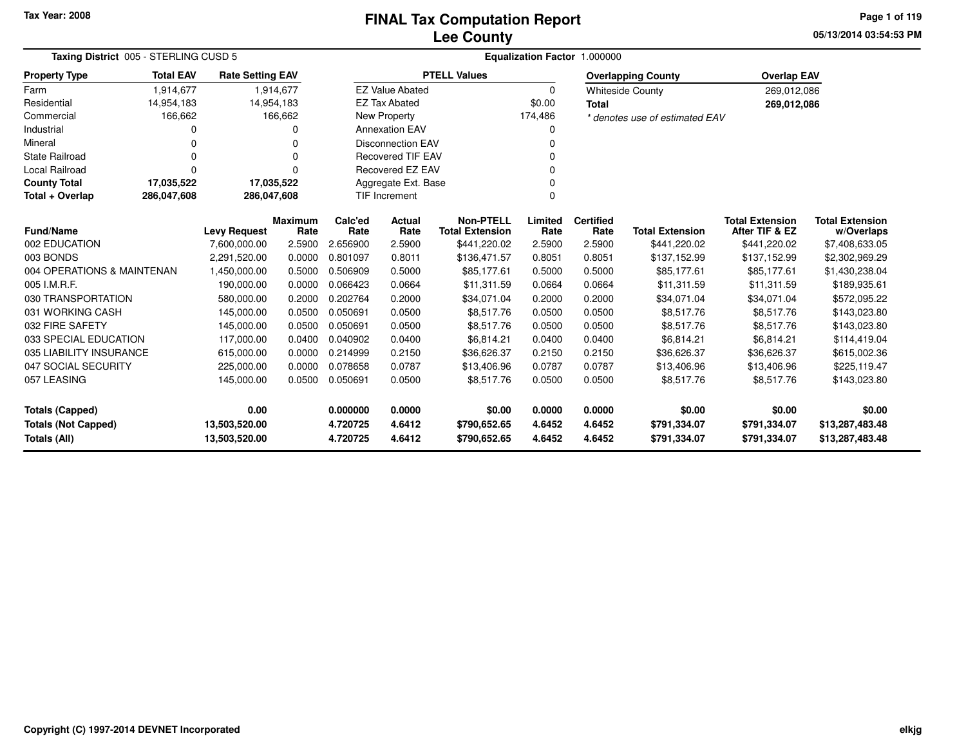### **Lee CountyFINAL Tax Computation Report**

**05/13/2014 03:54:53 PM Page 1 of 119**

| Taxing District 005 - STERLING CUSD 5             | Equalization Factor 1.000000 |                                |                        |                      |                          |                                            |                  |                          |                                |                                          |                                      |
|---------------------------------------------------|------------------------------|--------------------------------|------------------------|----------------------|--------------------------|--------------------------------------------|------------------|--------------------------|--------------------------------|------------------------------------------|--------------------------------------|
| <b>Property Type</b>                              | <b>Total EAV</b>             | <b>Rate Setting EAV</b>        |                        |                      |                          | <b>PTELL Values</b>                        |                  |                          | <b>Overlapping County</b>      | <b>Overlap EAV</b>                       |                                      |
| Farm                                              | 1,914,677                    |                                | 1,914,677              |                      | <b>EZ Value Abated</b>   |                                            | 0                |                          | <b>Whiteside County</b>        | 269,012,086                              |                                      |
| Residential                                       | 14,954,183                   | 14,954,183                     |                        |                      | <b>EZ Tax Abated</b>     |                                            | \$0.00           | <b>Total</b>             |                                | 269,012,086                              |                                      |
| Commercial                                        | 166,662                      |                                | 166,662                |                      | <b>New Property</b>      |                                            | 174,486          |                          | * denotes use of estimated EAV |                                          |                                      |
| Industrial                                        |                              |                                | 0                      |                      | <b>Annexation EAV</b>    |                                            | 0                |                          |                                |                                          |                                      |
| Mineral                                           |                              |                                | 0                      |                      | <b>Disconnection EAV</b> |                                            | 0                |                          |                                |                                          |                                      |
| <b>State Railroad</b>                             |                              |                                | 0                      |                      | <b>Recovered TIF EAV</b> |                                            |                  |                          |                                |                                          |                                      |
| <b>Local Railroad</b>                             |                              |                                | 0                      |                      | Recovered EZ EAV         |                                            |                  |                          |                                |                                          |                                      |
| <b>County Total</b>                               | 17,035,522                   | 17,035,522                     |                        |                      | Aggregate Ext. Base      |                                            | $\Omega$         |                          |                                |                                          |                                      |
| Total + Overlap                                   | 286,047,608                  | 286,047,608                    |                        |                      | TIF Increment            |                                            | $\mathbf 0$      |                          |                                |                                          |                                      |
| <b>Fund/Name</b>                                  |                              | <b>Levy Request</b>            | <b>Maximum</b><br>Rate | Calc'ed<br>Rate      | Actual<br>Rate           | <b>Non-PTELL</b><br><b>Total Extension</b> | Limited<br>Rate  | <b>Certified</b><br>Rate | <b>Total Extension</b>         | <b>Total Extension</b><br>After TIF & EZ | <b>Total Extension</b><br>w/Overlaps |
| 002 EDUCATION                                     |                              | 7,600,000.00                   | 2.5900                 | 2.656900             | 2.5900                   | \$441,220.02                               | 2.5900           | 2.5900                   | \$441,220.02                   | \$441,220.02                             | \$7,408,633.05                       |
| 003 BONDS                                         |                              | 2,291,520.00                   | 0.0000                 | 0.801097             | 0.8011                   | \$136,471.57                               | 0.8051           | 0.8051                   | \$137,152.99                   | \$137,152.99                             | \$2,302,969.29                       |
| 004 OPERATIONS & MAINTENAN                        |                              | 1,450,000.00                   | 0.5000                 | 0.506909             | 0.5000                   | \$85,177.61                                | 0.5000           | 0.5000                   | \$85,177.61                    | \$85,177.61                              | \$1,430,238.04                       |
| 005 I.M.R.F.                                      |                              | 190,000.00                     | 0.0000                 | 0.066423             | 0.0664                   | \$11.311.59                                | 0.0664           | 0.0664                   | \$11,311.59                    | \$11,311.59                              | \$189,935.61                         |
| 030 TRANSPORTATION                                |                              | 580,000.00                     | 0.2000                 | 0.202764             | 0.2000                   | \$34,071.04                                | 0.2000           | 0.2000                   | \$34,071.04                    | \$34,071.04                              | \$572,095.22                         |
| 031 WORKING CASH                                  |                              | 145,000.00                     | 0.0500                 | 0.050691             | 0.0500                   | \$8,517.76                                 | 0.0500           | 0.0500                   | \$8,517.76                     | \$8,517.76                               | \$143,023.80                         |
| 032 FIRE SAFETY                                   |                              | 145,000.00                     | 0.0500                 | 0.050691             | 0.0500                   | \$8,517.76                                 | 0.0500           | 0.0500                   | \$8,517.76                     | \$8,517.76                               | \$143,023.80                         |
| 033 SPECIAL EDUCATION                             |                              | 117,000.00                     | 0.0400                 | 0.040902             | 0.0400                   | \$6,814.21                                 | 0.0400           | 0.0400                   | \$6,814.21                     | \$6,814.21                               | \$114,419.04                         |
| 035 LIABILITY INSURANCE                           |                              | 615,000.00                     | 0.0000                 | 0.214999             | 0.2150                   | \$36,626.37                                | 0.2150           | 0.2150                   | \$36,626.37                    | \$36,626.37                              | \$615,002.36                         |
| 047 SOCIAL SECURITY                               |                              | 225,000.00                     | 0.0000                 | 0.078658             | 0.0787                   | \$13,406.96                                | 0.0787           | 0.0787                   | \$13,406.96                    | \$13,406.96                              | \$225,119.47                         |
| 057 LEASING                                       |                              | 145,000.00                     | 0.0500                 | 0.050691             | 0.0500                   | \$8,517.76                                 | 0.0500           | 0.0500                   | \$8,517.76                     | \$8,517.76                               | \$143,023.80                         |
| <b>Totals (Capped)</b>                            |                              | 0.00                           |                        | 0.000000             | 0.0000                   | \$0.00                                     | 0.0000           | 0.0000                   | \$0.00                         | \$0.00                                   | \$0.00                               |
| <b>Totals (Not Capped)</b><br><b>Totals (All)</b> |                              | 13,503,520.00<br>13,503,520.00 |                        | 4.720725<br>4.720725 | 4.6412<br>4.6412         | \$790,652.65<br>\$790,652.65               | 4.6452<br>4.6452 | 4.6452<br>4.6452         | \$791,334.07<br>\$791,334.07   | \$791,334.07<br>\$791,334.07             | \$13,287,483.48<br>\$13,287,483.48   |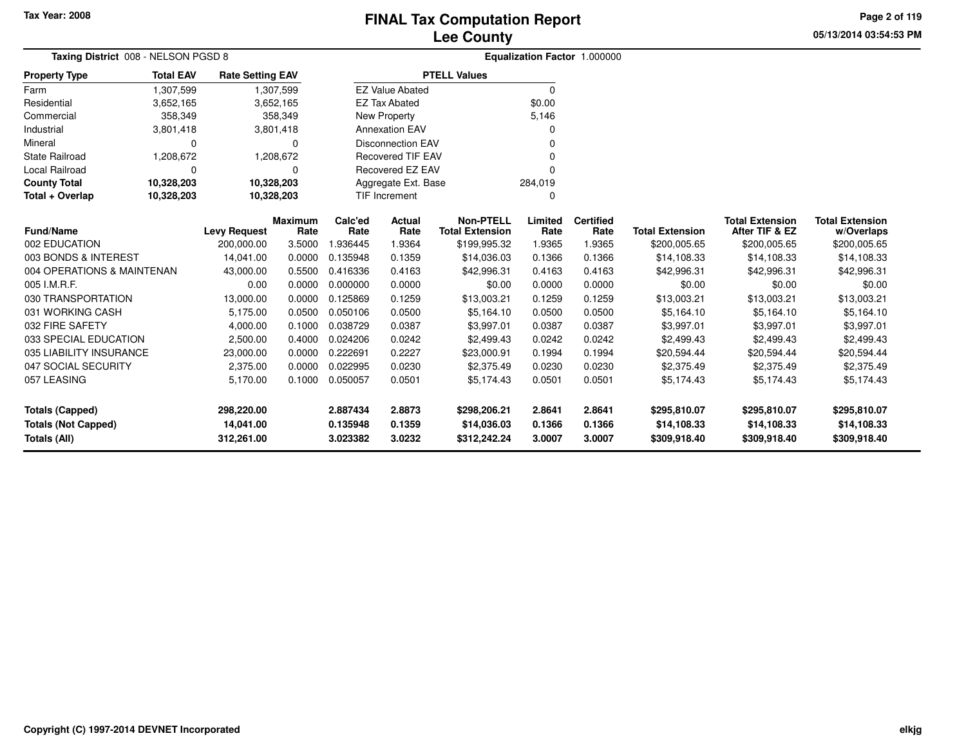### **Lee CountyFINAL Tax Computation Report**

**05/13/2014 03:54:53 PM**

**Page 2 of 119**

| Taxing District 008 - NELSON PGSD 8            |                  |                         |                  | Equalization Factor 1.000000 |                          |                           |                  |                  |                           |                           |                           |  |
|------------------------------------------------|------------------|-------------------------|------------------|------------------------------|--------------------------|---------------------------|------------------|------------------|---------------------------|---------------------------|---------------------------|--|
| <b>Property Type</b>                           | <b>Total EAV</b> | <b>Rate Setting EAV</b> |                  |                              |                          | <b>PTELL Values</b>       |                  |                  |                           |                           |                           |  |
| Farm                                           | 1,307,599        |                         | 1,307,599        |                              | <b>EZ Value Abated</b>   |                           | $\Omega$         |                  |                           |                           |                           |  |
| Residential                                    | 3,652,165        |                         | 3,652,165        |                              | <b>EZ Tax Abated</b>     |                           | \$0.00           |                  |                           |                           |                           |  |
| Commercial                                     | 358,349          |                         | 358,349          |                              | New Property             |                           | 5,146            |                  |                           |                           |                           |  |
| Industrial                                     | 3,801,418        |                         | 3,801,418        |                              | <b>Annexation EAV</b>    |                           |                  |                  |                           |                           |                           |  |
| Mineral                                        | $\Omega$         |                         | $\Omega$         |                              | <b>Disconnection EAV</b> |                           |                  |                  |                           |                           |                           |  |
| State Railroad                                 | 1,208,672        |                         | 1,208,672        |                              | <b>Recovered TIF EAV</b> |                           |                  |                  |                           |                           |                           |  |
| Local Railroad                                 | $\Omega$         |                         | 0                |                              | Recovered EZ EAV         |                           |                  |                  |                           |                           |                           |  |
| <b>County Total</b>                            | 10,328,203       | 10,328,203              |                  |                              | Aggregate Ext. Base      |                           | 284,019          |                  |                           |                           |                           |  |
| Total + Overlap                                | 10,328,203       | 10,328,203              |                  |                              | TIF Increment            |                           |                  |                  |                           |                           |                           |  |
|                                                |                  |                         | <b>Maximum</b>   | Calc'ed                      | <b>Actual</b>            | <b>Non-PTELL</b>          | Limited          | <b>Certified</b> |                           | <b>Total Extension</b>    | <b>Total Extension</b>    |  |
| <b>Fund/Name</b>                               |                  | <b>Levy Request</b>     | Rate             | Rate                         | Rate                     | <b>Total Extension</b>    | Rate             | Rate             | <b>Total Extension</b>    | After TIF & EZ            | w/Overlaps                |  |
| 002 EDUCATION                                  |                  | 200,000.00              | 3.5000           | .936445                      | 1.9364                   | \$199,995.32              | 1.9365           | 1.9365           | \$200,005.65              | \$200,005.65              | \$200,005.65              |  |
| 003 BONDS & INTEREST                           |                  | 14.041.00               | 0.0000           | 0.135948                     | 0.1359                   | \$14,036.03               | 0.1366           | 0.1366           | \$14,108.33               | \$14,108.33               | \$14,108.33               |  |
| 004 OPERATIONS & MAINTENAN                     |                  | 43,000.00               | 0.5500           | 0.416336                     | 0.4163                   | \$42,996.31               | 0.4163           | 0.4163           | \$42,996.31               | \$42,996.31               | \$42,996.31               |  |
| 005 I.M.R.F.                                   |                  | 0.00                    | 0.0000           | 0.000000                     | 0.0000                   | \$0.00                    | 0.0000           | 0.0000           | \$0.00                    | \$0.00                    | \$0.00                    |  |
| 030 TRANSPORTATION                             |                  | 13,000.00               | 0.0000           | 0.125869<br>0.050106         | 0.1259                   | \$13,003.21               | 0.1259           | 0.1259           | \$13,003.21               | \$13,003.21               | \$13,003.21               |  |
| 031 WORKING CASH<br>032 FIRE SAFETY            |                  | 5,175.00                | 0.0500           | 0.038729                     | 0.0500                   | \$5,164.10                | 0.0500           | 0.0500           | \$5,164.10                | \$5,164.10                | \$5,164.10                |  |
|                                                |                  | 4,000.00                | 0.1000           |                              | 0.0387                   | \$3,997.01                | 0.0387           | 0.0387           | \$3,997.01                | \$3,997.01                | \$3,997.01                |  |
| 033 SPECIAL EDUCATION                          |                  | 2,500.00                | 0.4000           | 0.024206                     | 0.0242                   | \$2,499.43                | 0.0242           | 0.0242           | \$2,499.43                | \$2,499.43                | \$2,499.43                |  |
| 035 LIABILITY INSURANCE<br>047 SOCIAL SECURITY |                  | 23,000.00<br>2,375.00   | 0.0000<br>0.0000 | 0.222691<br>0.022995         | 0.2227<br>0.0230         | \$23,000.91<br>\$2,375.49 | 0.1994<br>0.0230 | 0.1994<br>0.0230 | \$20,594.44<br>\$2,375.49 | \$20,594.44<br>\$2,375.49 | \$20,594.44<br>\$2,375.49 |  |
| 057 LEASING                                    |                  |                         |                  | 0.050057                     |                          |                           |                  |                  |                           |                           |                           |  |
|                                                |                  | 5,170.00                | 0.1000           |                              | 0.0501                   | \$5,174.43                | 0.0501           | 0.0501           | \$5,174.43                | \$5,174.43                | \$5,174.43                |  |
| <b>Totals (Capped)</b>                         |                  | 298,220.00              |                  | 2.887434                     | 2.8873                   | \$298,206.21              | 2.8641           | 2.8641           | \$295,810.07              | \$295,810.07              | \$295,810.07              |  |
| <b>Totals (Not Capped)</b>                     |                  | 14,041.00               |                  | 0.135948                     | 0.1359                   | \$14,036.03               | 0.1366           | 0.1366           | \$14,108.33               | \$14,108.33               | \$14,108.33               |  |
| Totals (All)                                   |                  | 312,261.00              |                  | 3.023382                     | 3.0232                   | \$312,242.24              | 3.0007           | 3.0007           | \$309,918.40              | \$309,918.40              | \$309,918.40              |  |

-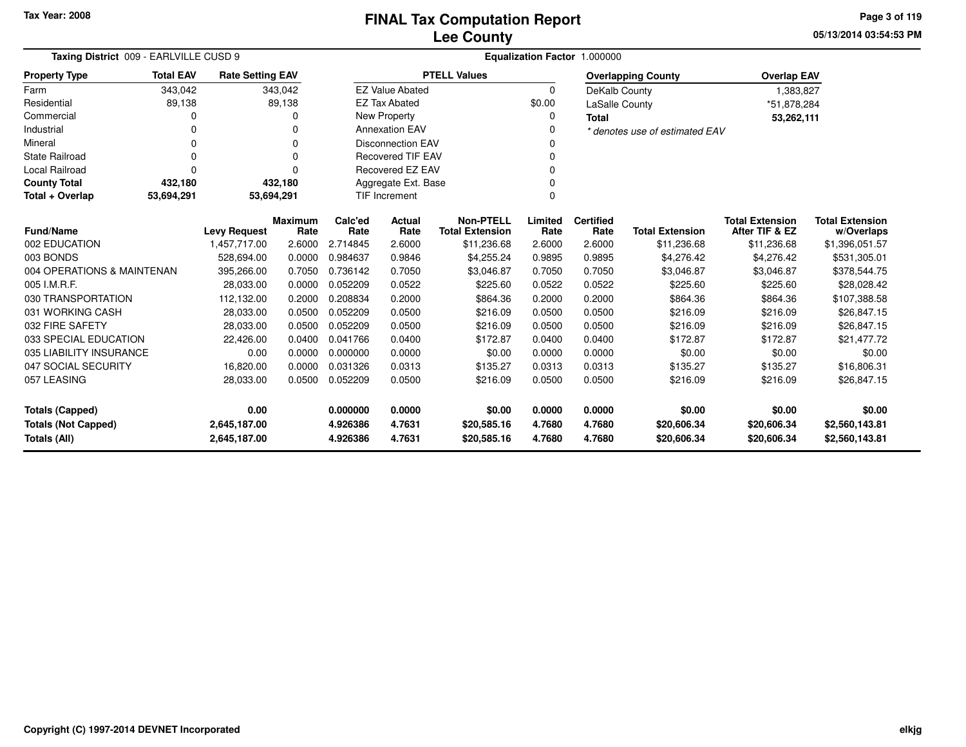**05/13/2014 03:54:53 PMPage 3 of 119**

| Taxing District 009 - EARLVILLE CUSD 9                                                        | Equalization Factor 1.000000                                                          |                     |          |          |                          |                        |          |                        |                                |                                         |                |  |  |
|-----------------------------------------------------------------------------------------------|---------------------------------------------------------------------------------------|---------------------|----------|----------|--------------------------|------------------------|----------|------------------------|--------------------------------|-----------------------------------------|----------------|--|--|
| <b>Property Type</b>                                                                          | <b>Total EAV</b><br><b>Rate Setting EAV</b><br>343,042<br>343,042<br>89,138<br>89,138 |                     |          |          |                          | <b>PTELL Values</b>    |          |                        | <b>Overlapping County</b>      | <b>Overlap EAV</b>                      |                |  |  |
| Farm                                                                                          |                                                                                       |                     |          |          | <b>EZ Value Abated</b>   |                        | $\Omega$ | DeKalb County          |                                | 1,383,827                               |                |  |  |
| Residential                                                                                   |                                                                                       |                     |          |          | <b>EZ Tax Abated</b>     |                        | \$0.00   | <b>LaSalle County</b>  |                                | *51,878,284                             |                |  |  |
| Commercial                                                                                    | 0                                                                                     |                     | O        |          | New Property             |                        | 0        | <b>Total</b>           |                                | 53,262,111                              |                |  |  |
| Industrial                                                                                    | 0                                                                                     |                     | $\Omega$ |          | <b>Annexation EAV</b>    |                        |          |                        | * denotes use of estimated EAV |                                         |                |  |  |
| Mineral                                                                                       | 0                                                                                     |                     | 0        |          | <b>Disconnection EAV</b> |                        |          |                        |                                |                                         |                |  |  |
| <b>State Railroad</b>                                                                         | 0                                                                                     |                     | $\Omega$ |          | <b>Recovered TIF EAV</b> |                        |          |                        |                                |                                         |                |  |  |
| <b>Local Railroad</b>                                                                         | 0                                                                                     |                     | $\Omega$ |          | Recovered EZ EAV         |                        | ŋ        |                        |                                |                                         |                |  |  |
| <b>County Total</b>                                                                           | 432,180                                                                               |                     | 432,180  |          | Aggregate Ext. Base      |                        |          |                        |                                |                                         |                |  |  |
| Total + Overlap                                                                               | 53,694,291                                                                            | 53,694,291          |          |          | <b>TIF Increment</b>     |                        | $\Omega$ |                        |                                |                                         |                |  |  |
| <b>Non-PTELL</b><br>Limited<br><b>Certified</b><br><b>Maximum</b><br>Calc'ed<br><b>Actual</b> |                                                                                       |                     |          |          |                          |                        |          | <b>Total Extension</b> | <b>Total Extension</b>         |                                         |                |  |  |
| <b>Fund/Name</b>                                                                              |                                                                                       | <b>Levy Request</b> | Rate     | Rate     | Rate                     | <b>Total Extension</b> | Rate     | Rate                   | <b>Total Extension</b>         | After TIF & EZ                          | w/Overlaps     |  |  |
| 002 EDUCATION                                                                                 |                                                                                       | 1,457,717.00        | 2.6000   | 2.714845 | 2.6000                   | \$11,236.68            | 2.6000   | 2.6000                 | \$11,236.68                    |                                         | \$1,396,051.57 |  |  |
| 003 BONDS                                                                                     |                                                                                       | 528,694.00          | 0.0000   | 0.984637 | 0.9846                   | \$4,255.24             | 0.9895   | 0.9895                 | \$4,276.42                     | \$11,236.68<br>\$4,276.42<br>\$3,046.87 |                |  |  |
| 004 OPERATIONS & MAINTENAN                                                                    |                                                                                       | 395,266.00          | 0.7050   | 0.736142 | 0.7050                   | \$3,046.87             | 0.7050   | 0.7050                 | \$3,046.87                     | \$531,305.01<br>\$378,544.75            |                |  |  |
| 005 I.M.R.F.                                                                                  |                                                                                       | 28,033.00           | 0.0000   | 0.052209 | 0.0522                   | \$225.60               | 0.0522   | 0.0522                 | \$225.60                       | \$225.60                                | \$28,028.42    |  |  |
| 030 TRANSPORTATION                                                                            |                                                                                       | 112,132.00          | 0.2000   | 0.208834 | 0.2000                   | \$864.36               | 0.2000   | 0.2000                 | \$864.36                       | \$864.36                                | \$107,388.58   |  |  |
| 031 WORKING CASH                                                                              |                                                                                       | 28,033.00           | 0.0500   | 0.052209 | 0.0500                   | \$216.09               | 0.0500   | 0.0500                 | \$216.09                       | \$216.09                                | \$26,847.15    |  |  |
| 032 FIRE SAFETY                                                                               |                                                                                       | 28,033.00           | 0.0500   | 0.052209 | 0.0500                   | \$216.09               | 0.0500   | 0.0500                 | \$216.09                       | \$216.09                                | \$26,847.15    |  |  |
| 033 SPECIAL EDUCATION                                                                         |                                                                                       | 22,426.00           | 0.0400   | 0.041766 | 0.0400                   | \$172.87               | 0.0400   | 0.0400                 | \$172.87                       | \$172.87                                | \$21,477.72    |  |  |
| 035 LIABILITY INSURANCE                                                                       |                                                                                       | 0.00                | 0.0000   | 0.000000 | 0.0000                   | \$0.00                 | 0.0000   | 0.0000                 | \$0.00                         | \$0.00                                  | \$0.00         |  |  |
| 047 SOCIAL SECURITY                                                                           |                                                                                       | 16,820.00           | 0.0000   | 0.031326 | 0.0313                   | \$135.27               | 0.0313   | 0.0313                 | \$135.27                       | \$135.27                                | \$16,806.31    |  |  |
| 057 LEASING<br>0.0500<br>0.052209<br>0.0500<br>28,033.00                                      |                                                                                       |                     |          | \$216.09 | 0.0500                   | 0.0500                 | \$216.09 | \$216.09               | \$26,847.15                    |                                         |                |  |  |
| 0.00<br><b>Totals (Capped)</b>                                                                |                                                                                       |                     |          | 0.000000 | 0.0000                   | \$0.00                 | 0.0000   | 0.0000                 | \$0.00                         | \$0.00                                  | \$0.00         |  |  |
| <b>Totals (Not Capped)</b><br>2,645,187.00                                                    |                                                                                       |                     |          | 4.926386 | 4.7631                   | \$20,585.16            | 4.7680   | 4.7680                 | \$20,606.34                    | \$20,606.34                             | \$2,560,143.81 |  |  |
| Totals (All)                                                                                  |                                                                                       | 2,645,187.00        |          | 4.926386 | 4.7631                   | \$20,585.16            | 4.7680   | 4.7680                 | \$20,606.34                    | \$20,606.34                             | \$2,560,143.81 |  |  |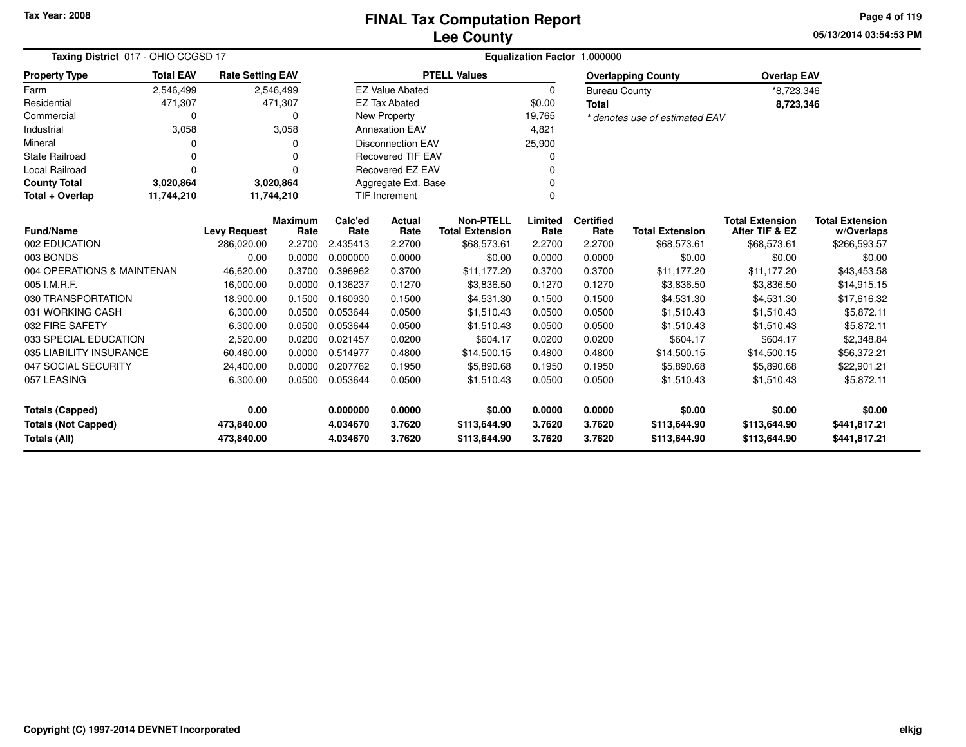**05/13/2014 03:54:53 PMPage 4 of 119**

| Taxing District 017 - OHIO CCGSD 17 |                                                                                             |                     |                        | Equalization Factor 1.000000 |                          |                                            |                 |                          |                                |                                          |                                      |  |  |  |
|-------------------------------------|---------------------------------------------------------------------------------------------|---------------------|------------------------|------------------------------|--------------------------|--------------------------------------------|-----------------|--------------------------|--------------------------------|------------------------------------------|--------------------------------------|--|--|--|
| <b>Property Type</b>                | <b>Total EAV</b><br><b>Rate Setting EAV</b><br>2,546,499<br>2,546,499<br>471,307<br>471,307 |                     |                        |                              |                          | <b>PTELL Values</b>                        |                 |                          | <b>Overlapping County</b>      | <b>Overlap EAV</b>                       |                                      |  |  |  |
| Farm                                |                                                                                             |                     |                        |                              | <b>EZ Value Abated</b>   |                                            | 0               | <b>Bureau County</b>     |                                | *8,723,346                               |                                      |  |  |  |
| Residential                         |                                                                                             |                     |                        |                              | <b>EZ Tax Abated</b>     |                                            | \$0.00          | <b>Total</b>             |                                | 8,723,346                                |                                      |  |  |  |
| Commercial                          | 0                                                                                           |                     | 0                      |                              | New Property             |                                            | 19,765          |                          | * denotes use of estimated EAV |                                          |                                      |  |  |  |
| Industrial                          | 3,058                                                                                       |                     | 3,058                  |                              | <b>Annexation EAV</b>    |                                            | 4,821           |                          |                                |                                          |                                      |  |  |  |
| Mineral                             | 0                                                                                           |                     | 0                      |                              | <b>Disconnection EAV</b> |                                            | 25,900          |                          |                                |                                          |                                      |  |  |  |
| <b>State Railroad</b>               | 0                                                                                           |                     | 0                      |                              | <b>Recovered TIF EAV</b> |                                            | 0               |                          |                                |                                          |                                      |  |  |  |
| Local Railroad                      | 0                                                                                           |                     | 0                      |                              | Recovered EZ EAV         |                                            |                 |                          |                                |                                          |                                      |  |  |  |
| <b>County Total</b>                 | 3,020,864                                                                                   |                     | 3,020,864              |                              | Aggregate Ext. Base<br>0 |                                            |                 |                          |                                |                                          |                                      |  |  |  |
| Total + Overlap                     | 11,744,210                                                                                  |                     | 11,744,210             |                              | TIF Increment            |                                            | $\Omega$        |                          |                                |                                          |                                      |  |  |  |
| <b>Fund/Name</b>                    |                                                                                             | <b>Levy Request</b> | <b>Maximum</b><br>Rate | Calc'ed<br>Rate              | <b>Actual</b><br>Rate    | <b>Non-PTELL</b><br><b>Total Extension</b> | Limited<br>Rate | <b>Certified</b><br>Rate | <b>Total Extension</b>         | <b>Total Extension</b><br>After TIF & EZ | <b>Total Extension</b><br>w/Overlaps |  |  |  |
| 002 EDUCATION                       |                                                                                             | 286,020.00          | 2.2700                 | 2.435413                     | 2.2700                   | \$68,573.61                                | 2.2700          | 2.2700                   | \$68,573.61                    | \$68,573.61                              | \$266,593.57                         |  |  |  |
| 003 BONDS                           |                                                                                             | 0.00                | 0.0000                 | 0.000000                     | 0.0000                   | \$0.00                                     | 0.0000          | 0.0000                   | \$0.00                         | \$0.00                                   | \$0.00                               |  |  |  |
| 004 OPERATIONS & MAINTENAN          |                                                                                             | 46,620.00           | 0.3700                 | 0.396962                     | 0.3700                   | \$11,177.20                                | 0.3700          | 0.3700                   | \$11,177.20                    | \$11,177.20                              | \$43,453.58                          |  |  |  |
| 005 I.M.R.F.                        |                                                                                             | 16,000.00           | 0.0000                 | 0.136237                     | 0.1270                   | \$3,836.50                                 | 0.1270          | 0.1270                   | \$3,836.50                     | \$3,836.50                               | \$14,915.15                          |  |  |  |
| 030 TRANSPORTATION                  |                                                                                             | 18,900.00           | 0.1500                 | 0.160930                     | 0.1500                   | \$4,531.30                                 | 0.1500          | 0.1500                   | \$4,531.30                     | \$4,531.30                               | \$17,616.32                          |  |  |  |
| 031 WORKING CASH                    |                                                                                             | 6,300.00            | 0.0500                 | 0.053644                     | 0.0500                   | \$1,510.43                                 | 0.0500          | 0.0500                   | \$1,510.43                     | \$1,510.43                               | \$5,872.11                           |  |  |  |
| 032 FIRE SAFETY                     |                                                                                             | 6,300.00            | 0.0500                 | 0.053644                     | 0.0500                   | \$1,510.43                                 | 0.0500          | 0.0500                   | \$1,510.43                     | \$1,510.43                               | \$5,872.11                           |  |  |  |
| 033 SPECIAL EDUCATION               |                                                                                             | 2,520.00            | 0.0200                 | 0.021457                     | 0.0200                   | \$604.17                                   | 0.0200          | 0.0200                   | \$604.17                       | \$604.17                                 | \$2,348.84                           |  |  |  |
| 035 LIABILITY INSURANCE             |                                                                                             | 60,480.00           | 0.0000                 | 0.514977                     | 0.4800                   | \$14,500.15                                | 0.4800          | 0.4800                   | \$14,500.15                    | \$14,500.15                              | \$56,372.21                          |  |  |  |
| 047 SOCIAL SECURITY                 |                                                                                             | 24,400.00           | 0.0000                 | 0.207762                     | 0.1950                   | \$5,890.68                                 | 0.1950          | 0.1950                   | \$5,890.68                     | \$5,890.68                               | \$22,901.21                          |  |  |  |
| 057 LEASING                         |                                                                                             | 6,300.00            | 0.0500                 | 0.053644                     | 0.0500                   | \$1,510.43                                 | 0.0500          | 0.0500                   | \$1,510.43                     | \$1,510.43                               | \$5,872.11                           |  |  |  |
| <b>Totals (Capped)</b>              |                                                                                             | 0.00                |                        | 0.000000                     | 0.0000                   | \$0.00                                     | 0.0000          | 0.0000                   | \$0.00                         | \$0.00                                   | \$0.00                               |  |  |  |
| <b>Totals (Not Capped)</b>          |                                                                                             | 473,840.00          |                        | 4.034670                     | 3.7620                   | \$113,644.90                               | 3.7620          | 3.7620                   | \$113,644.90                   | \$113,644.90                             | \$441,817.21                         |  |  |  |
| Totals (All)                        |                                                                                             | 473,840.00          |                        | 4.034670                     | 3.7620                   | \$113,644.90                               | 3.7620          | 3.7620                   | \$113,644.90                   | \$113,644.90                             | \$441,817.21                         |  |  |  |

۰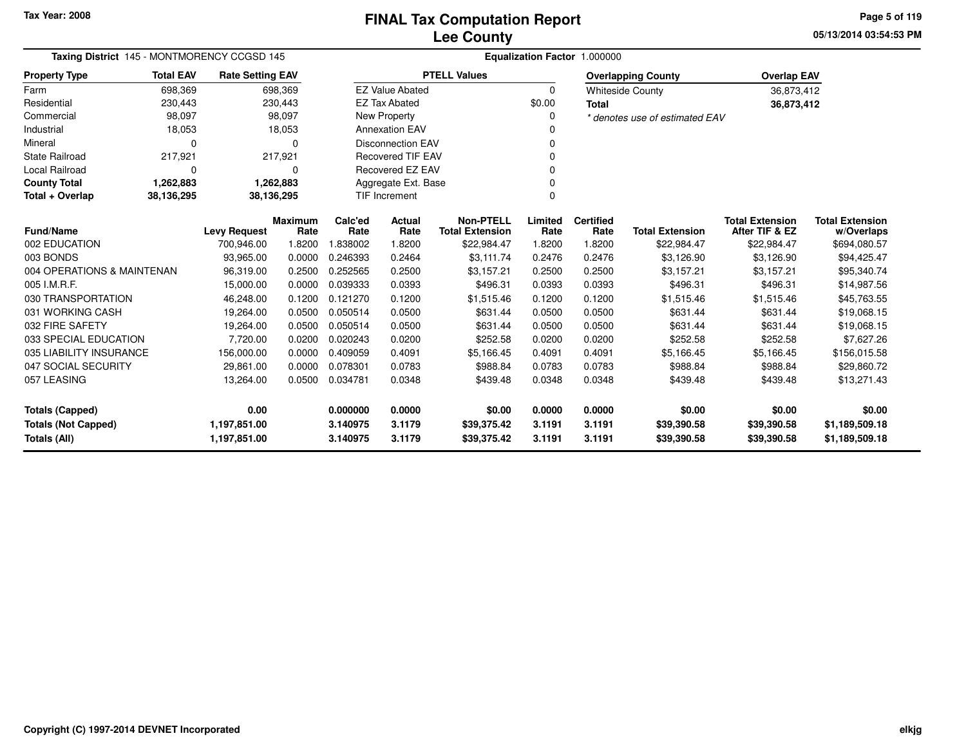**05/13/2014 03:54:53 PMPage 5 of 119**

| Taxing District 145 - MONTMORENCY CCGSD 145 |                  | Equalization Factor 1.000000 |                        |                 |                          |                                            |                 |                          |                                |                                          |                                      |
|---------------------------------------------|------------------|------------------------------|------------------------|-----------------|--------------------------|--------------------------------------------|-----------------|--------------------------|--------------------------------|------------------------------------------|--------------------------------------|
| <b>Property Type</b>                        | <b>Total EAV</b> | <b>Rate Setting EAV</b>      |                        |                 |                          | <b>PTELL Values</b>                        |                 |                          | <b>Overlapping County</b>      | <b>Overlap EAV</b>                       |                                      |
| Farm                                        | 698,369          |                              | 698,369                |                 | <b>EZ Value Abated</b>   |                                            | $\Omega$        |                          | <b>Whiteside County</b>        | 36,873,412                               |                                      |
| Residential                                 | 230,443          |                              | 230,443                |                 | <b>EZ Tax Abated</b>     |                                            | \$0.00          | <b>Total</b>             |                                | 36,873,412                               |                                      |
| Commercial                                  | 98,097           |                              | 98,097                 |                 | <b>New Property</b>      |                                            |                 |                          | * denotes use of estimated EAV |                                          |                                      |
| Industrial                                  | 18,053           |                              | 18,053                 |                 | <b>Annexation EAV</b>    |                                            |                 |                          |                                |                                          |                                      |
| Mineral                                     | $\Omega$         |                              | 0                      |                 | <b>Disconnection EAV</b> |                                            |                 |                          |                                |                                          |                                      |
| <b>State Railroad</b>                       | 217,921          |                              | 217,921                |                 | <b>Recovered TIF EAV</b> |                                            |                 |                          |                                |                                          |                                      |
| Local Railroad                              | $\Omega$         |                              | 0                      |                 | <b>Recovered EZ EAV</b>  |                                            |                 |                          |                                |                                          |                                      |
| <b>County Total</b>                         | 1,262,883        |                              | 1,262,883              |                 | Aggregate Ext. Base      |                                            |                 |                          |                                |                                          |                                      |
| Total + Overlap                             | 38,136,295       | 38,136,295                   |                        |                 | TIF Increment            |                                            | $\Omega$        |                          |                                |                                          |                                      |
| <b>Fund/Name</b>                            |                  | <b>Levy Request</b>          | <b>Maximum</b><br>Rate | Calc'ed<br>Rate | <b>Actual</b><br>Rate    | <b>Non-PTELL</b><br><b>Total Extension</b> | Limited<br>Rate | <b>Certified</b><br>Rate | <b>Total Extension</b>         | <b>Total Extension</b><br>After TIF & EZ | <b>Total Extension</b><br>w/Overlaps |
| 002 EDUCATION                               |                  | 700,946.00                   | 1.8200                 | 1.838002        | 1.8200                   | \$22,984.47                                | 1.8200          | 1.8200                   | \$22,984.47                    | \$22,984.47                              | \$694,080.57                         |
| 003 BONDS                                   |                  | 93,965.00                    | 0.0000                 | 0.246393        | 0.2464                   | \$3,111.74                                 | 0.2476          | 0.2476                   | \$3,126.90                     | \$3,126.90                               | \$94,425.47                          |
| 004 OPERATIONS & MAINTENAN                  |                  | 96,319.00                    | 0.2500                 | 0.252565        | 0.2500                   | \$3,157.21                                 | 0.2500          | 0.2500                   | \$3,157.21                     | \$3,157.21                               | \$95,340.74                          |
| 005 I.M.R.F.                                |                  | 15,000.00                    | 0.0000                 | 0.039333        | 0.0393                   | \$496.31                                   | 0.0393          | 0.0393                   | \$496.31                       | \$496.31                                 | \$14,987.56                          |
| 030 TRANSPORTATION                          |                  | 46,248.00                    | 0.1200                 | 0.121270        | 0.1200                   | \$1,515.46                                 | 0.1200          | 0.1200                   | \$1,515.46                     | \$1,515.46                               | \$45,763.55                          |
| 031 WORKING CASH                            |                  | 19,264.00                    | 0.0500                 | 0.050514        | 0.0500                   | \$631.44                                   | 0.0500          | 0.0500                   | \$631.44                       | \$631.44                                 | \$19,068.15                          |
| 032 FIRE SAFETY                             |                  | 19,264.00                    | 0.0500                 | 0.050514        | 0.0500                   | \$631.44                                   | 0.0500          | 0.0500                   | \$631.44                       | \$631.44                                 | \$19,068.15                          |
| 033 SPECIAL EDUCATION                       |                  | 7,720.00                     | 0.0200                 | 0.020243        | 0.0200                   | \$252.58                                   | 0.0200          | 0.0200                   | \$252.58                       | \$252.58                                 | \$7,627.26                           |
| 035 LIABILITY INSURANCE                     |                  | 156,000.00                   | 0.0000                 | 0.409059        | 0.4091                   | \$5,166.45                                 | 0.4091          | 0.4091                   | \$5,166.45                     | \$5,166.45                               | \$156,015.58                         |
| 047 SOCIAL SECURITY                         |                  | 29,861.00                    | 0.0000                 | 0.078301        | 0.0783                   | \$988.84                                   | 0.0783          | 0.0783                   | \$988.84                       | \$988.84                                 | \$29,860.72                          |
| 057 LEASING                                 |                  | 13,264.00                    | 0.0500                 | 0.034781        | 0.0348                   | \$439.48                                   | 0.0348          | 0.0348                   | \$439.48                       | \$439.48                                 | \$13,271.43                          |
| <b>Totals (Capped)</b>                      |                  | 0.00                         |                        | 0.000000        | 0.0000                   | \$0.00                                     | 0.0000          | 0.0000                   | \$0.00                         | \$0.00                                   | \$0.00                               |
| <b>Totals (Not Capped)</b>                  |                  | 1,197,851.00                 |                        | 3.140975        | 3.1179                   | \$39,375.42                                | 3.1191          | 3.1191                   | \$39,390.58                    | \$39,390.58                              | \$1,189,509.18                       |
| Totals (All)                                |                  | 1,197,851.00                 |                        | 3.140975        | 3.1179                   | \$39,375.42                                | 3.1191          | 3.1191                   | \$39,390.58                    | \$39,390.58                              | \$1,189,509.18                       |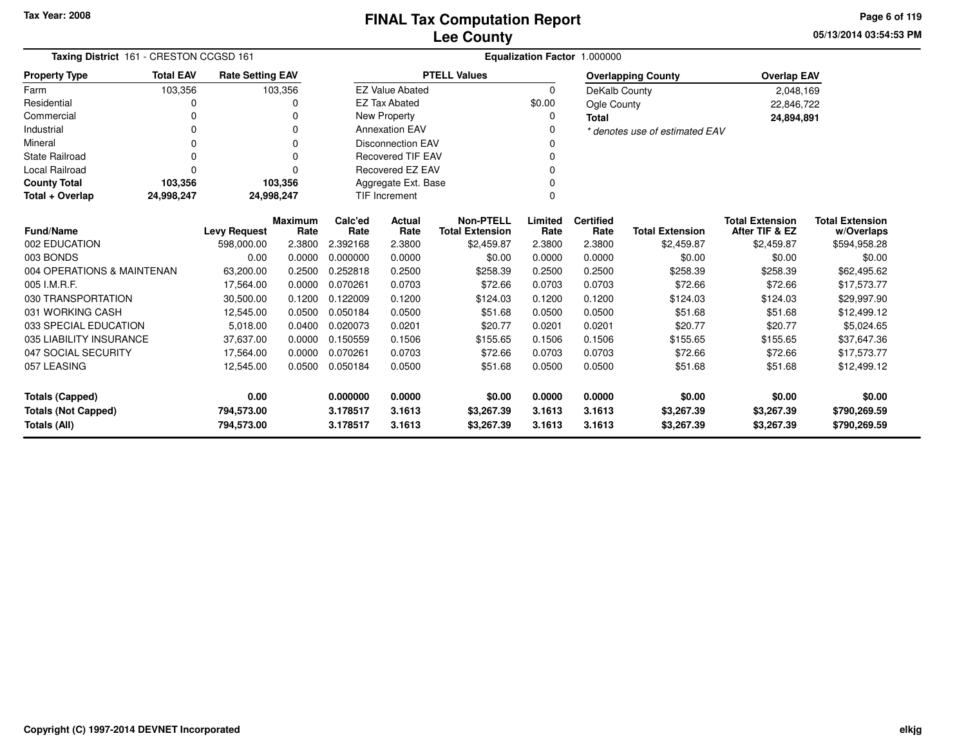**05/13/2014 03:54:53 PM Page 6 of 119**

| Taxing District 161 - CRESTON CCGSD 161 |                  |                                   |                |                  |                          |                                      | Equalization Factor 1.000000 |                  |                                      |                              |                            |
|-----------------------------------------|------------------|-----------------------------------|----------------|------------------|--------------------------|--------------------------------------|------------------------------|------------------|--------------------------------------|------------------------------|----------------------------|
| <b>Property Type</b>                    | <b>Total EAV</b> | <b>Rate Setting EAV</b>           |                |                  |                          | <b>PTELL Values</b>                  |                              |                  | <b>Overlapping County</b>            | <b>Overlap EAV</b>           |                            |
| Farm                                    | 103,356          |                                   | 103,356        |                  | <b>EZ Value Abated</b>   |                                      | $\Omega$                     | DeKalb County    |                                      | 2,048,169                    |                            |
| Residential                             | 0                |                                   | 0              |                  | <b>EZ Tax Abated</b>     |                                      | \$0.00                       | Ogle County      |                                      | 22,846,722                   |                            |
| Commercial                              | 0                |                                   | $\Omega$       |                  | New Property             |                                      | 0                            | <b>Total</b>     |                                      | 24,894,891                   |                            |
| Industrial                              | 0                |                                   | $\Omega$       |                  | <b>Annexation EAV</b>    |                                      | 0                            |                  | * denotes use of estimated EAV       |                              |                            |
| Mineral                                 | 0                |                                   | $\Omega$       |                  | <b>Disconnection EAV</b> |                                      | 0                            |                  |                                      |                              |                            |
| <b>State Railroad</b>                   | 0                |                                   | $\Omega$       |                  | <b>Recovered TIF EAV</b> |                                      |                              |                  |                                      |                              |                            |
| <b>Local Railroad</b>                   | 0                |                                   | $\Omega$       |                  | Recovered EZ EAV         |                                      | 0                            |                  |                                      |                              |                            |
| <b>County Total</b>                     | 103,356          |                                   | 103,356        |                  | Aggregate Ext. Base      |                                      |                              |                  |                                      |                              |                            |
| Total + Overlap                         | 24,998,247       | 24,998,247                        |                |                  | <b>TIF Increment</b>     |                                      | 0                            |                  |                                      |                              |                            |
|                                         |                  |                                   | <b>Maximum</b> | Calc'ed          | Actual                   | <b>Non-PTELL</b>                     | Limited                      | <b>Certified</b> |                                      | <b>Total Extension</b>       | <b>Total Extension</b>     |
| <b>Fund/Name</b><br>002 EDUCATION       |                  | <b>Levy Request</b><br>598,000.00 | Rate<br>2.3800 | Rate<br>2.392168 | Rate<br>2.3800           | <b>Total Extension</b><br>\$2,459.87 | Rate<br>2.3800               | Rate<br>2.3800   | <b>Total Extension</b><br>\$2,459.87 | After TIF & EZ<br>\$2,459.87 | w/Overlaps<br>\$594,958.28 |
| 003 BONDS                               |                  | 0.00                              | 0.0000         | 0.000000         | 0.0000                   | \$0.00                               | 0.0000                       | 0.0000           | \$0.00                               | \$0.00                       | \$0.00                     |
| 004 OPERATIONS & MAINTENAN              |                  | 63,200.00                         | 0.2500         | 0.252818         | 0.2500                   | \$258.39                             | 0.2500                       | 0.2500           | \$258.39                             | \$258.39                     | \$62,495.62                |
| 005 I.M.R.F.                            |                  | 17,564.00                         | 0.0000         | 0.070261         | 0.0703                   | \$72.66                              | 0.0703                       | 0.0703           | \$72.66                              | \$72.66                      | \$17,573.77                |
| 030 TRANSPORTATION                      |                  | 30,500.00                         | 0.1200         | 0.122009         | 0.1200                   | \$124.03                             | 0.1200                       | 0.1200           | \$124.03                             | \$124.03                     | \$29,997.90                |
| 031 WORKING CASH                        |                  | 12,545.00                         | 0.0500         | 0.050184         | 0.0500                   | \$51.68                              | 0.0500                       | 0.0500           | \$51.68                              | \$51.68                      | \$12,499.12                |
| 033 SPECIAL EDUCATION                   |                  | 5,018.00                          | 0.0400         | 0.020073         | 0.0201                   | \$20.77                              | 0.0201                       | 0.0201           | \$20.77                              | \$20.77                      | \$5,024.65                 |
| 035 LIABILITY INSURANCE                 |                  | 37,637.00                         | 0.0000         | 0.150559         | 0.1506                   | \$155.65                             | 0.1506                       | 0.1506           | \$155.65                             | \$155.65                     | \$37,647.36                |
| 047 SOCIAL SECURITY                     |                  |                                   | 0.0000         | 0.070261         | 0.0703                   | \$72.66                              | 0.0703                       | 0.0703           | \$72.66                              | \$72.66                      | \$17,573.77                |
| 057 LEASING                             |                  | 17,564.00<br>12,545.00            | 0.0500         | 0.050184         | 0.0500                   | \$51.68                              | 0.0500                       | 0.0500           | \$51.68                              | \$51.68                      | \$12,499.12                |
|                                         |                  |                                   |                |                  |                          |                                      |                              |                  |                                      |                              |                            |
| 0.00<br><b>Totals (Capped)</b>          |                  |                                   | 0.000000       | 0.0000           | \$0.00                   | 0.0000                               | 0.0000                       | \$0.00           | \$0.00                               | \$0.00                       |                            |
| <b>Totals (Not Capped)</b>              |                  | 794,573.00                        |                | 3.178517         | 3.1613                   | \$3,267.39                           | 3.1613                       | 3.1613           | \$3,267.39                           | \$3,267.39                   | \$790,269.59               |
| Totals (All)                            |                  | 794,573.00                        |                | 3.178517         | 3.1613                   | \$3,267.39                           | 3.1613                       | 3.1613           | \$3,267.39                           | \$3,267.39                   | \$790,269.59               |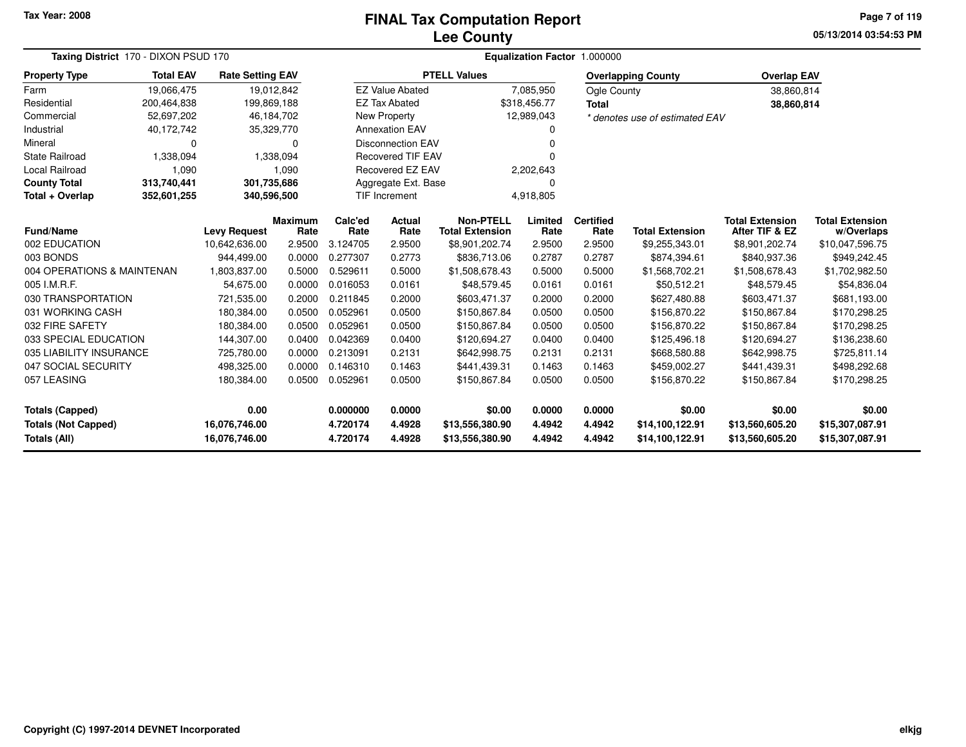#### **Lee CountyFINAL Tax Computation Report**

**05/13/2014 03:54:53 PM Page 7 of 119**

| Taxing District 170 - DIXON PSUD 170       |                                                                                                      |                                |                        | Equalization Factor 1.000000 |                          |                                            |                  |                          |                                    |                                          |                                      |  |  |
|--------------------------------------------|------------------------------------------------------------------------------------------------------|--------------------------------|------------------------|------------------------------|--------------------------|--------------------------------------------|------------------|--------------------------|------------------------------------|------------------------------------------|--------------------------------------|--|--|
| <b>Property Type</b>                       | <b>Total EAV</b><br><b>Rate Setting EAV</b><br>19,066,475<br>200,464,838<br>52,697,202<br>40,172,742 |                                |                        |                              |                          | <b>PTELL Values</b>                        |                  |                          | <b>Overlapping County</b>          | <b>Overlap EAV</b>                       |                                      |  |  |
| Farm                                       |                                                                                                      | 19,012,842                     |                        |                              | <b>EZ Value Abated</b>   |                                            | 7,085,950        | Ogle County              |                                    | 38,860,814                               |                                      |  |  |
| Residential                                |                                                                                                      | 199,869,188                    |                        |                              | <b>EZ Tax Abated</b>     |                                            | \$318,456.77     | <b>Total</b>             |                                    | 38,860,814                               |                                      |  |  |
| Commercial                                 |                                                                                                      | 46,184,702                     |                        |                              | <b>New Property</b>      |                                            | 12,989,043       |                          | * denotes use of estimated EAV     |                                          |                                      |  |  |
| Industrial                                 |                                                                                                      | 35,329,770                     |                        |                              | <b>Annexation EAV</b>    |                                            |                  |                          |                                    |                                          |                                      |  |  |
| Mineral                                    | O                                                                                                    |                                | U                      |                              | <b>Disconnection EAV</b> |                                            |                  |                          |                                    |                                          |                                      |  |  |
| <b>State Railroad</b>                      | 1,338,094                                                                                            |                                | 1,338,094              |                              | <b>Recovered TIF EAV</b> |                                            |                  |                          |                                    |                                          |                                      |  |  |
| Local Railroad                             | 1,090                                                                                                |                                | 1,090                  |                              | Recovered EZ EAV         |                                            | 2,202,643        |                          |                                    |                                          |                                      |  |  |
| <b>County Total</b>                        | 313,740,441                                                                                          | 301,735,686                    |                        |                              | Aggregate Ext. Base      |                                            | O                |                          |                                    |                                          |                                      |  |  |
| Total + Overlap                            | 352,601,255                                                                                          | 340,596,500                    |                        |                              | <b>TIF Increment</b>     |                                            | 4,918,805        |                          |                                    |                                          |                                      |  |  |
| Fund/Name                                  |                                                                                                      | <b>Levy Request</b>            | <b>Maximum</b><br>Rate | Calc'ed<br>Rate              | <b>Actual</b><br>Rate    | <b>Non-PTELL</b><br><b>Total Extension</b> | Limited<br>Rate  | <b>Certified</b><br>Rate | <b>Total Extension</b>             | <b>Total Extension</b><br>After TIF & EZ | <b>Total Extension</b><br>w/Overlaps |  |  |
| 002 EDUCATION                              |                                                                                                      | 10,642,636.00                  | 2.9500                 | 3.124705                     | 2.9500                   | \$8,901,202.74                             | 2.9500           | 2.9500                   | \$9,255,343.01                     | \$8,901,202.74                           | \$10,047,596.75                      |  |  |
| 003 BONDS                                  |                                                                                                      | 944,499.00                     | 0.0000                 | 0.277307                     | 0.2773                   | \$836,713.06                               | 0.2787           | 0.2787                   | \$874,394.61                       | \$840,937.36                             | \$949,242.45                         |  |  |
| 004 OPERATIONS & MAINTENAN                 |                                                                                                      | 1,803,837.00                   | 0.5000                 | 0.529611                     | 0.5000                   | \$1,508,678.43                             | 0.5000           | 0.5000                   | \$1,568,702.21                     | \$1,508,678.43                           | \$1,702,982.50                       |  |  |
| 005 I.M.R.F.                               |                                                                                                      | 54,675.00                      | 0.0000                 | 0.016053                     | 0.0161                   | \$48,579.45                                | 0.0161           | 0.0161                   | \$50,512.21                        | \$48,579.45                              | \$54,836.04                          |  |  |
| 030 TRANSPORTATION                         |                                                                                                      | 721,535.00                     | 0.2000                 | 0.211845                     | 0.2000                   | \$603,471.37                               | 0.2000           | 0.2000                   | \$627,480.88                       | \$603,471.37                             | \$681,193.00                         |  |  |
| 031 WORKING CASH                           |                                                                                                      | 180,384.00                     | 0.0500                 | 0.052961                     | 0.0500                   | \$150,867.84                               | 0.0500           | 0.0500                   | \$156,870.22                       | \$150,867.84                             | \$170,298.25                         |  |  |
| 032 FIRE SAFETY                            |                                                                                                      | 180,384.00                     | 0.0500                 | 0.052961                     | 0.0500                   | \$150,867.84                               | 0.0500           | 0.0500                   | \$156,870.22                       | \$150,867.84                             | \$170,298.25                         |  |  |
| 033 SPECIAL EDUCATION                      |                                                                                                      | 144,307.00                     | 0.0400                 | 0.042369                     | 0.0400                   | \$120,694.27                               | 0.0400           | 0.0400                   | \$125,496.18                       | \$120,694.27                             | \$136,238.60                         |  |  |
| 035 LIABILITY INSURANCE                    |                                                                                                      | 725,780.00                     | 0.0000                 | 0.213091                     | 0.2131                   | \$642,998.75                               | 0.2131           | 0.2131                   | \$668,580.88                       | \$642,998.75                             | \$725,811.14                         |  |  |
| 047 SOCIAL SECURITY                        |                                                                                                      | 498,325.00                     | 0.0000                 | 0.146310                     | 0.1463                   | \$441,439.31                               | 0.1463           | 0.1463                   | \$459,002.27                       | \$441,439.31                             | \$498,292.68                         |  |  |
| 057 LEASING                                |                                                                                                      | 180,384.00                     | 0.0500                 | 0.052961                     | 0.0500                   | \$150,867.84                               | 0.0500           | 0.0500                   | \$156,870.22                       | \$150,867.84                             | \$170,298.25                         |  |  |
| <b>Totals (Capped)</b>                     |                                                                                                      | 0.00                           |                        | 0.000000                     | 0.0000                   | \$0.00                                     | 0.0000           | 0.0000                   | \$0.00                             | \$0.00                                   | \$0.00                               |  |  |
| <b>Totals (Not Capped)</b><br>Totals (All) |                                                                                                      | 16,076,746.00<br>16,076,746.00 |                        | 4.720174<br>4.720174         | 4.4928<br>4.4928         | \$13,556,380.90<br>\$13,556,380.90         | 4.4942<br>4.4942 | 4.4942<br>4.4942         | \$14,100,122.91<br>\$14,100,122.91 | \$13,560,605.20<br>\$13,560,605.20       | \$15,307,087.91<br>\$15,307,087.91   |  |  |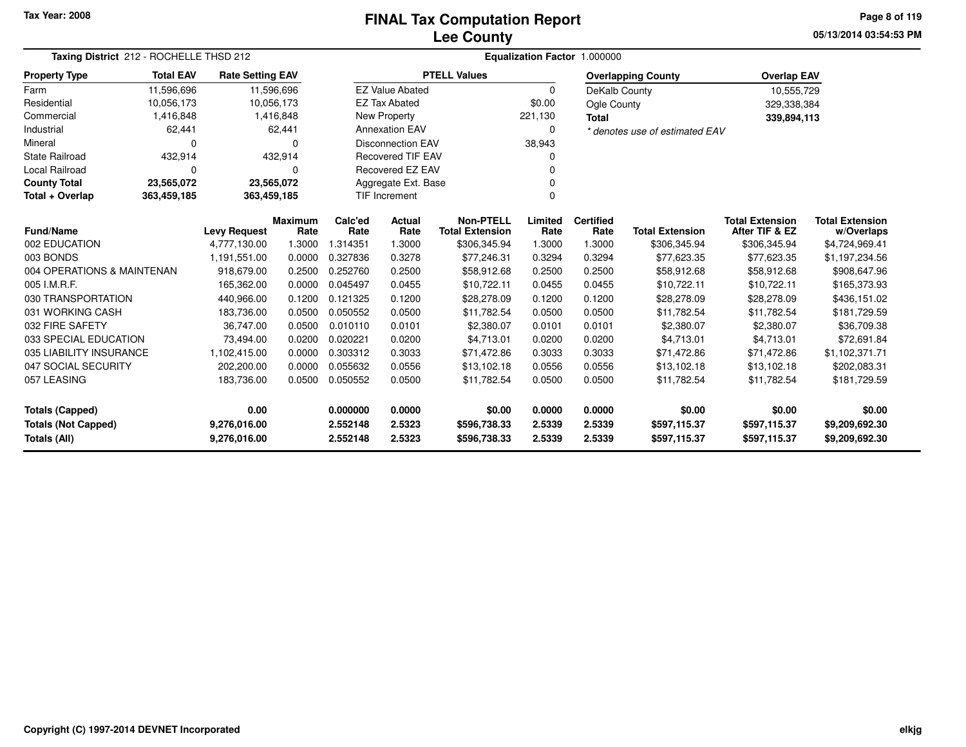**05/13/2014 03:54:53 PM Page 8 of 119**

|                                                                                                                        | Taxing District 212 - ROCHELLE THSD 212                                                             |                     |                        |                              | Equalization Factor 1.000000 |                                            |                                                                                                                 |                              |                                  |                                          |                                      |  |  |  |
|------------------------------------------------------------------------------------------------------------------------|-----------------------------------------------------------------------------------------------------|---------------------|------------------------|------------------------------|------------------------------|--------------------------------------------|-----------------------------------------------------------------------------------------------------------------|------------------------------|----------------------------------|------------------------------------------|--------------------------------------|--|--|--|
| <b>Property Type</b>                                                                                                   | <b>Total EAV</b><br><b>Rate Setting EAV</b><br>11,596,696<br>11,596,696<br>10,056,173<br>10,056,173 |                     |                        |                              |                              | <b>PTELL Values</b>                        |                                                                                                                 |                              | <b>Overlapping County</b>        | <b>Overlap EAV</b>                       |                                      |  |  |  |
| Farm                                                                                                                   |                                                                                                     |                     |                        |                              | <b>EZ Value Abated</b>       |                                            | 0                                                                                                               | DeKalb County                |                                  | 10,555,729                               |                                      |  |  |  |
| Residential                                                                                                            |                                                                                                     |                     |                        |                              | <b>EZ Tax Abated</b>         |                                            | \$0.00                                                                                                          | Ogle County                  |                                  | 329,338,384                              |                                      |  |  |  |
| Commercial                                                                                                             | 1,416,848                                                                                           |                     | 1,416,848              |                              | <b>New Property</b>          |                                            | 221,130                                                                                                         | <b>Total</b>                 |                                  | 339,894,113                              |                                      |  |  |  |
| Industrial                                                                                                             | 62,441                                                                                              |                     | 62,441                 |                              | <b>Annexation EAV</b>        |                                            | 0                                                                                                               |                              | * denotes use of estimated EAV   |                                          |                                      |  |  |  |
| Mineral                                                                                                                | 0                                                                                                   |                     | $\Omega$               |                              | <b>Disconnection EAV</b>     |                                            | 38,943                                                                                                          |                              |                                  |                                          |                                      |  |  |  |
| <b>State Railroad</b>                                                                                                  | 432,914                                                                                             |                     | 432,914                |                              | <b>Recovered TIF EAV</b>     |                                            |                                                                                                                 |                              |                                  |                                          |                                      |  |  |  |
| Local Railroad                                                                                                         | 0                                                                                                   |                     | $\Omega$               |                              | Recovered EZ EAV             |                                            |                                                                                                                 |                              |                                  |                                          |                                      |  |  |  |
| <b>County Total</b>                                                                                                    | 23,565,072                                                                                          |                     | 23,565,072             |                              | Aggregate Ext. Base          |                                            |                                                                                                                 |                              |                                  |                                          |                                      |  |  |  |
| Total + Overlap                                                                                                        | 363,459,185                                                                                         | 363,459,185         |                        |                              | <b>TIF Increment</b>         |                                            | 0                                                                                                               |                              |                                  |                                          |                                      |  |  |  |
| <b>Fund/Name</b>                                                                                                       |                                                                                                     | <b>Levy Request</b> | <b>Maximum</b><br>Rate | Calc'ed<br>Rate              | Actual<br>Rate               | <b>Non-PTELL</b><br><b>Total Extension</b> | Limited<br>Rate                                                                                                 | <b>Certified</b><br>Rate     | <b>Total Extension</b>           | <b>Total Extension</b><br>After TIF & EZ | <b>Total Extension</b><br>w/Overlaps |  |  |  |
| 002 EDUCATION                                                                                                          |                                                                                                     | 4,777,130.00        | 1.3000                 | 1.314351                     | 1.3000                       | \$306,345.94                               | 1.3000                                                                                                          | 1.3000                       | \$306,345.94                     | \$306,345.94                             | \$4,724,969.41                       |  |  |  |
| 003 BONDS                                                                                                              |                                                                                                     | 1,191,551.00        | 0.0000                 | 0.327836                     | 0.3278                       |                                            |                                                                                                                 |                              |                                  |                                          | \$1,197,234.56                       |  |  |  |
| 004 OPERATIONS & MAINTENAN                                                                                             |                                                                                                     | 918,679.00          | 0.2500                 | 0.252760                     | 0.2500                       |                                            | \$77,246.31<br>0.3294<br>0.3294<br>\$77,623.35<br>\$77,623.35<br>0.2500<br>\$58,912.68<br>0.2500<br>\$58,912.68 |                              |                                  | \$58,912.68                              | \$908,647.96                         |  |  |  |
| 005 I.M.R.F.                                                                                                           |                                                                                                     | 165,362.00          | 0.0000                 | 0.045497                     | 0.0455                       | \$10,722.11                                | 0.0455                                                                                                          | 0.0455                       | \$10,722.11                      | \$10,722.11                              | \$165,373.93                         |  |  |  |
| 030 TRANSPORTATION                                                                                                     |                                                                                                     | 440,966.00          | 0.1200                 | 0.121325                     | 0.1200                       | \$28,278.09                                | 0.1200                                                                                                          | 0.1200                       | \$28,278.09                      | \$28,278.09                              | \$436,151.02                         |  |  |  |
| 031 WORKING CASH                                                                                                       |                                                                                                     | 183,736.00          | 0.0500                 | 0.050552                     | 0.0500                       | \$11,782.54                                | 0.0500                                                                                                          | 0.0500                       | \$11,782.54                      | \$11,782.54                              | \$181,729.59                         |  |  |  |
| 032 FIRE SAFETY                                                                                                        |                                                                                                     | 36,747.00           | 0.0500                 | 0.010110                     | 0.0101                       | \$2,380.07                                 | 0.0101                                                                                                          | 0.0101                       | \$2,380.07                       | \$2,380.07                               | \$36,709.38                          |  |  |  |
| 033 SPECIAL EDUCATION                                                                                                  |                                                                                                     | 73,494.00           | 0.0200                 | 0.020221                     | 0.0200                       | \$4,713.01                                 | 0.0200                                                                                                          | 0.0200                       | \$4,713.01                       | \$4,713.01                               | \$72,691.84                          |  |  |  |
| 035 LIABILITY INSURANCE                                                                                                |                                                                                                     | 1,102,415.00        | 0.0000                 | 0.303312                     | 0.3033                       | \$71,472.86                                | 0.3033                                                                                                          | 0.3033                       | \$71,472.86                      | \$71,472.86                              | \$1,102,371.71                       |  |  |  |
| 047 SOCIAL SECURITY                                                                                                    |                                                                                                     | 202,200.00          | 0.0000                 | 0.055632                     | 0.0556                       | \$13,102.18                                | 0.0556                                                                                                          | 0.0556                       | \$13,102.18                      | \$13,102.18                              | \$202,083.31                         |  |  |  |
| 057 LEASING<br>183,736.00                                                                                              |                                                                                                     |                     | 0.0500                 | 0.050552                     | 0.0500                       | \$11,782.54                                | 0.0500                                                                                                          | 0.0500                       | \$11,782.54                      | \$11,782.54                              | \$181,729.59                         |  |  |  |
| 0.00<br><b>Totals (Capped)</b>                                                                                         |                                                                                                     |                     |                        | 0.000000                     | 0.0000                       | \$0.00                                     | 0.0000                                                                                                          | 0.0000                       | \$0.00                           | \$0.00                                   | \$0.00                               |  |  |  |
| <b>Totals (Not Capped)</b><br>2.5323<br>9,276,016.00<br>2.552148<br>2.5323<br>Totals (All)<br>9,276,016.00<br>2.552148 |                                                                                                     |                     |                        | \$596,738.33<br>\$596,738.33 | 2.5339<br>2.5339             | 2.5339<br>2.5339                           | \$597,115.37<br>\$597,115.37                                                                                    | \$597,115.37<br>\$597,115.37 | \$9,209,692.30<br>\$9,209,692.30 |                                          |                                      |  |  |  |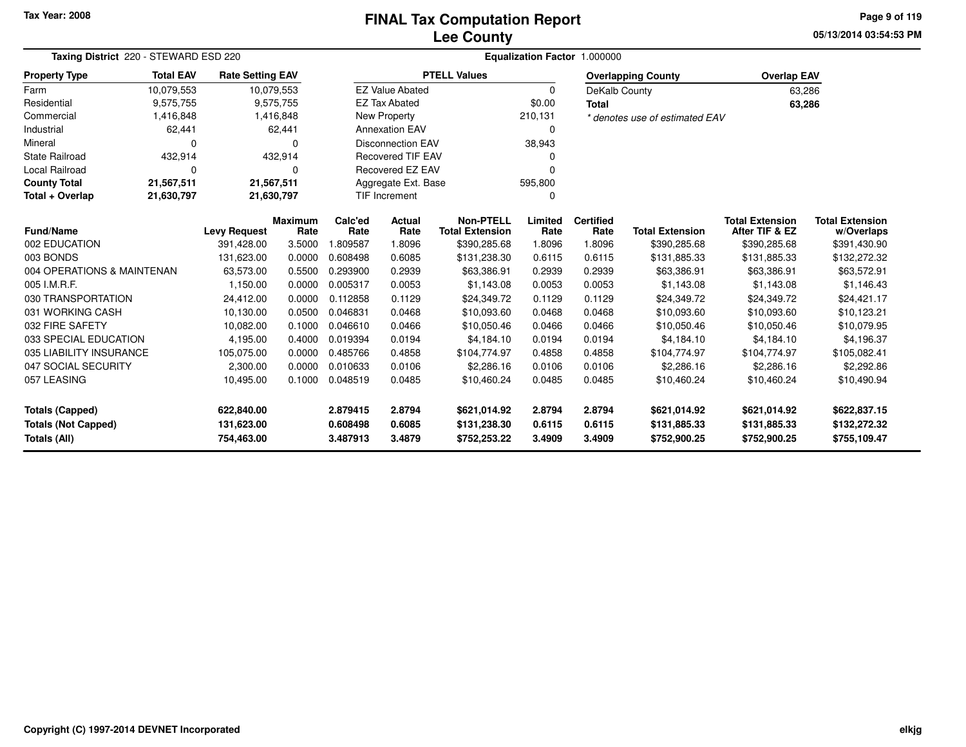**05/13/2014 03:54:53 PM Page 9 of 119**

|                                                                          | Taxing District 220 - STEWARD ESD 220<br><b>Rate Setting EAV</b> |            |                                                                                                                                                                                                                                                                                                                 |          |                          | Equalization Factor 1.000000 |          |                  |                                |                        |                                      |  |  |  |  |
|--------------------------------------------------------------------------|------------------------------------------------------------------|------------|-----------------------------------------------------------------------------------------------------------------------------------------------------------------------------------------------------------------------------------------------------------------------------------------------------------------|----------|--------------------------|------------------------------|----------|------------------|--------------------------------|------------------------|--------------------------------------|--|--|--|--|
| <b>Property Type</b>                                                     | <b>Total EAV</b><br>10,079,553<br>9,575,755<br>1,416,848         |            |                                                                                                                                                                                                                                                                                                                 |          |                          | <b>PTELL Values</b>          |          |                  | <b>Overlapping County</b>      | <b>Overlap EAV</b>     |                                      |  |  |  |  |
| Farm                                                                     |                                                                  | 10,079,553 |                                                                                                                                                                                                                                                                                                                 |          | <b>EZ Value Abated</b>   |                              | $\Omega$ | DeKalb County    |                                | 63,286                 |                                      |  |  |  |  |
| Residential                                                              |                                                                  |            | 9,575,755                                                                                                                                                                                                                                                                                                       |          | <b>EZ Tax Abated</b>     |                              | \$0.00   | <b>Total</b>     |                                | 63,286                 |                                      |  |  |  |  |
| Commercial                                                               |                                                                  |            | 1,416,848                                                                                                                                                                                                                                                                                                       |          | <b>New Property</b>      |                              | 210,131  |                  | * denotes use of estimated EAV |                        |                                      |  |  |  |  |
| Industrial                                                               | 62,441                                                           |            | 62,441                                                                                                                                                                                                                                                                                                          |          | <b>Annexation EAV</b>    |                              | 0        |                  |                                |                        |                                      |  |  |  |  |
| Mineral                                                                  | $\Omega$                                                         |            | n                                                                                                                                                                                                                                                                                                               |          | <b>Disconnection EAV</b> |                              | 38,943   |                  |                                |                        |                                      |  |  |  |  |
| <b>State Railroad</b>                                                    | 432,914                                                          |            | 432,914                                                                                                                                                                                                                                                                                                         |          | <b>Recovered TIF EAV</b> |                              |          |                  |                                |                        |                                      |  |  |  |  |
| <b>Local Railroad</b>                                                    | $\mathbf 0$                                                      |            | $\Omega$                                                                                                                                                                                                                                                                                                        |          | Recovered EZ EAV         |                              | ŋ        |                  |                                |                        |                                      |  |  |  |  |
| <b>County Total</b>                                                      | 21,567,511                                                       | 21,567,511 |                                                                                                                                                                                                                                                                                                                 |          | Aggregate Ext. Base      | 595,800                      |          |                  |                                |                        |                                      |  |  |  |  |
| <b>TIF Increment</b><br>Total + Overlap<br>21,630,797<br>21,630,797<br>0 |                                                                  |            |                                                                                                                                                                                                                                                                                                                 |          |                          |                              |          |                  |                                |                        |                                      |  |  |  |  |
| <b>Fund/Name</b>                                                         |                                                                  |            |                                                                                                                                                                                                                                                                                                                 | Calc'ed  | Actual                   | <b>Non-PTELL</b>             | Limited  | <b>Certified</b> |                                | <b>Total Extension</b> | <b>Total Extension</b><br>w/Overlaps |  |  |  |  |
| 002 EDUCATION                                                            |                                                                  | 391,428.00 |                                                                                                                                                                                                                                                                                                                 | 1.809587 | 1.8096                   |                              |          | 1.8096           | \$390,285.68                   |                        | \$391,430.90                         |  |  |  |  |
| 003 BONDS                                                                |                                                                  | 131,623.00 | 0.0000                                                                                                                                                                                                                                                                                                          | 0.608498 | 0.6085                   | \$131,238.30                 | 0.6115   | 0.6115           | \$131,885.33                   | \$131,885.33           | \$132,272.32                         |  |  |  |  |
| 004 OPERATIONS & MAINTENAN                                               |                                                                  | 63,573.00  | 0.5500                                                                                                                                                                                                                                                                                                          | 0.293900 | 0.2939                   | \$63,386.91                  | 0.2939   | 0.2939           | \$63,386.91                    | \$63,386.91            | \$63,572.91                          |  |  |  |  |
| 005 I.M.R.F.                                                             |                                                                  | 1,150.00   | 0.0000                                                                                                                                                                                                                                                                                                          | 0.005317 | 0.0053                   | \$1,143.08                   | 0.0053   | 0.0053           | \$1,143.08                     | \$1,143.08             | \$1,146.43                           |  |  |  |  |
| 030 TRANSPORTATION                                                       |                                                                  | 24,412.00  | 0.0000                                                                                                                                                                                                                                                                                                          | 0.112858 | 0.1129                   | \$24,349.72                  | 0.1129   | 0.1129           | \$24,349.72                    | \$24,349.72            | \$24,421.17                          |  |  |  |  |
| 031 WORKING CASH                                                         |                                                                  | 10,130.00  | 0.0500                                                                                                                                                                                                                                                                                                          | 0.046831 | 0.0468                   | \$10,093.60                  | 0.0468   | 0.0468           | \$10,093.60                    | \$10,093.60            | \$10,123.21                          |  |  |  |  |
| 032 FIRE SAFETY                                                          |                                                                  | 10,082.00  | 0.1000                                                                                                                                                                                                                                                                                                          | 0.046610 | 0.0466                   | \$10,050.46                  | 0.0466   | 0.0466           | \$10,050.46                    | \$10,050.46            | \$10,079.95                          |  |  |  |  |
| 033 SPECIAL EDUCATION                                                    |                                                                  | 4,195.00   | 0.4000                                                                                                                                                                                                                                                                                                          | 0.019394 | 0.0194                   | \$4,184.10                   | 0.0194   | 0.0194           | \$4.184.10                     | \$4,184.10             | \$4,196.37                           |  |  |  |  |
| 035 LIABILITY INSURANCE                                                  |                                                                  | 105,075.00 | 0.0000                                                                                                                                                                                                                                                                                                          | 0.485766 | 0.4858                   | \$104,774.97                 | 0.4858   | 0.4858           | \$104,774.97                   | \$104,774.97           | \$105,082.41                         |  |  |  |  |
| 047 SOCIAL SECURITY                                                      |                                                                  | 2,300.00   | 0.0000                                                                                                                                                                                                                                                                                                          | 0.010633 | 0.0106                   | \$2,286.16                   | 0.0106   | 0.0106           | \$2,286.16                     | \$2,286.16             | \$2,292.86                           |  |  |  |  |
| 057 LEASING<br>10,495.00                                                 |                                                                  |            | 0.1000                                                                                                                                                                                                                                                                                                          | 0.048519 | 0.0485                   | \$10,460.24                  | 0.0485   | 0.0485           | \$10,460.24                    | \$10,460.24            | \$10,490.94                          |  |  |  |  |
| <b>Totals (Capped)</b>                                                   |                                                                  | 622,840.00 |                                                                                                                                                                                                                                                                                                                 | 2.879415 | 2.8794                   | \$621,014.92                 | 2.8794   | 2.8794           | \$621,014.92                   | \$621,014.92           | \$622,837.15                         |  |  |  |  |
| <b>Totals (Not Capped)</b>                                               |                                                                  |            |                                                                                                                                                                                                                                                                                                                 | 0.608498 | 0.6085                   | \$131,238.30                 | 0.6115   | 0.6115           | \$131,885.33                   | \$131,885.33           | \$132,272.32                         |  |  |  |  |
| Totals (All)                                                             |                                                                  | 754,463.00 | <b>Maximum</b><br>After TIF & EZ<br><b>Levy Request</b><br>Rate<br><b>Total Extension</b><br>Rate<br>Rate<br><b>Total Extension</b><br>Rate<br>Rate<br>3.5000<br>\$390,285.68<br>1.8096<br>\$390,285.68<br>131,623.00<br>3.4909<br>3.487913<br>3.4879<br>3.4909<br>\$752,253.22<br>\$752,900.25<br>\$752,900.25 |          | \$755,109.47             |                              |          |                  |                                |                        |                                      |  |  |  |  |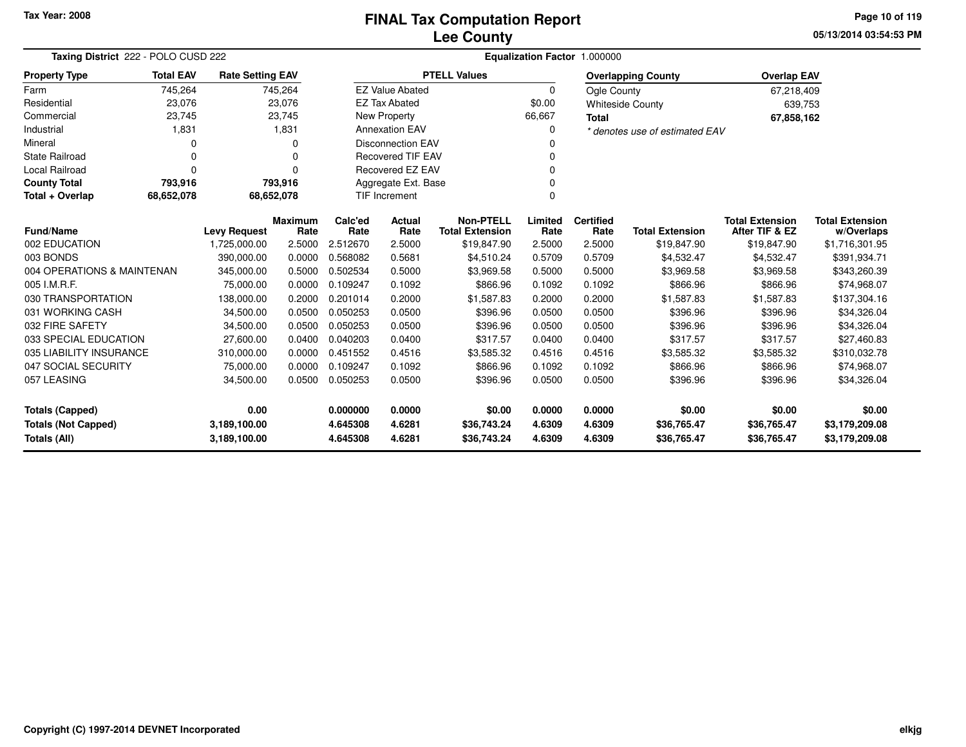#### **Lee CountyFINAL Tax Computation Report**

**05/13/2014 03:54:53 PMPage 10 of 119**

| Taxing District 222 - POLO CUSD 222 |                                                                             |              |          |          |                          |                        |          | Equalization Factor 1.000000 |                                |                        |                        |
|-------------------------------------|-----------------------------------------------------------------------------|--------------|----------|----------|--------------------------|------------------------|----------|------------------------------|--------------------------------|------------------------|------------------------|
| <b>Property Type</b>                | <b>Total EAV</b><br><b>Rate Setting EAV</b><br>745,264<br>745,264<br>23,076 |              |          |          |                          | <b>PTELL Values</b>    |          |                              | <b>Overlapping County</b>      | <b>Overlap EAV</b>     |                        |
| Farm                                |                                                                             |              |          |          | <b>EZ Value Abated</b>   |                        | $\Omega$ | Ogle County                  |                                | 67,218,409             |                        |
| Residential                         |                                                                             |              | 23,076   |          | <b>EZ Tax Abated</b>     |                        | \$0.00   |                              | <b>Whiteside County</b>        | 639,753                |                        |
| Commercial                          | 23,745                                                                      |              | 23,745   |          | <b>New Property</b>      |                        | 66,667   | <b>Total</b>                 |                                | 67,858,162             |                        |
| Industrial                          | 1,831                                                                       |              | 1,831    |          | <b>Annexation EAV</b>    |                        | 0        |                              | * denotes use of estimated EAV |                        |                        |
| Mineral                             | O                                                                           |              | 0        |          | <b>Disconnection EAV</b> |                        |          |                              |                                |                        |                        |
| <b>State Railroad</b>               | $\Omega$                                                                    |              | 0        |          | <b>Recovered TIF EAV</b> |                        |          |                              |                                |                        |                        |
| Local Railroad                      | $\Omega$                                                                    |              | 0        |          | Recovered EZ EAV         |                        |          |                              |                                |                        |                        |
| <b>County Total</b>                 | 793,916                                                                     |              | 793,916  |          | Aggregate Ext. Base      |                        |          |                              |                                |                        |                        |
| Total + Overlap                     | 68,652,078                                                                  | 68,652,078   |          |          | <b>TIF Increment</b>     |                        | $\Omega$ |                              |                                |                        |                        |
|                                     | <b>Maximum</b><br><b>Fund/Name</b><br><b>Levy Request</b>                   |              |          |          |                          | <b>Non-PTELL</b>       | Limited  | <b>Certified</b>             |                                | <b>Total Extension</b> | <b>Total Extension</b> |
|                                     |                                                                             |              | Rate     | Rate     | Rate                     | <b>Total Extension</b> | Rate     | Rate                         | <b>Total Extension</b>         | After TIF & EZ         | w/Overlaps             |
| 002 EDUCATION                       |                                                                             | 1,725,000.00 | 2.5000   | 2.512670 | 2.5000                   | \$19,847.90            | 2.5000   | 2.5000                       | \$19,847.90                    | \$19,847.90            | \$1,716,301.95         |
| 003 BONDS                           |                                                                             | 390,000.00   | 0.0000   | 0.568082 | 0.5681                   | \$4,510.24             | 0.5709   | 0.5709                       | \$4,532.47                     | \$4,532.47             | \$391,934.71           |
| 004 OPERATIONS & MAINTENAN          |                                                                             | 345,000.00   | 0.5000   | 0.502534 | 0.5000                   | \$3,969.58             | 0.5000   | 0.5000                       | \$3,969.58                     | \$3,969.58             | \$343,260.39           |
| 005 I.M.R.F.                        |                                                                             | 75,000.00    | 0.0000   | 0.109247 | 0.1092                   | \$866.96               | 0.1092   | 0.1092                       | \$866.96                       | \$866.96               | \$74,968.07            |
| 030 TRANSPORTATION                  |                                                                             | 138,000.00   | 0.2000   | 0.201014 | 0.2000                   | \$1,587.83             | 0.2000   | 0.2000                       | \$1,587.83                     | \$1,587.83             | \$137,304.16           |
| 031 WORKING CASH                    |                                                                             | 34,500.00    | 0.0500   | 0.050253 | 0.0500                   | \$396.96               | 0.0500   | 0.0500                       | \$396.96                       | \$396.96               | \$34,326.04            |
| 032 FIRE SAFETY                     |                                                                             | 34,500.00    | 0.0500   | 0.050253 | 0.0500                   | \$396.96               | 0.0500   | 0.0500                       | \$396.96                       | \$396.96               | \$34,326.04            |
| 033 SPECIAL EDUCATION               |                                                                             | 27,600.00    | 0.0400   | 0.040203 | 0.0400                   | \$317.57               | 0.0400   | 0.0400                       | \$317.57                       | \$317.57               | \$27,460.83            |
| 035 LIABILITY INSURANCE             |                                                                             | 310,000.00   | 0.0000   | 0.451552 | 0.4516                   | \$3,585.32             | 0.4516   | 0.4516                       | \$3,585.32                     | \$3,585.32             | \$310,032.78           |
| 047 SOCIAL SECURITY                 |                                                                             | 75,000.00    | 0.0000   | 0.109247 | 0.1092                   | \$866.96               | 0.1092   | 0.1092                       | \$866.96                       | \$866.96               | \$74,968.07            |
| 057 LEASING<br>34,500.00<br>0.0500  |                                                                             |              | 0.050253 | 0.0500   | \$396.96                 | 0.0500                 | 0.0500   | \$396.96                     | \$396.96                       | \$34,326.04            |                        |
| 0.00<br>Totals (Capped)             |                                                                             |              |          | 0.000000 | 0.0000                   | \$0.00                 | 0.0000   | 0.0000                       | \$0.00                         | \$0.00                 | \$0.00                 |
| <b>Totals (Not Capped)</b>          |                                                                             | 3,189,100.00 |          | 4.645308 | 4.6281                   | \$36,743.24            | 4.6309   | 4.6309                       | \$36,765.47                    | \$36,765.47            | \$3,179,209.08         |
| Totals (All)                        |                                                                             | 3,189,100.00 |          | 4.645308 | 4.6281                   | \$36,743.24            | 4.6309   | 4.6309                       | \$36,765.47                    | \$36,765.47            | \$3,179,209.08         |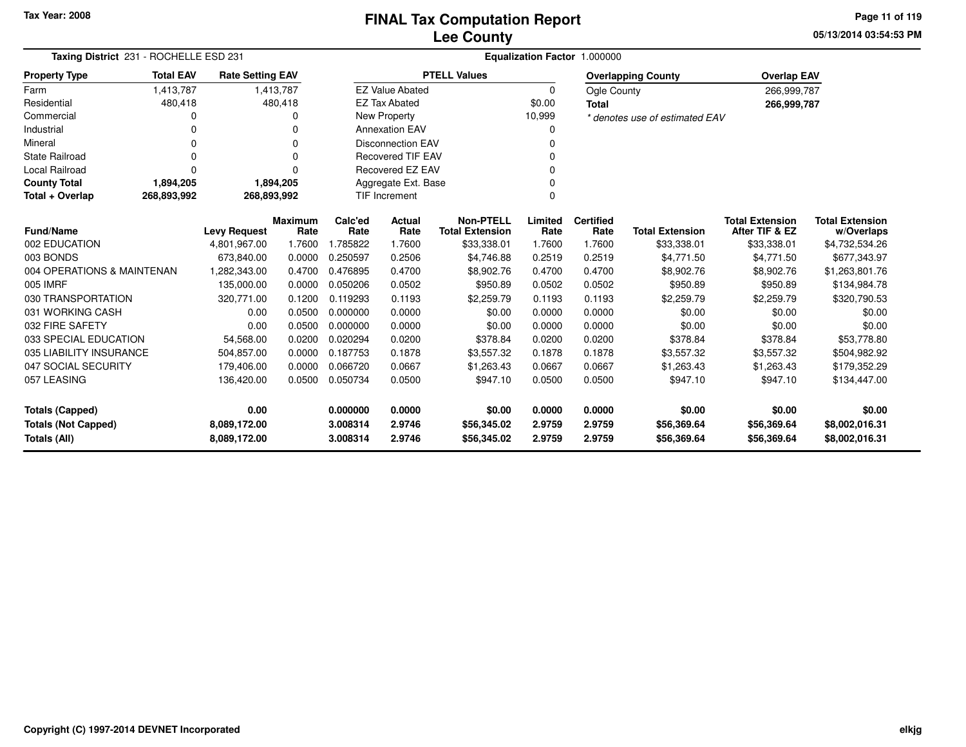**05/13/2014 03:54:53 PM Page 11 of 119**

| Taxing District 231 - ROCHELLE ESD 231                                     |                  |                         |                        | Equalization Factor 1.000000 |                          |                                            |                 |                          |                                |                                          |                                      |  |  |  |
|----------------------------------------------------------------------------|------------------|-------------------------|------------------------|------------------------------|--------------------------|--------------------------------------------|-----------------|--------------------------|--------------------------------|------------------------------------------|--------------------------------------|--|--|--|
| <b>Property Type</b>                                                       | <b>Total EAV</b> | <b>Rate Setting EAV</b> |                        |                              |                          | <b>PTELL Values</b>                        |                 |                          | <b>Overlapping County</b>      | <b>Overlap EAV</b>                       |                                      |  |  |  |
| Farm                                                                       | 1,413,787        |                         | 1,413,787              |                              | <b>EZ Value Abated</b>   |                                            | $\Omega$        | Ogle County              |                                | 266,999,787                              |                                      |  |  |  |
| Residential                                                                | 480,418          |                         | 480,418                |                              | <b>EZ Tax Abated</b>     |                                            | \$0.00          | <b>Total</b>             |                                | 266,999,787                              |                                      |  |  |  |
| Commercial                                                                 |                  |                         |                        |                              | New Property             |                                            | 10,999          |                          | * denotes use of estimated EAV |                                          |                                      |  |  |  |
| Industrial                                                                 |                  |                         | n                      |                              | <b>Annexation EAV</b>    |                                            | O               |                          |                                |                                          |                                      |  |  |  |
| Mineral                                                                    |                  |                         | 0                      |                              | <b>Disconnection EAV</b> |                                            |                 |                          |                                |                                          |                                      |  |  |  |
| <b>State Railroad</b>                                                      |                  |                         | $\Omega$               |                              | <b>Recovered TIF EAV</b> |                                            | $\Omega$        |                          |                                |                                          |                                      |  |  |  |
| Local Railroad                                                             |                  |                         | $\Omega$               |                              | Recovered EZ EAV         |                                            |                 |                          |                                |                                          |                                      |  |  |  |
| <b>County Total</b>                                                        | 1,894,205        |                         | 1,894,205              |                              | Aggregate Ext. Base      |                                            | $\Omega$        |                          |                                |                                          |                                      |  |  |  |
| TIF Increment<br>$\Omega$<br>Total + Overlap<br>268,893,992<br>268,893,992 |                  |                         |                        |                              |                          |                                            |                 |                          |                                |                                          |                                      |  |  |  |
| <b>Fund/Name</b>                                                           |                  | <b>Levy Request</b>     | <b>Maximum</b><br>Rate | Calc'ed<br>Rate              | Actual<br>Rate           | <b>Non-PTELL</b><br><b>Total Extension</b> | Limited<br>Rate | <b>Certified</b><br>Rate | <b>Total Extension</b>         | <b>Total Extension</b><br>After TIF & EZ | <b>Total Extension</b><br>w/Overlaps |  |  |  |
| 002 EDUCATION                                                              |                  | 4,801,967.00            | 1.7600                 | 1.785822                     | 1.7600                   | \$33,338.01                                | 1.7600          | 1.7600                   | \$33,338.01                    | \$33,338.01                              | \$4,732,534.26                       |  |  |  |
| 003 BONDS                                                                  |                  | 673,840.00              | 0.0000                 | 0.250597                     | 0.2506                   | \$4,746.88                                 | 0.2519          | 0.2519                   | \$4,771.50                     | \$4,771.50                               | \$677,343.97                         |  |  |  |
| 004 OPERATIONS & MAINTENAN                                                 |                  | 1,282,343.00            | 0.4700                 | 0.476895                     | 0.4700                   | \$8,902.76                                 | 0.4700          | 0.4700                   | \$8,902.76                     | \$8,902.76                               | \$1,263,801.76                       |  |  |  |
| 005 IMRF                                                                   |                  | 135,000.00              | 0.0000                 | 0.050206                     | 0.0502                   | \$950.89                                   | 0.0502          | 0.0502                   | \$950.89                       | \$950.89                                 | \$134,984.78                         |  |  |  |
| 030 TRANSPORTATION                                                         |                  | 320,771.00              | 0.1200                 | 0.119293                     | 0.1193                   | \$2,259.79                                 | 0.1193          | 0.1193                   | \$2,259.79                     | \$2,259.79                               | \$320,790.53                         |  |  |  |
| 031 WORKING CASH                                                           |                  | 0.00                    | 0.0500                 | 0.000000                     | 0.0000                   | \$0.00                                     | 0.0000          | 0.0000                   | \$0.00                         | \$0.00                                   | \$0.00                               |  |  |  |
| 032 FIRE SAFETY                                                            |                  | 0.00                    | 0.0500                 | 0.000000                     | 0.0000                   | \$0.00                                     | 0.0000          | 0.0000                   | \$0.00                         | \$0.00                                   | \$0.00                               |  |  |  |
| 033 SPECIAL EDUCATION                                                      |                  | 54,568.00               | 0.0200                 | 0.020294                     | 0.0200                   | \$378.84                                   | 0.0200          | 0.0200                   | \$378.84                       | \$378.84                                 | \$53,778.80                          |  |  |  |
| 035 LIABILITY INSURANCE                                                    |                  | 504,857.00              | 0.0000                 | 0.187753                     | 0.1878                   | \$3,557.32                                 | 0.1878          | 0.1878                   | \$3,557.32                     | \$3,557.32                               | \$504,982.92                         |  |  |  |
| 047 SOCIAL SECURITY                                                        |                  | 179,406.00              | 0.0000                 | 0.066720                     | 0.0667                   | \$1,263.43                                 | 0.0667          | 0.0667                   | \$1,263.43                     | \$1,263.43                               | \$179,352.29                         |  |  |  |
| 057 LEASING                                                                |                  | 136,420.00              | 0.0500                 | 0.050734                     | 0.0500                   | \$947.10                                   | 0.0500          | 0.0500                   | \$947.10                       | \$947.10                                 | \$134,447.00                         |  |  |  |
| <b>Totals (Capped)</b>                                                     |                  | 0.00                    |                        | 0.000000                     | 0.0000                   | \$0.00                                     | 0.0000          | 0.0000                   | \$0.00                         | \$0.00                                   | \$0.00                               |  |  |  |
| <b>Totals (Not Capped)</b>                                                 |                  | 8,089,172.00            |                        | 3.008314                     | 2.9746                   | \$56,345.02                                | 2.9759          | 2.9759                   | \$56,369.64                    | \$56,369.64                              | \$8,002,016.31                       |  |  |  |
| Totals (All)                                                               |                  | 8,089,172.00            |                        | 3.008314                     | 2.9746                   | \$56,345.02                                | 2.9759          | 2.9759                   | \$56,369.64                    | \$56,369.64                              | \$8,002,016.31                       |  |  |  |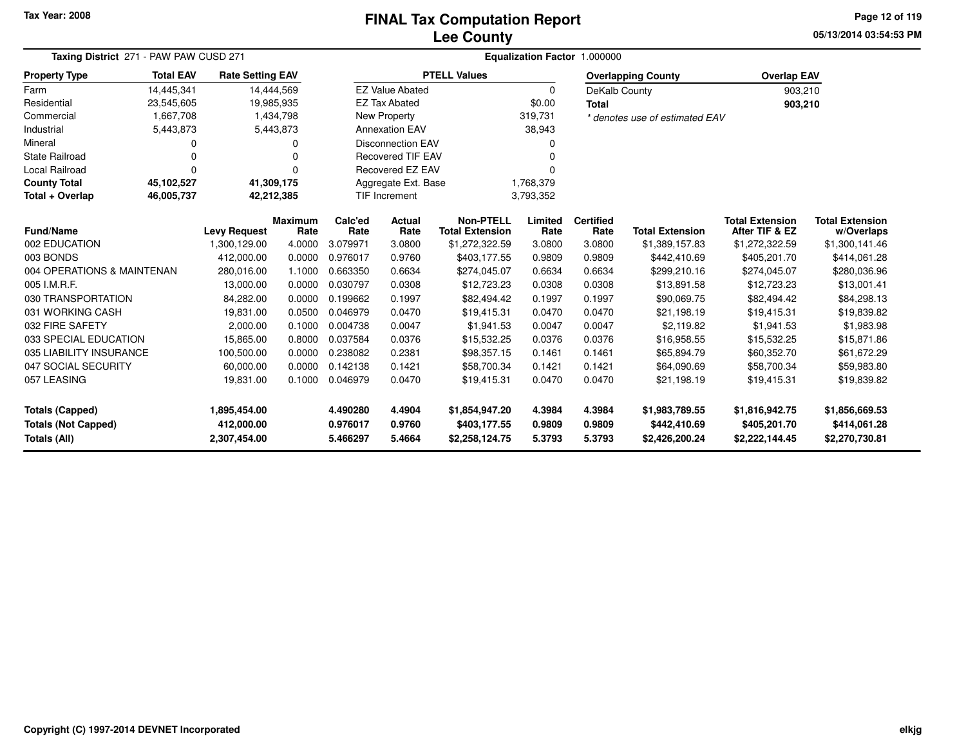# **Lee CountyFINAL Tax Computation Report**

**05/13/2014 03:54:53 PM Page 12 of 119**

| Taxing District 271 - PAW PAW CUSD 271 | Equalization Factor 1.000000                                            |                     |                        |                          |                                  |                                            |                 |                          |                                |                                          |                                      |
|----------------------------------------|-------------------------------------------------------------------------|---------------------|------------------------|--------------------------|----------------------------------|--------------------------------------------|-----------------|--------------------------|--------------------------------|------------------------------------------|--------------------------------------|
| <b>Property Type</b>                   | <b>Total EAV</b><br><b>Rate Setting EAV</b><br>14,445,341<br>23,545,605 |                     |                        |                          |                                  | <b>PTELL Values</b>                        |                 |                          | <b>Overlapping County</b>      | <b>Overlap EAV</b>                       |                                      |
| Farm                                   |                                                                         |                     | 14,444,569             |                          | <b>EZ Value Abated</b>           |                                            | $\mathbf 0$     | DeKalb County            |                                | 903,210                                  |                                      |
| Residential                            |                                                                         |                     | 19,985,935             |                          | <b>EZ Tax Abated</b>             |                                            | \$0.00          | <b>Total</b>             |                                | 903,210                                  |                                      |
| Commercial                             | 1,667,708                                                               |                     | 1,434,798              |                          | New Property                     |                                            | 319,731         |                          | * denotes use of estimated EAV |                                          |                                      |
| Industrial                             | 5,443,873                                                               |                     | 5,443,873              |                          | <b>Annexation EAV</b>            |                                            | 38,943          |                          |                                |                                          |                                      |
| Mineral                                | 0                                                                       |                     | 0                      |                          | <b>Disconnection EAV</b>         |                                            | 0               |                          |                                |                                          |                                      |
| <b>State Railroad</b>                  | $\Omega$                                                                |                     | ŋ                      | <b>Recovered TIF EAV</b> |                                  |                                            |                 |                          |                                |                                          |                                      |
| <b>Local Railroad</b>                  | $\Omega$                                                                |                     |                        |                          | <b>Recovered EZ EAV</b>          |                                            |                 |                          |                                |                                          |                                      |
| <b>County Total</b>                    | 45,102,527                                                              |                     | 41,309,175             |                          | Aggregate Ext. Base<br>1,768,379 |                                            |                 |                          |                                |                                          |                                      |
| Total + Overlap                        | 46,005,737<br>42,212,385                                                |                     |                        |                          | <b>TIF Increment</b>             |                                            | 3,793,352       |                          |                                |                                          |                                      |
| <b>Fund/Name</b>                       |                                                                         | <b>Levy Request</b> | <b>Maximum</b><br>Rate | Calc'ed<br>Rate          | Actual<br>Rate                   | <b>Non-PTELL</b><br><b>Total Extension</b> | Limited<br>Rate | <b>Certified</b><br>Rate | <b>Total Extension</b>         | <b>Total Extension</b><br>After TIF & EZ | <b>Total Extension</b><br>w/Overlaps |
| 002 EDUCATION                          |                                                                         | 1,300,129.00        | 4.0000                 | 3.079971                 | 3.0800                           | \$1,272,322.59                             | 3.0800          | 3.0800                   | \$1,389,157.83                 | \$1,272,322.59                           | \$1,300,141.46                       |
| 003 BONDS                              |                                                                         | 412,000.00          | 0.0000                 | 0.976017                 | 0.9760                           | \$403,177.55                               | 0.9809          | 0.9809                   | \$442,410.69                   | \$405,201.70                             | \$414,061.28                         |
| 004 OPERATIONS & MAINTENAN             |                                                                         | 280,016.00          | 1.1000                 | 0.663350                 | 0.6634                           | \$274,045.07                               | 0.6634          | 0.6634                   | \$299,210.16                   | \$274,045.07                             | \$280,036.96                         |
| 005 I.M.R.F.                           |                                                                         | 13,000.00           | 0.0000                 | 0.030797                 | 0.0308                           | \$12,723.23                                | 0.0308          | 0.0308                   | \$13,891.58                    | \$12,723,23                              | \$13,001.41                          |
| 030 TRANSPORTATION                     |                                                                         | 84,282.00           | 0.0000                 | 0.199662                 | 0.1997                           | \$82,494.42                                | 0.1997          | 0.1997                   | \$90,069.75                    | \$82,494.42                              | \$84,298.13                          |
| 031 WORKING CASH                       |                                                                         | 19,831.00           | 0.0500                 | 0.046979                 | 0.0470                           | \$19,415.31                                | 0.0470          | 0.0470                   | \$21,198.19                    | \$19,415.31                              | \$19,839.82                          |
| 032 FIRE SAFETY                        |                                                                         | 2,000.00            | 0.1000                 | 0.004738                 | 0.0047                           | \$1,941.53                                 | 0.0047          | 0.0047                   | \$2,119.82                     | \$1,941.53                               | \$1,983.98                           |
| 033 SPECIAL EDUCATION                  |                                                                         | 15,865.00           | 0.8000                 | 0.037584                 | 0.0376                           | \$15,532.25                                | 0.0376          | 0.0376                   | \$16,958.55                    | \$15,532.25                              | \$15,871.86                          |
| 035 LIABILITY INSURANCE                |                                                                         | 100,500.00          | 0.0000                 | 0.238082                 | 0.2381                           | \$98,357.15                                | 0.1461          | 0.1461                   | \$65,894.79                    | \$60,352.70                              | \$61,672.29                          |
| 047 SOCIAL SECURITY                    |                                                                         | 60,000.00           | 0.0000                 | 0.142138                 | 0.1421                           | \$58,700.34                                | 0.1421          | 0.1421                   | \$64,090.69                    | \$58,700.34                              | \$59,983.80                          |
| 057 LEASING                            |                                                                         | 19,831.00           | 0.1000                 | 0.046979                 | 0.0470                           | \$19,415.31                                | 0.0470          | 0.0470                   | \$21,198.19                    | \$19,415.31                              | \$19,839.82                          |
| <b>Totals (Capped)</b>                 |                                                                         | 1,895,454.00        |                        | 4.490280                 | 4.4904                           | \$1,854,947.20                             | 4.3984          | 4.3984                   | \$1,983,789.55                 | \$1,816,942.75                           | \$1,856,669.53                       |
| <b>Totals (Not Capped)</b>             |                                                                         | 412,000.00          |                        | 0.976017                 | 0.9760                           | \$403,177.55                               | 0.9809          | 0.9809                   | \$442,410.69                   | \$405,201.70                             | \$414,061.28                         |
| Totals (All)                           |                                                                         | 2,307,454.00        |                        | 5.466297                 | 5.4664                           | \$2,258,124.75                             | 5.3793          | 5.3793                   | \$2,426,200.24                 | \$2,222,144.45                           | \$2,270,730.81                       |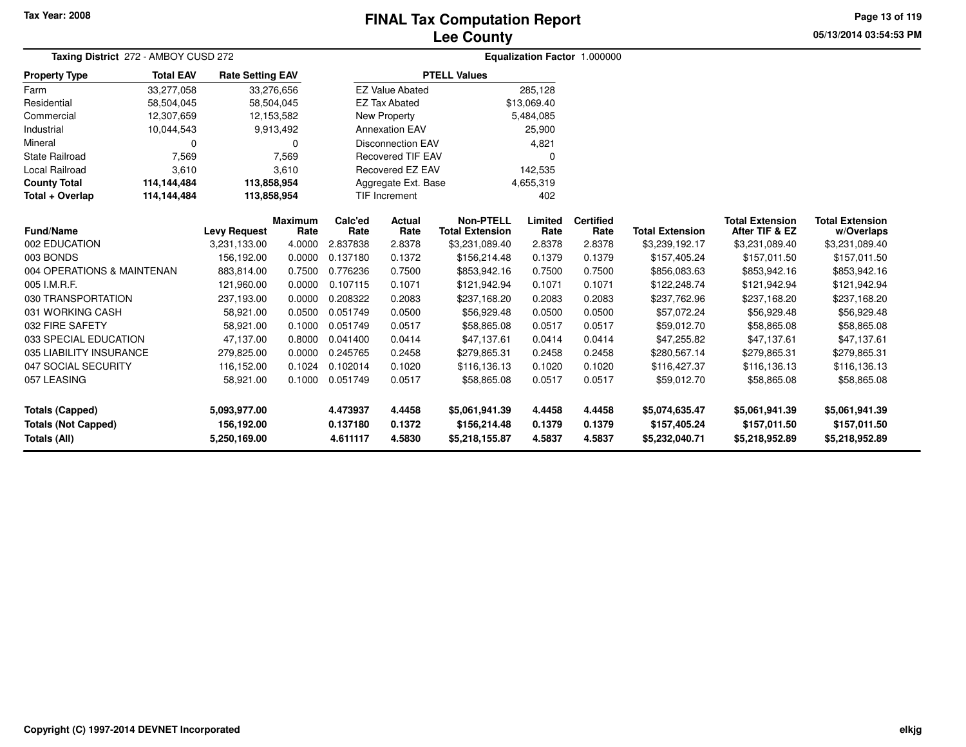## **Lee CountyFINAL Tax Computation Report**

**05/13/2014 03:54:53 PM Page 13 of 119**

| Taxing District 272 - AMBOY CUSD 272 |                  | Equalization Factor 1.000000 |                        |                      |                          |                                            |                 |                          |                        |                                          |                                      |
|--------------------------------------|------------------|------------------------------|------------------------|----------------------|--------------------------|--------------------------------------------|-----------------|--------------------------|------------------------|------------------------------------------|--------------------------------------|
| <b>Property Type</b>                 | <b>Total EAV</b> | <b>Rate Setting EAV</b>      |                        |                      |                          | <b>PTELL Values</b>                        |                 |                          |                        |                                          |                                      |
| Farm                                 | 33,277,058       | 33,276,656                   |                        |                      | <b>EZ Value Abated</b>   |                                            | 285,128         |                          |                        |                                          |                                      |
| Residential                          | 58,504,045       | 58,504,045                   |                        | <b>EZ Tax Abated</b> |                          |                                            | \$13,069.40     |                          |                        |                                          |                                      |
| Commercial                           | 12,307,659       | 12,153,582                   |                        |                      | New Property             |                                            | 5,484,085       |                          |                        |                                          |                                      |
| Industrial                           | 10,044,543       |                              | 9,913,492              |                      | <b>Annexation EAV</b>    |                                            | 25,900          |                          |                        |                                          |                                      |
| Mineral                              | 0                |                              | 0                      |                      | <b>Disconnection EAV</b> |                                            | 4,821           |                          |                        |                                          |                                      |
| <b>State Railroad</b>                | 7,569            |                              | 7,569                  |                      | <b>Recovered TIF EAV</b> |                                            | $\Omega$        |                          |                        |                                          |                                      |
| <b>Local Railroad</b>                | 3,610            |                              | 3,610                  |                      | Recovered EZ EAV         |                                            | 142,535         |                          |                        |                                          |                                      |
| <b>County Total</b>                  | 114,144,484      | 113,858,954                  |                        |                      | Aggregate Ext. Base      |                                            | 4,655,319       |                          |                        |                                          |                                      |
| Total + Overlap                      | 114,144,484      | 113,858,954                  |                        |                      | <b>TIF Increment</b>     | 402                                        |                 |                          |                        |                                          |                                      |
| <b>Fund/Name</b>                     |                  | <b>Levy Request</b>          | <b>Maximum</b><br>Rate | Calc'ed<br>Rate      | Actual<br>Rate           | <b>Non-PTELL</b><br><b>Total Extension</b> | Limited<br>Rate | <b>Certified</b><br>Rate | <b>Total Extension</b> | <b>Total Extension</b><br>After TIF & EZ | <b>Total Extension</b><br>w/Overlaps |
| 002 EDUCATION                        |                  | 3,231,133.00                 | 4.0000                 | 2.837838             | 2.8378                   | \$3,231,089.40                             | 2.8378          | 2.8378                   | \$3,239,192.17         | \$3,231,089.40                           | \$3,231,089.40                       |
| 003 BONDS                            |                  | 156,192.00                   | 0.0000                 | 0.137180             | 0.1372                   | \$156,214.48                               | 0.1379          | 0.1379                   | \$157,405.24           | \$157,011.50                             | \$157,011.50                         |
| 004 OPERATIONS & MAINTENAN           |                  | 883.814.00                   | 0.7500                 | 0.776236             | 0.7500                   | \$853,942.16                               | 0.7500          | 0.7500                   | \$856,083.63           | \$853,942.16                             | \$853,942.16                         |
| 005 I.M.R.F.                         |                  | 121,960.00                   | 0.0000                 | 0.107115             | 0.1071                   | \$121,942.94                               | 0.1071          | 0.1071                   | \$122,248.74           | \$121,942.94                             | \$121,942.94                         |
| 030 TRANSPORTATION                   |                  | 237,193.00                   | 0.0000                 | 0.208322             | 0.2083                   | \$237,168.20                               | 0.2083          | 0.2083                   | \$237,762.96           | \$237,168.20                             | \$237,168.20                         |
| 031 WORKING CASH                     |                  | 58,921.00                    | 0.0500                 | 0.051749             | 0.0500                   | \$56,929.48                                | 0.0500          | 0.0500                   | \$57,072.24            | \$56,929.48                              | \$56,929.48                          |
| 032 FIRE SAFETY                      |                  | 58,921.00                    | 0.1000                 | 0.051749             | 0.0517                   | \$58,865.08                                | 0.0517          | 0.0517                   | \$59,012.70            | \$58,865.08                              | \$58,865.08                          |
| 033 SPECIAL EDUCATION                |                  | 47,137.00                    | 0.8000                 | 0.041400             | 0.0414                   | \$47,137.61                                | 0.0414          | 0.0414                   | \$47,255.82            | \$47,137.61                              | \$47,137.61                          |
| 035 LIABILITY INSURANCE              |                  | 279,825.00                   | 0.0000                 | 0.245765             | 0.2458                   | \$279,865.31                               | 0.2458          | 0.2458                   | \$280,567.14           | \$279,865.31                             | \$279,865.31                         |
| 047 SOCIAL SECURITY                  |                  | 116,152.00                   | 0.1024                 | 0.102014             | 0.1020                   | \$116,136.13                               | 0.1020          | 0.1020                   | \$116,427.37           | \$116,136.13                             | \$116,136.13                         |
| 057 LEASING                          |                  | 58,921.00                    | 0.1000                 | 0.051749             | 0.0517                   | \$58,865.08                                | 0.0517          | 0.0517                   | \$59,012.70            | \$58,865.08                              | \$58,865.08                          |
| <b>Totals (Capped)</b>               |                  | 5,093,977.00                 |                        | 4.473937             | 4.4458                   | \$5,061,941.39                             | 4.4458          | 4.4458                   | \$5,074,635.47         | \$5,061,941.39                           | \$5,061,941.39                       |
| <b>Totals (Not Capped)</b>           |                  | 156,192.00                   |                        | 0.137180             | 0.1372                   | \$156,214.48                               | 0.1379          | 0.1379                   | \$157,405.24           | \$157,011.50                             | \$157,011.50                         |
| Totals (All)                         |                  | 5,250,169.00                 |                        | 4.611117             | 4.5830                   | \$5,218,155.87                             | 4.5837          | 4.5837                   | \$5,232,040.71         | \$5,218,952.89                           | \$5,218,952.89                       |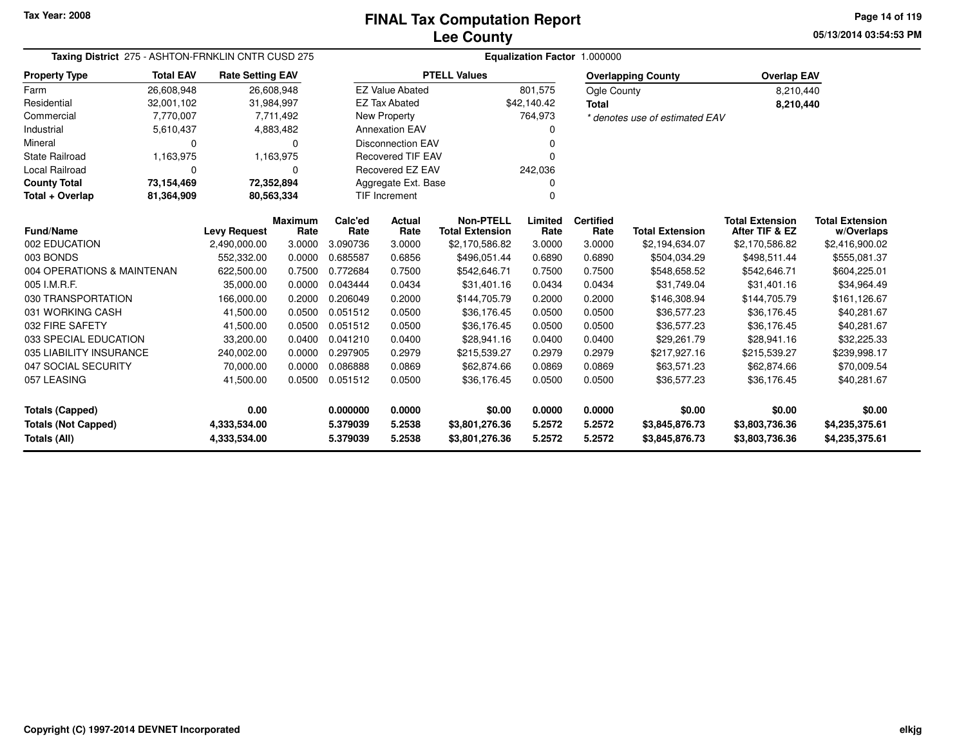**05/13/2014 03:54:53 PMPage 14 of 119**

| Taxing District 275 - ASHTON-FRNKLIN CNTR CUSD 275 |                  |                         |                        |                 | Equalization Factor 1.000000 |                                            |                 |                          |                                |                                          |                                      |  |  |
|----------------------------------------------------|------------------|-------------------------|------------------------|-----------------|------------------------------|--------------------------------------------|-----------------|--------------------------|--------------------------------|------------------------------------------|--------------------------------------|--|--|
| <b>Property Type</b>                               | <b>Total EAV</b> | <b>Rate Setting EAV</b> |                        |                 |                              | <b>PTELL Values</b>                        |                 |                          | <b>Overlapping County</b>      | <b>Overlap EAV</b>                       |                                      |  |  |
| Farm                                               | 26,608,948       | 26,608,948              |                        |                 | <b>EZ Value Abated</b>       |                                            | 801,575         | Ogle County              |                                | 8,210,440                                |                                      |  |  |
| Residential                                        | 32,001,102       | 31,984,997              |                        |                 | <b>EZ Tax Abated</b>         |                                            | \$42,140.42     | <b>Total</b>             |                                | 8,210,440                                |                                      |  |  |
| Commercial                                         | 7,770,007        |                         | 7,711,492              |                 | New Property                 |                                            | 764,973         |                          | * denotes use of estimated EAV |                                          |                                      |  |  |
| Industrial                                         | 5,610,437        |                         | 4,883,482              |                 | <b>Annexation EAV</b>        |                                            | 0               |                          |                                |                                          |                                      |  |  |
| Mineral                                            | 0                |                         | 0                      |                 | <b>Disconnection EAV</b>     |                                            | $\Omega$        |                          |                                |                                          |                                      |  |  |
| <b>State Railroad</b>                              | 1,163,975        |                         | 1,163,975              |                 | <b>Recovered TIF EAV</b>     |                                            | $\Omega$        |                          |                                |                                          |                                      |  |  |
| <b>Local Railroad</b>                              | 0                |                         | 0                      |                 | Recovered EZ EAV             |                                            | 242,036         |                          |                                |                                          |                                      |  |  |
| <b>County Total</b>                                | 73,154,469       | 72,352,894              |                        |                 | Aggregate Ext. Base          |                                            |                 |                          |                                |                                          |                                      |  |  |
| Total + Overlap                                    | 81,364,909       | 80,563,334              |                        |                 | <b>TIF Increment</b>         |                                            | 0               |                          |                                |                                          |                                      |  |  |
| Fund/Name                                          |                  | <b>Levy Request</b>     | <b>Maximum</b><br>Rate | Calc'ed<br>Rate | Actual<br>Rate               | <b>Non-PTELL</b><br><b>Total Extension</b> | Limited<br>Rate | <b>Certified</b><br>Rate | <b>Total Extension</b>         | <b>Total Extension</b><br>After TIF & EZ | <b>Total Extension</b><br>w/Overlaps |  |  |
| 002 EDUCATION                                      |                  | 2,490,000.00            | 3.0000                 | 3.090736        | 3.0000                       | \$2,170,586.82                             | 3.0000          | 3.0000                   | \$2,194,634.07                 | \$2,170,586.82                           | \$2,416,900.02                       |  |  |
| 003 BONDS                                          |                  | 552,332.00              | 0.0000                 | 0.685587        | 0.6856                       | \$496,051.44                               | 0.6890          | 0.6890                   | \$504,034.29                   | \$498,511.44                             | \$555,081.37                         |  |  |
| 004 OPERATIONS & MAINTENAN                         |                  | 622,500.00              | 0.7500                 | 0.772684        | 0.7500                       | \$542,646.71                               | 0.7500          | 0.7500                   | \$548,658.52                   | \$542,646.71                             | \$604,225.01                         |  |  |
| 005 I.M.R.F.                                       |                  | 35,000.00               | 0.0000                 | 0.043444        | 0.0434                       | \$31,401.16                                | 0.0434          | 0.0434                   | \$31,749.04                    | \$31,401.16                              | \$34,964.49                          |  |  |
| 030 TRANSPORTATION                                 |                  | 166,000.00              | 0.2000                 | 0.206049        | 0.2000                       | \$144,705.79                               | 0.2000          | 0.2000                   | \$146,308.94                   | \$144,705.79                             | \$161,126.67                         |  |  |
| 031 WORKING CASH                                   |                  | 41,500.00               | 0.0500                 | 0.051512        | 0.0500                       | \$36,176.45                                | 0.0500          | 0.0500                   | \$36,577.23                    | \$36,176.45                              | \$40,281.67                          |  |  |
| 032 FIRE SAFETY                                    |                  | 41,500.00               | 0.0500                 | 0.051512        | 0.0500                       | \$36,176.45                                | 0.0500          | 0.0500                   | \$36,577.23                    | \$36,176.45                              | \$40,281.67                          |  |  |
| 033 SPECIAL EDUCATION                              |                  | 33,200.00               | 0.0400                 | 0.041210        | 0.0400                       | \$28,941.16                                | 0.0400          | 0.0400                   | \$29.261.79                    | \$28,941.16                              | \$32,225.33                          |  |  |
| 035 LIABILITY INSURANCE                            |                  | 240,002.00              | 0.0000                 | 0.297905        | 0.2979                       | \$215,539.27                               | 0.2979          | 0.2979                   | \$217,927.16                   | \$215,539.27                             | \$239,998.17                         |  |  |
| 047 SOCIAL SECURITY                                |                  | 70,000.00               | 0.0000                 | 0.086888        | 0.0869                       | \$62,874.66                                | 0.0869          | 0.0869                   | \$63,571.23                    | \$62,874.66                              | \$70,009.54                          |  |  |
| 057 LEASING                                        |                  | 41,500.00               | 0.0500                 | 0.051512        | 0.0500                       | \$36,176.45                                | 0.0500          | 0.0500                   | \$36,577.23                    | \$36,176.45                              | \$40,281.67                          |  |  |
| <b>Totals (Capped)</b>                             | 0.00             |                         | 0.000000               | 0.0000          | \$0.00                       | 0.0000                                     | 0.0000          | \$0.00                   | \$0.00                         | \$0.00                                   |                                      |  |  |
| <b>Totals (Not Capped)</b>                         |                  | 4,333,534.00            |                        | 5.379039        | 5.2538                       | \$3,801,276.36                             | 5.2572          | 5.2572                   | \$3,845,876.73                 | \$3,803,736.36                           | \$4,235,375.61                       |  |  |
| Totals (All)                                       |                  | 4,333,534.00            |                        | 5.379039        | 5.2538                       | \$3,801,276.36                             | 5.2572          | 5.2572                   | \$3,845,876.73                 | \$3,803,736.36                           | \$4,235,375.61                       |  |  |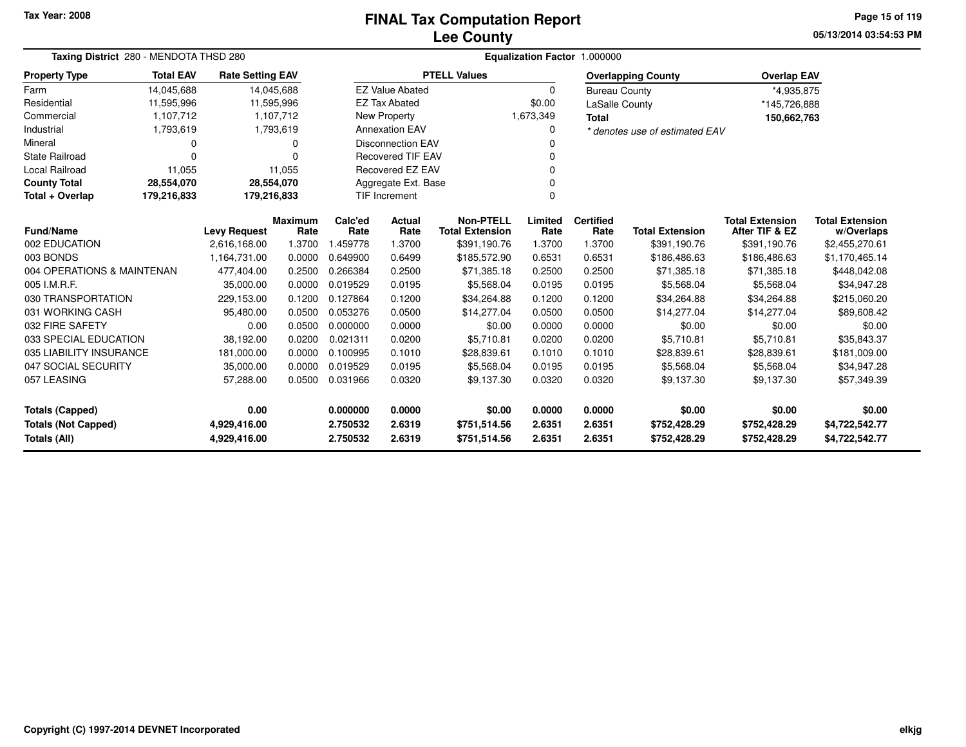# **Lee CountyFINAL Tax Computation Report**

**05/13/2014 03:54:53 PM Page 15 of 119**

|                                            | Taxing District 280 - MENDOTA THSD 280             |                         |                |          |                          | Equalization Factor 1.000000 |           |                       |                                |                        |                        |  |  |  |  |
|--------------------------------------------|----------------------------------------------------|-------------------------|----------------|----------|--------------------------|------------------------------|-----------|-----------------------|--------------------------------|------------------------|------------------------|--|--|--|--|
| <b>Property Type</b>                       | <b>Total EAV</b>                                   | <b>Rate Setting EAV</b> |                |          |                          | <b>PTELL Values</b>          |           |                       | <b>Overlapping County</b>      | <b>Overlap EAV</b>     |                        |  |  |  |  |
| Farm                                       | 14,045,688                                         | 14,045,688              |                |          | <b>EZ Value Abated</b>   |                              | $\Omega$  | <b>Bureau County</b>  |                                | *4,935,875             |                        |  |  |  |  |
| Residential                                | 11,595,996                                         | 11,595,996              |                |          | <b>EZ Tax Abated</b>     |                              | \$0.00    | <b>LaSalle County</b> |                                | *145,726,888           |                        |  |  |  |  |
| Commercial                                 | 1,107,712                                          |                         | 1,107,712      |          | New Property             |                              | 1,673,349 | <b>Total</b>          |                                | 150,662,763            |                        |  |  |  |  |
| Industrial                                 | 1,793,619                                          |                         | 1,793,619      |          | <b>Annexation EAV</b>    |                              | 0         |                       | * denotes use of estimated EAV |                        |                        |  |  |  |  |
| Mineral                                    | 0                                                  |                         | 0              |          | <b>Disconnection EAV</b> |                              | 0         |                       |                                |                        |                        |  |  |  |  |
| State Railroad                             | $\Omega$                                           |                         | $\Omega$       |          | <b>Recovered TIF EAV</b> |                              |           |                       |                                |                        |                        |  |  |  |  |
| Local Railroad                             | 11,055                                             |                         | 11,055         |          | Recovered EZ EAV         | 0                            |           |                       |                                |                        |                        |  |  |  |  |
| <b>County Total</b>                        | 28,554,070                                         | 28,554,070              |                |          | Aggregate Ext. Base      |                              |           |                       |                                |                        |                        |  |  |  |  |
| Total + Overlap                            | <b>TIF Increment</b><br>179,216,833<br>179,216,833 |                         |                |          |                          | $\Omega$                     |           |                       |                                |                        |                        |  |  |  |  |
| <b>Fund/Name</b><br><b>Levy Request</b>    |                                                    |                         | <b>Maximum</b> | Calc'ed  | Actual                   | <b>Non-PTELL</b>             | Limited   | <b>Certified</b>      |                                | <b>Total Extension</b> | <b>Total Extension</b> |  |  |  |  |
|                                            |                                                    |                         | Rate           | Rate     | Rate                     | <b>Total Extension</b>       | Rate      | Rate                  | <b>Total Extension</b>         | After TIF & EZ         | w/Overlaps             |  |  |  |  |
| 002 EDUCATION                              |                                                    | 2,616,168.00            | 1.3700         | 1.459778 | 1.3700                   | \$391,190.76                 | 1.3700    | 1.3700                | \$391,190.76                   | \$391,190.76           | \$2,455,270.61         |  |  |  |  |
| 003 BONDS                                  |                                                    | 1,164,731.00            | 0.0000         | 0.649900 | 0.6499                   | \$185,572.90                 | 0.6531    | 0.6531                | \$186,486.63                   | \$186,486.63           | \$1,170,465.14         |  |  |  |  |
| 004 OPERATIONS & MAINTENAN                 |                                                    | 477,404.00              | 0.2500         | 0.266384 | 0.2500                   | \$71,385.18                  | 0.2500    | 0.2500                | \$71,385.18                    | \$71,385.18            | \$448,042.08           |  |  |  |  |
| 005 I.M.R.F.                               |                                                    | 35,000.00               | 0.0000         | 0.019529 | 0.0195                   | \$5,568.04                   | 0.0195    | 0.0195                | \$5,568.04                     | \$5,568.04             | \$34,947.28            |  |  |  |  |
| 030 TRANSPORTATION                         |                                                    | 229,153.00              | 0.1200         | 0.127864 | 0.1200                   | \$34,264.88                  | 0.1200    | 0.1200                | \$34,264.88                    | \$34,264.88            | \$215,060.20           |  |  |  |  |
| 031 WORKING CASH                           |                                                    | 95,480.00               | 0.0500         | 0.053276 | 0.0500                   | \$14,277.04                  | 0.0500    | 0.0500                | \$14,277.04                    | \$14,277.04            | \$89,608.42            |  |  |  |  |
| 032 FIRE SAFETY                            |                                                    | 0.00                    | 0.0500         | 0.000000 | 0.0000                   | \$0.00                       | 0.0000    | 0.0000                | \$0.00                         | \$0.00                 | \$0.00                 |  |  |  |  |
| 033 SPECIAL EDUCATION                      |                                                    | 38,192.00               | 0.0200         | 0.021311 | 0.0200                   | \$5,710.81                   | 0.0200    | 0.0200                | \$5,710.81                     | \$5,710.81             | \$35,843.37            |  |  |  |  |
| 035 LIABILITY INSURANCE                    |                                                    | 181,000.00              | 0.0000         | 0.100995 | 0.1010                   | \$28,839.61                  | 0.1010    | 0.1010                | \$28,839.61                    | \$28,839.61            | \$181,009.00           |  |  |  |  |
| 047 SOCIAL SECURITY                        |                                                    | 35,000.00               | 0.0000         | 0.019529 | 0.0195                   | \$5,568.04                   | 0.0195    | 0.0195                | \$5,568.04                     | \$5,568.04             | \$34,947.28            |  |  |  |  |
| 057 LEASING                                |                                                    | 57,288.00               | 0.0500         | 0.031966 | 0.0320                   | \$9,137.30                   | 0.0320    | 0.0320                | \$9,137.30                     | \$9,137.30             | \$57,349.39            |  |  |  |  |
| 0.00<br><b>Totals (Capped)</b>             |                                                    |                         |                | 0.000000 | 0.0000                   | \$0.00                       | 0.0000    | 0.0000                | \$0.00                         | \$0.00                 | \$0.00                 |  |  |  |  |
| <b>Totals (Not Capped)</b><br>4,929,416.00 |                                                    |                         |                | 2.750532 | 2.6319                   | \$751,514.56                 | 2.6351    | 2.6351                | \$752,428.29                   | \$752,428.29           | \$4,722,542.77         |  |  |  |  |
| Totals (All)                               |                                                    | 4,929,416.00            |                | 2.750532 | 2.6319                   | \$751,514.56                 | 2.6351    | 2.6351                | \$752,428.29                   | \$752,428.29           | \$4,722,542.77         |  |  |  |  |

 $\overline{\phantom{0}}$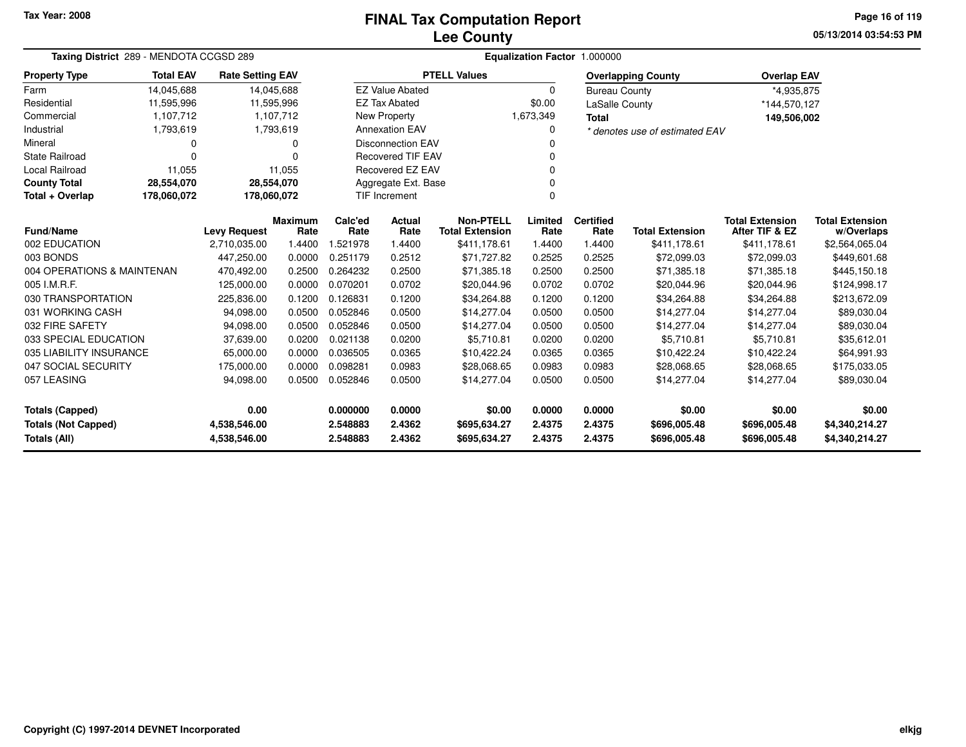# **Lee CountyFINAL Tax Computation Report**

**05/13/2014 03:54:53 PM Page 16 of 119**

|                                            | Taxing District 289 - MENDOTA CCGSD 289 |                                     |                |                 |                           |                                            |                 | <b>Equalization Factor 1.000000</b> |                                |                                          |                              |
|--------------------------------------------|-----------------------------------------|-------------------------------------|----------------|-----------------|---------------------------|--------------------------------------------|-----------------|-------------------------------------|--------------------------------|------------------------------------------|------------------------------|
| <b>Property Type</b>                       | <b>Total EAV</b>                        | <b>Rate Setting EAV</b>             |                |                 |                           | <b>PTELL Values</b>                        |                 |                                     | <b>Overlapping County</b>      | <b>Overlap EAV</b>                       |                              |
| Farm                                       | 14,045,688                              | 14,045,688                          |                |                 | <b>EZ Value Abated</b>    |                                            | 0               | <b>Bureau County</b>                |                                | *4,935,875                               |                              |
| Residential                                | 11,595,996                              | 11,595,996                          |                |                 | <b>EZ Tax Abated</b>      |                                            | \$0.00          | <b>LaSalle County</b>               |                                | *144,570,127                             |                              |
| Commercial                                 | 1,107,712                               |                                     | 1,107,712      |                 | New Property              |                                            | 1,673,349       | <b>Total</b>                        |                                | 149,506,002                              |                              |
| Industrial                                 | 1,793,619                               |                                     | 1,793,619      |                 | <b>Annexation EAV</b>     |                                            | 0               |                                     | * denotes use of estimated EAV |                                          |                              |
| Mineral                                    | 0                                       |                                     |                |                 | <b>Disconnection EAV</b>  |                                            | 0               |                                     |                                |                                          |                              |
| <b>State Railroad</b>                      | 0                                       |                                     | $\Omega$       |                 | <b>Recovered TIF EAV</b>  |                                            | 0               |                                     |                                |                                          |                              |
| <b>Local Railroad</b>                      | 11,055                                  |                                     | 11,055         |                 | <b>Recovered EZ EAV</b>   |                                            | 0               |                                     |                                |                                          |                              |
| <b>County Total</b>                        | 28,554,070                              | 28,554,070                          |                |                 | Aggregate Ext. Base       |                                            | 0               |                                     |                                |                                          |                              |
| Total + Overlap                            | 178,060,072                             | 178,060,072                         |                |                 | <b>TIF Increment</b><br>0 |                                            |                 |                                     |                                |                                          |                              |
| <b>Fund/Name</b>                           |                                         |                                     | <b>Maximum</b> | Calc'ed<br>Rate | <b>Actual</b><br>Rate     | <b>Non-PTELL</b><br><b>Total Extension</b> | Limited<br>Rate | <b>Certified</b><br>Rate            | <b>Total Extension</b>         | <b>Total Extension</b><br>After TIF & EZ | <b>Total Extension</b>       |
| 002 EDUCATION                              |                                         | <b>Levy Request</b><br>2,710,035.00 | Rate<br>1.4400 | 1.521978        | 1.4400                    | \$411,178.61                               | 1.4400          | 1.4400                              | \$411,178.61                   | \$411,178.61                             | w/Overlaps<br>\$2,564,065.04 |
| 003 BONDS                                  |                                         | 447,250.00                          | 0.0000         | 0.251179        | 0.2512                    | \$71,727.82                                | 0.2525          | 0.2525                              | \$72,099.03                    | \$72,099.03                              | \$449,601.68                 |
| 004 OPERATIONS & MAINTENAN                 |                                         | 470,492.00                          | 0.2500         | 0.264232        | 0.2500                    | \$71,385.18                                | 0.2500          | 0.2500                              |                                | \$71,385.18                              |                              |
| 005 I.M.R.F.                               |                                         | 125,000.00                          | 0.0000         | 0.070201        | 0.0702                    | \$20,044.96                                | 0.0702          | 0.0702                              | \$71,385.18<br>\$20,044.96     | \$20,044.96                              | \$445,150.18<br>\$124,998.17 |
| 030 TRANSPORTATION                         |                                         | 225,836.00                          | 0.1200         | 0.126831        | 0.1200                    | \$34,264.88                                | 0.1200          | 0.1200                              | \$34,264.88                    | \$34,264.88                              | \$213,672.09                 |
| 031 WORKING CASH                           |                                         | 94,098.00                           | 0.0500         | 0.052846        | 0.0500                    | \$14,277.04                                | 0.0500          | 0.0500                              | \$14,277.04                    | \$14,277.04                              | \$89,030.04                  |
| 032 FIRE SAFETY                            |                                         | 94,098.00                           | 0.0500         | 0.052846        | 0.0500                    | \$14,277.04                                | 0.0500          | 0.0500                              | \$14,277.04                    | \$14,277.04                              | \$89,030.04                  |
| 033 SPECIAL EDUCATION                      |                                         | 37,639.00                           | 0.0200         | 0.021138        | 0.0200                    | \$5,710.81                                 | 0.0200          | 0.0200                              | \$5,710.81                     | \$5,710.81                               | \$35,612.01                  |
| 035 LIABILITY INSURANCE                    |                                         | 65,000.00                           | 0.0000         | 0.036505        | 0.0365                    | \$10,422.24                                | 0.0365          | 0.0365                              | \$10,422.24                    | \$10,422.24                              | \$64,991.93                  |
| 047 SOCIAL SECURITY                        |                                         | 175,000.00                          | 0.0000         | 0.098281        | 0.0983                    | \$28,068.65                                | 0.0983          | 0.0983                              | \$28,068.65                    | \$28,068.65                              | \$175,033.05                 |
| 057 LEASING                                |                                         | 94,098.00                           | 0.0500         | 0.052846        | 0.0500                    | \$14,277.04                                | 0.0500          | 0.0500                              | \$14,277.04                    | \$14,277.04                              | \$89,030.04                  |
|                                            |                                         |                                     |                |                 |                           |                                            |                 |                                     |                                |                                          |                              |
| 0.00<br><b>Totals (Capped)</b>             |                                         |                                     |                | 0.000000        | 0.0000                    | \$0.00                                     | 0.0000          | 0.0000                              | \$0.00                         | \$0.00                                   | \$0.00                       |
| <b>Totals (Not Capped)</b><br>4,538,546.00 |                                         |                                     | 2.548883       | 2.4362          | \$695,634.27              | 2.4375                                     | 2.4375          | \$696,005.48                        | \$696,005.48                   | \$4,340,214.27                           |                              |
| Totals (All)                               |                                         | 4,538,546.00                        |                | 2.548883        | 2.4362                    | \$695,634.27                               | 2.4375          | 2.4375                              | \$696,005.48                   | \$696,005.48                             | \$4,340,214.27               |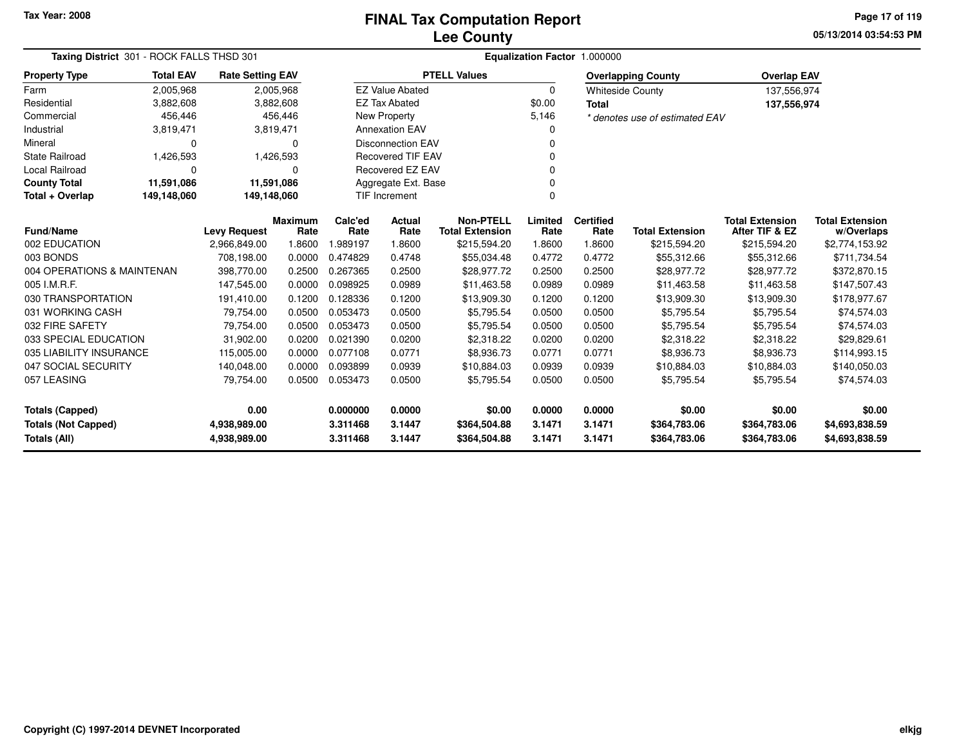### **Lee CountyFINAL Tax Computation Report**

**05/13/2014 03:54:53 PMPage 17 of 119**

|                            | Taxing District 301 - ROCK FALLS THSD 301 |                         |                |                  | Equalization Factor 1.000000 |                        |          |                  |                                |                        |                        |  |  |
|----------------------------|-------------------------------------------|-------------------------|----------------|------------------|------------------------------|------------------------|----------|------------------|--------------------------------|------------------------|------------------------|--|--|
| <b>Property Type</b>       | <b>Total EAV</b>                          | <b>Rate Setting EAV</b> |                |                  |                              | <b>PTELL Values</b>    |          |                  | <b>Overlapping County</b>      | <b>Overlap EAV</b>     |                        |  |  |
| Farm                       | 2,005,968                                 |                         | 2,005,968      |                  | <b>EZ Value Abated</b>       |                        | $\Omega$ |                  | <b>Whiteside County</b>        | 137,556,974            |                        |  |  |
| Residential                | 3,882,608                                 |                         | 3,882,608      |                  | <b>EZ Tax Abated</b>         |                        | \$0.00   | <b>Total</b>     |                                | 137,556,974            |                        |  |  |
| Commercial                 | 456,446                                   |                         | 456,446        |                  | New Property                 |                        | 5,146    |                  | * denotes use of estimated EAV |                        |                        |  |  |
| Industrial                 | 3,819,471                                 |                         | 3,819,471      |                  | <b>Annexation EAV</b>        |                        |          |                  |                                |                        |                        |  |  |
| Mineral                    | 0                                         |                         | $\Omega$       |                  | <b>Disconnection EAV</b>     |                        |          |                  |                                |                        |                        |  |  |
| <b>State Railroad</b>      | 1,426,593                                 |                         | 1,426,593      |                  | <b>Recovered TIF EAV</b>     |                        |          |                  |                                |                        |                        |  |  |
| <b>Local Railroad</b>      | 0                                         |                         | $\Omega$       | Recovered EZ EAV |                              |                        |          |                  |                                |                        |                        |  |  |
| <b>County Total</b>        | 11,591,086                                | 11,591,086              |                |                  | Aggregate Ext. Base          |                        |          |                  |                                |                        |                        |  |  |
| Total + Overlap            | 149,148,060<br>149,148,060                |                         |                |                  | <b>TIF Increment</b>         |                        | $\Omega$ |                  |                                |                        |                        |  |  |
|                            |                                           |                         | <b>Maximum</b> | Calc'ed          | <b>Actual</b>                | <b>Non-PTELL</b>       | Limited  | <b>Certified</b> |                                | <b>Total Extension</b> | <b>Total Extension</b> |  |  |
| <b>Fund/Name</b>           |                                           | <b>Levy Request</b>     | Rate           | Rate             | Rate                         | <b>Total Extension</b> | Rate     | Rate             | <b>Total Extension</b>         | After TIF & EZ         | w/Overlaps             |  |  |
| 002 EDUCATION              |                                           | 2,966,849.00            | 1.8600         | 1.989197         | 1.8600                       | \$215,594.20           | 1.8600   | 1.8600           | \$215,594.20                   | \$215,594.20           | \$2,774,153.92         |  |  |
| 003 BONDS                  |                                           | 708,198.00              | 0.0000         | 0.474829         | 0.4748                       | \$55,034.48            | 0.4772   | 0.4772           | \$55,312.66                    | \$55,312.66            | \$711,734.54           |  |  |
| 004 OPERATIONS & MAINTENAN |                                           | 398,770.00              | 0.2500         | 0.267365         | 0.2500                       | \$28,977.72            | 0.2500   | 0.2500           | \$28,977.72                    | \$28,977.72            | \$372,870.15           |  |  |
| 005 I.M.R.F.               |                                           | 147,545.00              | 0.0000         | 0.098925         | 0.0989                       | \$11,463.58            | 0.0989   | 0.0989           | \$11,463.58                    | \$11,463.58            | \$147,507.43           |  |  |
| 030 TRANSPORTATION         |                                           | 191,410.00              | 0.1200         | 0.128336         | 0.1200                       | \$13,909.30            | 0.1200   | 0.1200           | \$13,909.30                    | \$13,909.30            | \$178,977.67           |  |  |
| 031 WORKING CASH           |                                           | 79,754.00               | 0.0500         | 0.053473         | 0.0500                       | \$5,795.54             | 0.0500   | 0.0500           | \$5,795.54                     | \$5,795.54             | \$74,574.03            |  |  |
| 032 FIRE SAFETY            |                                           | 79,754.00               | 0.0500         | 0.053473         | 0.0500                       | \$5,795.54             | 0.0500   | 0.0500           | \$5,795.54                     | \$5,795.54             | \$74,574.03            |  |  |
| 033 SPECIAL EDUCATION      |                                           | 31,902.00               | 0.0200         | 0.021390         | 0.0200                       | \$2,318.22             | 0.0200   | 0.0200           | \$2,318.22                     | \$2,318.22             | \$29,829.61            |  |  |
| 035 LIABILITY INSURANCE    |                                           | 115,005.00              | 0.0000         | 0.077108         | 0.0771                       | \$8,936.73             | 0.0771   | 0.0771           | \$8,936.73                     | \$8,936.73             | \$114,993.15           |  |  |
| 047 SOCIAL SECURITY        |                                           | 140,048.00              | 0.0000         | 0.093899         | 0.0939                       | \$10,884.03            | 0.0939   | 0.0939           | \$10,884.03                    | \$10,884.03            | \$140,050.03           |  |  |
| 057 LEASING                |                                           | 79,754.00               | 0.0500         | 0.053473         | 0.0500                       | \$5,795.54             | 0.0500   | 0.0500           | \$5,795.54                     | \$5,795.54             | \$74,574.03            |  |  |
| <b>Totals (Capped)</b>     |                                           | 0.00                    |                | 0.000000         | 0.0000                       | \$0.00                 | 0.0000   | 0.0000           | \$0.00                         | \$0.00                 | \$0.00                 |  |  |
| <b>Totals (Not Capped)</b> |                                           | 4,938,989.00            |                | 3.311468         | 3.1447                       | \$364,504.88           | 3.1471   | 3.1471           | \$364,783.06                   | \$364,783.06           | \$4,693,838.59         |  |  |
| <b>Totals (All)</b>        |                                           | 4,938,989.00            |                | 3.311468         | 3.1447                       | \$364,504.88           | 3.1471   | 3.1471           | \$364,783.06                   | \$364,783.06           | \$4,693,838.59         |  |  |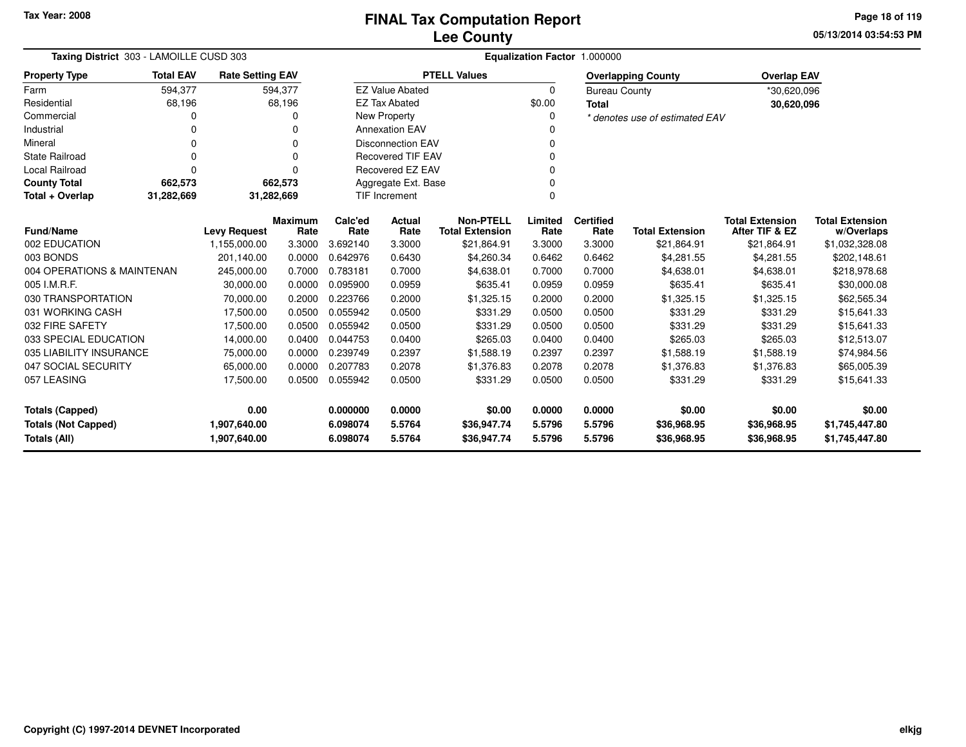**05/13/2014 03:54:53 PMPage 18 of 119**

| Taxing District 303 - LAMOILLE CUSD 303 | Equalization Factor 1.000000                                 |                         |                 |                               |                          |                                            |                 |                          |                                |                                          |                                      |
|-----------------------------------------|--------------------------------------------------------------|-------------------------|-----------------|-------------------------------|--------------------------|--------------------------------------------|-----------------|--------------------------|--------------------------------|------------------------------------------|--------------------------------------|
| <b>Property Type</b>                    | <b>Total EAV</b>                                             | <b>Rate Setting EAV</b> |                 |                               |                          | <b>PTELL Values</b>                        |                 |                          | <b>Overlapping County</b>      | <b>Overlap EAV</b>                       |                                      |
| Farm                                    | 594,377                                                      |                         | 594,377         |                               | <b>EZ Value Abated</b>   |                                            | 0               | <b>Bureau County</b>     |                                | *30,620,096                              |                                      |
| Residential                             | 68,196                                                       |                         | 68,196          |                               | <b>EZ Tax Abated</b>     |                                            | \$0.00          | <b>Total</b>             |                                | 30,620,096                               |                                      |
| Commercial                              | 0                                                            |                         |                 |                               | <b>New Property</b>      |                                            | 0               |                          | * denotes use of estimated EAV |                                          |                                      |
| Industrial                              |                                                              |                         |                 |                               | <b>Annexation EAV</b>    |                                            |                 |                          |                                |                                          |                                      |
| Mineral                                 | 0                                                            |                         | $\Omega$        | <b>Disconnection EAV</b><br>0 |                          |                                            |                 |                          |                                |                                          |                                      |
| <b>State Railroad</b>                   | 0                                                            |                         | 0               |                               | <b>Recovered TIF EAV</b> |                                            | $\Omega$        |                          |                                |                                          |                                      |
| <b>Local Railroad</b>                   | 0                                                            |                         | ŋ               |                               | <b>Recovered EZ EAV</b>  |                                            | 0               |                          |                                |                                          |                                      |
| <b>County Total</b>                     | 662,573                                                      |                         | 662,573         |                               | Aggregate Ext. Base      |                                            |                 |                          |                                |                                          |                                      |
| Total + Overlap                         | 31,282,669<br><b>TIF Increment</b><br>31,282,669<br>$\Omega$ |                         |                 |                               |                          |                                            |                 |                          |                                |                                          |                                      |
| <b>Fund/Name</b>                        |                                                              | <b>Levy Request</b>     | Maximum<br>Rate | Calc'ed<br>Rate               | <b>Actual</b><br>Rate    | <b>Non-PTELL</b><br><b>Total Extension</b> | Limited<br>Rate | <b>Certified</b><br>Rate | <b>Total Extension</b>         | <b>Total Extension</b><br>After TIF & EZ | <b>Total Extension</b><br>w/Overlaps |
| 002 EDUCATION                           |                                                              | 1,155,000.00            | 3.3000          | 3.692140                      | 3.3000                   | \$21,864.91                                | 3.3000          | 3.3000                   | \$21,864.91                    | \$21,864.91                              | \$1,032,328.08                       |
| 003 BONDS                               |                                                              | 201,140.00              | 0.0000          | 0.642976                      | 0.6430                   | \$4,260.34                                 | 0.6462          | 0.6462                   | \$4,281.55                     | \$4,281.55                               | \$202,148.61                         |
| 004 OPERATIONS & MAINTENAN              |                                                              | 245,000.00              | 0.7000          | 0.783181                      | 0.7000                   | \$4,638.01                                 | 0.7000          | 0.7000                   | \$4,638.01                     | \$4,638.01                               | \$218,978.68                         |
| 005 I.M.R.F.                            |                                                              | 30,000.00               | 0.0000          | 0.095900                      | 0.0959                   | \$635.41                                   | 0.0959          | 0.0959                   | \$635.41                       | \$635.41                                 | \$30,000.08                          |
| 030 TRANSPORTATION                      |                                                              | 70,000.00               | 0.2000          | 0.223766                      | 0.2000                   | \$1,325.15                                 | 0.2000          | 0.2000                   | \$1,325.15                     | \$1,325.15                               | \$62,565.34                          |
| 031 WORKING CASH                        |                                                              | 17,500.00               | 0.0500          | 0.055942                      | 0.0500                   | \$331.29                                   | 0.0500          | 0.0500                   | \$331.29                       | \$331.29                                 | \$15,641.33                          |
| 032 FIRE SAFETY                         |                                                              | 17,500.00               | 0.0500          | 0.055942                      | 0.0500                   | \$331.29                                   | 0.0500          | 0.0500                   | \$331.29                       | \$331.29                                 | \$15,641.33                          |
| 033 SPECIAL EDUCATION                   |                                                              | 14,000.00               | 0.0400          | 0.044753                      | 0.0400                   | \$265.03                                   | 0.0400          | 0.0400                   | \$265.03                       | \$265.03                                 | \$12,513.07                          |
| 035 LIABILITY INSURANCE                 |                                                              | 75,000.00               | 0.0000          | 0.239749                      | 0.2397                   | \$1,588.19                                 | 0.2397          | 0.2397                   | \$1,588.19                     | \$1,588.19                               | \$74,984.56                          |
| 047 SOCIAL SECURITY                     |                                                              | 65,000.00               | 0.0000          | 0.207783                      | 0.2078                   | \$1,376.83                                 | 0.2078          | 0.2078                   | \$1,376.83                     | \$1,376.83                               | \$65,005.39                          |
| 057 LEASING                             |                                                              | 17,500.00               | 0.0500          | 0.055942                      | 0.0500                   | \$331.29                                   | 0.0500          | 0.0500                   | \$331.29                       | \$331.29                                 | \$15,641.33                          |
| <b>Totals (Capped)</b>                  |                                                              | 0.00                    |                 | 0.000000                      | 0.0000                   | \$0.00                                     | 0.0000          | 0.0000                   | \$0.00                         | \$0.00                                   | \$0.00                               |
| <b>Totals (Not Capped)</b>              |                                                              | 1,907,640.00            |                 | 6.098074                      | 5.5764                   | \$36,947.74                                | 5.5796          | 5.5796                   | \$36,968.95                    | \$36,968.95                              | \$1,745,447.80                       |
| Totals (All)                            |                                                              | 1,907,640.00            |                 | 6.098074                      | 5.5764                   | \$36,947.74                                | 5.5796          | 5.5796                   | \$36,968.95                    | \$36,968.95                              | \$1,745,447.80                       |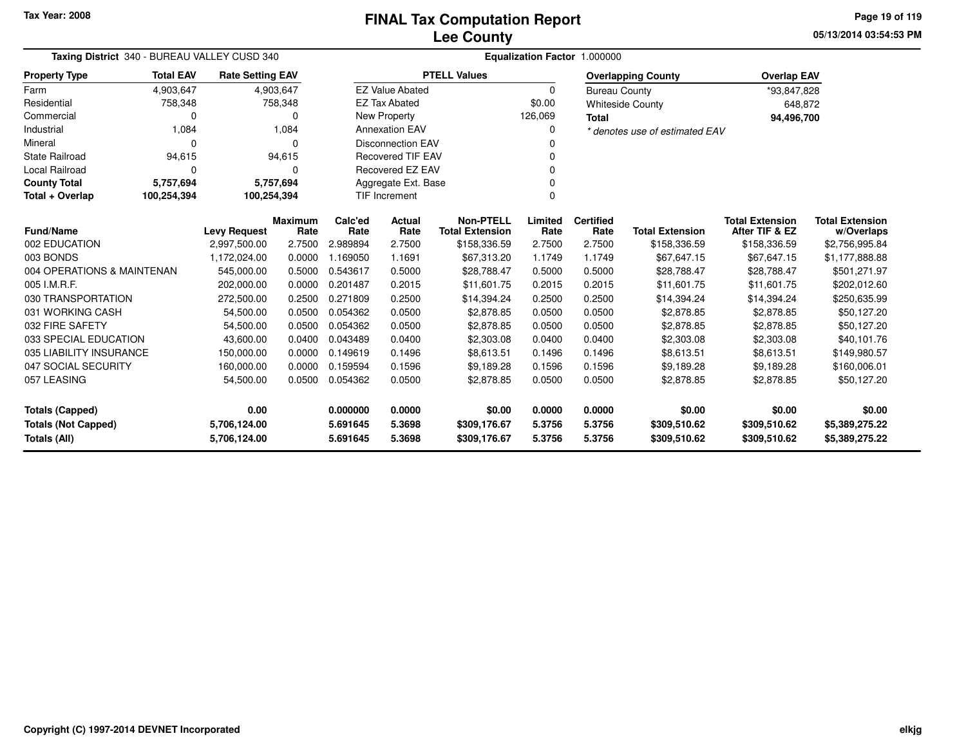**05/13/2014 03:54:53 PMPage 19 of 119**

|                                                           | Taxing District 340 - BUREAU VALLEY CUSD 340              |                         |           |          | Equalization Factor 1.000000 |                        |                |                      |                                |                        |                        |  |  |
|-----------------------------------------------------------|-----------------------------------------------------------|-------------------------|-----------|----------|------------------------------|------------------------|----------------|----------------------|--------------------------------|------------------------|------------------------|--|--|
| <b>Property Type</b>                                      | <b>Total EAV</b>                                          | <b>Rate Setting EAV</b> |           |          |                              | <b>PTELL Values</b>    |                |                      | <b>Overlapping County</b>      | <b>Overlap EAV</b>     |                        |  |  |
| Farm                                                      | 4,903,647                                                 |                         | 4,903,647 |          | <b>EZ Value Abated</b>       |                        | $\Omega$       | <b>Bureau County</b> |                                | *93,847,828            |                        |  |  |
| Residential                                               | 758,348                                                   |                         | 758,348   |          | <b>EZ Tax Abated</b>         |                        | \$0.00         |                      | <b>Whiteside County</b>        | 648,872                |                        |  |  |
| Commercial                                                | 0                                                         |                         | 0         |          | New Property                 |                        | 126,069        | <b>Total</b>         |                                | 94,496,700             |                        |  |  |
| Industrial                                                | 1,084                                                     |                         | 1,084     |          | <b>Annexation EAV</b>        |                        | 0              |                      | * denotes use of estimated EAV |                        |                        |  |  |
| Mineral                                                   | $\Omega$                                                  |                         | $\Omega$  |          | <b>Disconnection EAV</b>     |                        | 0              |                      |                                |                        |                        |  |  |
| <b>State Railroad</b>                                     | 94,615                                                    |                         | 94,615    |          | <b>Recovered TIF EAV</b>     |                        | 0              |                      |                                |                        |                        |  |  |
| <b>Local Railroad</b>                                     | 0                                                         |                         | 0         |          | Recovered EZ EAV             |                        | 0              |                      |                                |                        |                        |  |  |
| <b>County Total</b>                                       | 5,757,694                                                 |                         | 5,757,694 |          | Aggregate Ext. Base          |                        |                |                      |                                |                        |                        |  |  |
| Total + Overlap                                           | 100,254,394                                               | 100,254,394             |           |          | <b>TIF Increment</b>         |                        | $\Omega$       |                      |                                |                        |                        |  |  |
|                                                           | <b>Maximum</b><br><b>Fund/Name</b><br><b>Levy Request</b> |                         |           |          |                              | <b>Non-PTELL</b>       | Limited        | <b>Certified</b>     |                                | <b>Total Extension</b> | <b>Total Extension</b> |  |  |
|                                                           |                                                           |                         | Rate      | Rate     | Rate                         | <b>Total Extension</b> | Rate           | Rate                 | <b>Total Extension</b>         | After TIF & EZ         | w/Overlaps             |  |  |
| 002 EDUCATION                                             |                                                           | 2,997,500.00            | 2.7500    | 2.989894 | 2.7500                       | \$158,336.59           | 2.7500         | 2.7500               | \$158,336.59                   | \$158,336.59           | \$2,756,995.84         |  |  |
| 003 BONDS<br>1,172,024.00<br>0.0000<br>1.169050<br>1.1691 |                                                           | \$67,313.20             | 1.1749    | 1.1749   | \$67,647.15                  | \$67,647.15            | \$1,177,888.88 |                      |                                |                        |                        |  |  |
| 004 OPERATIONS & MAINTENAN                                |                                                           | 545,000.00              | 0.5000    | 0.543617 | 0.5000                       | \$28,788.47            | 0.5000         | 0.5000               | \$28,788.47                    | \$28,788.47            | \$501,271.97           |  |  |
| 005 I.M.R.F.                                              |                                                           | 202,000.00              | 0.0000    | 0.201487 | 0.2015                       | \$11,601.75            | 0.2015         | 0.2015               | \$11,601.75                    | \$11,601.75            | \$202,012.60           |  |  |
| 030 TRANSPORTATION                                        |                                                           | 272,500.00              | 0.2500    | 0.271809 | 0.2500                       | \$14,394.24            | 0.2500         | 0.2500               | \$14,394.24                    | \$14,394.24            | \$250,635.99           |  |  |
| 031 WORKING CASH                                          |                                                           | 54,500.00               | 0.0500    | 0.054362 | 0.0500                       | \$2,878.85             | 0.0500         | 0.0500               | \$2,878.85                     | \$2,878.85             | \$50,127.20            |  |  |
| 032 FIRE SAFETY                                           |                                                           | 54,500.00               | 0.0500    | 0.054362 | 0.0500                       | \$2,878.85             | 0.0500         | 0.0500               | \$2,878.85                     | \$2,878.85             | \$50,127.20            |  |  |
| 033 SPECIAL EDUCATION                                     |                                                           | 43,600.00               | 0.0400    | 0.043489 | 0.0400                       | \$2,303.08             | 0.0400         | 0.0400               | \$2,303.08                     | \$2,303.08             | \$40,101.76            |  |  |
| 035 LIABILITY INSURANCE                                   |                                                           | 150,000.00              | 0.0000    | 0.149619 | 0.1496                       | \$8,613.51             | 0.1496         | 0.1496               | \$8,613.51                     | \$8,613.51             | \$149,980.57           |  |  |
| 047 SOCIAL SECURITY                                       |                                                           | 160,000.00              | 0.0000    | 0.159594 | 0.1596                       | \$9,189.28             | 0.1596         | 0.1596               | \$9,189.28                     | \$9,189.28             | \$160,006.01           |  |  |
| 057 LEASING                                               |                                                           | 54,500.00               | 0.0500    | 0.054362 | 0.0500                       | \$2,878.85             | 0.0500         | 0.0500               | \$2,878.85                     | \$2,878.85             | \$50,127.20            |  |  |
| 0.00<br><b>Totals (Capped)</b>                            |                                                           |                         |           | 0.000000 | 0.0000                       | \$0.00                 | 0.0000         | 0.0000               | \$0.00                         | \$0.00                 | \$0.00                 |  |  |
| <b>Totals (Not Capped)</b><br>5,706,124.00                |                                                           |                         |           | 5.691645 | 5.3698                       | \$309,176.67           | 5.3756         | 5.3756               | \$309,510.62                   | \$309,510.62           | \$5,389,275.22         |  |  |
| Totals (All)                                              |                                                           | 5,706,124.00            |           | 5.691645 | 5.3698                       | \$309,176.67           | 5.3756         | 5.3756               | \$309,510.62                   | \$309,510.62           | \$5,389,275.22         |  |  |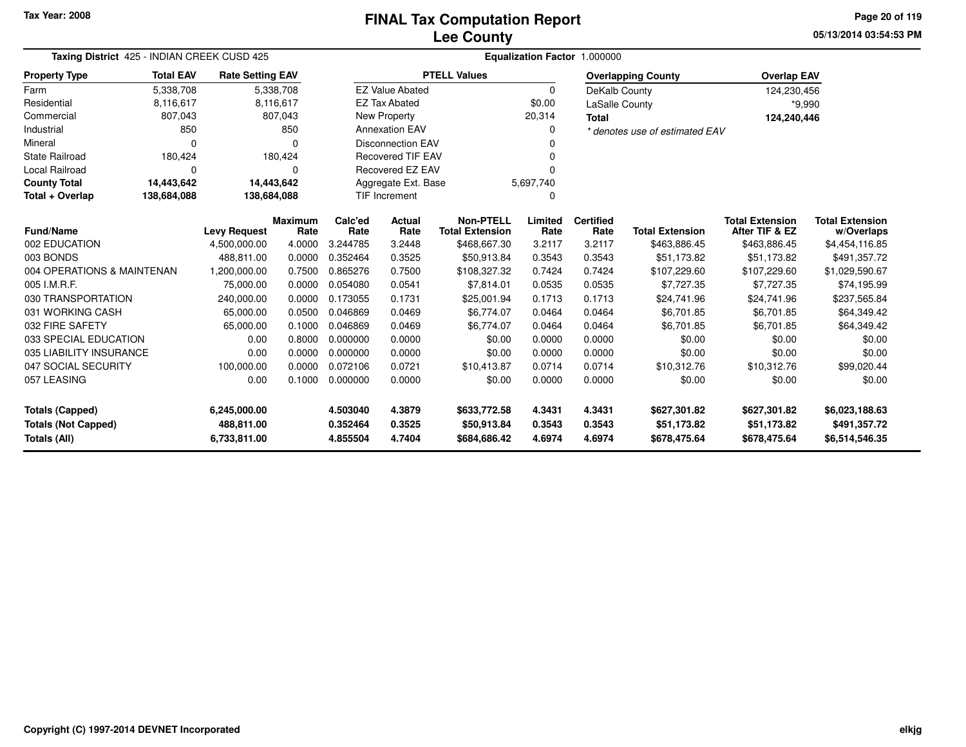**05/13/2014 03:54:53 PMPage 20 of 119**

|                            | Taxing District 425 - INDIAN CREEK CUSD 425 |                         |                        |                 | Equalization Factor 1.000000 |                                            |                 |                          |                                |                                          |                                      |  |  |
|----------------------------|---------------------------------------------|-------------------------|------------------------|-----------------|------------------------------|--------------------------------------------|-----------------|--------------------------|--------------------------------|------------------------------------------|--------------------------------------|--|--|
| <b>Property Type</b>       | <b>Total EAV</b>                            | <b>Rate Setting EAV</b> |                        |                 |                              | <b>PTELL Values</b>                        |                 |                          | <b>Overlapping County</b>      | <b>Overlap EAV</b>                       |                                      |  |  |
| Farm                       | 5,338,708                                   |                         | 5,338,708              |                 | <b>EZ Value Abated</b>       |                                            | $\Omega$        | DeKalb County            |                                | 124,230,456                              |                                      |  |  |
| Residential                | 8,116,617                                   |                         | 8,116,617              |                 | <b>EZ Tax Abated</b>         |                                            | \$0.00          | <b>LaSalle County</b>    |                                | $*9,990$                                 |                                      |  |  |
| Commercial                 | 807,043                                     |                         | 807,043                |                 | New Property                 |                                            | 20,314          | <b>Total</b>             |                                | 124,240,446                              |                                      |  |  |
| Industrial                 | 850                                         |                         | 850                    |                 | <b>Annexation EAV</b>        |                                            | 0               |                          | * denotes use of estimated EAV |                                          |                                      |  |  |
| Mineral                    | $\Omega$                                    |                         | $\Omega$               |                 | <b>Disconnection EAV</b>     |                                            |                 |                          |                                |                                          |                                      |  |  |
| <b>State Railroad</b>      | 180,424                                     |                         | 180,424                |                 | <b>Recovered TIF EAV</b>     |                                            |                 |                          |                                |                                          |                                      |  |  |
| <b>Local Railroad</b>      | 0                                           |                         | 0                      |                 | Recovered EZ EAV             |                                            | $\Omega$        |                          |                                |                                          |                                      |  |  |
| <b>County Total</b>        | 14,443,642                                  | 14,443,642              |                        |                 | Aggregate Ext. Base          |                                            | 5,697,740       |                          |                                |                                          |                                      |  |  |
| Total + Overlap            | 138,684,088                                 | 138,684,088             |                        |                 | TIF Increment                |                                            | 0               |                          |                                |                                          |                                      |  |  |
| <b>Fund/Name</b>           |                                             | <b>Levy Request</b>     | <b>Maximum</b><br>Rate | Calc'ed<br>Rate | Actual<br>Rate               | <b>Non-PTELL</b><br><b>Total Extension</b> | Limited<br>Rate | <b>Certified</b><br>Rate | <b>Total Extension</b>         | <b>Total Extension</b><br>After TIF & EZ | <b>Total Extension</b><br>w/Overlaps |  |  |
| 002 EDUCATION              |                                             | 4,500,000.00            | 4.0000                 | 3.244785        | 3.2448                       | \$468,667.30                               | 3.2117          | 3.2117                   | \$463,886.45                   | \$463,886.45                             | \$4,454,116.85                       |  |  |
| 003 BONDS                  |                                             | 488.811.00              | 0.0000                 | 0.352464        | 0.3525                       | \$50,913.84                                | 0.3543          | 0.3543                   | \$51.173.82                    | \$51.173.82                              | \$491,357.72                         |  |  |
| 004 OPERATIONS & MAINTENAN |                                             | 1,200,000.00            | 0.7500                 | 0.865276        | 0.7500                       | \$108,327.32                               | 0.7424          | 0.7424                   | \$107,229.60                   | \$107,229.60                             | \$1,029,590.67                       |  |  |
| 005 I.M.R.F.               |                                             | 75,000.00               | 0.0000                 | 0.054080        | 0.0541                       | \$7,814.01                                 | 0.0535          | 0.0535                   | \$7,727.35                     | \$7,727.35                               | \$74,195.99                          |  |  |
| 030 TRANSPORTATION         |                                             | 240,000.00              | 0.0000                 | 0.173055        | 0.1731                       | \$25,001.94                                | 0.1713          | 0.1713                   | \$24,741.96                    | \$24,741.96                              | \$237,565.84                         |  |  |
| 031 WORKING CASH           |                                             | 65,000.00               | 0.0500                 | 0.046869        | 0.0469                       | \$6,774.07                                 | 0.0464          | 0.0464                   | \$6,701.85                     | \$6,701.85                               | \$64,349.42                          |  |  |
| 032 FIRE SAFETY            |                                             | 65,000.00               | 0.1000                 | 0.046869        | 0.0469                       | \$6,774.07                                 | 0.0464          | 0.0464                   | \$6,701.85                     | \$6,701.85                               | \$64,349.42                          |  |  |
| 033 SPECIAL EDUCATION      |                                             | 0.00                    | 0.8000                 | 0.000000        | 0.0000                       | \$0.00                                     | 0.0000          | 0.0000                   | \$0.00                         | \$0.00                                   | \$0.00                               |  |  |
| 035 LIABILITY INSURANCE    |                                             | 0.00                    | 0.0000                 | 0.000000        | 0.0000                       | \$0.00                                     | 0.0000          | 0.0000                   | \$0.00                         | \$0.00                                   | \$0.00                               |  |  |
| 047 SOCIAL SECURITY        |                                             | 100,000.00              | 0.0000                 | 0.072106        | 0.0721                       | \$10,413.87                                | 0.0714          | 0.0714                   | \$10,312.76                    | \$10,312.76                              | \$99,020.44                          |  |  |
| 057 LEASING                |                                             | 0.00                    | 0.1000                 | 0.000000        | 0.0000                       | \$0.00                                     | 0.0000          | 0.0000                   | \$0.00                         | \$0.00                                   | \$0.00                               |  |  |
| <b>Totals (Capped)</b>     |                                             | 6,245,000.00            |                        | 4.503040        | 4.3879                       | \$633,772.58                               | 4.3431          | 4.3431                   | \$627,301.82                   | \$627,301.82                             | \$6,023,188.63                       |  |  |
| <b>Totals (Not Capped)</b> |                                             | 488,811.00              |                        | 0.352464        | 0.3525                       | \$50,913.84                                | 0.3543          | 0.3543                   | \$51,173.82                    | \$51,173.82                              | \$491,357.72                         |  |  |
| Totals (All)               |                                             | 6,733,811.00            |                        | 4.855504        | 4.7404                       | \$684,686.42                               | 4.6974          | 4.6974                   | \$678,475.64                   | \$678,475.64                             | \$6,514,546.35                       |  |  |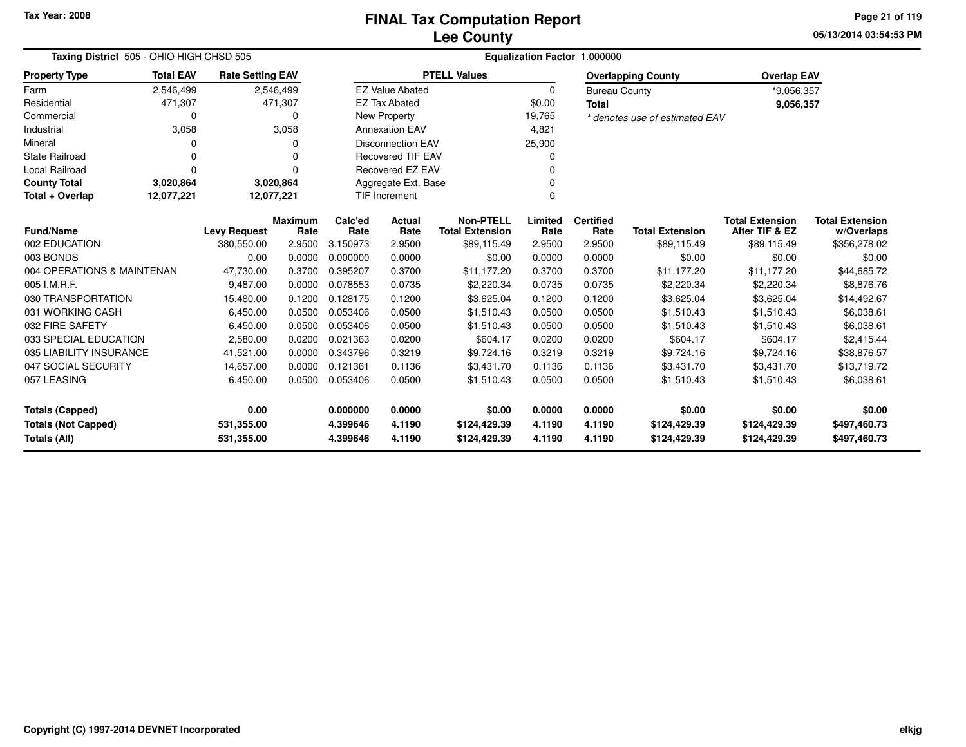**05/13/2014 03:54:53 PMPage 21 of 119**

| Taxing District 505 - OHIO HIGH CHSD 505 | Equalization Factor 1.000000                     |                         |                        |                 |                          |                                            |                 |                          |                                |                                          |                                      |
|------------------------------------------|--------------------------------------------------|-------------------------|------------------------|-----------------|--------------------------|--------------------------------------------|-----------------|--------------------------|--------------------------------|------------------------------------------|--------------------------------------|
| <b>Property Type</b>                     | <b>Total EAV</b>                                 | <b>Rate Setting EAV</b> |                        |                 |                          | <b>PTELL Values</b>                        |                 |                          | <b>Overlapping County</b>      | <b>Overlap EAV</b>                       |                                      |
| Farm                                     | 2,546,499                                        |                         | 2,546,499              |                 | <b>EZ Value Abated</b>   |                                            | $\Omega$        | <b>Bureau County</b>     |                                | *9.056.357                               |                                      |
| Residential                              | 471,307                                          |                         | 471,307                |                 | <b>EZ Tax Abated</b>     |                                            | \$0.00          | <b>Total</b>             |                                | 9,056,357                                |                                      |
| Commercial                               | 0                                                |                         | $\Omega$               |                 | <b>New Property</b>      |                                            | 19,765          |                          | * denotes use of estimated EAV |                                          |                                      |
| Industrial                               | 3,058                                            |                         | 3,058                  |                 | <b>Annexation EAV</b>    |                                            | 4,821           |                          |                                |                                          |                                      |
| Mineral                                  | O                                                |                         | <sup>0</sup>           |                 | <b>Disconnection EAV</b> |                                            | 25,900          |                          |                                |                                          |                                      |
| <b>State Railroad</b>                    | $\Omega$                                         |                         | $\Omega$               |                 | <b>Recovered TIF EAV</b> |                                            |                 |                          |                                |                                          |                                      |
| Local Railroad                           | $\Omega$                                         |                         | $\Omega$               |                 | Recovered EZ EAV         |                                            |                 |                          |                                |                                          |                                      |
| <b>County Total</b>                      | 3,020,864                                        | 3,020,864               |                        |                 | Aggregate Ext. Base      |                                            |                 |                          |                                |                                          |                                      |
| Total + Overlap                          | 12,077,221<br>12,077,221<br><b>TIF Increment</b> |                         |                        |                 |                          |                                            |                 |                          |                                |                                          |                                      |
| <b>Fund/Name</b>                         |                                                  | <b>Levy Request</b>     | <b>Maximum</b><br>Rate | Calc'ed<br>Rate | Actual<br>Rate           | <b>Non-PTELL</b><br><b>Total Extension</b> | Limited<br>Rate | <b>Certified</b><br>Rate | <b>Total Extension</b>         | <b>Total Extension</b><br>After TIF & EZ | <b>Total Extension</b><br>w/Overlaps |
| 002 EDUCATION                            |                                                  | 380,550.00              | 2.9500                 | 3.150973        | 2.9500                   | \$89,115.49                                | 2.9500          | 2.9500                   | \$89,115.49                    | \$89,115.49                              | \$356,278.02                         |
| 003 BONDS                                |                                                  | 0.00                    | 0.0000                 | 0.000000        | 0.0000                   | \$0.00                                     | 0.0000          | 0.0000                   | \$0.00                         | \$0.00                                   | \$0.00                               |
| 004 OPERATIONS & MAINTENAN               |                                                  | 47,730.00               | 0.3700                 | 0.395207        | 0.3700                   | \$11,177.20                                | 0.3700          | 0.3700                   | \$11,177.20                    | \$11,177.20                              | \$44,685.72                          |
| 005 I.M.R.F.                             |                                                  | 9,487.00                | 0.0000                 | 0.078553        | 0.0735                   | \$2,220.34                                 | 0.0735          | 0.0735                   | \$2,220.34                     | \$2,220.34                               | \$8,876,76                           |
| 030 TRANSPORTATION                       |                                                  | 15,480.00               | 0.1200                 | 0.128175        | 0.1200                   | \$3,625.04                                 | 0.1200          | 0.1200                   | \$3,625.04                     | \$3,625.04                               | \$14,492.67                          |
| 031 WORKING CASH                         |                                                  | 6,450.00                | 0.0500                 | 0.053406        | 0.0500                   | \$1,510.43                                 | 0.0500          | 0.0500                   | \$1,510.43                     | \$1,510.43                               | \$6,038.61                           |
| 032 FIRE SAFETY                          |                                                  | 6,450.00                | 0.0500                 | 0.053406        | 0.0500                   | \$1,510.43                                 | 0.0500          | 0.0500                   | \$1,510.43                     | \$1,510.43                               | \$6,038.61                           |
| 033 SPECIAL EDUCATION                    |                                                  | 2,580.00                | 0.0200                 | 0.021363        | 0.0200                   | \$604.17                                   | 0.0200          | 0.0200                   | \$604.17                       | \$604.17                                 | \$2,415.44                           |
| 035 LIABILITY INSURANCE                  |                                                  | 41,521.00               | 0.0000                 | 0.343796        | 0.3219                   | \$9,724.16                                 | 0.3219          | 0.3219                   | \$9,724.16                     | \$9,724.16                               | \$38,876.57                          |
| 047 SOCIAL SECURITY                      |                                                  | 14,657.00               | 0.0000                 | 0.121361        | 0.1136                   | \$3,431.70                                 | 0.1136          | 0.1136                   | \$3,431.70                     | \$3,431.70                               | \$13,719.72                          |
| 057 LEASING                              |                                                  | 6,450.00                | 0.0500                 | 0.053406        | 0.0500                   | \$1,510.43                                 | 0.0500          | 0.0500                   | \$1,510.43                     | \$1,510.43                               | \$6,038.61                           |
| <b>Totals (Capped)</b>                   |                                                  | 0.00                    |                        | 0.000000        | 0.0000                   | \$0.00                                     | 0.0000          | 0.0000                   | \$0.00                         | \$0.00                                   | \$0.00                               |
| <b>Totals (Not Capped)</b>               |                                                  | 531,355.00              |                        | 4.399646        | 4.1190                   | \$124,429.39                               | 4.1190          | 4.1190                   | \$124,429.39                   | \$124,429.39                             | \$497,460.73                         |
| Totals (All)                             |                                                  | 531,355.00              |                        | 4.399646        | 4.1190                   | \$124,429.39                               | 4.1190          | 4.1190                   | \$124,429.39                   | \$124,429.39                             | \$497,460.73                         |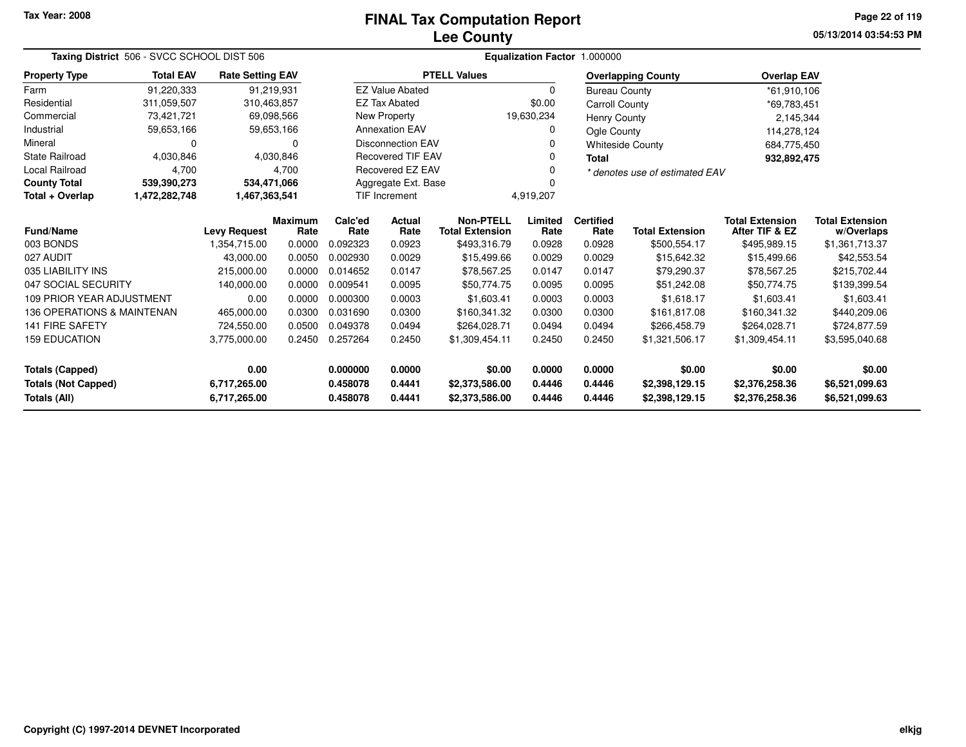# **Lee CountyFINAL Tax Computation Report**

**05/13/2014 03:54:53 PM Page 22 of 119**

| Taxing District 506 - SVCC SCHOOL DIST 506<br><b>Rate Setting EAV</b>                                                  |                                                                                                      |                     |                 |                                  |                          |                                            |                                  | Equalization Factor 1.000000     |                                  |                                          |                                      |  |  |
|------------------------------------------------------------------------------------------------------------------------|------------------------------------------------------------------------------------------------------|---------------------|-----------------|----------------------------------|--------------------------|--------------------------------------------|----------------------------------|----------------------------------|----------------------------------|------------------------------------------|--------------------------------------|--|--|
| <b>Property Type</b>                                                                                                   | <b>Total EAV</b>                                                                                     |                     |                 |                                  |                          | <b>PTELL Values</b>                        |                                  |                                  | <b>Overlapping County</b>        | <b>Overlap EAV</b>                       |                                      |  |  |
| Farm                                                                                                                   | 91,220,333                                                                                           |                     | 91,219,931      |                                  | <b>EZ Value Abated</b>   |                                            | $\Omega$                         | <b>Bureau County</b>             |                                  | *61,910,106                              |                                      |  |  |
| Residential                                                                                                            | 311,059,507                                                                                          |                     | 310,463,857     |                                  | <b>EZ Tax Abated</b>     |                                            | \$0.00                           | <b>Carroll County</b>            |                                  | *69,783,451                              |                                      |  |  |
| Commercial                                                                                                             | 73,421,721                                                                                           |                     | 69,098,566      |                                  | New Property             |                                            | 19,630,234                       | <b>Henry County</b>              |                                  | 2,145,344                                |                                      |  |  |
| Industrial                                                                                                             | 59,653,166                                                                                           |                     | 59,653,166      |                                  | <b>Annexation EAV</b>    |                                            | 0                                | Ogle County                      |                                  | 114,278,124                              |                                      |  |  |
| Mineral                                                                                                                | 0                                                                                                    |                     | $\Omega$        |                                  | <b>Disconnection EAV</b> |                                            |                                  |                                  | <b>Whiteside County</b>          | 684,775,450                              |                                      |  |  |
| <b>State Railroad</b>                                                                                                  | 4,030,846                                                                                            |                     | 4,030,846       |                                  | <b>Recovered TIF EAV</b> |                                            | ŋ                                | <b>Total</b>                     |                                  | 932,892,475                              |                                      |  |  |
| <b>Local Railroad</b>                                                                                                  | 4,700                                                                                                |                     | 4,700           |                                  | Recovered EZ EAV         |                                            |                                  |                                  | * denotes use of estimated EAV   |                                          |                                      |  |  |
| <b>County Total</b>                                                                                                    | 539,390,273                                                                                          |                     | 534,471,066     |                                  | Aggregate Ext. Base      |                                            |                                  |                                  |                                  |                                          |                                      |  |  |
| Total + Overlap                                                                                                        | 1,472,282,748                                                                                        | 1,467,363,541       |                 |                                  | TIF Increment            |                                            | 4,919,207                        |                                  |                                  |                                          |                                      |  |  |
| <b>Fund/Name</b>                                                                                                       |                                                                                                      | <b>Levy Request</b> | Maximum<br>Rate | Calc'ed<br>Rate                  | Actual<br>Rate           | <b>Non-PTELL</b><br><b>Total Extension</b> | Limited<br>Rate                  | <b>Certified</b><br>Rate         | <b>Total Extension</b>           | <b>Total Extension</b><br>After TIF & EZ | <b>Total Extension</b><br>w/Overlaps |  |  |
| 003 BONDS                                                                                                              |                                                                                                      | 1.354.715.00        | 0.0000          | 0.092323                         | 0.0923                   | \$493,316.79                               | 0.0928                           | 0.0928                           | \$500,554.17                     | \$495,989.15                             | \$1,361,713.37                       |  |  |
| 027 AUDIT                                                                                                              |                                                                                                      | 43.000.00           | 0.0050          | 0.002930                         | 0.0029                   | \$15,499.66                                | 0.0029                           | 0.0029                           | \$15,642.32                      | \$15,499.66                              | \$42,553.54                          |  |  |
| 035 LIABILITY INS                                                                                                      |                                                                                                      | 215,000.00          | 0.0000          | 0.014652                         | 0.0147                   | \$78,567.25                                | 0.0147                           | 0.0147                           | \$79,290.37                      | \$78,567.25                              | \$215,702.44                         |  |  |
| 047 SOCIAL SECURITY                                                                                                    |                                                                                                      | 140,000.00          | 0.0000          | 0.009541                         | 0.0095                   | \$50,774.75                                | 0.0095                           | 0.0095                           | \$51,242.08                      | \$50,774.75                              | \$139,399.54                         |  |  |
| <b>109 PRIOR YEAR ADJUSTMENT</b>                                                                                       |                                                                                                      | 0.00                | 0.0000          | 0.000300                         | 0.0003                   | \$1,603.41                                 | 0.0003                           | 0.0003                           | \$1,618.17                       | \$1,603.41                               | \$1,603.41                           |  |  |
| 136 OPERATIONS & MAINTENAN                                                                                             |                                                                                                      | 465,000.00          | 0.0300          | 0.031690                         | 0.0300                   | \$160,341.32                               | 0.0300                           | 0.0300                           | \$161.817.08                     | \$160,341.32                             | \$440,209.06                         |  |  |
| <b>141 FIRE SAFETY</b>                                                                                                 |                                                                                                      | 724,550.00          | 0.0500          | 0.049378                         | 0.0494                   | \$264.028.71                               | 0.0494                           | 0.0494                           | \$266,458.79                     | \$264,028.71                             | \$724,877.59                         |  |  |
| <b>159 EDUCATION</b>                                                                                                   | 0.257264<br>0.2450<br>3,775,000.00<br>0.2450<br>0.2450<br>0.2450<br>\$1,309,454.11<br>\$1,321,506.17 |                     | \$1,309,454.11  | \$3,595,040.68                   |                          |                                            |                                  |                                  |                                  |                                          |                                      |  |  |
| <b>Totals (Capped)</b>                                                                                                 |                                                                                                      | 0.00                |                 | 0.000000                         | 0.0000                   | \$0.00                                     | 0.0000                           | 0.0000                           | \$0.00                           | \$0.00                                   | \$0.00                               |  |  |
| <b>Totals (Not Capped)</b><br>0.4441<br>6,717,265.00<br>0.458078<br>0.458078<br>0.4441<br>Totals (All)<br>6,717,265.00 |                                                                                                      |                     |                 | \$2,373,586.00<br>\$2,373,586.00 | 0.4446<br>0.4446         | 0.4446<br>0.4446                           | \$2,398,129.15<br>\$2,398,129.15 | \$2,376,258.36<br>\$2,376,258.36 | \$6,521,099.63<br>\$6,521,099.63 |                                          |                                      |  |  |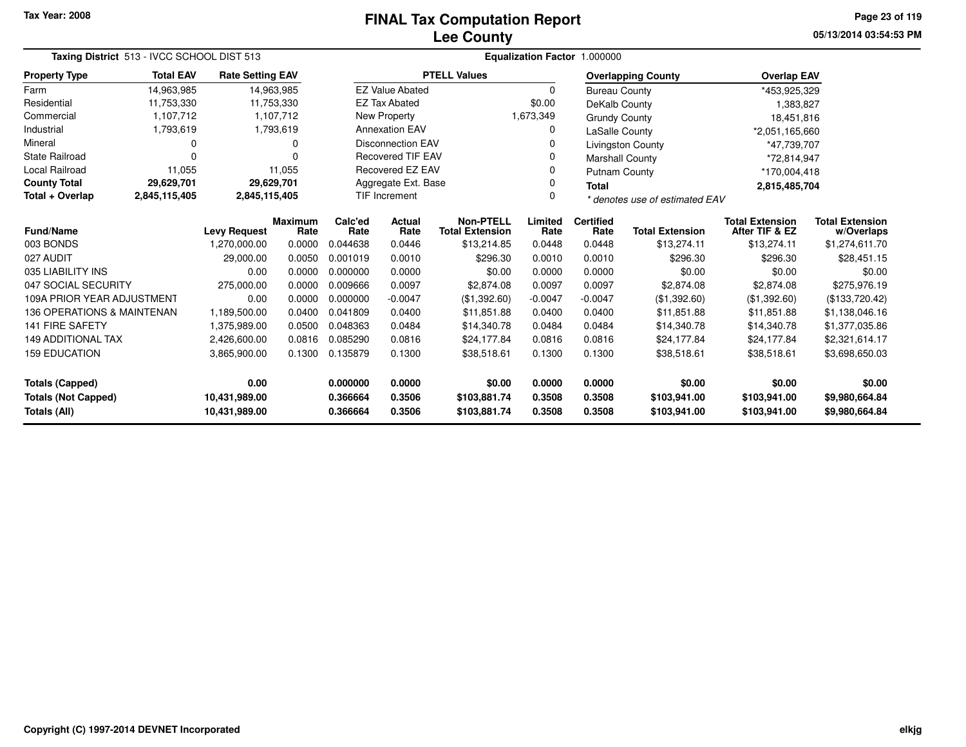# **Lee CountyFINAL Tax Computation Report**

**05/13/2014 03:54:53 PM Page 23 of 119**

| Taxing District 513 - IVCC SCHOOL DIST 513<br><b>Rate Setting EAV</b> |                                              |                                |                        |                      |                                                             |                                            |                  | Equalization Factor 1.000000 |                              |                                          |                                      |
|-----------------------------------------------------------------------|----------------------------------------------|--------------------------------|------------------------|----------------------|-------------------------------------------------------------|--------------------------------------------|------------------|------------------------------|------------------------------|------------------------------------------|--------------------------------------|
| <b>Property Type</b>                                                  | <b>Total EAV</b><br>14,963,985<br>11,753,330 |                                |                        |                      |                                                             | <b>PTELL Values</b>                        |                  |                              | <b>Overlapping County</b>    | <b>Overlap EAV</b>                       |                                      |
| Farm                                                                  |                                              |                                | 14,963,985             |                      | <b>EZ Value Abated</b>                                      |                                            | 0                | <b>Bureau County</b>         |                              | *453,925,329                             |                                      |
| Residential                                                           |                                              |                                | 11,753,330             |                      | <b>EZ Tax Abated</b>                                        |                                            | \$0.00           | DeKalb County                |                              | 1,383,827                                |                                      |
| Commercial                                                            | 1,107,712                                    |                                | 1,107,712              |                      | New Property                                                |                                            | 1,673,349        | <b>Grundy County</b>         |                              | 18,451,816                               |                                      |
| Industrial                                                            | 1,793,619                                    |                                | 1,793,619              |                      | <b>Annexation EAV</b>                                       |                                            | 0                | LaSalle County               |                              | *2,051,165,660                           |                                      |
| Mineral                                                               | 0                                            |                                | 0                      |                      | <b>Disconnection EAV</b><br>Livingston County               |                                            |                  | *47,739,707                  |                              |                                          |                                      |
| <b>State Railroad</b>                                                 | 0                                            |                                | O                      |                      | <b>Recovered TIF EAV</b>                                    | <b>Marshall County</b>                     |                  |                              | *72,814,947                  |                                          |                                      |
| <b>Local Railroad</b>                                                 | 11,055                                       |                                | 11,055                 |                      | Recovered EZ EAV                                            |                                            |                  | <b>Putnam County</b>         |                              | *170,004,418                             |                                      |
| <b>County Total</b>                                                   | 29,629,701                                   |                                | 29,629,701             |                      | Aggregate Ext. Base                                         |                                            |                  | <b>Total</b>                 |                              | 2,815,485,704                            |                                      |
| Total + Overlap                                                       | 2,845,115,405                                | 2,845,115,405                  |                        |                      | TIF Increment<br>$\Omega$<br>* denotes use of estimated EAV |                                            |                  |                              |                              |                                          |                                      |
| <b>Fund/Name</b>                                                      |                                              | <b>Levy Request</b>            | <b>Maximum</b><br>Rate | Calc'ed<br>Rate      | Actual<br>Rate                                              | <b>Non-PTELL</b><br><b>Total Extension</b> | Limited<br>Rate  | <b>Certified</b><br>Rate     | <b>Total Extension</b>       | <b>Total Extension</b><br>After TIF & EZ | <b>Total Extension</b><br>w/Overlaps |
| 003 BONDS                                                             |                                              | 1,270,000.00                   | 0.0000                 | 0.044638             | 0.0446                                                      | \$13,214.85                                | 0.0448           | 0.0448                       | \$13,274.11                  | \$13,274.11                              | \$1,274,611.70                       |
| 027 AUDIT                                                             |                                              | 29,000.00                      | 0.0050                 | 0.001019             | 0.0010                                                      | \$296.30                                   | 0.0010           | 0.0010                       | \$296.30                     | \$296.30                                 | \$28,451.15                          |
| 035 LIABILITY INS                                                     |                                              | 0.00                           | 0.0000                 | 0.000000             | 0.0000                                                      | \$0.00                                     | 0.0000           | 0.0000                       | \$0.00                       | \$0.00                                   | \$0.00                               |
| 047 SOCIAL SECURITY                                                   |                                              | 275,000.00                     | 0.0000                 | 0.009666             | 0.0097                                                      | \$2,874.08                                 | 0.0097           | 0.0097                       | \$2,874.08                   | \$2,874.08                               | \$275,976.19                         |
| 109A PRIOR YEAR ADJUSTMENT                                            |                                              | 0.00                           | 0.0000                 | 0.000000             | $-0.0047$                                                   | (\$1,392.60)                               | $-0.0047$        | $-0.0047$                    | (\$1,392.60)                 | (\$1,392.60)                             | (\$133,720.42)                       |
| 136 OPERATIONS & MAINTENAN                                            |                                              | 1,189,500.00                   | 0.0400                 | 0.041809             | 0.0400                                                      | \$11,851.88                                | 0.0400           | 0.0400                       | \$11,851.88                  | \$11,851.88                              | \$1,138,046.16                       |
| 141 FIRE SAFETY                                                       |                                              | 1,375,989.00                   | 0.0500                 | 0.048363             | 0.0484                                                      | \$14,340.78                                | 0.0484           | 0.0484                       | \$14,340.78                  | \$14,340.78                              | \$1,377,035.86                       |
| <b>149 ADDITIONAL TAX</b>                                             |                                              | 2,426,600.00                   | 0.0816                 | 0.085290             | 0.0816                                                      | \$24,177.84                                | 0.0816           | 0.0816                       | \$24,177.84                  | \$24,177.84                              | \$2,321,614.17                       |
| <b>159 EDUCATION</b>                                                  |                                              | 3,865,900.00                   | 0.1300                 | 0.135879             | 0.1300                                                      | \$38,518.61                                | 0.1300           | 0.1300                       | \$38,518.61                  | \$38,518.61                              | \$3,698,650.03                       |
| <b>Totals (Capped)</b>                                                |                                              | 0.00                           |                        | 0.000000             | 0.0000                                                      | \$0.00                                     | 0.0000           | 0.0000                       | \$0.00                       | \$0.00                                   | \$0.00                               |
| <b>Totals (Not Capped)</b><br>Totals (All)                            |                                              | 10,431,989.00<br>10,431,989.00 |                        | 0.366664<br>0.366664 | 0.3506<br>0.3506                                            | \$103,881.74<br>\$103,881.74               | 0.3508<br>0.3508 | 0.3508<br>0.3508             | \$103,941.00<br>\$103,941.00 | \$103,941.00<br>\$103,941.00             | \$9,980,664.84<br>\$9,980,664.84     |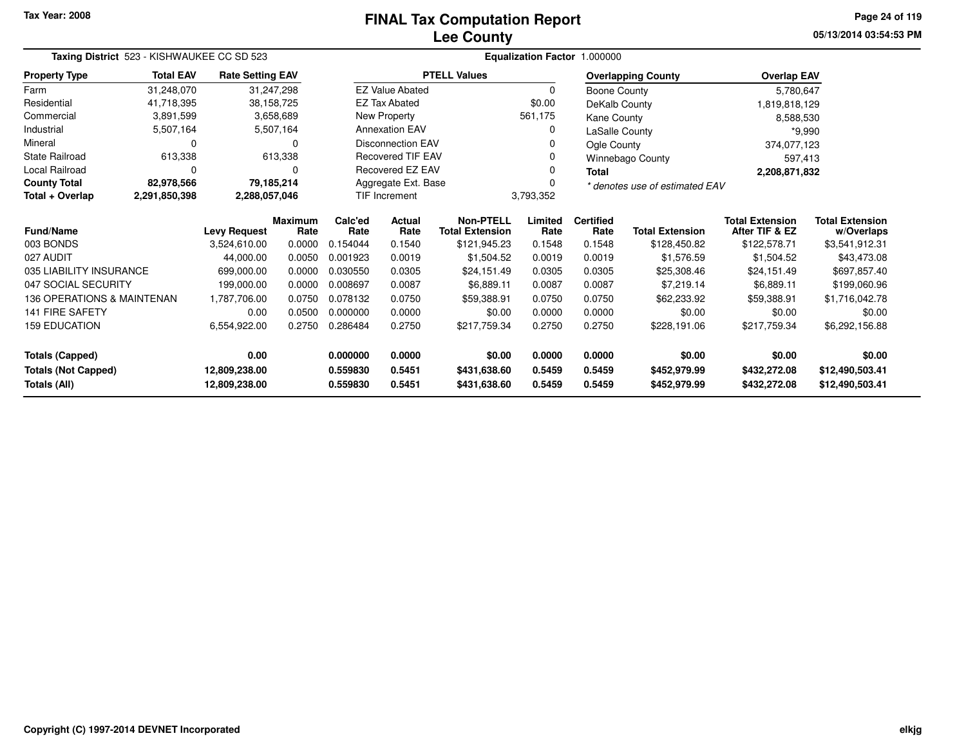# **Lee CountyFINAL Tax Computation Report**

**05/13/2014 03:54:53 PM Page 24 of 119**

| Taxing District 523 - KISHWAUKEE CC SD 523<br><b>Rate Setting EAV</b> |                  |                     |                        |                                              |                          |                                            |                 | Equalization Factor 1.000000 |                                |                                          |                                      |  |
|-----------------------------------------------------------------------|------------------|---------------------|------------------------|----------------------------------------------|--------------------------|--------------------------------------------|-----------------|------------------------------|--------------------------------|------------------------------------------|--------------------------------------|--|
| <b>Property Type</b>                                                  | <b>Total EAV</b> |                     |                        |                                              |                          | <b>PTELL Values</b>                        |                 |                              | <b>Overlapping County</b>      | <b>Overlap EAV</b>                       |                                      |  |
| Farm                                                                  | 31,248,070       |                     | 31,247,298             |                                              | <b>EZ Value Abated</b>   |                                            | $\Omega$        | Boone County                 |                                | 5,780,647                                |                                      |  |
| Residential                                                           | 41,718,395       |                     | 38,158,725             |                                              | <b>EZ Tax Abated</b>     |                                            | \$0.00          | DeKalb County                |                                | 1,819,818,129                            |                                      |  |
| Commercial                                                            | 3,891,599        |                     | 3,658,689              |                                              | New Property             |                                            | 561,175         | Kane County                  |                                | 8,588,530                                |                                      |  |
| Industrial                                                            | 5,507,164        |                     | 5,507,164              | <b>Annexation EAV</b><br>0<br>LaSalle County |                          |                                            |                 | $*9,990$                     |                                |                                          |                                      |  |
| Mineral                                                               | 0                |                     | 0                      |                                              | <b>Disconnection EAV</b> |                                            |                 | Ogle County                  |                                | 374,077,123                              |                                      |  |
| <b>State Railroad</b>                                                 | 613,338          |                     | 613,338                |                                              | <b>Recovered TIF EAV</b> |                                            |                 |                              | Winnebago County               | 597,413                                  |                                      |  |
| <b>Local Railroad</b>                                                 | $\Omega$         |                     | O                      |                                              | <b>Recovered EZ EAV</b>  |                                            | O               | <b>Total</b>                 |                                | 2,208,871,832                            |                                      |  |
| <b>County Total</b>                                                   | 82,978,566       |                     | 79,185,214             |                                              | Aggregate Ext. Base      |                                            |                 |                              | * denotes use of estimated EAV |                                          |                                      |  |
| Total + Overlap                                                       | 2,291,850,398    | 2,288,057,046       |                        |                                              | <b>TIF Increment</b>     |                                            | 3,793,352       |                              |                                |                                          |                                      |  |
| <b>Fund/Name</b>                                                      |                  | <b>Levy Request</b> | <b>Maximum</b><br>Rate | Calc'ed<br>Rate                              | Actual<br>Rate           | <b>Non-PTELL</b><br><b>Total Extension</b> | Limited<br>Rate | <b>Certified</b><br>Rate     | <b>Total Extension</b>         | <b>Total Extension</b><br>After TIF & EZ | <b>Total Extension</b><br>w/Overlaps |  |
| 003 BONDS                                                             |                  | 3,524,610.00        | 0.0000                 | 0.154044                                     | 0.1540                   | \$121,945.23                               | 0.1548          | 0.1548                       | \$128,450.82                   | \$122,578.71                             | \$3,541,912.31                       |  |
| 027 AUDIT                                                             |                  | 44,000.00           | 0.0050                 | 0.001923                                     | 0.0019                   | \$1,504.52                                 | 0.0019          | 0.0019                       | \$1,576.59                     | \$1,504.52                               | \$43,473.08                          |  |
| 035 LIABILITY INSURANCE                                               |                  | 699,000.00          | 0.0000                 | 0.030550                                     | 0.0305                   | \$24,151.49                                | 0.0305          | 0.0305                       | \$25,308.46                    | \$24,151.49                              | \$697,857.40                         |  |
| 047 SOCIAL SECURITY                                                   |                  | 199,000.00          | 0.0000                 | 0.008697                                     | 0.0087                   | \$6,889.11                                 | 0.0087          | 0.0087                       | \$7,219.14                     | \$6,889.11                               | \$199,060.96                         |  |
| 136 OPERATIONS & MAINTENAN                                            |                  | 1,787,706.00        | 0.0750                 | 0.078132                                     | 0.0750                   | \$59,388.91                                | 0.0750          | 0.0750                       | \$62,233.92                    | \$59,388.91                              | \$1,716,042.78                       |  |
| <b>141 FIRE SAFETY</b>                                                |                  | 0.00                | 0.0500                 | 0.000000                                     | 0.0000                   | \$0.00                                     | 0.0000          | 0.0000                       | \$0.00                         | \$0.00                                   | \$0.00                               |  |
| <b>159 EDUCATION</b>                                                  |                  | 6,554,922.00        | 0.2750                 | 0.286484                                     | 0.2750                   | \$217,759.34                               | 0.2750          | 0.2750                       | \$228,191.06                   | \$217,759.34                             | \$6,292,156.88                       |  |
| <b>Totals (Capped)</b>                                                |                  | 0.00                |                        | 0.000000                                     | 0.0000                   | \$0.00                                     | 0.0000          | 0.0000                       | \$0.00                         | \$0.00                                   | \$0.00                               |  |
| <b>Totals (Not Capped)</b>                                            |                  | 12,809,238.00       |                        | 0.559830                                     | 0.5451                   | \$431,638.60                               | 0.5459          | 0.5459                       | \$452,979.99                   | \$432,272.08                             | \$12,490,503.41                      |  |
| Totals (All)                                                          |                  | 12,809,238.00       |                        | 0.559830                                     | 0.5451                   | \$431,638.60                               | 0.5459          | 0.5459                       | \$452,979.99                   | \$432,272.08                             | \$12,490,503.41                      |  |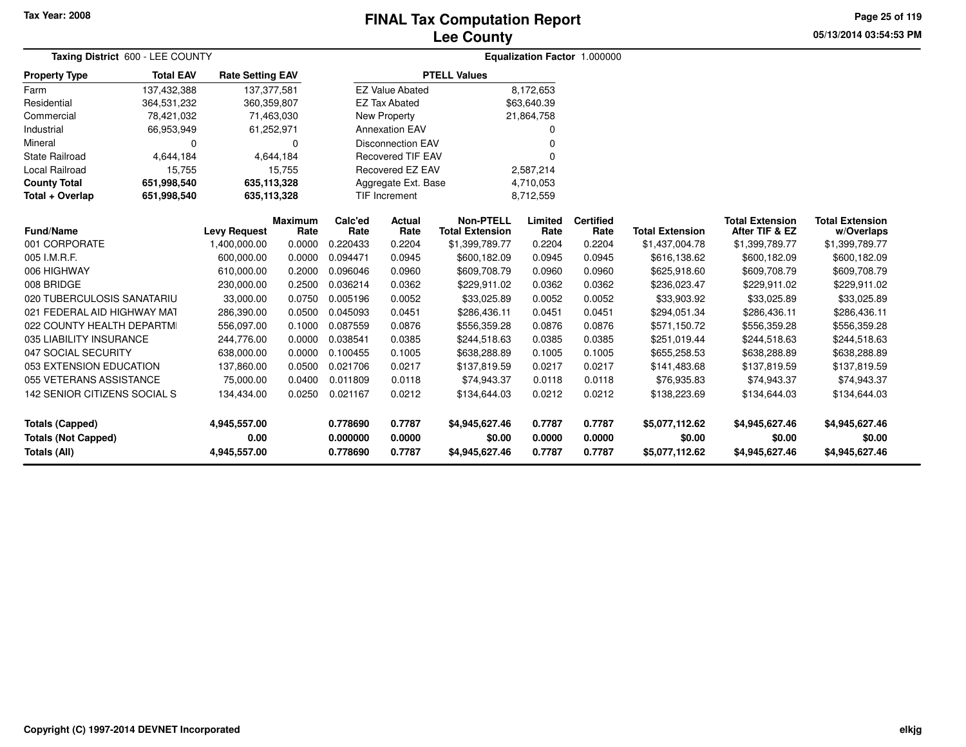## **Lee CountyFINAL Tax Computation Report**

**05/13/2014 03:54:53 PM Page 25 of 119**

| Taxing District 600 - LEE COUNTY                                            |                  |                                      |                 |                                  |                            |                                            |                            | Equalization Factor 1.000000 |                                            |                                            |                                            |  |
|-----------------------------------------------------------------------------|------------------|--------------------------------------|-----------------|----------------------------------|----------------------------|--------------------------------------------|----------------------------|------------------------------|--------------------------------------------|--------------------------------------------|--------------------------------------------|--|
| <b>Property Type</b>                                                        | <b>Total EAV</b> | <b>Rate Setting EAV</b>              |                 |                                  |                            | <b>PTELL Values</b>                        |                            |                              |                                            |                                            |                                            |  |
| Farm                                                                        | 137,432,388      | 137, 377, 581                        |                 |                                  | <b>EZ Value Abated</b>     |                                            | 8,172,653                  |                              |                                            |                                            |                                            |  |
| Residential                                                                 | 364,531,232      | 360,359,807                          |                 |                                  | <b>EZ Tax Abated</b>       |                                            | \$63,640.39                |                              |                                            |                                            |                                            |  |
| Commercial                                                                  | 78,421,032       |                                      | 71,463,030      |                                  | New Property               |                                            | 21,864,758                 |                              |                                            |                                            |                                            |  |
| Industrial                                                                  | 66,953,949       |                                      | 61,252,971      |                                  | <b>Annexation EAV</b>      |                                            | ŋ                          |                              |                                            |                                            |                                            |  |
| Mineral                                                                     | 0                |                                      | $\Omega$        |                                  | <b>Disconnection EAV</b>   |                                            |                            |                              |                                            |                                            |                                            |  |
| <b>State Railroad</b>                                                       | 4,644,184        |                                      | 4,644,184       |                                  | <b>Recovered TIF EAV</b>   |                                            | $\Omega$                   |                              |                                            |                                            |                                            |  |
| <b>Local Railroad</b>                                                       | 15,755           |                                      | 15,755          |                                  | Recovered EZ EAV           |                                            | 2.587.214                  |                              |                                            |                                            |                                            |  |
| <b>County Total</b>                                                         | 651,998,540      | 635,113,328                          |                 |                                  | Aggregate Ext. Base        |                                            | 4,710,053                  |                              |                                            |                                            |                                            |  |
| Total + Overlap                                                             | 651,998,540      | 635,113,328                          |                 |                                  | <b>TIF Increment</b>       |                                            | 8,712,559                  |                              |                                            |                                            |                                            |  |
| <b>Fund/Name</b>                                                            |                  | <b>Levy Request</b>                  | Maximum<br>Rate | Calc'ed<br>Rate                  | Actual<br>Rate             | <b>Non-PTELL</b><br><b>Total Extension</b> | Limited<br>Rate            | <b>Certified</b><br>Rate     | <b>Total Extension</b>                     | <b>Total Extension</b><br>After TIF & EZ   | <b>Total Extension</b><br>w/Overlaps       |  |
| 001 CORPORATE                                                               |                  | 1,400,000.00                         | 0.0000          | 0.220433                         | 0.2204                     | \$1,399,789.77                             | 0.2204                     | 0.2204                       | \$1,437,004.78                             | \$1,399,789.77                             | \$1,399,789.77                             |  |
| 005 I.M.R.F.                                                                |                  | 600,000.00                           | 0.0000          | 0.094471                         | 0.0945                     | \$600,182.09                               | 0.0945                     | 0.0945                       | \$616,138.62                               | \$600,182.09                               | \$600,182.09                               |  |
| 006 HIGHWAY                                                                 |                  | 610,000.00                           | 0.2000          | 0.096046                         | 0.0960                     | \$609,708.79                               | 0.0960                     | 0.0960                       | \$625,918.60                               | \$609,708.79                               | \$609,708.79                               |  |
| 008 BRIDGE                                                                  |                  | 230,000.00                           | 0.2500          | 0.036214                         | 0.0362                     | \$229,911.02                               | 0.0362                     | 0.0362                       | \$236,023.47                               | \$229,911.02                               | \$229,911.02                               |  |
| 020 TUBERCULOSIS SANATARIU                                                  |                  | 33,000.00                            | 0.0750          | 0.005196                         | 0.0052                     | \$33,025.89                                | 0.0052                     | 0.0052                       | \$33,903.92                                | \$33,025.89                                | \$33,025.89                                |  |
| 021 FEDERAL AID HIGHWAY MAT                                                 |                  | 286,390.00                           | 0.0500          | 0.045093                         | 0.0451                     | \$286,436.11                               | 0.0451                     | 0.0451                       | \$294,051.34                               | \$286,436.11                               | \$286,436.11                               |  |
| 022 COUNTY HEALTH DEPARTMI                                                  |                  | 556,097.00                           | 0.1000          | 0.087559                         | 0.0876                     | \$556,359.28                               | 0.0876                     | 0.0876                       | \$571,150.72                               | \$556,359.28                               | \$556,359.28                               |  |
| 035 LIABILITY INSURANCE                                                     |                  | 244,776.00                           | 0.0000          | 0.038541                         | 0.0385                     | \$244,518.63                               | 0.0385                     | 0.0385                       | \$251,019.44                               | \$244,518.63                               | \$244,518.63                               |  |
| 047 SOCIAL SECURITY                                                         |                  | 638,000.00                           | 0.0000          | 0.100455                         | 0.1005                     | \$638,288.89                               | 0.1005                     | 0.1005                       | \$655,258.53                               | \$638,288.89                               | \$638,288.89                               |  |
| 053 EXTENSION EDUCATION                                                     |                  | 137,860.00                           | 0.0500          | 0.021706                         | 0.0217                     | \$137,819.59                               | 0.0217                     | 0.0217                       | \$141,483.68                               | \$137,819.59                               | \$137,819.59                               |  |
| 055 VETERANS ASSISTANCE                                                     |                  | 75,000.00                            | 0.0400          | 0.011809                         | 0.0118                     | \$74,943.37                                | 0.0118                     | 0.0118                       | \$76,935.83                                | \$74,943.37                                | \$74,943.37                                |  |
| 142 SENIOR CITIZENS SOCIAL S                                                |                  | 134,434.00                           | 0.0250          | 0.021167                         | 0.0212                     | \$134,644.03                               | 0.0212                     | 0.0212                       | \$138,223.69                               | \$134,644.03                               | \$134,644.03                               |  |
| <b>Totals (Capped)</b><br><b>Totals (Not Capped)</b><br><b>Totals (All)</b> |                  | 4,945,557.00<br>0.00<br>4,945,557.00 |                 | 0.778690<br>0.000000<br>0.778690 | 0.7787<br>0.0000<br>0.7787 | \$4,945,627.46<br>\$0.00<br>\$4,945,627.46 | 0.7787<br>0.0000<br>0.7787 | 0.7787<br>0.0000<br>0.7787   | \$5,077,112.62<br>\$0.00<br>\$5,077,112.62 | \$4,945,627.46<br>\$0.00<br>\$4,945,627.46 | \$4,945,627.46<br>\$0.00<br>\$4,945,627.46 |  |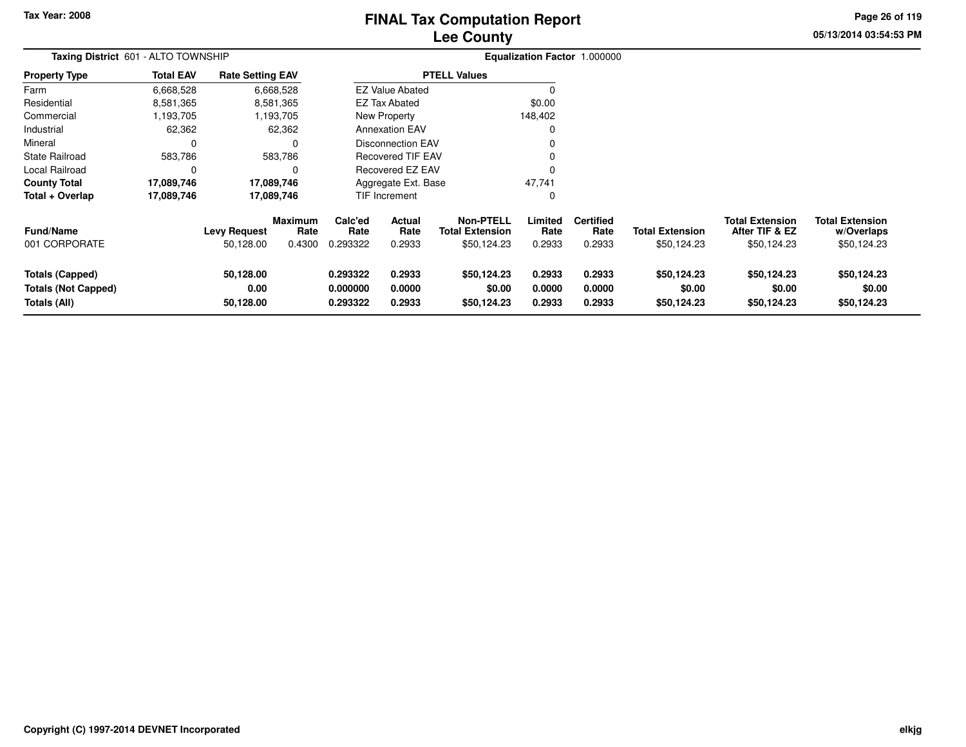# **Lee CountyFINAL Tax Computation Report**

**05/13/2014 03:54:53 PM Page 26 of 119**

| <b>Taxing District 601 - ALTO TOWNSHIP</b>                           |                  |                                  |                                  |                                  |                                 |                                                           |                            | Equalization Factor 1.000000       |                                       |                                                         |                                                     |
|----------------------------------------------------------------------|------------------|----------------------------------|----------------------------------|----------------------------------|---------------------------------|-----------------------------------------------------------|----------------------------|------------------------------------|---------------------------------------|---------------------------------------------------------|-----------------------------------------------------|
| <b>Property Type</b>                                                 | <b>Total EAV</b> | <b>Rate Setting EAV</b>          |                                  |                                  |                                 | <b>PTELL Values</b>                                       |                            |                                    |                                       |                                                         |                                                     |
| Farm                                                                 | 6,668,528        |                                  | 6,668,528                        |                                  | <b>EZ Value Abated</b>          |                                                           |                            |                                    |                                       |                                                         |                                                     |
| Residential                                                          | 8,581,365        |                                  | 8,581,365                        |                                  | <b>EZ Tax Abated</b>            |                                                           | \$0.00                     |                                    |                                       |                                                         |                                                     |
| Commercial                                                           | 1,193,705        |                                  | 1,193,705                        |                                  | New Property                    |                                                           | 148,402                    |                                    |                                       |                                                         |                                                     |
| Industrial                                                           | 62,362           |                                  | 62,362                           |                                  | <b>Annexation EAV</b>           |                                                           |                            |                                    |                                       |                                                         |                                                     |
| Mineral                                                              | 0                |                                  |                                  |                                  | <b>Disconnection EAV</b>        |                                                           |                            |                                    |                                       |                                                         |                                                     |
| <b>State Railroad</b>                                                | 583,786          |                                  | 583,786                          |                                  | <b>Recovered TIF EAV</b>        |                                                           |                            |                                    |                                       |                                                         |                                                     |
| Local Railroad                                                       | 0                |                                  | O                                |                                  | Recovered EZ EAV                |                                                           |                            |                                    |                                       |                                                         |                                                     |
| <b>County Total</b>                                                  | 17,089,746       |                                  | 17,089,746                       |                                  | Aggregate Ext. Base             |                                                           | 47,741                     |                                    |                                       |                                                         |                                                     |
| Total + Overlap                                                      | 17,089,746       |                                  | 17,089,746                       |                                  | TIF Increment                   |                                                           | 0                          |                                    |                                       |                                                         |                                                     |
| <b>Fund/Name</b><br>001 CORPORATE                                    |                  | <b>Levy Request</b><br>50,128.00 | <b>Maximum</b><br>Rate<br>0.4300 | Calc'ed<br>Rate<br>0.293322      | <b>Actual</b><br>Rate<br>0.2933 | <b>Non-PTELL</b><br><b>Total Extension</b><br>\$50,124.23 | Limited<br>Rate<br>0.2933  | <b>Certified</b><br>Rate<br>0.2933 | <b>Total Extension</b><br>\$50,124.23 | <b>Total Extension</b><br>After TIF & EZ<br>\$50,124.23 | <b>Total Extension</b><br>w/Overlaps<br>\$50,124.23 |
| <b>Totals (Capped)</b><br><b>Totals (Not Capped)</b><br>Totals (All) |                  | 50,128.00<br>0.00<br>50,128.00   |                                  | 0.293322<br>0.000000<br>0.293322 | 0.2933<br>0.0000<br>0.2933      | \$50,124.23<br>\$0.00<br>\$50,124.23                      | 0.2933<br>0.0000<br>0.2933 | 0.2933<br>0.0000<br>0.2933         | \$50,124.23<br>\$0.00<br>\$50,124.23  | \$50,124.23<br>\$0.00<br>\$50,124.23                    | \$50,124.23<br>\$0.00<br>\$50,124.23                |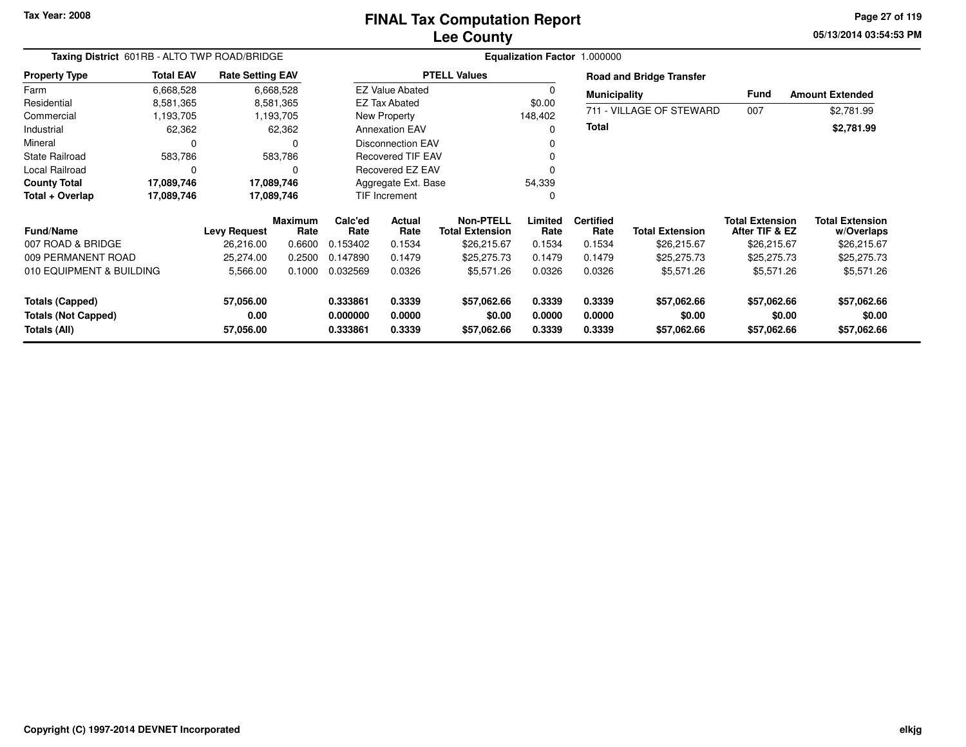# **Lee CountyFINAL Tax Computation Report**

**05/13/2014 03:54:53 PM Page 27 of 119**

| Taxing District 601RB - ALTO TWP ROAD/BRIDGE<br><b>Total EAV</b><br><b>Rate Setting EAV</b> |            |                     |                        |                 |                          |                                            |                 | Equalization Factor 1.000000 |                                 |                                          |                                      |
|---------------------------------------------------------------------------------------------|------------|---------------------|------------------------|-----------------|--------------------------|--------------------------------------------|-----------------|------------------------------|---------------------------------|------------------------------------------|--------------------------------------|
| <b>Property Type</b>                                                                        |            |                     |                        |                 |                          | <b>PTELL Values</b>                        |                 |                              | <b>Road and Bridge Transfer</b> |                                          |                                      |
| Farm                                                                                        | 6,668,528  |                     | 6,668,528              |                 | <b>EZ Value Abated</b>   |                                            | $\Omega$        | <b>Municipality</b>          |                                 | Fund                                     | <b>Amount Extended</b>               |
| Residential                                                                                 | 8,581,365  |                     | 8,581,365              |                 | EZ Tax Abated            |                                            | \$0.00          |                              |                                 |                                          |                                      |
| Commercial                                                                                  | 1,193,705  |                     | 1,193,705              |                 | New Property             |                                            | 148,402         |                              | 711 - VILLAGE OF STEWARD        | 007                                      | \$2,781.99                           |
| Industrial                                                                                  | 62,362     |                     | 62,362                 |                 | <b>Annexation EAV</b>    |                                            | 0               | <b>Total</b>                 |                                 |                                          | \$2,781.99                           |
| Mineral                                                                                     | 0          |                     | $\Omega$               |                 | Disconnection EAV        |                                            |                 |                              |                                 |                                          |                                      |
| <b>State Railroad</b>                                                                       | 583,786    |                     | 583,786                |                 | <b>Recovered TIF EAV</b> |                                            |                 |                              |                                 |                                          |                                      |
| Local Railroad                                                                              | 0          |                     | $\Omega$               |                 | <b>Recovered EZ EAV</b>  |                                            |                 |                              |                                 |                                          |                                      |
| <b>County Total</b>                                                                         | 17,089,746 | 17,089,746          |                        |                 | Aggregate Ext. Base      |                                            | 54,339          |                              |                                 |                                          |                                      |
| Total + Overlap                                                                             | 17,089,746 | 17,089,746          |                        |                 | TIF Increment            |                                            | 0               |                              |                                 |                                          |                                      |
| <b>Fund/Name</b>                                                                            |            | <b>Levy Request</b> | <b>Maximum</b><br>Rate | Calc'ed<br>Rate | <b>Actual</b><br>Rate    | <b>Non-PTELL</b><br><b>Total Extension</b> | Limited<br>Rate | <b>Certified</b><br>Rate     | <b>Total Extension</b>          | <b>Total Extension</b><br>After TIF & EZ | <b>Total Extension</b><br>w/Overlaps |
| 007 ROAD & BRIDGE                                                                           |            | 26,216.00           | 0.6600                 | 0.153402        | 0.1534                   | \$26,215.67                                | 0.1534          | 0.1534                       | \$26,215.67                     | \$26,215.67                              | \$26,215.67                          |
| 009 PERMANENT ROAD                                                                          |            | 25,274.00           | 0.2500                 | 0.147890        | 0.1479                   | \$25,275.73                                | 0.1479          | 0.1479                       | \$25,275.73                     | \$25,275.73                              | \$25,275.73                          |
| 010 EQUIPMENT & BUILDING                                                                    |            | 5,566.00            | 0.1000                 | 0.032569        | 0.0326                   | \$5,571.26                                 | 0.0326          | 0.0326                       | \$5,571.26                      | \$5,571.26                               | \$5,571.26                           |
| <b>Totals (Capped)</b>                                                                      |            | 57,056.00           |                        | 0.333861        | 0.3339                   | \$57,062.66                                | 0.3339          | 0.3339                       | \$57,062.66                     | \$57,062.66                              | \$57,062.66                          |
| <b>Totals (Not Capped)</b>                                                                  |            | 0.00                |                        | 0.000000        | 0.0000                   | \$0.00                                     | 0.0000          | 0.0000                       | \$0.00                          | \$0.00                                   | \$0.00                               |
| Totals (All)                                                                                |            | 57,056.00           |                        | 0.333861        | 0.3339                   | \$57,062.66                                | 0.3339          | 0.3339                       | \$57,062.66                     | \$57,062.66                              | \$57,062.66                          |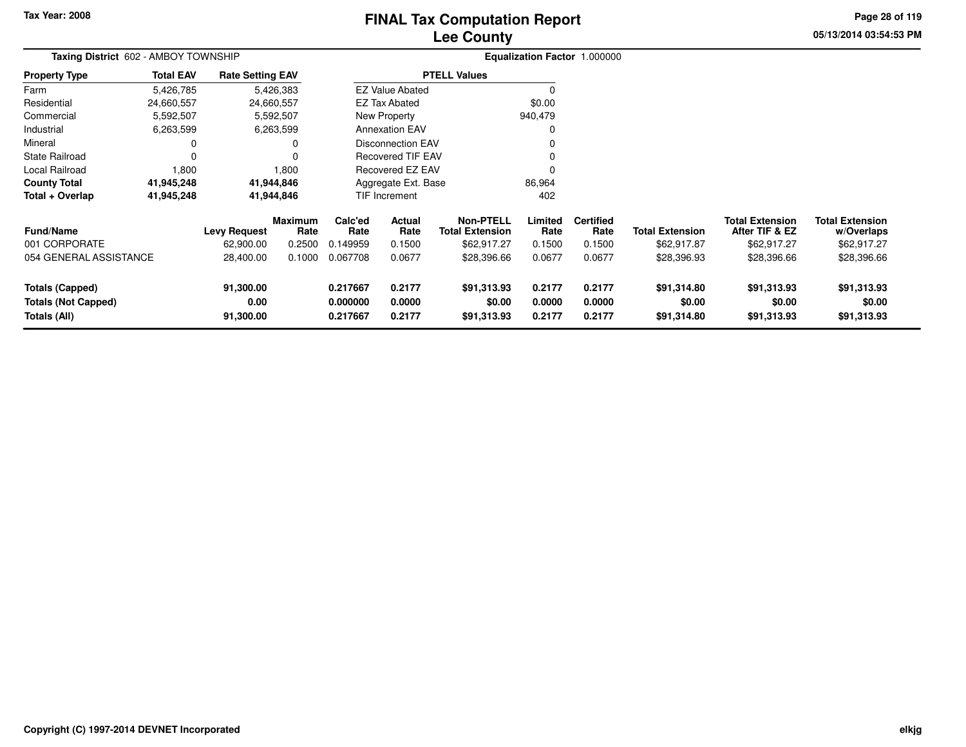# **Lee CountyFINAL Tax Computation Report**

**05/13/2014 03:54:53 PM Page 28 of 119**

| Taxing District 602 - AMBOY TOWNSHIP                                 |                  |                                |                        |                                  |                            |                                            |                            | Equalization Factor 1.000000 |                                      |                                          |                                      |
|----------------------------------------------------------------------|------------------|--------------------------------|------------------------|----------------------------------|----------------------------|--------------------------------------------|----------------------------|------------------------------|--------------------------------------|------------------------------------------|--------------------------------------|
| <b>Property Type</b>                                                 | <b>Total EAV</b> | <b>Rate Setting EAV</b>        |                        |                                  |                            | <b>PTELL Values</b>                        |                            |                              |                                      |                                          |                                      |
| Farm                                                                 | 5,426,785        |                                | 5,426,383              |                                  | <b>EZ Value Abated</b>     |                                            |                            |                              |                                      |                                          |                                      |
| Residential                                                          | 24,660,557       |                                | 24,660,557             |                                  | <b>EZ Tax Abated</b>       |                                            | \$0.00                     |                              |                                      |                                          |                                      |
| Commercial                                                           | 5,592,507        |                                | 5,592,507              |                                  | New Property               |                                            | 940,479                    |                              |                                      |                                          |                                      |
| Industrial                                                           | 6,263,599        |                                | 6,263,599              |                                  | <b>Annexation EAV</b>      |                                            |                            |                              |                                      |                                          |                                      |
| Mineral                                                              | $\Omega$         |                                | 0                      |                                  | <b>Disconnection EAV</b>   |                                            |                            |                              |                                      |                                          |                                      |
| <b>State Railroad</b>                                                | $\Omega$         |                                |                        |                                  | Recovered TIF EAV          |                                            |                            |                              |                                      |                                          |                                      |
| Local Railroad                                                       | 1,800            |                                | 1,800                  |                                  | <b>Recovered EZ EAV</b>    |                                            |                            |                              |                                      |                                          |                                      |
| <b>County Total</b>                                                  | 41,945,248       |                                | 41,944,846             |                                  | Aggregate Ext. Base        |                                            | 86,964                     |                              |                                      |                                          |                                      |
| Total + Overlap                                                      | 41,945,248       |                                | 41,944,846             |                                  | TIF Increment              |                                            | 402                        |                              |                                      |                                          |                                      |
| <b>Fund/Name</b>                                                     |                  | <b>Levy Request</b>            | <b>Maximum</b><br>Rate | Calc'ed<br>Rate                  | Actual<br>Rate             | <b>Non-PTELL</b><br><b>Total Extension</b> | Limited<br>Rate            | <b>Certified</b><br>Rate     | <b>Total Extension</b>               | <b>Total Extension</b><br>After TIF & EZ | <b>Total Extension</b><br>w/Overlaps |
| 001 CORPORATE                                                        |                  | 62,900.00                      | 0.2500                 | 0.149959                         | 0.1500                     | \$62,917.27                                | 0.1500                     | 0.1500                       | \$62,917.87                          | \$62,917.27                              | \$62,917.27                          |
| 054 GENERAL ASSISTANCE                                               |                  | 28,400.00                      | 0.1000                 | 0.067708                         | 0.0677                     | \$28,396.66                                | 0.0677                     | 0.0677                       | \$28,396.93                          | \$28,396.66                              | \$28,396.66                          |
| <b>Totals (Capped)</b><br><b>Totals (Not Capped)</b><br>Totals (All) |                  | 91,300.00<br>0.00<br>91,300.00 |                        | 0.217667<br>0.000000<br>0.217667 | 0.2177<br>0.0000<br>0.2177 | \$91,313.93<br>\$0.00<br>\$91,313.93       | 0.2177<br>0.0000<br>0.2177 | 0.2177<br>0.0000<br>0.2177   | \$91,314.80<br>\$0.00<br>\$91,314.80 | \$91,313.93<br>\$0.00<br>\$91,313.93     | \$91,313.93<br>\$0.00<br>\$91,313.93 |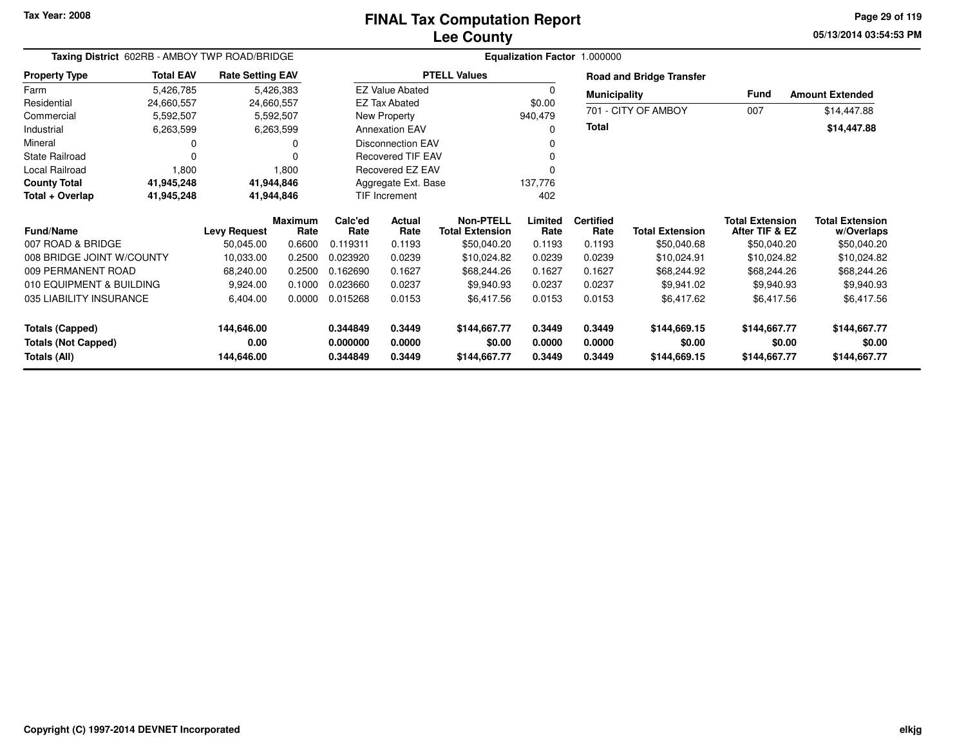## **Lee CountyFINAL Tax Computation Report**

**05/13/2014 03:54:53 PM Page 29 of 119**

| Taxing District 602RB - AMBOY TWP ROAD/BRIDGE<br><b>Total EAV</b><br><b>Rate Setting EAV</b> |            |                     |                        |                 |                          |                                     | Equalization Factor 1.000000 |                          |                                 |                                          |                                      |
|----------------------------------------------------------------------------------------------|------------|---------------------|------------------------|-----------------|--------------------------|-------------------------------------|------------------------------|--------------------------|---------------------------------|------------------------------------------|--------------------------------------|
| <b>Property Type</b>                                                                         |            |                     |                        |                 |                          | <b>PTELL Values</b>                 |                              |                          | <b>Road and Bridge Transfer</b> |                                          |                                      |
| Farm                                                                                         | 5,426,785  |                     | 5,426,383              |                 | <b>EZ Value Abated</b>   |                                     | $\Omega$                     | <b>Municipality</b>      |                                 | <b>Fund</b>                              | <b>Amount Extended</b>               |
| Residential                                                                                  | 24,660,557 | 24,660,557          |                        |                 | <b>EZ Tax Abated</b>     |                                     | \$0.00                       |                          |                                 |                                          |                                      |
| Commercial                                                                                   | 5,592,507  |                     | 5,592,507              |                 | New Property             |                                     | 940,479                      |                          | 701 - CITY OF AMBOY             | 007                                      | \$14,447.88                          |
| Industrial                                                                                   | 6,263,599  |                     | 6,263,599              |                 | <b>Annexation EAV</b>    |                                     | ŋ                            | <b>Total</b>             |                                 |                                          | \$14,447.88                          |
| Mineral                                                                                      | 0          |                     | O                      |                 | <b>Disconnection EAV</b> |                                     |                              |                          |                                 |                                          |                                      |
| <b>State Railroad</b>                                                                        | $\Omega$   |                     |                        |                 | <b>Recovered TIF EAV</b> |                                     |                              |                          |                                 |                                          |                                      |
| Local Railroad                                                                               | 1,800      |                     | 1,800                  |                 | Recovered EZ EAV         |                                     |                              |                          |                                 |                                          |                                      |
| <b>County Total</b>                                                                          | 41,945,248 | 41,944,846          |                        |                 | Aggregate Ext. Base      |                                     | 137,776                      |                          |                                 |                                          |                                      |
| Total + Overlap                                                                              | 41,945,248 | 41,944,846          |                        |                 | TIF Increment            |                                     | 402                          |                          |                                 |                                          |                                      |
| <b>Fund/Name</b>                                                                             |            | <b>Levy Request</b> | <b>Maximum</b><br>Rate | Calc'ed<br>Rate | Actual<br>Rate           | Non-PTELL<br><b>Total Extension</b> | Limited<br>Rate              | <b>Certified</b><br>Rate | <b>Total Extension</b>          | <b>Total Extension</b><br>After TIF & EZ | <b>Total Extension</b><br>w/Overlaps |
| 007 ROAD & BRIDGE                                                                            |            | 50,045.00           | 0.6600                 | 0.119311        | 0.1193                   | \$50,040.20                         | 0.1193                       | 0.1193                   | \$50,040.68                     | \$50,040.20                              | \$50,040.20                          |
| 008 BRIDGE JOINT W/COUNTY                                                                    |            | 10,033.00           | 0.2500                 | 0.023920        | 0.0239                   | \$10,024.82                         | 0.0239                       | 0.0239                   | \$10,024.91                     | \$10,024.82                              | \$10,024.82                          |
| 009 PERMANENT ROAD                                                                           |            | 68,240.00           | 0.2500                 | 0.162690        | 0.1627                   | \$68,244.26                         | 0.1627                       | 0.1627                   | \$68,244.92                     | \$68,244.26                              | \$68,244.26                          |
| 010 EQUIPMENT & BUILDING                                                                     |            | 9,924.00            | 0.1000                 | 0.023660        | 0.0237                   | \$9,940.93                          | 0.0237                       | 0.0237                   | \$9,941.02                      | \$9,940.93                               | \$9,940.93                           |
| 035 LIABILITY INSURANCE                                                                      |            | 6,404.00            | 0.0000                 | 0.015268        | 0.0153                   | \$6,417.56                          | 0.0153                       | 0.0153                   | \$6,417.62                      | \$6,417.56                               | \$6,417.56                           |
| <b>Totals (Capped)</b>                                                                       |            | 144,646.00          |                        | 0.344849        | 0.3449                   | \$144,667.77                        | 0.3449                       | 0.3449                   | \$144,669.15                    | \$144,667.77                             | \$144,667.77                         |
| <b>Totals (Not Capped)</b>                                                                   |            | 0.00                |                        | 0.000000        | 0.0000                   | \$0.00                              | 0.0000                       | 0.0000                   | \$0.00                          | \$0.00                                   | \$0.00                               |
| Totals (All)                                                                                 |            | 144,646.00          |                        | 0.344849        | 0.3449                   | \$144,667.77                        | 0.3449                       | 0.3449                   | \$144,669.15                    | \$144,667.77                             | \$144,667.77                         |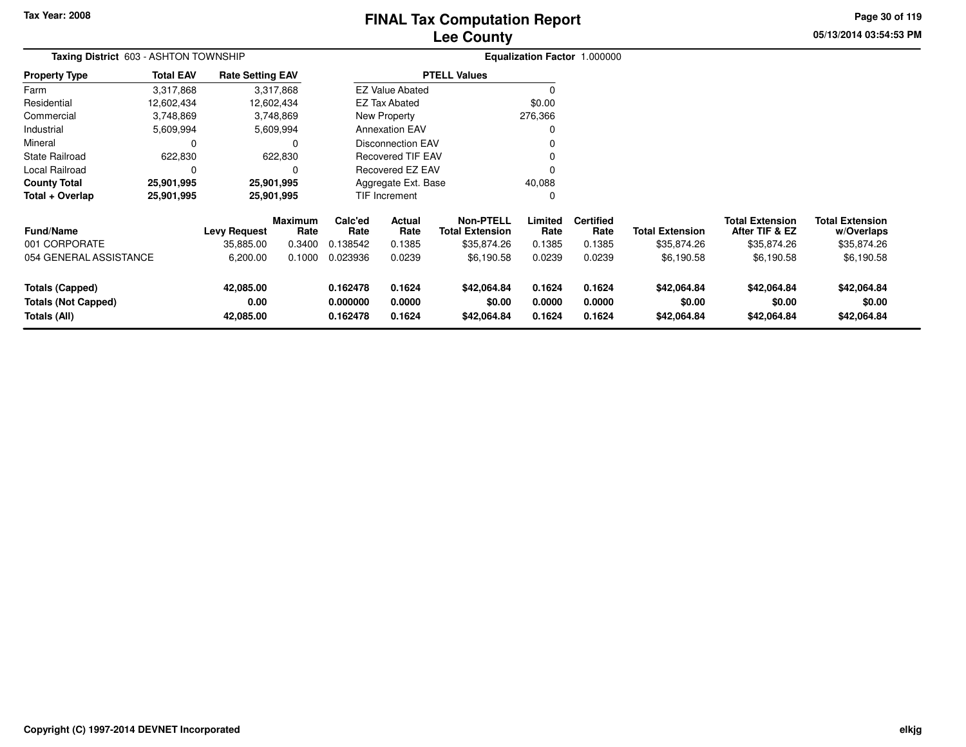# **Lee CountyFINAL Tax Computation Report**

**05/13/2014 03:54:53 PM Page 30 of 119**

| Taxing District 603 - ASHTON TOWNSHIP                         |                  |                                  |                                  |                                  |                            |                                                           |                            | Equalization Factor 1.000000       |                                       |                                                         |                                                     |
|---------------------------------------------------------------|------------------|----------------------------------|----------------------------------|----------------------------------|----------------------------|-----------------------------------------------------------|----------------------------|------------------------------------|---------------------------------------|---------------------------------------------------------|-----------------------------------------------------|
| <b>Property Type</b>                                          | <b>Total EAV</b> | <b>Rate Setting EAV</b>          |                                  |                                  |                            | <b>PTELL Values</b>                                       |                            |                                    |                                       |                                                         |                                                     |
| Farm                                                          | 3,317,868        |                                  | 3,317,868                        |                                  | <b>EZ Value Abated</b>     |                                                           |                            |                                    |                                       |                                                         |                                                     |
| Residential                                                   | 12,602,434       |                                  | 12,602,434                       |                                  | EZ Tax Abated              |                                                           | \$0.00                     |                                    |                                       |                                                         |                                                     |
| Commercial                                                    | 3,748,869        |                                  | 3,748,869                        |                                  | New Property               |                                                           | 276,366                    |                                    |                                       |                                                         |                                                     |
| Industrial                                                    | 5,609,994        |                                  | 5,609,994                        |                                  | <b>Annexation EAV</b>      |                                                           |                            |                                    |                                       |                                                         |                                                     |
| Mineral                                                       | 0                |                                  | 0                                |                                  | <b>Disconnection EAV</b>   |                                                           |                            |                                    |                                       |                                                         |                                                     |
| <b>State Railroad</b>                                         | 622,830          |                                  | 622,830                          |                                  | <b>Recovered TIF EAV</b>   |                                                           |                            |                                    |                                       |                                                         |                                                     |
| Local Railroad                                                | $\Omega$         |                                  | 0                                |                                  | Recovered EZ EAV           |                                                           |                            |                                    |                                       |                                                         |                                                     |
| <b>County Total</b>                                           | 25,901,995       | 25,901,995                       |                                  |                                  | Aggregate Ext. Base        |                                                           | 40,088                     |                                    |                                       |                                                         |                                                     |
| Total + Overlap                                               | 25,901,995       | 25,901,995                       |                                  |                                  | TIF Increment              |                                                           |                            |                                    |                                       |                                                         |                                                     |
| <b>Fund/Name</b><br>001 CORPORATE                             |                  | <b>Levy Request</b><br>35,885.00 | <b>Maximum</b><br>Rate<br>0.3400 | Calc'ed<br>Rate<br>0.138542      | Actual<br>Rate<br>0.1385   | <b>Non-PTELL</b><br><b>Total Extension</b><br>\$35,874.26 | Limited<br>Rate<br>0.1385  | <b>Certified</b><br>Rate<br>0.1385 | <b>Total Extension</b><br>\$35,874.26 | <b>Total Extension</b><br>After TIF & EZ<br>\$35,874.26 | <b>Total Extension</b><br>w/Overlaps<br>\$35,874.26 |
| 054 GENERAL ASSISTANCE                                        |                  | 6,200.00                         | 0.1000                           | 0.023936                         | 0.0239                     | \$6,190.58                                                | 0.0239                     | 0.0239                             | \$6,190.58                            | \$6,190.58                                              | \$6,190.58                                          |
| Totals (Capped)<br><b>Totals (Not Capped)</b><br>Totals (All) |                  | 42,085.00<br>0.00<br>42,085.00   |                                  | 0.162478<br>0.000000<br>0.162478 | 0.1624<br>0.0000<br>0.1624 | \$42,064.84<br>\$0.00<br>\$42,064.84                      | 0.1624<br>0.0000<br>0.1624 | 0.1624<br>0.0000<br>0.1624         | \$42,064.84<br>\$0.00<br>\$42,064.84  | \$42,064.84<br>\$0.00<br>\$42,064.84                    | \$42,064.84<br>\$0.00<br>\$42,064.84                |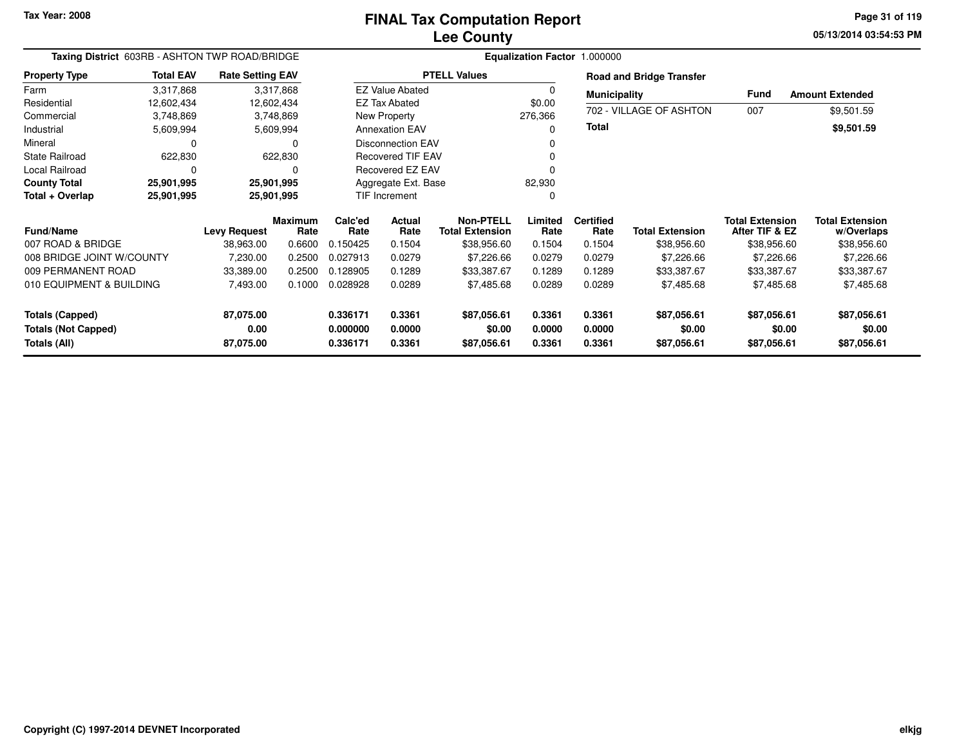### **Lee CountyFINAL Tax Computation Report**

**05/13/2014 03:54:53 PM Page 31 of 119**

| Taxing District 603RB - ASHTON TWP ROAD/BRIDGE |                  |                                  |                        |                      |                         |                                       |                  | Equalization Factor 1.000000 |                                 |                                          |                           |
|------------------------------------------------|------------------|----------------------------------|------------------------|----------------------|-------------------------|---------------------------------------|------------------|------------------------------|---------------------------------|------------------------------------------|---------------------------|
| <b>Property Type</b>                           | <b>Total EAV</b> | <b>Rate Setting EAV</b>          |                        |                      |                         | <b>PTELL Values</b>                   |                  |                              | <b>Road and Bridge Transfer</b> |                                          |                           |
| Farm                                           | 3,317,868        |                                  | 3,317,868              |                      | <b>EZ Value Abated</b>  |                                       |                  | <b>Municipality</b>          |                                 | Fund                                     | <b>Amount Extended</b>    |
| Residential                                    | 12,602,434       | 12,602,434                       |                        |                      | <b>EZ Tax Abated</b>    |                                       | \$0.00           |                              |                                 |                                          |                           |
| Commercial                                     | 3,748,869        |                                  | 3,748,869              |                      | New Property            |                                       | 276,366          |                              | 702 - VILLAGE OF ASHTON         | 007                                      | \$9,501.59                |
| Industrial                                     | 5,609,994        |                                  | 5,609,994              |                      | <b>Annexation EAV</b>   |                                       | 0                | <b>Total</b>                 |                                 |                                          | \$9,501.59                |
| Mineral                                        | 0                |                                  | $\Omega$               |                      | Disconnection EAV       |                                       | 0                |                              |                                 |                                          |                           |
| <b>State Railroad</b>                          | 622,830          |                                  | 622,830                |                      | Recovered TIF EAV       |                                       | 0                |                              |                                 |                                          |                           |
| Local Railroad                                 | $\Omega$         |                                  | O                      |                      | <b>Recovered EZ EAV</b> |                                       | 0                |                              |                                 |                                          |                           |
| <b>County Total</b>                            | 25,901,995       | 25,901,995                       |                        |                      | Aggregate Ext. Base     |                                       | 82,930           |                              |                                 |                                          |                           |
| Total + Overlap                                | 25,901,995       | 25,901,995                       |                        |                      | TIF Increment           |                                       | 0                |                              |                                 |                                          |                           |
| <b>Fund/Name</b>                               |                  |                                  | <b>Maximum</b><br>Rate | Calc'ed<br>Rate      | <b>Actual</b><br>Rate   | <b>Non-PTELL</b>                      | Limited<br>Rate  | <b>Certified</b><br>Rate     | <b>Total Extension</b>          | <b>Total Extension</b><br>After TIF & EZ | <b>Total Extension</b>    |
| 007 ROAD & BRIDGE                              |                  | <b>Levy Request</b><br>38,963.00 | 0.6600                 | 0.150425             | 0.1504                  | <b>Total Extension</b><br>\$38,956.60 | 0.1504           | 0.1504                       | \$38,956.60                     | \$38,956.60                              | w/Overlaps<br>\$38,956.60 |
| 008 BRIDGE JOINT W/COUNTY                      |                  |                                  |                        | 0.027913             |                         |                                       |                  | 0.0279                       |                                 |                                          |                           |
|                                                |                  | 7,230.00                         | 0.2500                 |                      | 0.0279                  | \$7,226.66                            | 0.0279           |                              | \$7,226.66                      | \$7,226.66                               | \$7,226.66                |
| 009 PERMANENT ROAD                             |                  | 33,389.00                        | 0.2500                 | 0.128905             | 0.1289                  | \$33,387.67                           | 0.1289           | 0.1289                       | \$33,387.67                     | \$33,387.67                              | \$33,387.67               |
| 010 EQUIPMENT & BUILDING                       |                  | 7,493.00                         | 0.1000                 | 0.028928             | 0.0289                  | \$7,485.68                            | 0.0289           | 0.0289                       | \$7,485.68                      | \$7,485.68                               | \$7,485.68                |
| <b>Totals (Capped)</b>                         |                  | 87,075.00                        |                        | 0.336171             | 0.3361                  | \$87,056.61                           | 0.3361           | 0.3361                       | \$87,056.61                     | \$87,056.61                              | \$87,056.61               |
| <b>Totals (Not Capped)</b><br>Totals (All)     |                  | 0.00<br>87,075.00                |                        | 0.000000<br>0.336171 | 0.0000<br>0.3361        | \$0.00<br>\$87,056.61                 | 0.0000<br>0.3361 | 0.0000<br>0.3361             | \$0.00<br>\$87,056.61           | \$0.00<br>\$87,056.61                    | \$0.00<br>\$87,056.61     |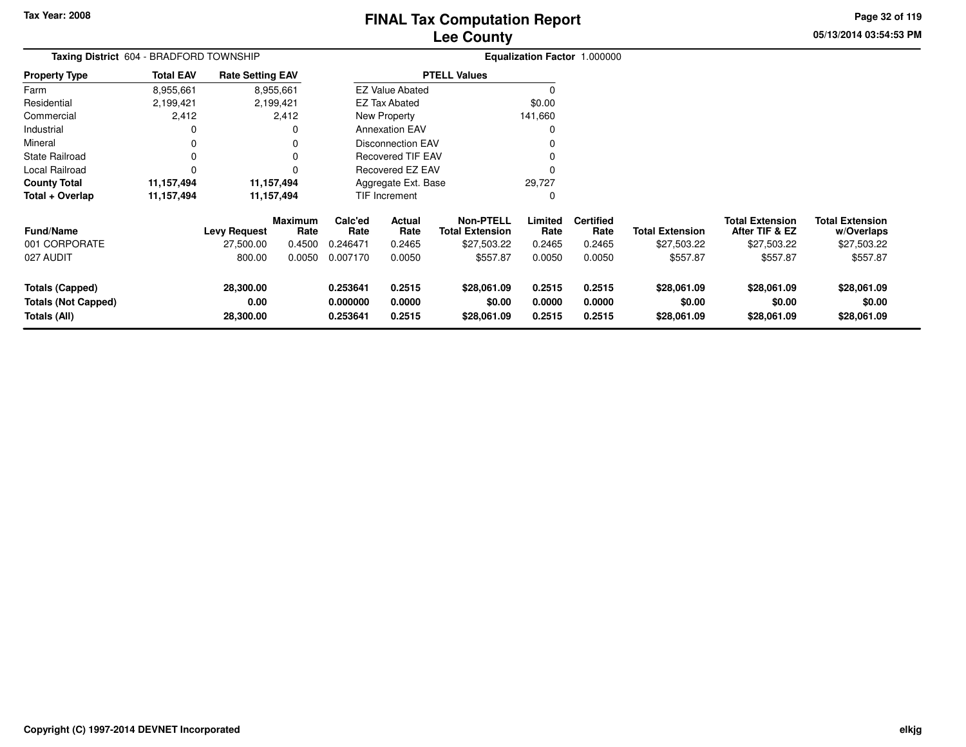**Totals (Not Capped)**

**Totals (All)**

# **Lee Count FINAL Tax Computation Report**

**0.253641 0.2515 \$28,061.09 0.2515 0.2515 \$28,061.09 \$28,061.09 \$28,061.09**

**0.000000 0.0000 \$0.00 0.0000 0.0000 \$0.00 \$0.00 \$0.00**

**0.253641 0.2515 \$28,061.09 0.2515 0.2515 \$28,061.09 \$28,061.09 \$28,061.09**

**05/13/2014 03:54:53 PMPage 32 of 119**

> **w/Overlaps** \$27,503.22

| lу                         | 05/13/201 |
|----------------------------|-----------|
| ialization Factor 1.000000 |           |

|                        | <b>Taxing District</b> 604 - BRADFORD TOWNSHIP |                         |                        |                 |                          |                                            |                 | <b>Equalization Factor 1.000000</b> |                        |                                          |                                      |
|------------------------|------------------------------------------------|-------------------------|------------------------|-----------------|--------------------------|--------------------------------------------|-----------------|-------------------------------------|------------------------|------------------------------------------|--------------------------------------|
| <b>Property Type</b>   | <b>Total EAV</b>                               | <b>Rate Setting EAV</b> |                        |                 |                          | <b>PTELL Values</b>                        |                 |                                     |                        |                                          |                                      |
| Farm                   | 8,955,661                                      |                         | 8,955,661              |                 | <b>EZ Value Abated</b>   |                                            |                 |                                     |                        |                                          |                                      |
| Residential            | 2,199,421                                      |                         | 2,199,421              |                 | <b>EZ Tax Abated</b>     |                                            | \$0.00          |                                     |                        |                                          |                                      |
| Commercial             | 2,412                                          |                         | 2,412                  |                 | New Property             |                                            | 141,660         |                                     |                        |                                          |                                      |
| Industrial             | 0                                              |                         | 0                      |                 | <b>Annexation EAV</b>    |                                            | 0               |                                     |                        |                                          |                                      |
| Mineral                | 0                                              |                         | 0                      |                 | Disconnection EAV        |                                            |                 |                                     |                        |                                          |                                      |
| <b>State Railroad</b>  | 0                                              |                         | 0                      |                 | <b>Recovered TIF EAV</b> |                                            | 0               |                                     |                        |                                          |                                      |
| Local Railroad         |                                                |                         |                        |                 | Recovered EZ EAV         |                                            | 0               |                                     |                        |                                          |                                      |
| <b>County Total</b>    | 11,157,494                                     |                         | 11, 157, 494           |                 | Aggregate Ext. Base      |                                            | 29,727          |                                     |                        |                                          |                                      |
| Total + Overlap        | 11,157,494                                     |                         | 11,157,494             |                 | <b>TIF Increment</b>     |                                            | 0               |                                     |                        |                                          |                                      |
| <b>Fund/Name</b>       |                                                | <b>Levy Request</b>     | <b>Maximum</b><br>Rate | Calc'ed<br>Rate | Actual<br>Rate           | <b>Non-PTELL</b><br><b>Total Extension</b> | Limited<br>Rate | <b>Certified</b><br>Rate            | <b>Total Extension</b> | <b>Total Extension</b><br>After TIF & EZ | <b>Total Extension</b><br>w/Overlaps |
| 001 CORPORATE          |                                                | 27,500.00               | 0.4500                 | 0.246471        | 0.2465                   | \$27,503.22                                | 0.2465          | 0.2465                              | \$27,503.22            | \$27,503.22                              | \$27,503.22                          |
| 027 AUDIT              |                                                | 800.00                  | 0.0050                 | 0.007170        | 0.0050                   | \$557.87                                   | 0.0050          | 0.0050                              | \$557.87               | \$557.87                                 | \$557.87                             |
| <b>Totals (Capped)</b> |                                                | 28.300.00               |                        | 0.253641        | 0.2515                   | \$28,061.09                                | 0.2515          | 0.2515                              | \$28,061.09            | \$28,061.09                              | \$28,061.09                          |

**28,300.00**

**0.00**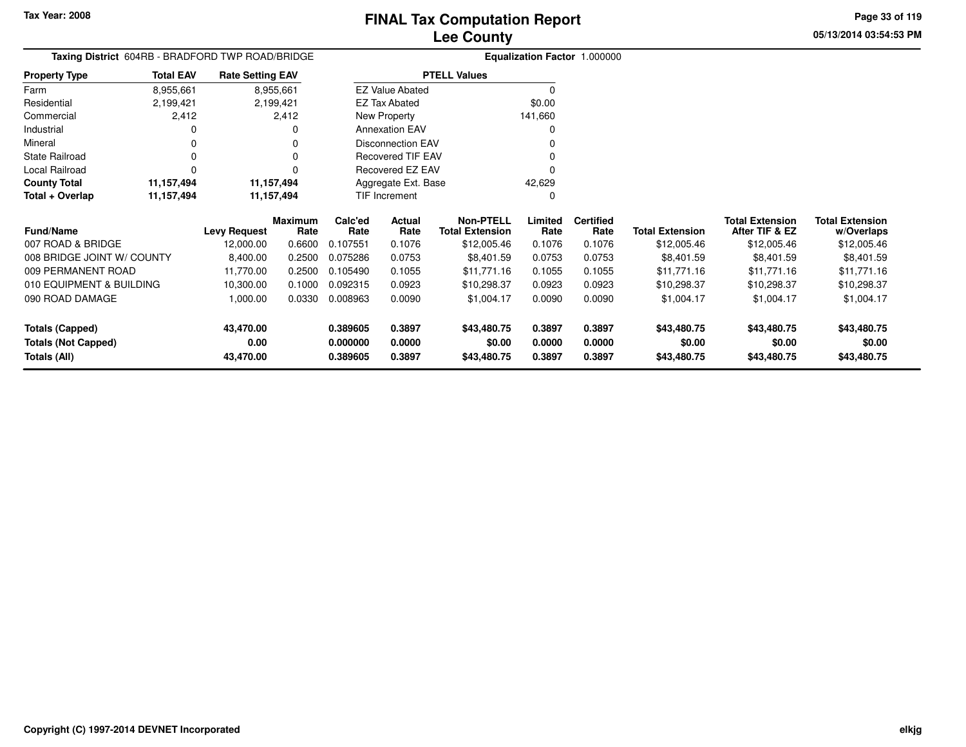**05/13/2014 03:54:53 PM Page 33 of 119**

| Taxing District 604RB - BRADFORD TWP ROAD/BRIDGE |                  |                         |                 |                 | Equalization Factor 1.000000 |                                            |                 |                          |                        |                                          |                                      |
|--------------------------------------------------|------------------|-------------------------|-----------------|-----------------|------------------------------|--------------------------------------------|-----------------|--------------------------|------------------------|------------------------------------------|--------------------------------------|
| Property Type                                    | <b>Total EAV</b> | <b>Rate Setting EAV</b> |                 |                 |                              | <b>PTELL Values</b>                        |                 |                          |                        |                                          |                                      |
| Farm                                             | 8,955,661        |                         | 8,955,661       |                 | <b>EZ Value Abated</b>       |                                            |                 |                          |                        |                                          |                                      |
| Residential                                      | 2,199,421        |                         | 2,199,421       |                 | <b>EZ Tax Abated</b>         |                                            | \$0.00          |                          |                        |                                          |                                      |
| Commercial                                       | 2,412            |                         | 2,412           |                 | New Property                 |                                            | 141,660         |                          |                        |                                          |                                      |
| Industrial                                       |                  |                         |                 |                 | <b>Annexation EAV</b>        |                                            |                 |                          |                        |                                          |                                      |
| Mineral                                          |                  |                         |                 |                 | <b>Disconnection EAV</b>     |                                            |                 |                          |                        |                                          |                                      |
| State Railroad                                   | 0                |                         |                 |                 | <b>Recovered TIF EAV</b>     |                                            |                 |                          |                        |                                          |                                      |
| Local Railroad                                   | 0                |                         |                 |                 | Recovered EZ EAV             |                                            |                 |                          |                        |                                          |                                      |
| <b>County Total</b>                              | 11,157,494       |                         | 11,157,494      |                 | Aggregate Ext. Base          |                                            | 42,629          |                          |                        |                                          |                                      |
| Total + Overlap                                  | 11,157,494       |                         | 11,157,494      |                 | <b>TIF Increment</b>         |                                            | O               |                          |                        |                                          |                                      |
| <b>Fund/Name</b>                                 |                  | <b>Levy Request</b>     | Maximum<br>Rate | Calc'ed<br>Rate | Actual<br>Rate               | <b>Non-PTELL</b><br><b>Total Extension</b> | Limited<br>Rate | <b>Certified</b><br>Rate | <b>Total Extension</b> | <b>Total Extension</b><br>After TIF & EZ | <b>Total Extension</b><br>w/Overlaps |
| 007 ROAD & BRIDGE                                |                  | 12,000.00               | 0.6600          | 0.107551        | 0.1076                       | \$12,005.46                                | 0.1076          | 0.1076                   | \$12,005.46            | \$12,005.46                              | \$12,005.46                          |
| 008 BRIDGE JOINT W/ COUNTY                       |                  | 8,400.00                | 0.2500          | 0.075286        | 0.0753                       | \$8,401.59                                 | 0.0753          | 0.0753                   | \$8,401.59             | \$8,401.59                               | \$8,401.59                           |
| 009 PERMANENT ROAD                               |                  | 11,770.00               | 0.2500          | 0.105490        | 0.1055                       | \$11,771.16                                | 0.1055          | 0.1055                   | \$11,771.16            | \$11,771.16                              | \$11,771.16                          |
| 010 EQUIPMENT & BUILDING                         |                  | 10,300.00               | 0.1000          | 0.092315        | 0.0923                       | \$10,298.37                                | 0.0923          | 0.0923                   | \$10,298.37            | \$10,298.37                              | \$10,298.37                          |
| 090 ROAD DAMAGE                                  |                  | 1,000.00                | 0.0330          | 0.008963        | 0.0090                       | \$1,004.17                                 | 0.0090          | 0.0090                   | \$1,004.17             | \$1,004.17                               | \$1,004.17                           |
| <b>Totals (Capped)</b>                           |                  | 43,470.00               |                 | 0.389605        | 0.3897                       | \$43,480.75                                | 0.3897          | 0.3897                   | \$43,480.75            | \$43,480.75                              | \$43,480.75                          |
| <b>Totals (Not Capped)</b>                       |                  | 0.00                    |                 | 0.000000        | 0.0000                       | \$0.00                                     | 0.0000          | 0.0000                   | \$0.00                 | \$0.00                                   | \$0.00                               |
| Totals (All)                                     |                  | 43,470.00               |                 | 0.389605        | 0.3897                       | \$43,480.75                                | 0.3897          | 0.3897                   | \$43,480.75            | \$43,480.75                              | \$43,480.75                          |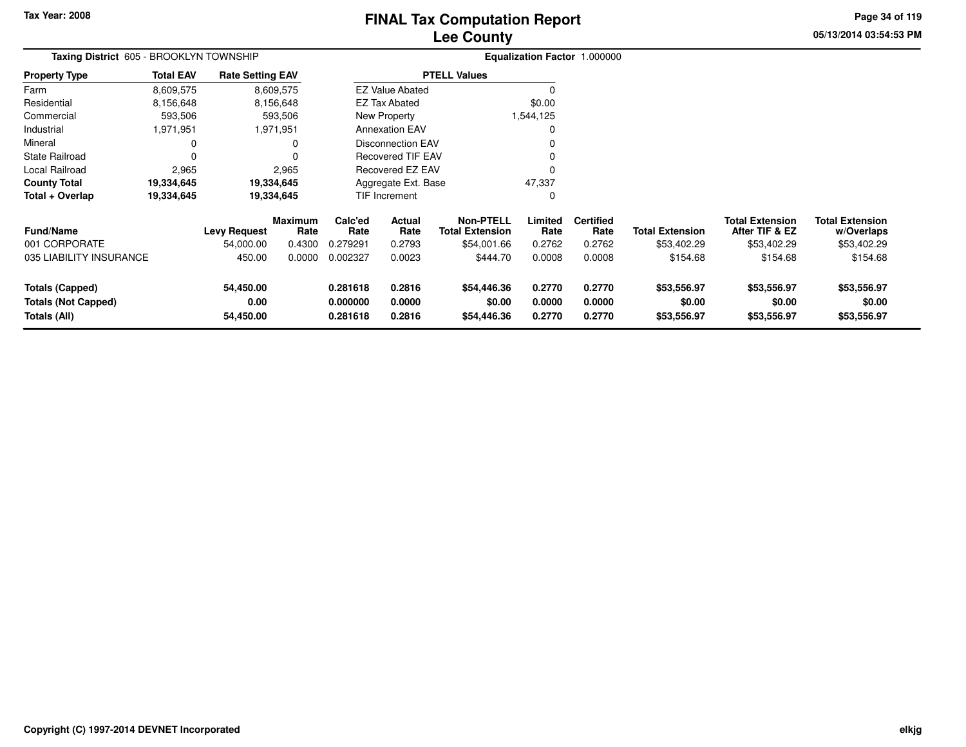# **Lee CountyFINAL Tax Computation Report**

**05/13/2014 03:54:53 PM Page 34 of 119**

| Taxing District 605 - BROOKLYN TOWNSHIP                              |                  |                                |                        |                                  |                            |                                            |                            | Equalization Factor 1.000000 |                                      |                                          |                                      |
|----------------------------------------------------------------------|------------------|--------------------------------|------------------------|----------------------------------|----------------------------|--------------------------------------------|----------------------------|------------------------------|--------------------------------------|------------------------------------------|--------------------------------------|
| <b>Property Type</b>                                                 | <b>Total EAV</b> | <b>Rate Setting EAV</b>        |                        |                                  |                            | <b>PTELL Values</b>                        |                            |                              |                                      |                                          |                                      |
| Farm                                                                 | 8,609,575        |                                | 8,609,575              |                                  | <b>EZ Value Abated</b>     |                                            | $\Omega$                   |                              |                                      |                                          |                                      |
| Residential                                                          | 8,156,648        |                                | 8,156,648              |                                  | <b>EZ Tax Abated</b>       |                                            | \$0.00                     |                              |                                      |                                          |                                      |
| Commercial                                                           | 593,506          |                                | 593,506                |                                  | New Property               |                                            | 1,544,125                  |                              |                                      |                                          |                                      |
| Industrial                                                           | 1,971,951        |                                | 1,971,951              |                                  | <b>Annexation EAV</b>      |                                            | 0                          |                              |                                      |                                          |                                      |
| Mineral                                                              | 0                |                                | 0                      |                                  | <b>Disconnection EAV</b>   |                                            |                            |                              |                                      |                                          |                                      |
| <b>State Railroad</b>                                                | 0                |                                |                        |                                  | <b>Recovered TIF EAV</b>   |                                            |                            |                              |                                      |                                          |                                      |
| Local Railroad                                                       | 2,965            |                                | 2,965                  |                                  | Recovered EZ EAV           |                                            | 0                          |                              |                                      |                                          |                                      |
| <b>County Total</b>                                                  | 19,334,645       |                                | 19,334,645             |                                  | Aggregate Ext. Base        |                                            | 47,337                     |                              |                                      |                                          |                                      |
| Total + Overlap                                                      | 19,334,645       |                                | 19,334,645             |                                  | <b>TIF Increment</b>       |                                            | 0                          |                              |                                      |                                          |                                      |
| <b>Fund/Name</b>                                                     |                  | <b>Levy Request</b>            | <b>Maximum</b><br>Rate | Calc'ed<br>Rate                  | Actual<br>Rate             | <b>Non-PTELL</b><br><b>Total Extension</b> | Limited<br>Rate            | <b>Certified</b><br>Rate     | <b>Total Extension</b>               | <b>Total Extension</b><br>After TIF & EZ | <b>Total Extension</b><br>w/Overlaps |
| 001 CORPORATE                                                        |                  | 54,000.00                      | 0.4300                 | 0.279291                         | 0.2793                     | \$54,001.66                                | 0.2762                     | 0.2762                       | \$53,402.29                          | \$53,402.29                              | \$53,402.29                          |
| 035 LIABILITY INSURANCE                                              |                  | 450.00                         | 0.0000                 | 0.002327                         | 0.0023                     | \$444.70                                   | 0.0008                     | 0.0008                       | \$154.68                             | \$154.68                                 | \$154.68                             |
| <b>Totals (Capped)</b><br><b>Totals (Not Capped)</b><br>Totals (All) |                  | 54,450.00<br>0.00<br>54,450.00 |                        | 0.281618<br>0.000000<br>0.281618 | 0.2816<br>0.0000<br>0.2816 | \$54,446.36<br>\$0.00<br>\$54,446.36       | 0.2770<br>0.0000<br>0.2770 | 0.2770<br>0.0000<br>0.2770   | \$53,556.97<br>\$0.00<br>\$53,556.97 | \$53,556.97<br>\$0.00<br>\$53,556.97     | \$53,556.97<br>\$0.00<br>\$53,556.97 |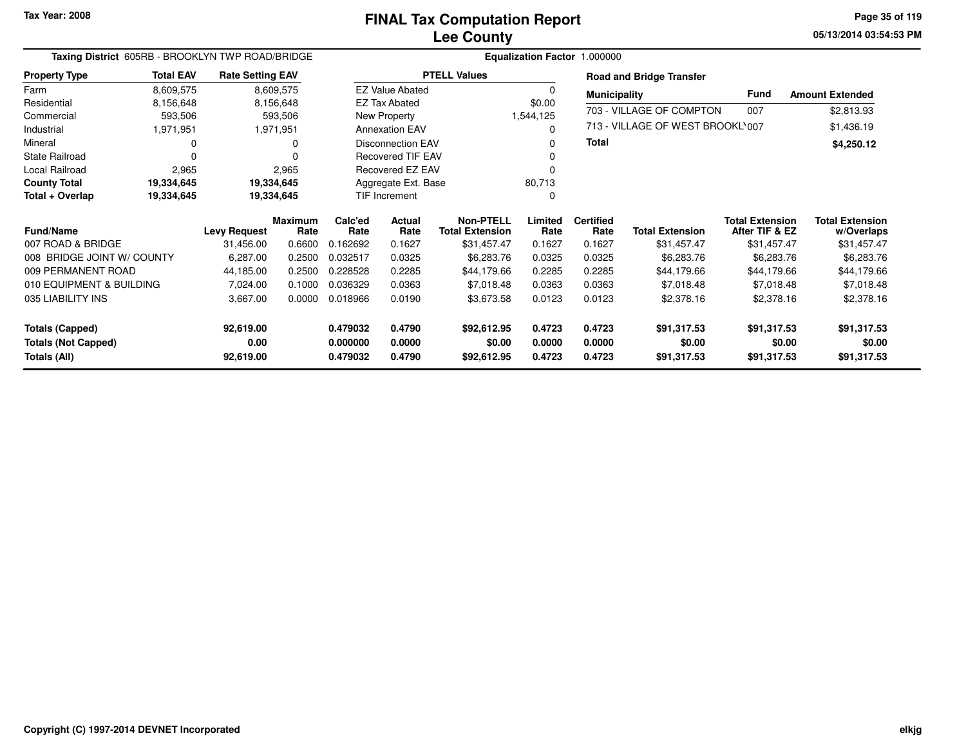**05/13/2014 03:54:53 PM Page 35 of 119**

|                            | Taxing District 605RB - BROOKLYN TWP ROAD/BRIDGE<br><b>Total EAV</b><br><b>Rate Setting EAV</b> |                     |                        |                 |                                       |                                            |                 | Equalization Factor 1.000000 |                                  |                                          |                                      |
|----------------------------|-------------------------------------------------------------------------------------------------|---------------------|------------------------|-----------------|---------------------------------------|--------------------------------------------|-----------------|------------------------------|----------------------------------|------------------------------------------|--------------------------------------|
| <b>Property Type</b>       |                                                                                                 |                     |                        |                 |                                       | <b>PTELL Values</b>                        |                 |                              | <b>Road and Bridge Transfer</b>  |                                          |                                      |
| Farm                       | 8,609,575                                                                                       |                     | 8,609,575              |                 | <b>EZ Value Abated</b>                |                                            | 0               | <b>Municipality</b>          |                                  | <b>Fund</b>                              | <b>Amount Extended</b>               |
| Residential                | 8,156,648                                                                                       |                     | 8,156,648              |                 | <b>EZ Tax Abated</b>                  |                                            | \$0.00          |                              | 703 - VILLAGE OF COMPTON         | 007                                      | \$2,813.93                           |
| Commercial<br>Industrial   | 593,506<br>1,971,951                                                                            |                     | 593,506<br>1,971,951   |                 | New Property<br><b>Annexation EAV</b> |                                            | 1,544,125<br>0  |                              | 713 - VILLAGE OF WEST BROOKL'007 |                                          | \$1,436.19                           |
| Mineral                    | 0                                                                                               |                     | O                      |                 | <b>Disconnection EAV</b>              |                                            | 0               | <b>Total</b>                 |                                  |                                          | \$4,250.12                           |
| <b>State Railroad</b>      | $\Omega$                                                                                        |                     |                        |                 | <b>Recovered TIF EAV</b>              |                                            | 0               |                              |                                  |                                          |                                      |
| <b>Local Railroad</b>      | 2,965                                                                                           |                     | 2,965                  |                 | Recovered EZ EAV                      |                                            | 0               |                              |                                  |                                          |                                      |
| <b>County Total</b>        | 19,334,645                                                                                      | 19,334,645          |                        |                 | Aggregate Ext. Base                   |                                            | 80,713          |                              |                                  |                                          |                                      |
| Total + Overlap            | 19,334,645                                                                                      |                     | 19,334,645             |                 | TIF Increment                         |                                            | 0               |                              |                                  |                                          |                                      |
| <b>Fund/Name</b>           |                                                                                                 | <b>Levy Request</b> | <b>Maximum</b><br>Rate | Calc'ed<br>Rate | Actual<br>Rate                        | <b>Non-PTELL</b><br><b>Total Extension</b> | Limited<br>Rate | <b>Certified</b><br>Rate     | <b>Total Extension</b>           | <b>Total Extension</b><br>After TIF & EZ | <b>Total Extension</b><br>w/Overlaps |
| 007 ROAD & BRIDGE          |                                                                                                 | 31,456.00           | 0.6600                 | 0.162692        | 0.1627                                | \$31,457.47                                | 0.1627          | 0.1627                       | \$31,457.47                      | \$31,457.47                              | \$31,457.47                          |
| 008 BRIDGE JOINT W/ COUNTY |                                                                                                 | 6,287.00            | 0.2500                 | 0.032517        | 0.0325                                | \$6,283.76                                 | 0.0325          | 0.0325                       | \$6,283.76                       | \$6,283.76                               | \$6,283.76                           |
| 009 PERMANENT ROAD         |                                                                                                 | 44,185.00           | 0.2500                 | 0.228528        | 0.2285                                | \$44,179.66                                | 0.2285          | 0.2285                       | \$44,179.66                      | \$44,179.66                              | \$44,179.66                          |
| 010 EQUIPMENT & BUILDING   |                                                                                                 | 7,024.00            | 0.1000                 | 0.036329        | 0.0363                                | \$7,018.48                                 | 0.0363          | 0.0363                       | \$7,018.48                       | \$7,018.48                               | \$7,018.48                           |
| 035 LIABILITY INS          |                                                                                                 | 3,667.00            | 0.0000                 | 0.018966        | 0.0190                                | \$3,673.58                                 | 0.0123          | 0.0123                       | \$2,378.16                       | \$2,378.16                               | \$2,378.16                           |
| <b>Totals (Capped)</b>     |                                                                                                 | 92,619.00           |                        | 0.479032        | 0.4790                                | \$92,612.95                                | 0.4723          | 0.4723                       | \$91,317.53                      | \$91,317.53                              | \$91,317.53                          |
| <b>Totals (Not Capped)</b> |                                                                                                 | 0.00                |                        | 0.000000        | 0.0000                                | \$0.00                                     | 0.0000          | 0.0000                       | \$0.00                           | \$0.00                                   | \$0.00                               |
| Totals (All)               |                                                                                                 | 92,619.00           |                        | 0.479032        | 0.4790                                | \$92,612.95                                | 0.4723          | 0.4723                       | \$91,317.53                      | \$91,317.53                              | \$91,317.53                          |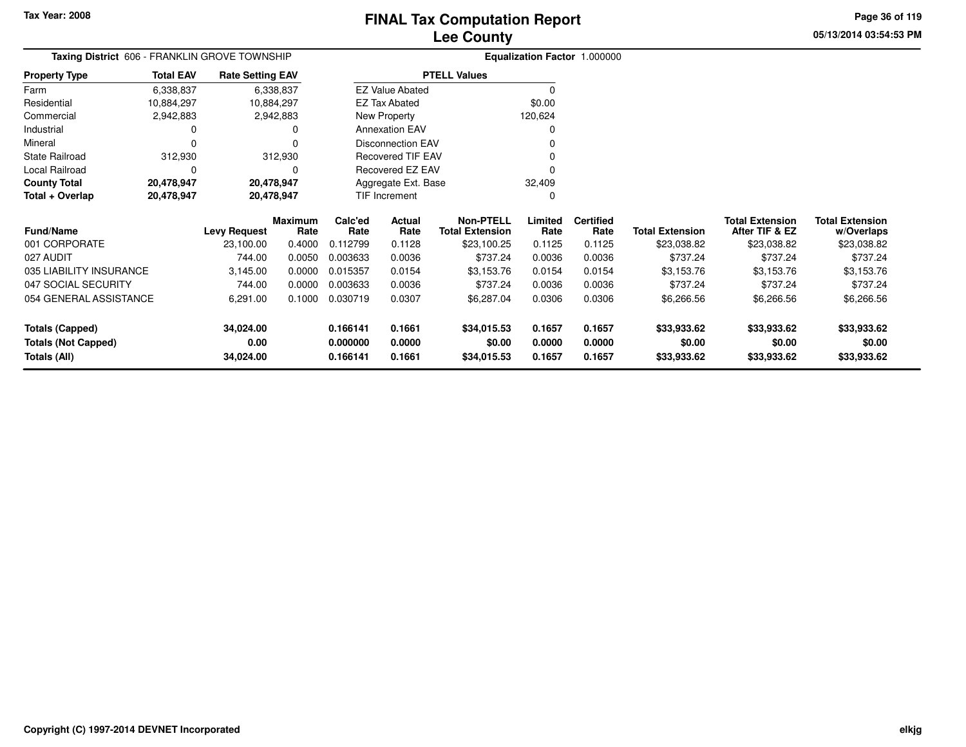**05/13/2014 03:54:53 PM Page 36 of 119**

| <b>Taxing District</b> 606 - FRANKLIN GROVE TOWNSHIP |                          |                         |                        | Equalization Factor 1.000000 |                          |                                            |                 |                          |                        |                                          |                                      |
|------------------------------------------------------|--------------------------|-------------------------|------------------------|------------------------------|--------------------------|--------------------------------------------|-----------------|--------------------------|------------------------|------------------------------------------|--------------------------------------|
| <b>Property Type</b>                                 | <b>Total EAV</b>         | <b>Rate Setting EAV</b> |                        | <b>PTELL Values</b>          |                          |                                            |                 |                          |                        |                                          |                                      |
| Farm                                                 | 6,338,837                | 6,338,837               |                        |                              | <b>EZ Value Abated</b>   |                                            | $\Omega$        |                          |                        |                                          |                                      |
| Residential                                          | 10,884,297<br>10,884,297 |                         |                        |                              | <b>EZ Tax Abated</b>     |                                            | \$0.00          |                          |                        |                                          |                                      |
| Commercial                                           | 2,942,883                | 2,942,883               |                        | New Property                 |                          |                                            | 120,624         |                          |                        |                                          |                                      |
| Industrial                                           |                          |                         |                        |                              | <b>Annexation EAV</b>    |                                            |                 |                          |                        |                                          |                                      |
| Mineral                                              |                          |                         |                        | <b>Disconnection EAV</b>     |                          |                                            |                 |                          |                        |                                          |                                      |
| <b>State Railroad</b>                                | 312,930                  | 312,930                 |                        |                              | <b>Recovered TIF EAV</b> |                                            |                 |                          |                        |                                          |                                      |
| Local Railroad                                       |                          | $\Omega$                |                        |                              | Recovered EZ EAV         |                                            |                 |                          |                        |                                          |                                      |
| <b>County Total</b>                                  | 20,478,947               | 20,478,947              |                        |                              | Aggregate Ext. Base      |                                            | 32,409          |                          |                        |                                          |                                      |
| Total + Overlap                                      | 20,478,947               | 20,478,947              |                        | TIF Increment                |                          | O                                          |                 |                          |                        |                                          |                                      |
| <b>Fund/Name</b>                                     |                          | <b>Levy Request</b>     | <b>Maximum</b><br>Rate | Calc'ed<br>Rate              | Actual<br>Rate           | <b>Non-PTELL</b><br><b>Total Extension</b> | Limited<br>Rate | <b>Certified</b><br>Rate | <b>Total Extension</b> | <b>Total Extension</b><br>After TIF & EZ | <b>Total Extension</b><br>w/Overlaps |
| 001 CORPORATE                                        |                          | 23,100.00               | 0.4000                 | 0.112799                     | 0.1128                   | \$23,100.25                                | 0.1125          | 0.1125                   | \$23,038.82            | \$23,038.82                              | \$23,038.82                          |
| 027 AUDIT                                            |                          | 744.00                  | 0.0050                 | 0.003633                     | 0.0036                   | \$737.24                                   | 0.0036          | 0.0036                   | \$737.24               | \$737.24                                 | \$737.24                             |
| 035 LIABILITY INSURANCE                              |                          | 3,145.00                | 0.0000                 | 0.015357                     | 0.0154                   | \$3,153.76                                 | 0.0154          | 0.0154                   | \$3,153.76             | \$3,153.76                               | \$3,153.76                           |
| 047 SOCIAL SECURITY                                  |                          | 744.00                  | 0.0000                 | 0.003633                     | 0.0036                   | \$737.24                                   | 0.0036          | 0.0036                   | \$737.24               | \$737.24                                 | \$737.24                             |
| 054 GENERAL ASSISTANCE                               |                          | 6,291.00                | 0.1000                 | 0.030719                     | 0.0307                   | \$6,287.04                                 | 0.0306          | 0.0306                   | \$6,266.56             | \$6,266.56                               | \$6,266.56                           |
| <b>Totals (Capped)</b>                               |                          | 34,024.00               |                        | 0.166141                     | 0.1661                   | \$34,015.53                                | 0.1657          | 0.1657                   | \$33,933.62            | \$33,933.62                              | \$33,933.62                          |
| <b>Totals (Not Capped)</b>                           |                          | 0.00                    |                        | 0.000000                     | 0.0000                   | \$0.00                                     | 0.0000          | 0.0000                   | \$0.00                 | \$0.00                                   | \$0.00                               |
| Totals (All)                                         |                          | 34,024.00               |                        | 0.166141                     | 0.1661                   | \$34,015.53                                | 0.1657          | 0.1657                   | \$33,933.62            | \$33,933.62                              | \$33,933.62                          |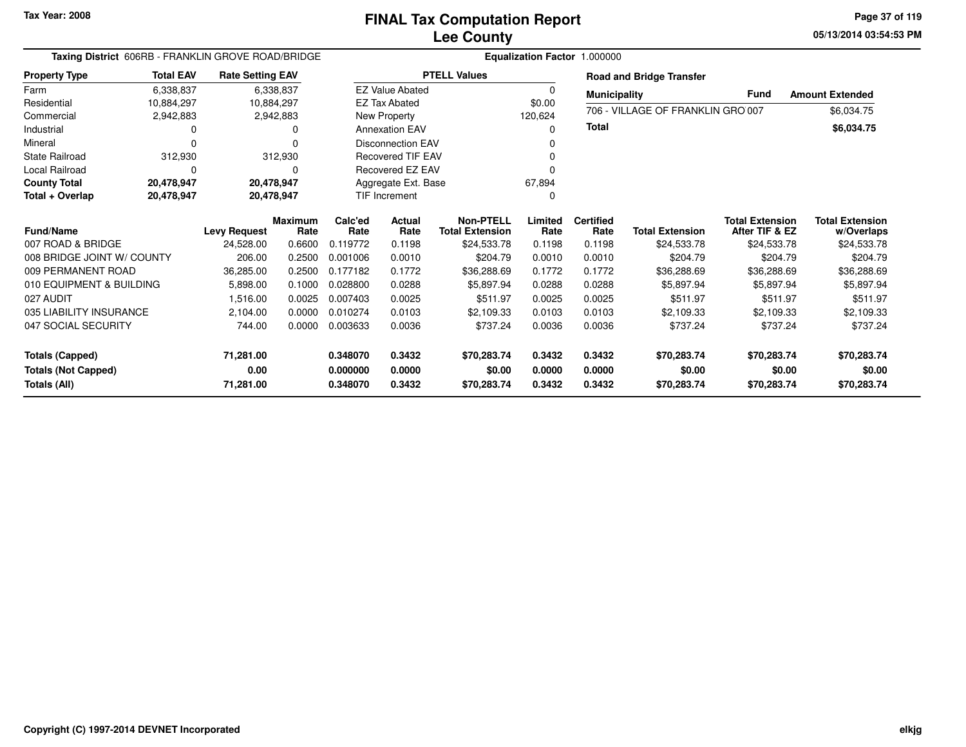**05/13/2014 03:54:53 PM Page 37 of 119**

| Taxing District 606RB - FRANKLIN GROVE ROAD/BRIDGE |                  |                         |                |          |                          |                        | Equalization Factor 1.000000 |                     |                                   |                        |                        |
|----------------------------------------------------|------------------|-------------------------|----------------|----------|--------------------------|------------------------|------------------------------|---------------------|-----------------------------------|------------------------|------------------------|
| <b>Property Type</b>                               | <b>Total EAV</b> | <b>Rate Setting EAV</b> |                |          |                          | <b>PTELL Values</b>    |                              |                     | <b>Road and Bridge Transfer</b>   |                        |                        |
| Farm                                               | 6,338,837        |                         | 6,338,837      |          | <b>EZ Value Abated</b>   |                        | 0                            | <b>Municipality</b> |                                   | <b>Fund</b>            | <b>Amount Extended</b> |
| Residential                                        | 10,884,297       |                         | 10,884,297     |          | <b>EZ Tax Abated</b>     |                        | \$0.00                       |                     | 706 - VILLAGE OF FRANKLIN GRO 007 |                        |                        |
| Commercial                                         | 2,942,883        |                         | 2,942,883      |          | New Property             |                        | 120,624                      |                     |                                   |                        | \$6,034.75             |
| Industrial                                         |                  |                         | o              |          | <b>Annexation EAV</b>    |                        | $\Omega$                     | <b>Total</b>        |                                   |                        | \$6,034.75             |
| Mineral                                            | O                |                         |                |          | Disconnection EAV<br>O   |                        |                              |                     |                                   |                        |                        |
| <b>State Railroad</b>                              | 312,930          |                         | 312,930        |          | <b>Recovered TIF EAV</b> |                        |                              |                     |                                   |                        |                        |
| <b>Local Railroad</b>                              | $\Omega$         |                         | 0              |          | Recovered EZ EAV         |                        | 0                            |                     |                                   |                        |                        |
| <b>County Total</b>                                | 20,478,947       |                         | 20,478,947     |          | Aggregate Ext. Base      |                        | 67,894                       |                     |                                   |                        |                        |
| Total + Overlap                                    | 20,478,947       |                         | 20,478,947     |          | <b>TIF Increment</b>     |                        |                              |                     |                                   |                        |                        |
|                                                    |                  |                         | <b>Maximum</b> | Calc'ed  | Actual                   | <b>Non-PTELL</b>       | Limited                      | <b>Certified</b>    |                                   | <b>Total Extension</b> | <b>Total Extension</b> |
| <b>Fund/Name</b>                                   |                  | <b>Levy Request</b>     | Rate           | Rate     | Rate                     | <b>Total Extension</b> | Rate                         | Rate                | <b>Total Extension</b>            | After TIF & EZ         | w/Overlaps             |
| 007 ROAD & BRIDGE                                  |                  | 24,528.00               | 0.6600         | 0.119772 | 0.1198                   | \$24,533.78            | 0.1198                       | 0.1198              | \$24,533.78                       | \$24,533.78            | \$24,533.78            |
| 008 BRIDGE JOINT W/ COUNTY                         |                  | 206.00                  | 0.2500         | 0.001006 | 0.0010                   | \$204.79               | 0.0010                       | 0.0010              | \$204.79                          | \$204.79               | \$204.79               |
| 009 PERMANENT ROAD                                 |                  | 36,285.00               | 0.2500         | 0.177182 | 0.1772                   | \$36,288.69            | 0.1772                       | 0.1772              | \$36,288.69                       | \$36,288.69            | \$36,288.69            |
| 010 EQUIPMENT & BUILDING                           |                  | 5,898.00                | 0.1000         | 0.028800 | 0.0288                   | \$5.897.94             | 0.0288                       | 0.0288              | \$5,897.94                        | \$5,897.94             | \$5,897.94             |
| 027 AUDIT                                          |                  | 1,516.00                | 0.0025         | 0.007403 | 0.0025                   | \$511.97               | 0.0025                       | 0.0025              | \$511.97                          | \$511.97               | \$511.97               |
| 035 LIABILITY INSURANCE                            |                  | 2.104.00                | 0.0000         | 0.010274 | 0.0103                   | \$2.109.33             | 0.0103                       | 0.0103              | \$2,109.33                        | \$2.109.33             | \$2,109.33             |
| 047 SOCIAL SECURITY                                |                  | 744.00                  | 0.0000         | 0.003633 | 0.0036                   | \$737.24               | 0.0036                       | 0.0036              | \$737.24                          | \$737.24               | \$737.24               |
|                                                    |                  |                         |                | 0.348070 | 0.3432                   |                        | 0.3432                       | 0.3432              |                                   |                        |                        |
| <b>Totals (Capped)</b>                             |                  | 71,281.00               |                |          |                          | \$70,283.74            |                              |                     | \$70,283.74                       | \$70,283.74            | \$70,283.74            |
| <b>Totals (Not Capped)</b>                         |                  | 0.00                    |                | 0.000000 | 0.0000                   | \$0.00                 | 0.0000                       | 0.0000              | \$0.00                            | \$0.00                 | \$0.00                 |
| Totals (All)                                       |                  | 71,281.00               |                | 0.348070 | 0.3432                   | \$70,283.74            | 0.3432                       | 0.3432              | \$70,283.74                       | \$70,283.74            | \$70,283.74            |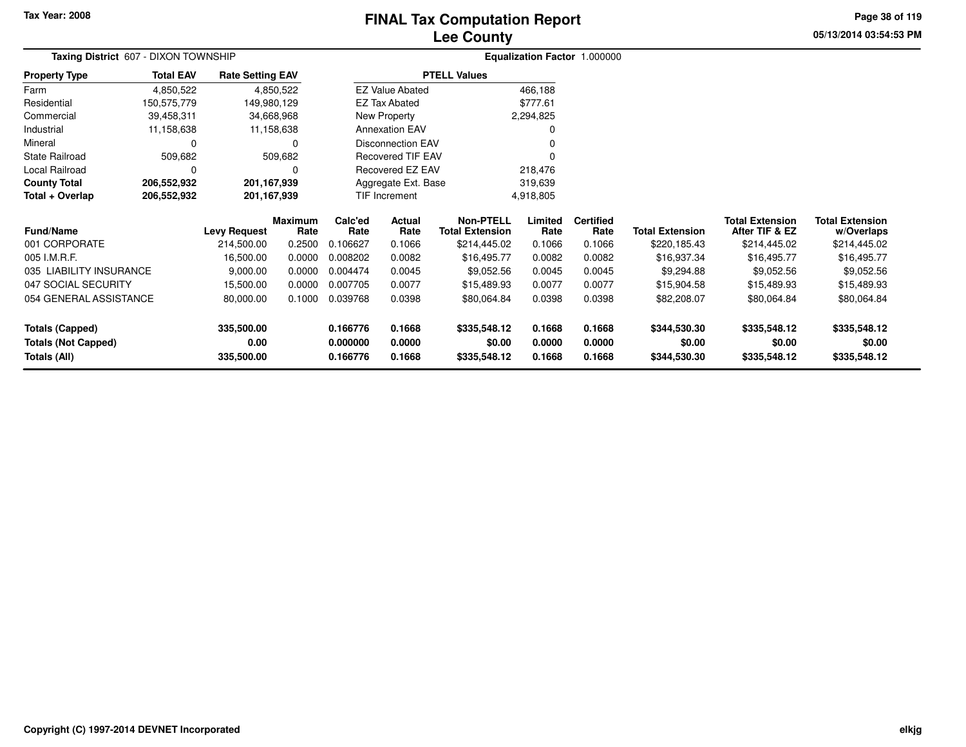#### **Lee CountyFINAL Tax Computation Report**

**05/13/2014 03:54:53 PMPage 38 of 119**

| Taxing District 607 - DIXON TOWNSHIP |                  |                         |                        |                 |                          |                                            | Equalization Factor 1.000000 |                          |                        |                                          |                                      |  |
|--------------------------------------|------------------|-------------------------|------------------------|-----------------|--------------------------|--------------------------------------------|------------------------------|--------------------------|------------------------|------------------------------------------|--------------------------------------|--|
| <b>Property Type</b>                 | <b>Total EAV</b> | <b>Rate Setting EAV</b> |                        |                 |                          | <b>PTELL Values</b>                        |                              |                          |                        |                                          |                                      |  |
| Farm                                 | 4,850,522        |                         | 4,850,522              |                 | <b>EZ Value Abated</b>   |                                            | 466,188                      |                          |                        |                                          |                                      |  |
| Residential                          | 150,575,779      | 149,980,129             |                        |                 | <b>EZ Tax Abated</b>     |                                            | \$777.61                     |                          |                        |                                          |                                      |  |
| Commercial                           | 39,458,311       |                         | 34,668,968             |                 | New Property             |                                            | 2,294,825                    |                          |                        |                                          |                                      |  |
| Industrial                           | 11,158,638       |                         | 11,158,638             |                 | <b>Annexation EAV</b>    |                                            |                              |                          |                        |                                          |                                      |  |
| Mineral                              | 0                |                         | 0                      |                 | <b>Disconnection EAV</b> |                                            |                              |                          |                        |                                          |                                      |  |
| <b>State Railroad</b>                | 509,682          |                         | 509,682                |                 | Recovered TIF EAV        |                                            |                              |                          |                        |                                          |                                      |  |
| Local Railroad                       | 0                |                         | O                      |                 | Recovered EZ EAV         |                                            | 218,476                      |                          |                        |                                          |                                      |  |
| <b>County Total</b>                  | 206,552,932      | 201,167,939             |                        |                 | Aggregate Ext. Base      |                                            | 319,639                      |                          |                        |                                          |                                      |  |
| Total + Overlap                      | 206,552,932      | 201, 167, 939           |                        | TIF Increment   |                          |                                            | 4,918,805                    |                          |                        |                                          |                                      |  |
| <b>Fund/Name</b>                     |                  | <b>Levy Request</b>     | <b>Maximum</b><br>Rate | Calc'ed<br>Rate | Actual<br>Rate           | <b>Non-PTELL</b><br><b>Total Extension</b> | Limited<br>Rate              | <b>Certified</b><br>Rate | <b>Total Extension</b> | <b>Total Extension</b><br>After TIF & EZ | <b>Total Extension</b><br>w/Overlaps |  |
| 001 CORPORATE                        |                  | 214,500.00              | 0.2500                 | 0.106627        | 0.1066                   | \$214,445.02                               | 0.1066                       | 0.1066                   | \$220,185.43           | \$214,445.02                             | \$214,445.02                         |  |
| 005 I.M.R.F.                         |                  | 16,500.00               | 0.0000                 | 0.008202        | 0.0082                   | \$16,495.77                                | 0.0082                       | 0.0082                   | \$16,937.34            | \$16,495.77                              | \$16,495.77                          |  |
| 035 LIABILITY INSURANCE              |                  | 9,000.00                | 0.0000                 | 0.004474        | 0.0045                   | \$9,052.56                                 | 0.0045                       | 0.0045                   | \$9,294.88             | \$9,052.56                               | \$9,052.56                           |  |
| 047 SOCIAL SECURITY                  |                  | 15,500.00               | 0.0000                 | 0.007705        | 0.0077                   | \$15,489.93                                | 0.0077                       | 0.0077                   | \$15,904.58            | \$15,489.93                              | \$15,489.93                          |  |
| 054 GENERAL ASSISTANCE               |                  | 80,000.00               | 0.1000                 | 0.039768        | 0.0398<br>\$80,064.84    |                                            | 0.0398                       | 0.0398                   | \$82,208.07            | \$80,064.84                              | \$80,064.84                          |  |
| 335,500.00<br><b>Totals (Capped)</b> |                  | 0.166776                | 0.1668                 | \$335,548.12    | 0.1668                   | 0.1668                                     | \$344,530.30                 | \$335,548.12             | \$335,548.12           |                                          |                                      |  |
| <b>Totals (Not Capped)</b>           |                  | 0.00                    |                        | 0.000000        | 0.0000                   | \$0.00                                     | 0.0000                       | 0.0000                   | \$0.00                 | \$0.00                                   | \$0.00                               |  |
| <b>Totals (All)</b>                  |                  | 335,500.00              |                        | 0.166776        | 0.1668                   | \$335,548.12                               | 0.1668                       | 0.1668                   | \$344,530.30           | \$335,548.12                             | \$335,548.12                         |  |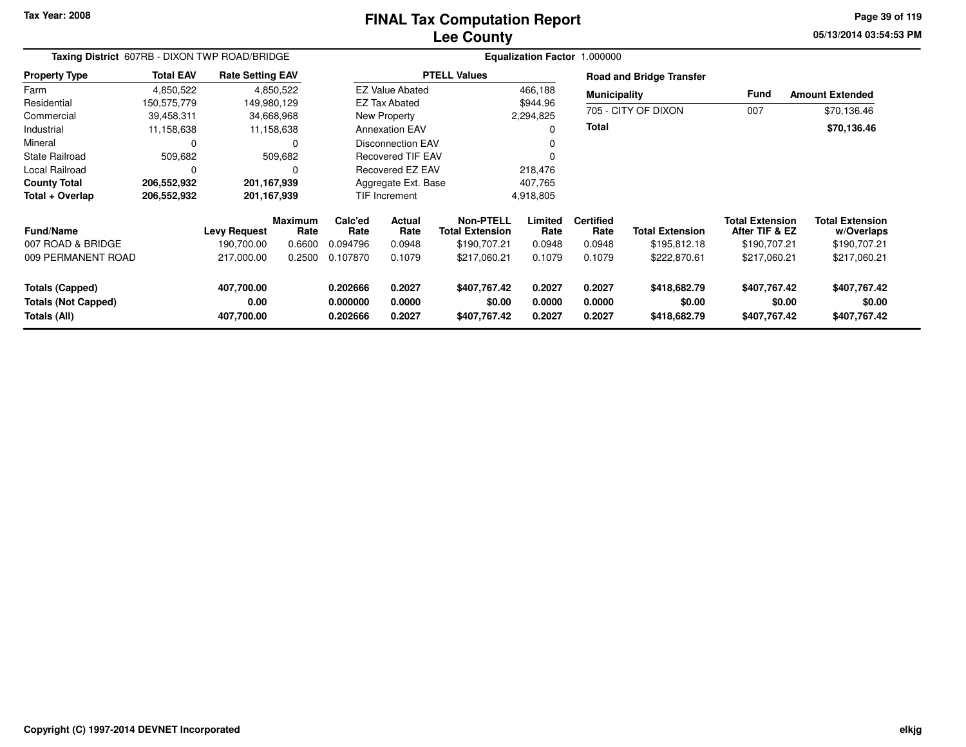#### **Lee CountyFINAL Tax Computation Report**

**05/13/2014 03:54:53 PM Page 39 of 119**

| Taxing District 607RB - DIXON TWP ROAD/BRIDGE                        |                  |                                  |                 | Equalization Factor 1.000000     |                            |                                        |                            |                            |                                        |                                          |                                        |  |
|----------------------------------------------------------------------|------------------|----------------------------------|-----------------|----------------------------------|----------------------------|----------------------------------------|----------------------------|----------------------------|----------------------------------------|------------------------------------------|----------------------------------------|--|
| <b>Property Type</b>                                                 | <b>Total EAV</b> | <b>Rate Setting EAV</b>          |                 |                                  |                            | <b>PTELL Values</b>                    |                            |                            | <b>Road and Bridge Transfer</b>        |                                          |                                        |  |
| Farm                                                                 | 4,850,522        |                                  | 4,850,522       |                                  | <b>EZ Value Abated</b>     |                                        | 466,188                    | <b>Municipality</b>        |                                        | <b>Fund</b>                              | <b>Amount Extended</b>                 |  |
| Residential                                                          | 150,575,779      | 149,980,129                      |                 |                                  | <b>EZ Tax Abated</b>       |                                        | \$944.96                   |                            |                                        |                                          |                                        |  |
| Commercial                                                           | 39,458,311       |                                  | 34,668,968      |                                  | New Property               |                                        | 2,294,825                  |                            | 705 - CITY OF DIXON                    | 007                                      | \$70,136.46                            |  |
| Industrial                                                           | 11,158,638       |                                  | 11,158,638      |                                  | <b>Annexation EAV</b>      |                                        | 0                          | Total                      |                                        |                                          | \$70,136.46                            |  |
| Mineral                                                              | 0                |                                  | 0               |                                  | <b>Disconnection EAV</b>   |                                        | 0                          |                            |                                        |                                          |                                        |  |
| State Railroad                                                       | 509,682          |                                  | 509,682         |                                  | <b>Recovered TIF EAV</b>   |                                        |                            |                            |                                        |                                          |                                        |  |
| Local Railroad                                                       | 0                |                                  | $\Omega$        |                                  | Recovered EZ EAV           |                                        | 218,476                    |                            |                                        |                                          |                                        |  |
| <b>County Total</b>                                                  | 206,552,932      | 201, 167, 939                    |                 |                                  | Aggregate Ext. Base        |                                        | 407,765                    |                            |                                        |                                          |                                        |  |
| Total + Overlap                                                      | 206,552,932      | 201, 167, 939                    |                 |                                  | TIF Increment              |                                        | 4,918,805                  |                            |                                        |                                          |                                        |  |
| <b>Fund/Name</b>                                                     |                  | <b>Levy Request</b>              | Maximum<br>Rate | Calc'ed<br>Rate                  | <b>Actual</b><br>Rate      | Non-PTELL<br><b>Total Extension</b>    | Limited<br>Rate            | <b>Certified</b><br>Rate   | <b>Total Extension</b>                 | <b>Total Extension</b><br>After TIF & EZ | <b>Total Extension</b><br>w/Overlaps   |  |
| 007 ROAD & BRIDGE                                                    |                  | 190,700.00                       | 0.6600          | 0.094796                         | 0.0948                     | \$190,707.21                           | 0.0948                     | 0.0948                     | \$195,812.18                           | \$190,707.21                             | \$190,707.21                           |  |
| 009 PERMANENT ROAD                                                   |                  | 217,000.00                       | 0.2500          | 0.107870                         | 0.1079                     | \$217,060.21                           | 0.1079                     | 0.1079                     | \$222,870.61                           | \$217,060.21                             | \$217,060.21                           |  |
| <b>Totals (Capped)</b><br><b>Totals (Not Capped)</b><br>Totals (All) |                  | 407,700.00<br>0.00<br>407,700.00 |                 | 0.202666<br>0.000000<br>0.202666 | 0.2027<br>0.0000<br>0.2027 | \$407,767.42<br>\$0.00<br>\$407,767.42 | 0.2027<br>0.0000<br>0.2027 | 0.2027<br>0.0000<br>0.2027 | \$418,682.79<br>\$0.00<br>\$418,682.79 | \$407,767.42<br>\$0.00<br>\$407,767.42   | \$407,767.42<br>\$0.00<br>\$407,767.42 |  |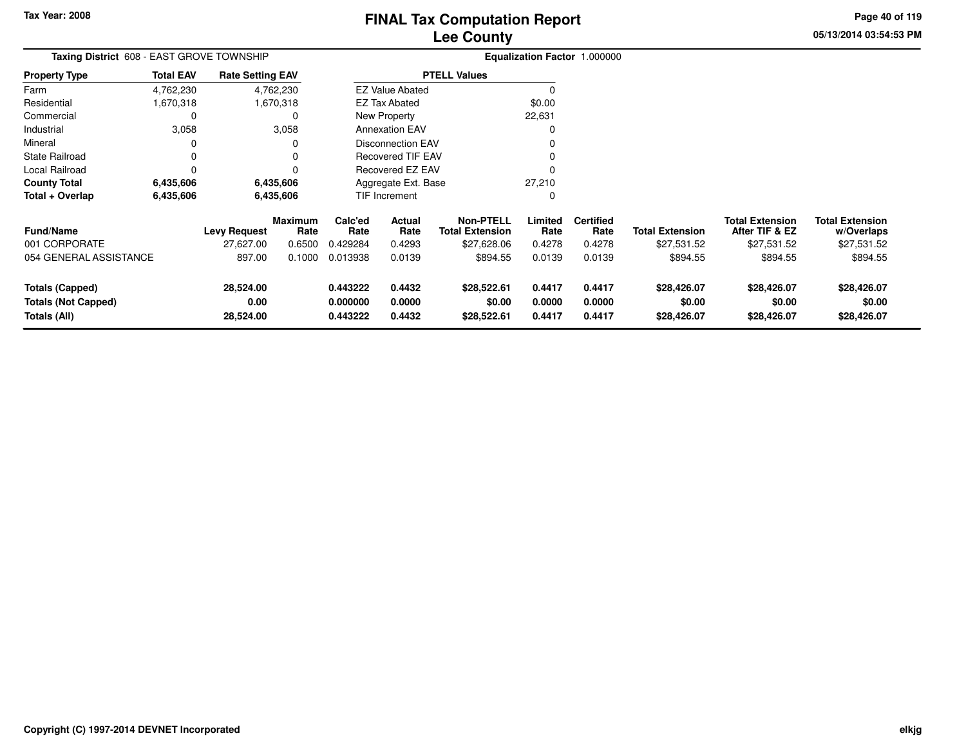**05/13/2014 03:54:53 PMPage 40 of 119**

| Taxing District 608 - EAST GROVE TOWNSHIP                            |                  |                                |                        |                                  | Equalization Factor 1.000000 |                                            |                            |                            |                                      |                                          |                                      |
|----------------------------------------------------------------------|------------------|--------------------------------|------------------------|----------------------------------|------------------------------|--------------------------------------------|----------------------------|----------------------------|--------------------------------------|------------------------------------------|--------------------------------------|
| <b>Property Type</b>                                                 | <b>Total EAV</b> | <b>Rate Setting EAV</b>        |                        |                                  |                              | <b>PTELL Values</b>                        |                            |                            |                                      |                                          |                                      |
| Farm                                                                 | 4,762,230        |                                | 4,762,230              |                                  | <b>EZ Value Abated</b>       |                                            |                            |                            |                                      |                                          |                                      |
| Residential                                                          | 1,670,318        |                                | 1,670,318              |                                  | <b>EZ Tax Abated</b>         |                                            | \$0.00                     |                            |                                      |                                          |                                      |
| Commercial                                                           | 0                |                                | 0                      |                                  | New Property                 |                                            | 22,631                     |                            |                                      |                                          |                                      |
| Industrial                                                           | 3,058            |                                | 3,058                  |                                  | <b>Annexation EAV</b>        |                                            |                            |                            |                                      |                                          |                                      |
| Mineral                                                              | 0                |                                |                        |                                  | <b>Disconnection EAV</b>     |                                            |                            |                            |                                      |                                          |                                      |
| <b>State Railroad</b>                                                | 0                |                                | n                      |                                  | <b>Recovered TIF EAV</b>     |                                            |                            |                            |                                      |                                          |                                      |
| Local Railroad                                                       | $\Omega$         |                                |                        | Recovered EZ EAV                 |                              |                                            |                            |                            |                                      |                                          |                                      |
| <b>County Total</b>                                                  | 6,435,606        |                                | 6,435,606              | 27,210<br>Aggregate Ext. Base    |                              |                                            |                            |                            |                                      |                                          |                                      |
| Total + Overlap                                                      | 6,435,606        |                                | 6,435,606              |                                  | TIF Increment                |                                            | 0                          |                            |                                      |                                          |                                      |
| <b>Fund/Name</b>                                                     |                  | <b>Levy Request</b>            | <b>Maximum</b><br>Rate | Calc'ed<br>Rate                  | Actual<br>Rate               | <b>Non-PTELL</b><br><b>Total Extension</b> | Limited<br>Rate            | <b>Certified</b><br>Rate   | <b>Total Extension</b>               | <b>Total Extension</b><br>After TIF & EZ | <b>Total Extension</b><br>w/Overlaps |
| 001 CORPORATE                                                        |                  | 27,627.00                      | 0.6500                 | 0.429284                         | 0.4293                       | \$27,628.06                                | 0.4278                     | 0.4278                     | \$27,531.52                          | \$27,531.52                              | \$27,531.52                          |
| 054 GENERAL ASSISTANCE                                               |                  | 897.00                         | 0.1000                 | 0.013938                         | 0.0139                       | \$894.55                                   | 0.0139                     | 0.0139                     | \$894.55                             | \$894.55                                 | \$894.55                             |
| <b>Totals (Capped)</b><br><b>Totals (Not Capped)</b><br>Totals (All) |                  | 28,524.00<br>0.00<br>28,524.00 |                        | 0.443222<br>0.000000<br>0.443222 | 0.4432<br>0.0000<br>0.4432   | \$28,522.61<br>\$0.00<br>\$28,522.61       | 0.4417<br>0.0000<br>0.4417 | 0.4417<br>0.0000<br>0.4417 | \$28,426.07<br>\$0.00<br>\$28,426.07 | \$28,426.07<br>\$0.00<br>\$28,426.07     | \$28,426.07<br>\$0.00<br>\$28,426.07 |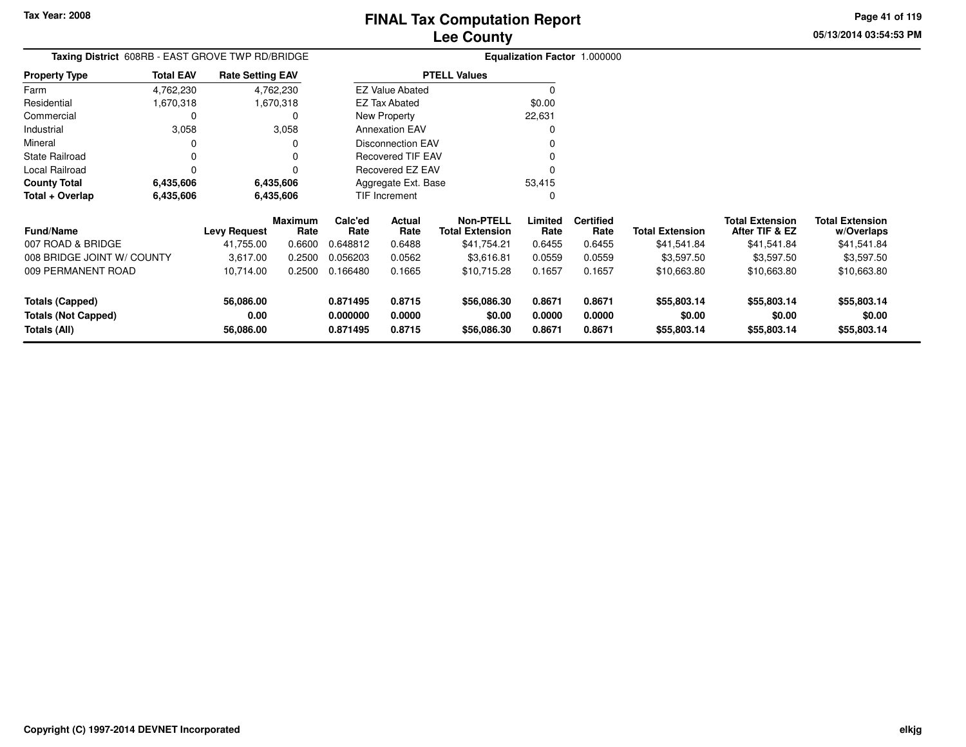**05/13/2014 03:54:53 PMPage 41 of 119**

| Taxing District 608RB - EAST GROVE TWP RD/BRIDGE |                  |                         |                 |                 | Equalization Factor 1.000000 |                                            |                 |                          |                        |                                          |                                      |
|--------------------------------------------------|------------------|-------------------------|-----------------|-----------------|------------------------------|--------------------------------------------|-----------------|--------------------------|------------------------|------------------------------------------|--------------------------------------|
| <b>Property Type</b>                             | <b>Total EAV</b> | <b>Rate Setting EAV</b> |                 |                 |                              | <b>PTELL Values</b>                        |                 |                          |                        |                                          |                                      |
| Farm                                             | 4,762,230        |                         | 4,762,230       |                 | <b>EZ Value Abated</b>       |                                            |                 |                          |                        |                                          |                                      |
| Residential                                      | 1,670,318        |                         | 1,670,318       |                 | <b>EZ Tax Abated</b>         |                                            | \$0.00          |                          |                        |                                          |                                      |
| Commercial                                       | 0                |                         | 0               |                 | New Property                 |                                            | 22,631          |                          |                        |                                          |                                      |
| Industrial                                       | 3,058            |                         | 3,058           |                 | <b>Annexation EAV</b>        |                                            |                 |                          |                        |                                          |                                      |
| Mineral                                          | 0                |                         | O               |                 | <b>Disconnection EAV</b>     |                                            |                 |                          |                        |                                          |                                      |
| <b>State Railroad</b>                            | $\Omega$         |                         |                 |                 | <b>Recovered TIF EAV</b>     |                                            |                 |                          |                        |                                          |                                      |
| Local Railroad                                   | $\Omega$         |                         |                 |                 | Recovered EZ EAV             |                                            |                 |                          |                        |                                          |                                      |
| <b>County Total</b>                              | 6,435,606        |                         | 6,435,606       |                 | Aggregate Ext. Base          |                                            | 53,415          |                          |                        |                                          |                                      |
| Total + Overlap                                  | 6,435,606        | 6,435,606               |                 | TIF Increment   |                              |                                            |                 |                          |                        |                                          |                                      |
| <b>Fund/Name</b>                                 |                  | <b>Levy Request</b>     | Maximum<br>Rate | Calc'ed<br>Rate | Actual<br>Rate               | <b>Non-PTELL</b><br><b>Total Extension</b> | Limited<br>Rate | <b>Certified</b><br>Rate | <b>Total Extension</b> | <b>Total Extension</b><br>After TIF & EZ | <b>Total Extension</b><br>w/Overlaps |
| 007 ROAD & BRIDGE                                |                  | 41,755.00               | 0.6600          | 0.648812        | 0.6488                       | \$41,754.21                                | 0.6455          | 0.6455                   | \$41,541.84            | \$41,541.84                              | \$41,541.84                          |
| 008 BRIDGE JOINT W/ COUNTY                       |                  | 3,617.00                | 0.2500          | 0.056203        | 0.0562                       | \$3,616.81                                 | 0.0559          | 0.0559                   | \$3,597.50             | \$3,597.50                               | \$3,597.50                           |
| 009 PERMANENT ROAD                               |                  | 10,714.00               | 0.2500          | 0.166480        | 0.1665                       | \$10,715.28                                | 0.1657          | 0.1657                   | \$10,663.80            | \$10,663.80                              | \$10,663.80                          |
| <b>Totals (Capped)</b>                           |                  | 56,086.00               |                 | 0.871495        | 0.8715                       | \$56,086.30                                | 0.8671          | 0.8671                   | \$55,803.14            | \$55,803.14                              | \$55,803.14                          |
| <b>Totals (Not Capped)</b>                       |                  | 0.00                    |                 | 0.000000        | 0.0000                       | \$0.00                                     | 0.0000          | 0.0000                   | \$0.00                 | \$0.00                                   | \$0.00                               |
| 56,086.00<br>Totals (All)                        |                  | 0.871495                | 0.8715          | \$56,086.30     | 0.8671                       | 0.8671                                     | \$55,803.14     | \$55,803.14              | \$55,803.14            |                                          |                                      |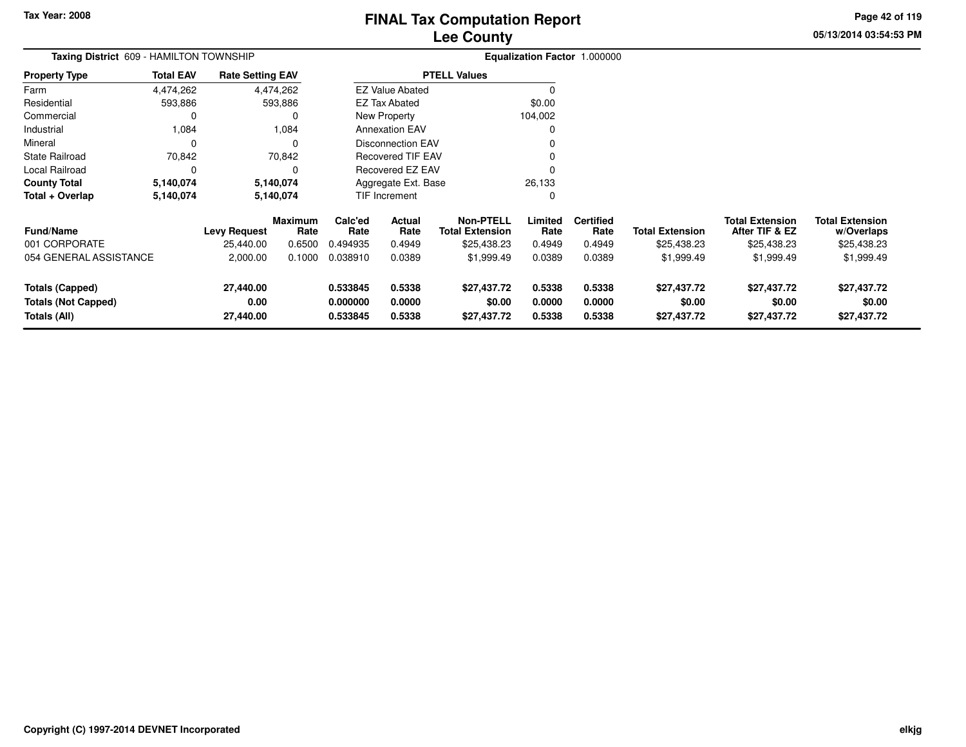**05/13/2014 03:54:53 PMPage 42 of 119**

| Taxing District 609 - HAMILTON TOWNSHIP                              |                  | Equalization Factor 1.000000   |                        |                                  |                            |                                            |                            |                            |                                      |                                          |                                      |
|----------------------------------------------------------------------|------------------|--------------------------------|------------------------|----------------------------------|----------------------------|--------------------------------------------|----------------------------|----------------------------|--------------------------------------|------------------------------------------|--------------------------------------|
| <b>Property Type</b>                                                 | <b>Total EAV</b> | <b>Rate Setting EAV</b>        |                        |                                  |                            | <b>PTELL Values</b>                        |                            |                            |                                      |                                          |                                      |
| Farm                                                                 | 4,474,262        |                                | 4,474,262              |                                  | <b>EZ Value Abated</b>     |                                            |                            |                            |                                      |                                          |                                      |
| Residential                                                          | 593,886          |                                | 593,886                |                                  | <b>EZ Tax Abated</b>       |                                            | \$0.00                     |                            |                                      |                                          |                                      |
| Commercial                                                           | 0                |                                | 0                      |                                  | New Property               |                                            | 104,002                    |                            |                                      |                                          |                                      |
| Industrial                                                           | 1,084            |                                | 1,084                  |                                  | <b>Annexation EAV</b>      |                                            |                            |                            |                                      |                                          |                                      |
| Mineral                                                              | 0                |                                |                        |                                  | <b>Disconnection EAV</b>   |                                            |                            |                            |                                      |                                          |                                      |
| <b>State Railroad</b>                                                | 70,842           |                                | 70,842                 |                                  | <b>Recovered TIF EAV</b>   |                                            |                            |                            |                                      |                                          |                                      |
| Local Railroad                                                       | 0                |                                | $\Omega$               |                                  | Recovered EZ EAV           |                                            |                            |                            |                                      |                                          |                                      |
| <b>County Total</b>                                                  | 5,140,074        |                                | 5,140,074              | 26,133<br>Aggregate Ext. Base    |                            |                                            |                            |                            |                                      |                                          |                                      |
| Total + Overlap                                                      | 5,140,074        |                                | 5,140,074              |                                  | TIF Increment<br>0         |                                            |                            |                            |                                      |                                          |                                      |
| <b>Fund/Name</b>                                                     |                  | <b>Levy Request</b>            | <b>Maximum</b><br>Rate | Calc'ed<br>Rate                  | Actual<br>Rate             | <b>Non-PTELL</b><br><b>Total Extension</b> | Limited<br>Rate            | <b>Certified</b><br>Rate   | <b>Total Extension</b>               | <b>Total Extension</b><br>After TIF & EZ | <b>Total Extension</b><br>w/Overlaps |
| 001 CORPORATE                                                        |                  | 25,440.00                      | 0.6500                 | 0.494935                         | 0.4949                     | \$25,438.23                                | 0.4949                     | 0.4949                     | \$25,438.23                          | \$25,438.23                              | \$25,438.23                          |
| 054 GENERAL ASSISTANCE                                               |                  | 2,000.00                       | 0.1000                 | 0.038910                         | 0.0389                     | \$1,999.49                                 | 0.0389                     | 0.0389                     | \$1,999.49                           | \$1,999.49                               | \$1,999.49                           |
| <b>Totals (Capped)</b><br><b>Totals (Not Capped)</b><br>Totals (All) |                  | 27,440.00<br>0.00<br>27,440.00 |                        | 0.533845<br>0.000000<br>0.533845 | 0.5338<br>0.0000<br>0.5338 | \$27,437.72<br>\$0.00<br>\$27,437.72       | 0.5338<br>0.0000<br>0.5338 | 0.5338<br>0.0000<br>0.5338 | \$27,437.72<br>\$0.00<br>\$27,437.72 | \$27,437.72<br>\$0.00<br>\$27,437.72     | \$27,437.72<br>\$0.00<br>\$27,437.72 |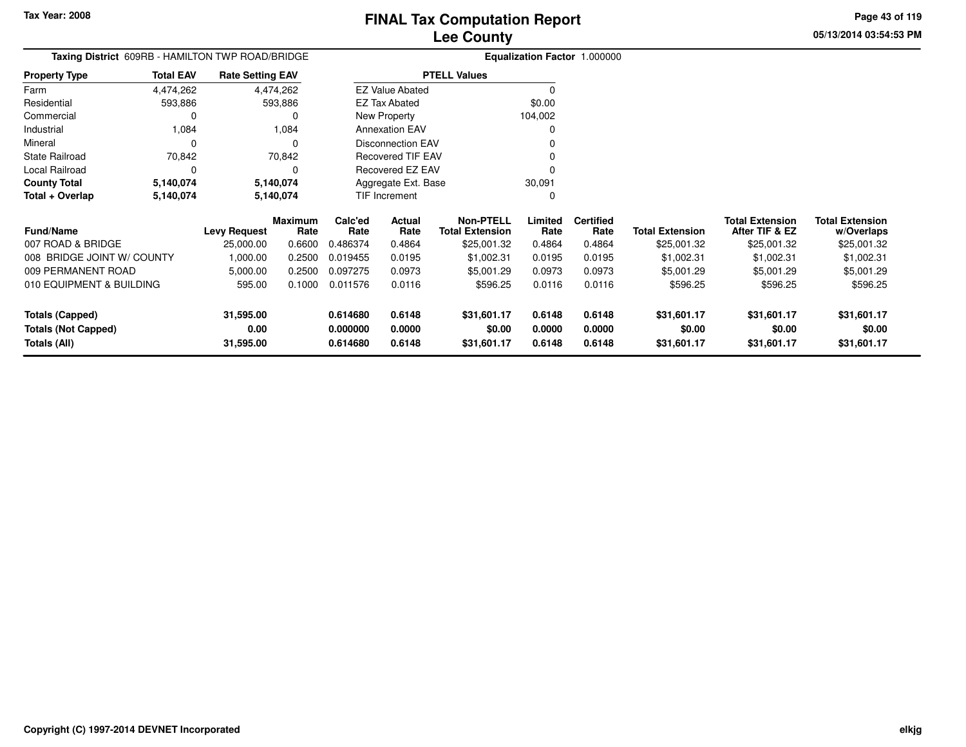**Property Type**

**Total + Overlap**

Industrial 1,084

State Railroad 70,842

Local Railroad 0 0

**County Total 5,140,074 5,140,074**

0 0

**5,140,074 5,140,074**

FarmResidential

Mineral

#### **Lee CountyFINAL Tax Computation Report**

v o

 $\sim$  0

0 v

<sup>0</sup>

0

 $\pmb{0}$ 

30,091 $\pmb{0}$  **05/13/2014 03:54:53 PMPage 43 of 119**

|               |                  |                                                  | <b>Lee County</b>      |                              |  |
|---------------|------------------|--------------------------------------------------|------------------------|------------------------------|--|
|               |                  | Taxing District 609RB - HAMILTON TWP ROAD/BRIDGE |                        | Equalization Factor 1.000000 |  |
| Property Type | <b>Total EAV</b> | <b>Rate Setting EAV</b>                          | <b>PTELL Values</b>    |                              |  |
| Farm          | 4,474,262        | 4,474,262                                        | <b>EZ Value Abated</b> |                              |  |
| Residential   | 593.886          | 593.886                                          | EZ Tax Abated          | \$0.00                       |  |
| Commercial    |                  |                                                  | New Property           | 104.002                      |  |

Annexation EAV

Disconnection EAV

Recovered TIF EAV

Recovered EZ EAV

Aggregate Ext. BaseTIF Increment

1,084

70,842

5,140,074

5,140,074

 $\mathbf 0$ 

 $\mathsf 0$ 

| <b>Fund/Name</b><br>007 ROAD & BRIDGE<br>008 BRIDGE JOINT W/ COUNTY | <b>Levy Request</b><br>25,000.00<br>1.000.00 | <b>Maximum</b><br>Rate<br>0.6600<br>0.2500 | Calc'ed<br>Rate<br>0.486374<br>0.019455 | <b>Actual</b><br>Rate<br>0.4864<br>0.0195 | Non-PTELL<br><b>Total Extension</b><br>\$25,001.32<br>\$1,002.31 | Limited<br>Rate<br>0.4864<br>0.0195 | <b>Certified</b><br>Rate<br>0.4864<br>0.0195 | <b>Total Extension</b><br>\$25,001.32<br>\$1,002.31 | <b>Total Extension</b><br>After TIF & EZ<br>\$25,001.32<br>\$1.002.31 | <b>Total Extension</b><br>w/Overlaps<br>\$25,001.32<br>\$1,002.31 |
|---------------------------------------------------------------------|----------------------------------------------|--------------------------------------------|-----------------------------------------|-------------------------------------------|------------------------------------------------------------------|-------------------------------------|----------------------------------------------|-----------------------------------------------------|-----------------------------------------------------------------------|-------------------------------------------------------------------|
| 009 PERMANENT ROAD<br>010 EQUIPMENT & BUILDING<br>Totals (Capped)   | 5,000.00<br>595.00<br>31,595.00              | 0.2500<br>0.1000                           | 0.097275<br>0.011576<br>0.614680        | 0.0973<br>0.0116<br>0.6148                | \$5,001.29<br>\$596.25<br>\$31.601.17                            | 0.0973<br>0.0116<br>0.6148          | 0.0973<br>0.0116<br>0.6148                   | \$5,001.29<br>\$596.25<br>\$31,601.17               | \$5,001.29<br>\$596.25<br>\$31,601.17                                 | \$5,001.29<br>\$596.25<br>\$31,601.17                             |
| Totals (Not Capped)<br>Totals (All)                                 | 0.00<br>31,595.00                            |                                            | 0.000000<br>0.614680                    | 0.0000<br>0.6148                          | \$0.00<br>\$31,601.17                                            | 0.0000<br>0.6148                    | 0.0000<br>0.6148                             | \$0.00<br>\$31,601.17                               | \$0.00<br>\$31,601.17                                                 | \$0.00<br>\$31,601.17                                             |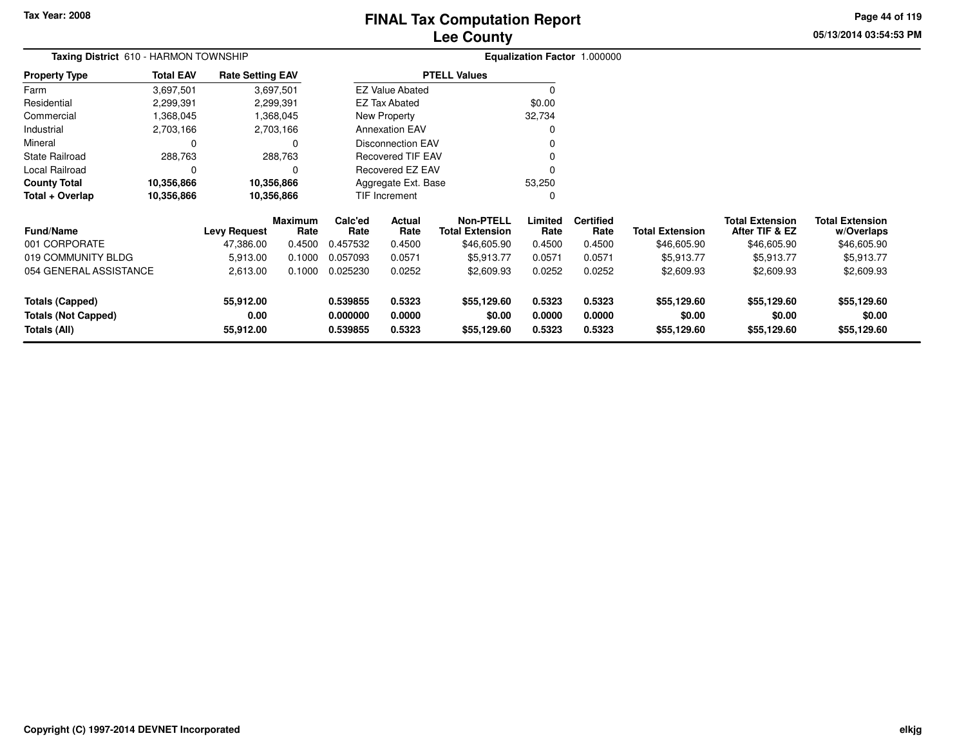## **Lee CountyFINAL Tax Computation Report**

**05/13/2014 03:54:53 PMPage 44 of 119**

| Taxing District 610 - HARMON TOWNSHIP                           |                  |                         |                        |                       | Equalization Factor 1.000000 |                                            |                       |                          |                        |                                          |                                      |
|-----------------------------------------------------------------|------------------|-------------------------|------------------------|-----------------------|------------------------------|--------------------------------------------|-----------------------|--------------------------|------------------------|------------------------------------------|--------------------------------------|
| <b>Property Type</b>                                            | <b>Total EAV</b> | <b>Rate Setting EAV</b> |                        |                       |                              | <b>PTELL Values</b>                        |                       |                          |                        |                                          |                                      |
| Farm                                                            | 3,697,501        |                         | 3,697,501              |                       | <b>EZ Value Abated</b>       |                                            | 0                     |                          |                        |                                          |                                      |
| Residential                                                     | 2,299,391        |                         | 2,299,391              |                       | <b>EZ Tax Abated</b>         |                                            | \$0.00                |                          |                        |                                          |                                      |
| Commercial                                                      | 1,368,045        |                         | 1,368,045              |                       | New Property                 |                                            | 32,734                |                          |                        |                                          |                                      |
| Industrial                                                      | 2,703,166        |                         | 2,703,166              |                       | <b>Annexation EAV</b>        |                                            | $\Omega$              |                          |                        |                                          |                                      |
| Mineral                                                         | C                |                         | 0                      |                       | <b>Disconnection EAV</b>     |                                            |                       |                          |                        |                                          |                                      |
| <b>State Railroad</b>                                           | 288,763          |                         | 288,763                |                       | <b>Recovered TIF EAV</b>     |                                            |                       |                          |                        |                                          |                                      |
| Local Railroad                                                  | 0                |                         | 0                      |                       | Recovered EZ EAV<br>O        |                                            |                       |                          |                        |                                          |                                      |
| <b>County Total</b>                                             | 10,356,866       |                         | 10,356,866             |                       | Aggregate Ext. Base          |                                            | 53,250                |                          |                        |                                          |                                      |
| Total + Overlap                                                 | 10,356,866       |                         | 10,356,866             |                       | TIF Increment                |                                            |                       |                          |                        |                                          |                                      |
| <b>Fund/Name</b>                                                |                  | <b>Levy Request</b>     | <b>Maximum</b><br>Rate | Calc'ed<br>Rate       | Actual<br>Rate               | <b>Non-PTELL</b><br><b>Total Extension</b> | Limited<br>Rate       | <b>Certified</b><br>Rate | <b>Total Extension</b> | <b>Total Extension</b><br>After TIF & EZ | <b>Total Extension</b><br>w/Overlaps |
| 001 CORPORATE                                                   |                  | 47,386.00               | 0.4500                 | 0.457532              | 0.4500                       | \$46,605.90                                | 0.4500                | 0.4500                   | \$46,605.90            | \$46,605.90                              | \$46,605.90                          |
| 019 COMMUNITY BLDG                                              |                  | 5,913.00                | 0.1000                 | 0.057093              | 0.0571                       | \$5,913.77                                 | 0.0571                | 0.0571                   | \$5,913.77             | \$5,913.77                               | \$5,913.77                           |
| 054 GENERAL ASSISTANCE                                          |                  | 2,613.00                | 0.1000                 | 0.025230              | 0.0252                       | \$2,609.93                                 | 0.0252                | 0.0252                   | \$2,609.93             | \$2,609.93                               | \$2,609.93                           |
| 55,912.00<br><b>Totals (Capped)</b>                             |                  | 0.539855                | 0.5323                 | \$55,129.60           | 0.5323                       | 0.5323                                     | \$55,129.60           | \$55,129.60              | \$55,129.60            |                                          |                                      |
| 0.00<br><b>Totals (Not Capped)</b><br>Totals (All)<br>55,912.00 |                  | 0.000000<br>0.539855    | 0.0000<br>0.5323       | \$0.00<br>\$55,129.60 | 0.0000<br>0.5323             | 0.0000<br>0.5323                           | \$0.00<br>\$55,129.60 | \$0.00<br>\$55,129.60    | \$0.00<br>\$55,129.60  |                                          |                                      |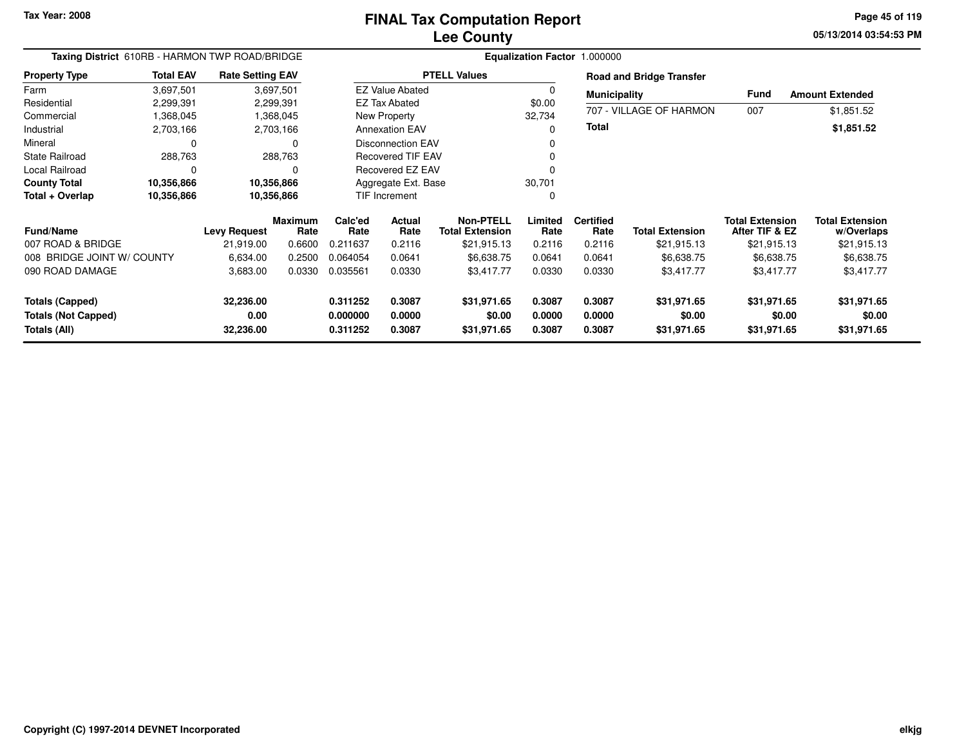**05/13/2014 03:54:53 PM Page 45 of 119**

| Taxing District 610RB - HARMON TWP ROAD/BRIDGE                  |                  |                         |                        | Equalization Factor 1.000000 |                          |                                     |                       |                          |                                 |                                          |                                      |  |
|-----------------------------------------------------------------|------------------|-------------------------|------------------------|------------------------------|--------------------------|-------------------------------------|-----------------------|--------------------------|---------------------------------|------------------------------------------|--------------------------------------|--|
| <b>Property Type</b>                                            | <b>Total EAV</b> | <b>Rate Setting EAV</b> |                        |                              |                          | <b>PTELL Values</b>                 |                       |                          | <b>Road and Bridge Transfer</b> |                                          |                                      |  |
| Farm                                                            | 3,697,501        |                         | 3,697,501              |                              | <b>EZ Value Abated</b>   |                                     |                       | <b>Municipality</b>      |                                 | <b>Fund</b>                              | <b>Amount Extended</b>               |  |
| Residential                                                     | 2,299,391        |                         | 2,299,391              |                              | <b>EZ Tax Abated</b>     |                                     | \$0.00                |                          |                                 |                                          |                                      |  |
| Commercial                                                      | 1,368,045        |                         | 1,368,045              |                              | New Property             |                                     | 32,734                |                          | 707 - VILLAGE OF HARMON         | 007                                      | \$1,851.52                           |  |
| Industrial                                                      | 2,703,166        |                         | 2,703,166              |                              | <b>Annexation EAV</b>    |                                     |                       | <b>Total</b>             |                                 |                                          | \$1,851.52                           |  |
| Mineral                                                         | 0                |                         | O                      |                              | <b>Disconnection EAV</b> |                                     |                       |                          |                                 |                                          |                                      |  |
| <b>State Railroad</b>                                           | 288,763          |                         | 288,763                |                              | <b>Recovered TIF EAV</b> |                                     |                       |                          |                                 |                                          |                                      |  |
| <b>Local Railroad</b>                                           | $\Omega$         |                         |                        |                              | Recovered EZ EAV         |                                     |                       |                          |                                 |                                          |                                      |  |
| <b>County Total</b>                                             | 10,356,866       |                         | 10,356,866             | Aggregate Ext. Base          |                          |                                     | 30,701                |                          |                                 |                                          |                                      |  |
| Total + Overlap                                                 | 10,356,866       |                         | 10,356,866             | <b>TIF Increment</b>         |                          |                                     | 0                     |                          |                                 |                                          |                                      |  |
| <b>Fund/Name</b>                                                |                  | <b>Levy Request</b>     | <b>Maximum</b><br>Rate | Calc'ed<br>Rate              | <b>Actual</b><br>Rate    | Non-PTELL<br><b>Total Extension</b> | Limited<br>Rate       | <b>Certified</b><br>Rate | <b>Total Extension</b>          | <b>Total Extension</b><br>After TIF & EZ | <b>Total Extension</b><br>w/Overlaps |  |
| 007 ROAD & BRIDGE                                               |                  | 21,919.00               | 0.6600                 | 0.211637                     | 0.2116                   | \$21,915.13                         | 0.2116                | 0.2116                   | \$21,915.13                     | \$21,915.13                              | \$21,915.13                          |  |
| 008 BRIDGE JOINT W/ COUNTY                                      |                  | 6,634.00                | 0.2500                 | 0.064054                     | 0.0641                   | \$6,638.75                          | 0.0641                | 0.0641                   | \$6,638.75                      | \$6,638.75                               | \$6,638.75                           |  |
| 090 ROAD DAMAGE                                                 |                  | 3,683.00                | 0.0330                 | 0.035561                     | 0.0330                   | \$3,417.77                          | 0.0330                | 0.0330                   | \$3,417.77                      | \$3,417.77                               | \$3,417.77                           |  |
| <b>Totals (Capped)</b>                                          |                  | 32,236.00               |                        | 0.311252                     | 0.3087                   | \$31,971.65                         | 0.3087                | 0.3087                   | \$31,971.65                     | \$31,971.65                              | \$31,971.65                          |  |
| 0.00<br><b>Totals (Not Capped)</b><br>Totals (All)<br>32,236.00 |                  | 0.000000<br>0.311252    | 0.0000<br>0.3087       | \$0.00<br>\$31,971.65        | 0.0000<br>0.3087         | 0.0000<br>0.3087                    | \$0.00<br>\$31,971.65 | \$0.00<br>\$31,971.65    | \$0.00<br>\$31,971.65           |                                          |                                      |  |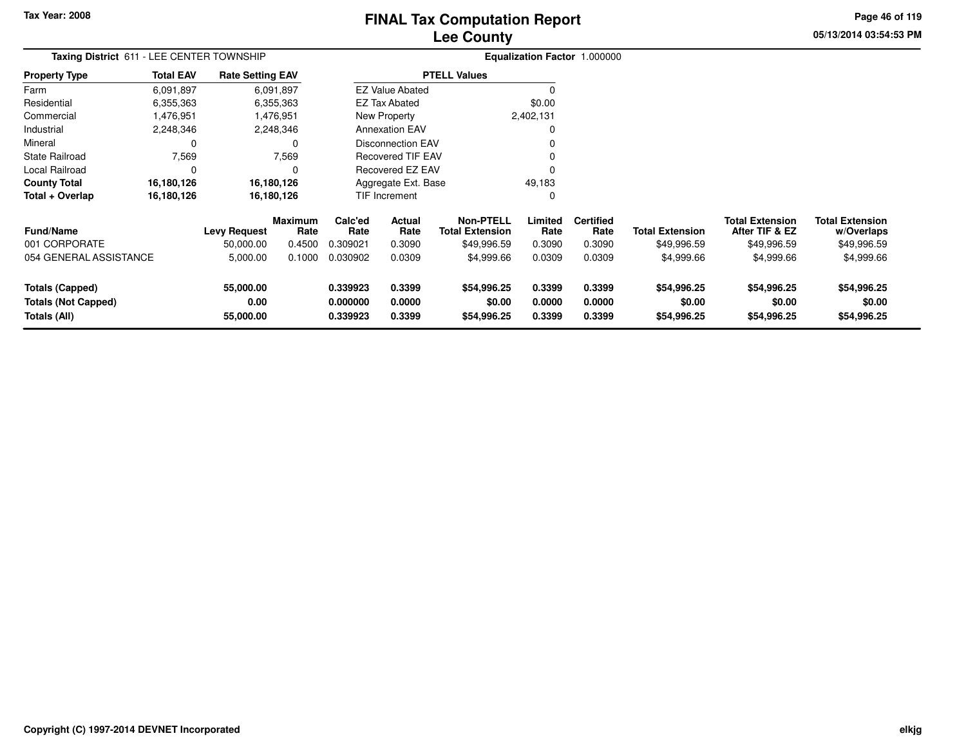# **Lee CountyFINAL Tax Computation Report**

**05/13/2014 03:54:53 PM Page 46 of 119**

| Taxing District 611 - LEE CENTER TOWNSHIP                            | Equalization Factor 1.000000 |                                  |                                  |                                  |                                 |                                                           |                            |                                    |                                       |                                                         |                                                     |
|----------------------------------------------------------------------|------------------------------|----------------------------------|----------------------------------|----------------------------------|---------------------------------|-----------------------------------------------------------|----------------------------|------------------------------------|---------------------------------------|---------------------------------------------------------|-----------------------------------------------------|
| <b>Property Type</b>                                                 | <b>Total EAV</b>             | <b>Rate Setting EAV</b>          |                                  |                                  |                                 | <b>PTELL Values</b>                                       |                            |                                    |                                       |                                                         |                                                     |
| Farm                                                                 | 6,091,897                    |                                  | 6,091,897                        |                                  | <b>EZ Value Abated</b>          |                                                           |                            |                                    |                                       |                                                         |                                                     |
| Residential                                                          | 6,355,363                    |                                  | 6,355,363                        |                                  | <b>EZ Tax Abated</b>            |                                                           | \$0.00                     |                                    |                                       |                                                         |                                                     |
| Commercial                                                           | 1,476,951                    |                                  | 1,476,951                        |                                  | New Property                    |                                                           | 2,402,131                  |                                    |                                       |                                                         |                                                     |
| Industrial                                                           | 2,248,346                    |                                  | 2,248,346                        |                                  | <b>Annexation EAV</b>           |                                                           |                            |                                    |                                       |                                                         |                                                     |
| Mineral                                                              | 0                            |                                  | 0                                |                                  | <b>Disconnection EAV</b>        |                                                           |                            |                                    |                                       |                                                         |                                                     |
| <b>State Railroad</b>                                                | 7,569                        |                                  | 7,569                            |                                  | <b>Recovered TIF EAV</b>        |                                                           |                            |                                    |                                       |                                                         |                                                     |
| Local Railroad                                                       | C                            |                                  | O                                |                                  | <b>Recovered EZ EAV</b>         |                                                           |                            |                                    |                                       |                                                         |                                                     |
| <b>County Total</b>                                                  | 16,180,126                   |                                  | 16,180,126                       |                                  | Aggregate Ext. Base             |                                                           | 49,183                     |                                    |                                       |                                                         |                                                     |
| Total + Overlap                                                      | 16,180,126                   |                                  | 16,180,126                       |                                  | TIF Increment                   |                                                           |                            |                                    |                                       |                                                         |                                                     |
| <b>Fund/Name</b><br>001 CORPORATE                                    |                              | <b>Levy Request</b><br>50,000.00 | <b>Maximum</b><br>Rate<br>0.4500 | Calc'ed<br>Rate<br>0.309021      | <b>Actual</b><br>Rate<br>0.3090 | <b>Non-PTELL</b><br><b>Total Extension</b><br>\$49,996.59 | Limited<br>Rate<br>0.3090  | <b>Certified</b><br>Rate<br>0.3090 | <b>Total Extension</b><br>\$49,996.59 | <b>Total Extension</b><br>After TIF & EZ<br>\$49,996.59 | <b>Total Extension</b><br>w/Overlaps<br>\$49,996.59 |
| 054 GENERAL ASSISTANCE                                               |                              | 5,000.00                         | 0.1000                           | 0.030902                         | 0.0309                          | \$4,999.66                                                | 0.0309                     | 0.0309                             | \$4,999.66                            | \$4,999.66                                              | \$4,999.66                                          |
| <b>Totals (Capped)</b><br><b>Totals (Not Capped)</b><br>Totals (All) |                              | 55,000.00<br>0.00<br>55,000.00   |                                  | 0.339923<br>0.000000<br>0.339923 | 0.3399<br>0.0000<br>0.3399      | \$54,996.25<br>\$0.00<br>\$54,996.25                      | 0.3399<br>0.0000<br>0.3399 | 0.3399<br>0.0000<br>0.3399         | \$54,996.25<br>\$0.00<br>\$54,996.25  | \$54,996.25<br>\$0.00<br>\$54,996.25                    | \$54,996.25<br>\$0.00<br>\$54,996.25                |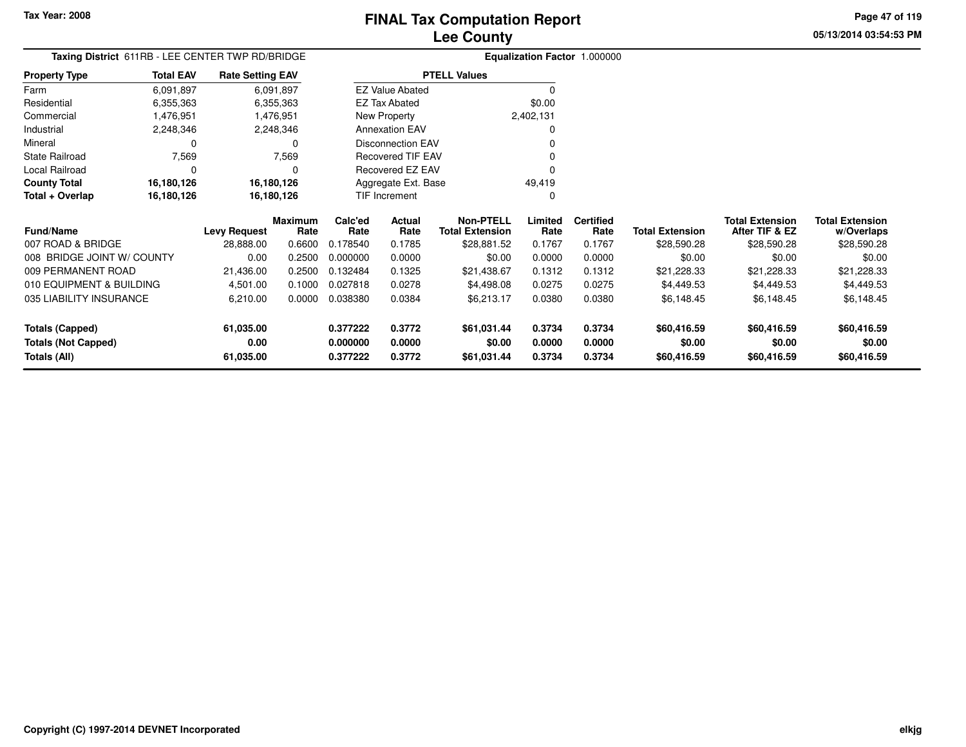**Property Type**

**Total + Overlap**

**Totals (Capped)**

**Totals (All)**

**Totals (Not Capped)**

007 ROAD & BRIDGE

009 PERMANENT ROAD

**Fund/Name**

Industrial 2,248,346 2,248,346

State Railroad 7,569

Local Railroad 0 0

**County Total 16,180,126 16,180,126**

008 BRIDGE JOINT W/ COUNTY

010 EQUIPMENT & BUILDING

035 LIABILITY INSURANCE

0 0

**16,180,126 16,180,126**

FarmResidential

Mineral

#### **Lee CountyFINAL Tax Computation Report**

**Limited Certified** Rate

 $\mathbf 0$ 

49,419 $\mathbf{0}$ 

**0.377222 0.3772 \$61,031.44 0.3734 0.3734 \$60,416.59 \$60,416.59 \$60,416.59**

**0.000000 0.0000 \$0.00 0.0000 0.0000 \$0.00 \$0.00 \$0.00**

**0.377222 0.3772 \$61,031.44 0.3734 0.3734 \$60,416.59 \$60,416.59 \$60,416.59**

**Total Extension Rate Total Extension**

21,436.00 0.2500 0.132484 0.1325 \$21,438.67 0.1312 0.1312 \$21,228.33 \$21,228.33 \$21,228.33

0.00 0.2500 0.000000 0.0000 \$0.00 0.0000 0.0000 \$0.00 \$0.00 \$0.00

4,501.00 0.1000 0.027818 0.0278 \$4,498.08 0.0275 0.0275 \$4,449.53 \$4,449.53 \$4,449.53

6,210.00 0.0000 0.038380 0.0384 \$6,213.17 0.0380 0.0380 \$6,148.45 \$6,148.45 \$6,148.45

28,888.00 0.6600 0.178540 0.1785 \$28,881.52 0.1767 0.1767 \$28,590.28 \$28,590.28 \$28,590.28

**Non-PTELL**\$28,881.52

0

v o

 $\sim$  0

0 v

0<br>منتخبات

**05/13/2014 03:54:53 PMPage 47 of 119**

> **w/Overlaps** \$28,590.28

**Total Extension**

**After TIF & EZ** \$28,590.28

**Total Extension**

\$28,590.28

#### **Equalization Factor** 1.000000 **Taxing District** 611RB - LEE CENTER TWP RD/BRIDGE6,355,363 6,355,363 1,476,951 Commercial 1,476,951 1,476,9516,091,8976,355,363 6,091,897**Total EAVRate Setting EAV PTELL Values**  $\overline{\overline{0}}$  \$0.00 2,402,131New Property EZ Tax AbatedEZ Value Abated

2,248,346

16,180,126

16,180,126

**61,035.00**

**61,035.00**

**0.00**

 $\mathbf 0$ 

 $\mathbf 0$ 

**Maximum**

**Levy Request Rate**

 **Calc'ed Rate**0.178540 **ActualRate**

Annexation EAV

Disconnection EAV

Recovered TIF EAV

Recovered EZ EAV

Aggregate Ext. BaseTIF Increment

**Rate**

7,569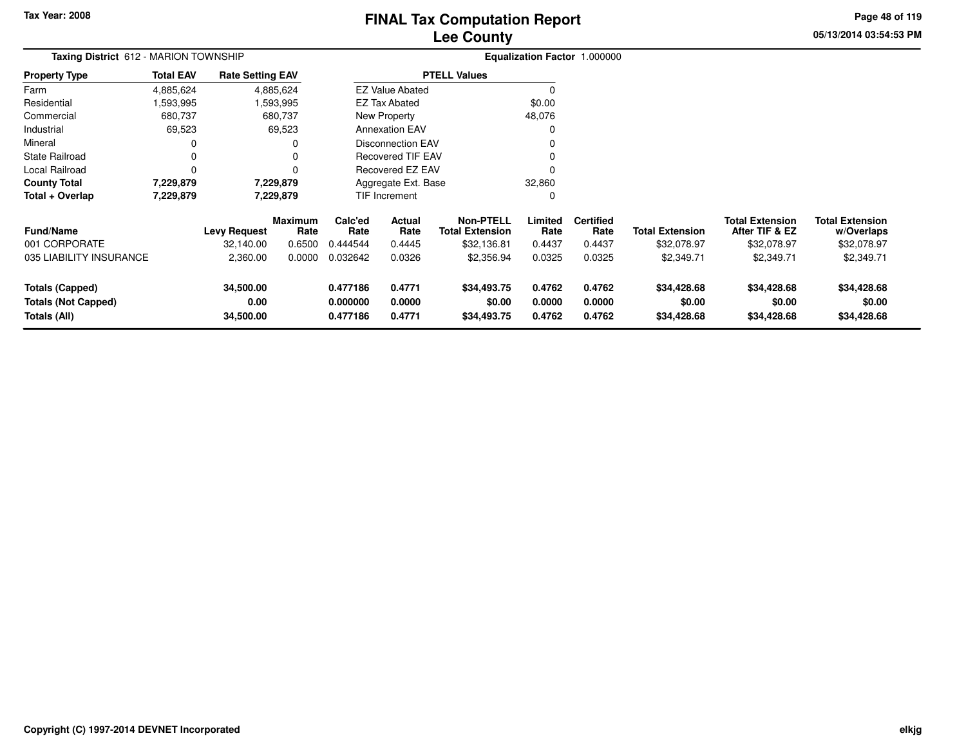# **Lee CountyFINAL Tax Computation Report**

**05/13/2014 03:54:53 PM Page 48 of 119**

| Taxing District 612 - MARION TOWNSHIP                                |                  |                                |                 |                                  | Equalization Factor 1.000000 |                                            |                            |                            |                                      |                                          |                                      |
|----------------------------------------------------------------------|------------------|--------------------------------|-----------------|----------------------------------|------------------------------|--------------------------------------------|----------------------------|----------------------------|--------------------------------------|------------------------------------------|--------------------------------------|
| <b>Property Type</b>                                                 | <b>Total EAV</b> | <b>Rate Setting EAV</b>        |                 |                                  |                              | <b>PTELL Values</b>                        |                            |                            |                                      |                                          |                                      |
| Farm                                                                 | 4,885,624        |                                | 4,885,624       |                                  | <b>EZ Value Abated</b>       |                                            | <sup>0</sup>               |                            |                                      |                                          |                                      |
| Residential                                                          | ,593,995         |                                | ,593,995        |                                  | EZ Tax Abated                |                                            | \$0.00                     |                            |                                      |                                          |                                      |
| Commercial                                                           | 680,737          |                                | 680,737         |                                  | New Property                 |                                            | 48,076                     |                            |                                      |                                          |                                      |
| Industrial                                                           | 69,523           |                                | 69,523          |                                  | <b>Annexation EAV</b>        |                                            |                            |                            |                                      |                                          |                                      |
| Mineral                                                              | 0                |                                | 0               |                                  | <b>Disconnection EAV</b>     |                                            |                            |                            |                                      |                                          |                                      |
| State Railroad                                                       | 0                |                                | 0               |                                  | <b>Recovered TIF EAV</b>     |                                            |                            |                            |                                      |                                          |                                      |
| Local Railroad                                                       | 0                |                                | 0               |                                  | Recovered EZ EAV             |                                            |                            |                            |                                      |                                          |                                      |
| <b>County Total</b>                                                  | 7,229,879        |                                | 7,229,879       |                                  | Aggregate Ext. Base          |                                            | 32,860                     |                            |                                      |                                          |                                      |
| Total + Overlap                                                      | 7,229,879        |                                | 7,229,879       |                                  | TIF Increment                |                                            | 0                          |                            |                                      |                                          |                                      |
| <b>Fund/Name</b>                                                     |                  | Levy Request                   | Maximum<br>Rate | Calc'ed<br>Rate                  | Actual<br>Rate               | <b>Non-PTELL</b><br><b>Total Extension</b> | Limited<br>Rate            | <b>Certified</b><br>Rate   | <b>Total Extension</b>               | <b>Total Extension</b><br>After TIF & EZ | <b>Total Extension</b><br>w/Overlaps |
| 001 CORPORATE                                                        |                  | 32,140.00                      | 0.6500          | 0.444544                         | 0.4445                       | \$32,136.81                                | 0.4437                     | 0.4437                     | \$32,078.97                          | \$32,078.97                              | \$32,078.97                          |
| 035 LIABILITY INSURANCE                                              |                  | 2,360.00                       | 0.0000          | 0.032642                         | 0.0326                       | \$2,356.94                                 | 0.0325                     | 0.0325                     | \$2,349.71                           | \$2,349.71                               | \$2,349.71                           |
| <b>Totals (Capped)</b><br><b>Totals (Not Capped)</b><br>Totals (All) |                  | 34,500.00<br>0.00<br>34,500.00 |                 | 0.477186<br>0.000000<br>0.477186 | 0.4771<br>0.0000<br>0.4771   | \$34,493.75<br>\$0.00<br>\$34,493.75       | 0.4762<br>0.0000<br>0.4762 | 0.4762<br>0.0000<br>0.4762 | \$34,428.68<br>\$0.00<br>\$34,428.68 | \$34,428.68<br>\$0.00<br>\$34,428.68     | \$34,428.68<br>\$0.00<br>\$34,428.68 |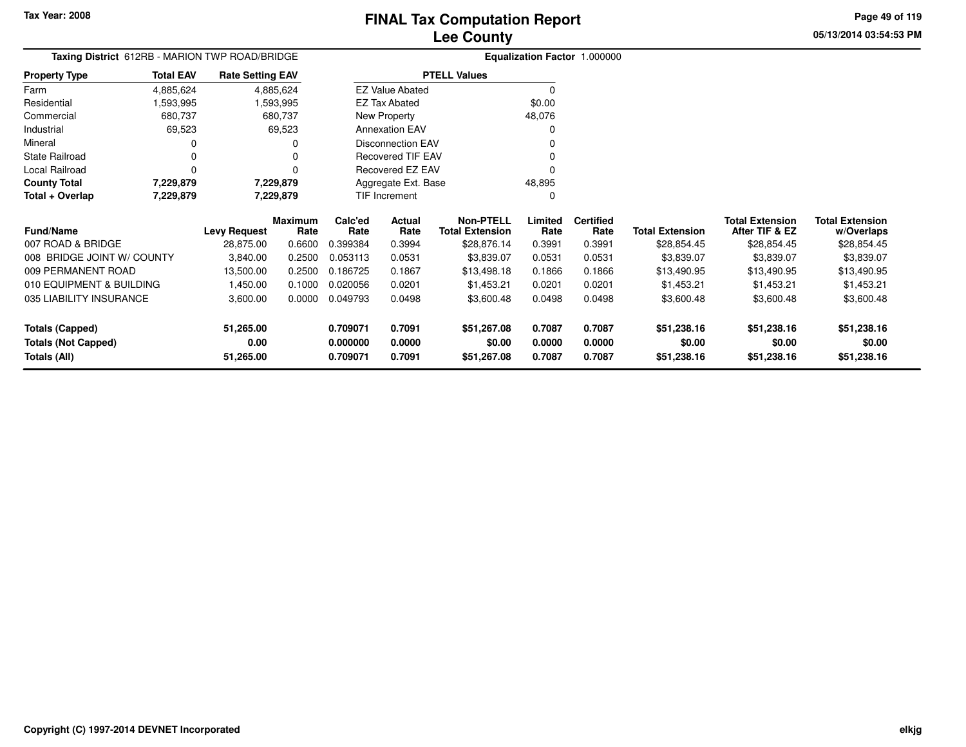**05/13/2014 03:54:53 PMPage 49 of 119**

| Taxing District 612RB - MARION TWP ROAD/BRIDGE |                  |                         |                        |                          |                          |                                            |                 | Equalization Factor 1.000000 |                        |                                          |                                      |
|------------------------------------------------|------------------|-------------------------|------------------------|--------------------------|--------------------------|--------------------------------------------|-----------------|------------------------------|------------------------|------------------------------------------|--------------------------------------|
| <b>Property Type</b>                           | <b>Total EAV</b> | <b>Rate Setting EAV</b> |                        | <b>PTELL Values</b>      |                          |                                            |                 |                              |                        |                                          |                                      |
| Farm                                           | 4,885,624        |                         | 4,885,624              |                          | <b>EZ Value Abated</b>   |                                            | $\Omega$        |                              |                        |                                          |                                      |
| Residential                                    | ,593,995         |                         | 593,995, ا             |                          | EZ Tax Abated            |                                            | \$0.00          |                              |                        |                                          |                                      |
| Commercial                                     | 680,737          |                         | 680,737                |                          | New Property             |                                            | 48,076          |                              |                        |                                          |                                      |
| Industrial                                     | 69,523           |                         | 69,523                 |                          | <b>Annexation EAV</b>    |                                            | $\Omega$        |                              |                        |                                          |                                      |
| Mineral                                        | 0                |                         | 0                      | <b>Disconnection EAV</b> |                          |                                            | n               |                              |                        |                                          |                                      |
| <b>State Railroad</b>                          | 0                |                         | O                      |                          | <b>Recovered TIF EAV</b> |                                            | O               |                              |                        |                                          |                                      |
| Local Railroad                                 | $\Omega$         |                         | 0                      |                          | Recovered EZ EAV         |                                            | $\Omega$        |                              |                        |                                          |                                      |
| <b>County Total</b>                            | 7,229,879        |                         | 7,229,879              |                          | Aggregate Ext. Base      |                                            | 48,895          |                              |                        |                                          |                                      |
| Total + Overlap                                | 7,229,879        |                         | 7,229,879              |                          | TIF Increment            |                                            | $\Omega$        |                              |                        |                                          |                                      |
| <b>Fund/Name</b>                               |                  | <b>Levy Request</b>     | <b>Maximum</b><br>Rate | Calc'ed<br>Rate          | Actual<br>Rate           | <b>Non-PTELL</b><br><b>Total Extension</b> | Limited<br>Rate | <b>Certified</b><br>Rate     | <b>Total Extension</b> | <b>Total Extension</b><br>After TIF & EZ | <b>Total Extension</b><br>w/Overlaps |
| 007 ROAD & BRIDGE                              |                  | 28,875.00               | 0.6600                 | 0.399384                 | 0.3994                   | \$28,876.14                                | 0.3991          | 0.3991                       | \$28,854.45            | \$28,854.45                              | \$28,854.45                          |
| 008 BRIDGE JOINT W/ COUNTY                     |                  | 3,840.00                | 0.2500                 | 0.053113                 | 0.0531                   | \$3,839.07                                 | 0.0531          | 0.0531                       | \$3,839.07             | \$3,839.07                               | \$3,839.07                           |
| 009 PERMANENT ROAD                             |                  | 13,500.00               | 0.2500                 | 0.186725                 | 0.1867                   | \$13,498.18                                | 0.1866          | 0.1866                       | \$13,490.95            | \$13,490.95                              | \$13,490.95                          |
| 010 EQUIPMENT & BUILDING                       |                  | 1,450.00                | 0.1000                 | 0.020056                 | 0.0201                   | \$1,453.21                                 | 0.0201          | 0.0201                       | \$1,453.21             | \$1,453.21                               | \$1,453.21                           |
| 035 LIABILITY INSURANCE                        |                  | 3,600.00                | 0.0000                 | 0.049793                 | 0.0498                   | \$3,600.48                                 | 0.0498          | 0.0498                       | \$3,600.48             | \$3,600.48                               | \$3,600.48                           |
| <b>Totals (Capped)</b>                         |                  | 51,265.00               |                        | 0.709071                 | 0.7091                   | \$51,267.08                                | 0.7087          | 0.7087                       | \$51,238.16            | \$51,238.16                              | \$51,238.16                          |
| <b>Totals (Not Capped)</b>                     |                  | 0.00                    |                        | 0.000000                 | 0.0000                   | \$0.00                                     | 0.0000          | 0.0000                       | \$0.00                 | \$0.00                                   | \$0.00                               |
| Totals (All)                                   |                  | 51,265.00               |                        | 0.709071                 | 0.7091                   | \$51,267.08                                | 0.7087          | 0.7087                       | \$51,238.16            | \$51,238.16                              | \$51,238.16                          |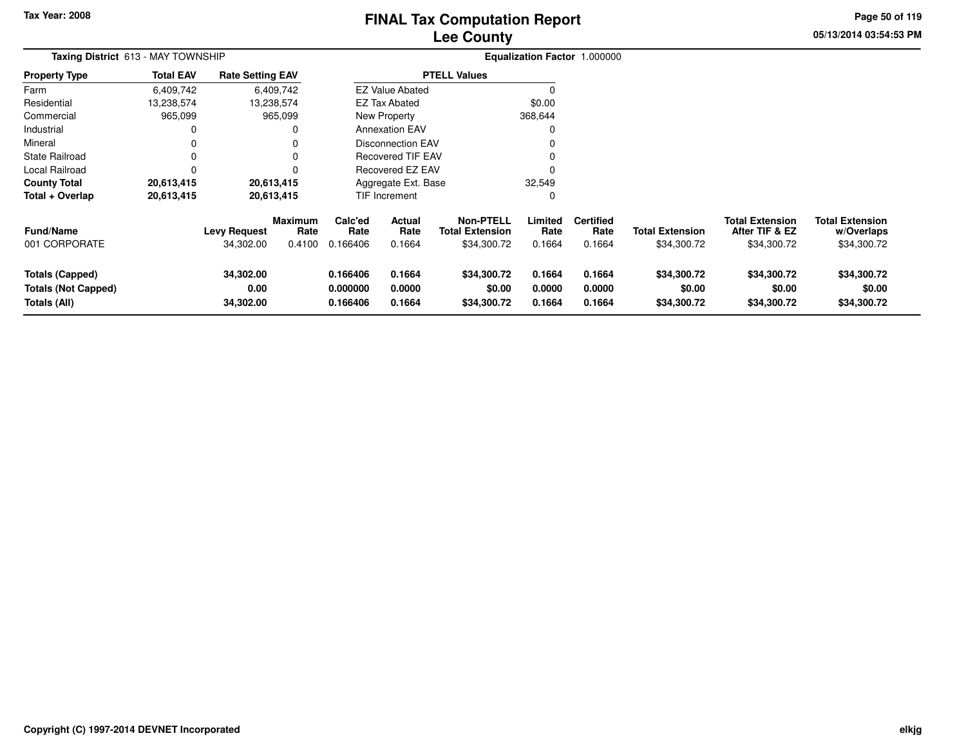## **Lee CountyFINAL Tax Computation Report**

**05/13/2014 03:54:53 PM Page 50 of 119**

| <b>Taxing District 613 - MAY TOWNSHIP</b>                            |                  |                                  |                                  | Equalization Factor 1.000000     |                            |                                                           |                            |                                    |                                       |                                                         |                                                     |
|----------------------------------------------------------------------|------------------|----------------------------------|----------------------------------|----------------------------------|----------------------------|-----------------------------------------------------------|----------------------------|------------------------------------|---------------------------------------|---------------------------------------------------------|-----------------------------------------------------|
| <b>Property Type</b>                                                 | <b>Total EAV</b> | <b>Rate Setting EAV</b>          |                                  |                                  |                            | <b>PTELL Values</b>                                       |                            |                                    |                                       |                                                         |                                                     |
| Farm                                                                 | 6,409,742        |                                  | 6,409,742                        |                                  | <b>EZ Value Abated</b>     |                                                           | 0                          |                                    |                                       |                                                         |                                                     |
| Residential                                                          | 13,238,574       |                                  | 13,238,574                       |                                  | EZ Tax Abated              |                                                           | \$0.00                     |                                    |                                       |                                                         |                                                     |
| Commercial                                                           | 965,099          |                                  | 965,099                          |                                  | New Property               |                                                           | 368,644                    |                                    |                                       |                                                         |                                                     |
| Industrial                                                           | 0                |                                  | 0                                |                                  | <b>Annexation EAV</b>      |                                                           | 0                          |                                    |                                       |                                                         |                                                     |
| Mineral                                                              | 0                |                                  |                                  |                                  | <b>Disconnection EAV</b>   |                                                           |                            |                                    |                                       |                                                         |                                                     |
| <b>State Railroad</b>                                                | 0                |                                  |                                  |                                  | Recovered TIF EAV          |                                                           |                            |                                    |                                       |                                                         |                                                     |
| Local Railroad                                                       | $\Omega$         |                                  |                                  |                                  | Recovered EZ EAV           |                                                           |                            |                                    |                                       |                                                         |                                                     |
| <b>County Total</b>                                                  | 20,613,415       |                                  | 20,613,415                       |                                  | Aggregate Ext. Base        |                                                           | 32,549                     |                                    |                                       |                                                         |                                                     |
| Total + Overlap                                                      | 20,613,415       |                                  | 20,613,415                       |                                  | <b>TIF Increment</b>       |                                                           | 0                          |                                    |                                       |                                                         |                                                     |
| <b>Fund/Name</b><br>001 CORPORATE                                    |                  | <b>Levy Request</b><br>34,302.00 | <b>Maximum</b><br>Rate<br>0.4100 | Calc'ed<br>Rate<br>0.166406      | Actual<br>Rate<br>0.1664   | <b>Non-PTELL</b><br><b>Total Extension</b><br>\$34,300.72 | Limited<br>Rate<br>0.1664  | <b>Certified</b><br>Rate<br>0.1664 | <b>Total Extension</b><br>\$34,300.72 | <b>Total Extension</b><br>After TIF & EZ<br>\$34,300.72 | <b>Total Extension</b><br>w/Overlaps<br>\$34,300.72 |
| <b>Totals (Capped)</b><br><b>Totals (Not Capped)</b><br>Totals (All) |                  | 34,302.00<br>0.00<br>34,302.00   |                                  | 0.166406<br>0.000000<br>0.166406 | 0.1664<br>0.0000<br>0.1664 | \$34,300.72<br>\$0.00<br>\$34,300.72                      | 0.1664<br>0.0000<br>0.1664 | 0.1664<br>0.0000<br>0.1664         | \$34,300.72<br>\$0.00<br>\$34,300.72  | \$34,300.72<br>\$0.00<br>\$34,300.72                    | \$34,300.72<br>\$0.00<br>\$34,300.72                |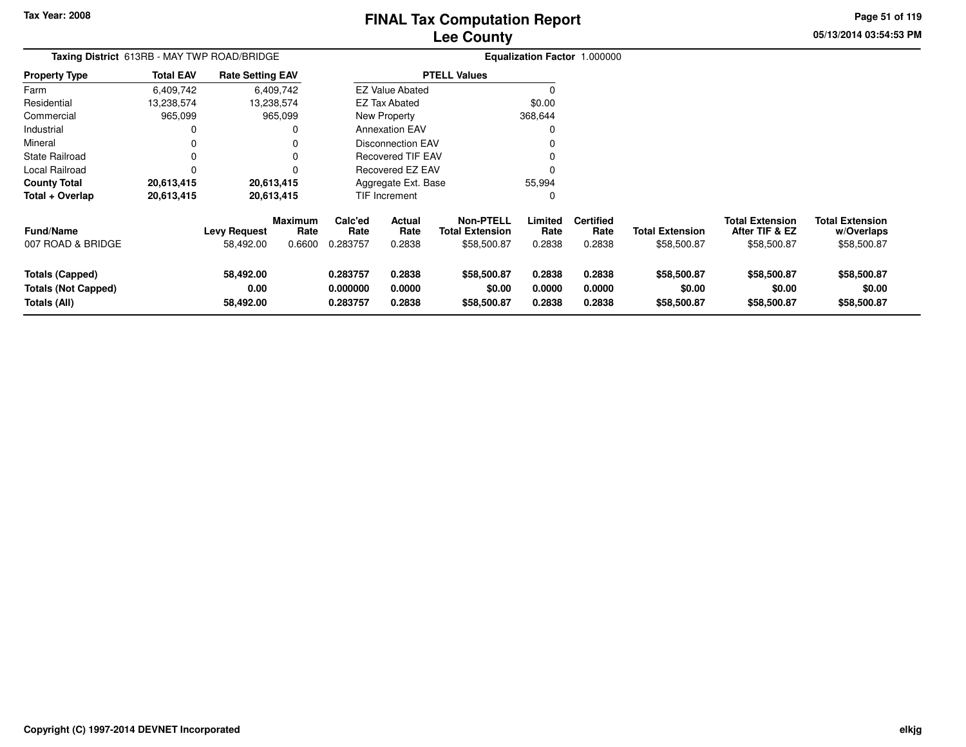# **Lee CountyFINAL Tax Computation Report**

**05/13/2014 03:54:53 PMPage 51 of 119**

| Taxing District 613RB - MAY TWP ROAD/BRIDGE                          |                  |                                |                                  |                                  |                            |                                                    |                            | Equalization Factor 1.000000       |                                       |                                                         |                                                     |
|----------------------------------------------------------------------|------------------|--------------------------------|----------------------------------|----------------------------------|----------------------------|----------------------------------------------------|----------------------------|------------------------------------|---------------------------------------|---------------------------------------------------------|-----------------------------------------------------|
| <b>Property Type</b>                                                 | <b>Total EAV</b> | <b>Rate Setting EAV</b>        |                                  |                                  |                            | <b>PTELL Values</b>                                |                            |                                    |                                       |                                                         |                                                     |
| Farm                                                                 | 6,409,742        |                                | 6,409,742                        |                                  | <b>EZ Value Abated</b>     |                                                    |                            |                                    |                                       |                                                         |                                                     |
| Residential                                                          | 13,238,574       |                                | 13,238,574                       |                                  | <b>EZ Tax Abated</b>       |                                                    | \$0.00                     |                                    |                                       |                                                         |                                                     |
| Commercial                                                           | 965,099          |                                | 965,099                          |                                  | New Property               |                                                    | 368,644                    |                                    |                                       |                                                         |                                                     |
| Industrial                                                           | 0                |                                | 0                                |                                  | <b>Annexation EAV</b>      |                                                    |                            |                                    |                                       |                                                         |                                                     |
| Mineral                                                              |                  |                                | 0                                |                                  | <b>Disconnection EAV</b>   |                                                    | 0                          |                                    |                                       |                                                         |                                                     |
| <b>State Railroad</b>                                                | 0                |                                | 0                                |                                  | <b>Recovered TIF EAV</b>   |                                                    | 0                          |                                    |                                       |                                                         |                                                     |
| <b>Local Railroad</b>                                                |                  |                                | 0                                |                                  | Recovered EZ EAV           |                                                    |                            |                                    |                                       |                                                         |                                                     |
| <b>County Total</b>                                                  | 20,613,415       |                                | 20,613,415                       |                                  | Aggregate Ext. Base        |                                                    | 55,994                     |                                    |                                       |                                                         |                                                     |
| Total + Overlap                                                      | 20,613,415       |                                | 20,613,415                       |                                  | TIF Increment              |                                                    | 0                          |                                    |                                       |                                                         |                                                     |
| <b>Fund/Name</b><br>007 ROAD & BRIDGE                                |                  | Levy Request<br>58,492.00      | <b>Maximum</b><br>Rate<br>0.6600 | Calc'ed<br>Rate<br>0.283757      | Actual<br>Rate<br>0.2838   | Non-PTELL<br><b>Total Extension</b><br>\$58,500.87 | Limited<br>Rate<br>0.2838  | <b>Certified</b><br>Rate<br>0.2838 | <b>Total Extension</b><br>\$58,500.87 | <b>Total Extension</b><br>After TIF & EZ<br>\$58,500.87 | <b>Total Extension</b><br>w/Overlaps<br>\$58,500.87 |
| <b>Totals (Capped)</b><br><b>Totals (Not Capped)</b><br>Totals (All) |                  | 58,492.00<br>0.00<br>58,492.00 |                                  | 0.283757<br>0.000000<br>0.283757 | 0.2838<br>0.0000<br>0.2838 | \$58,500.87<br>\$0.00<br>\$58,500.87               | 0.2838<br>0.0000<br>0.2838 | 0.2838<br>0.0000<br>0.2838         | \$58,500.87<br>\$0.00<br>\$58,500.87  | \$58,500.87<br>\$0.00<br>\$58,500.87                    | \$58,500.87<br>\$0.00<br>\$58,500.87                |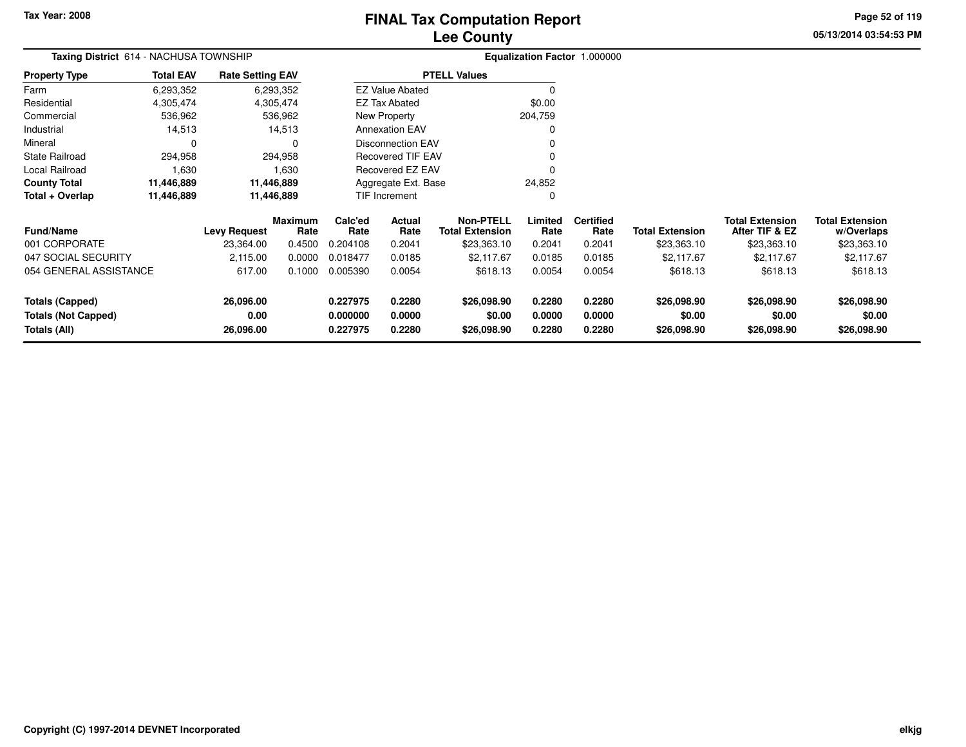## **Lee CountyFINAL Tax Computation Report**

**05/13/2014 03:54:53 PM Page 52 of 119**

| Taxing District 614 - NACHUSA TOWNSHIP |                  |                         |                        |                          | Equalization Factor 1.000000 |                                            |                 |                          |                        |                                          |                                      |
|----------------------------------------|------------------|-------------------------|------------------------|--------------------------|------------------------------|--------------------------------------------|-----------------|--------------------------|------------------------|------------------------------------------|--------------------------------------|
| <b>Property Type</b>                   | <b>Total EAV</b> | <b>Rate Setting EAV</b> |                        |                          |                              | <b>PTELL Values</b>                        |                 |                          |                        |                                          |                                      |
| Farm                                   | 6,293,352        |                         | 6,293,352              |                          | <b>EZ Value Abated</b>       |                                            | $\Omega$        |                          |                        |                                          |                                      |
| Residential                            | 4,305,474        |                         | 4,305,474              |                          | <b>EZ Tax Abated</b>         |                                            | \$0.00          |                          |                        |                                          |                                      |
| Commercial                             | 536,962          |                         | 536,962                |                          | New Property                 |                                            | 204,759         |                          |                        |                                          |                                      |
| Industrial                             | 14,513           |                         | 14,513                 |                          | <b>Annexation EAV</b>        |                                            | 0               |                          |                        |                                          |                                      |
| Mineral                                |                  |                         | O                      |                          | <b>Disconnection EAV</b>     |                                            | $\Omega$        |                          |                        |                                          |                                      |
| <b>State Railroad</b>                  | 294,958          |                         | 294,958                | <b>Recovered TIF EAV</b> |                              |                                            |                 |                          |                        |                                          |                                      |
| Local Railroad                         | 1,630            |                         | 1,630                  |                          | Recovered EZ EAV             |                                            | $\Omega$        |                          |                        |                                          |                                      |
| <b>County Total</b>                    | 11,446,889       |                         | 11,446,889             |                          | Aggregate Ext. Base          |                                            | 24,852          |                          |                        |                                          |                                      |
| Total + Overlap                        | 11,446,889       |                         | 11,446,889             |                          | TIF Increment                |                                            | 0               |                          |                        |                                          |                                      |
| <b>Fund/Name</b>                       |                  | <b>Levy Request</b>     | <b>Maximum</b><br>Rate | Calc'ed<br>Rate          | Actual<br>Rate               | <b>Non-PTELL</b><br><b>Total Extension</b> | Limited<br>Rate | <b>Certified</b><br>Rate | <b>Total Extension</b> | <b>Total Extension</b><br>After TIF & EZ | <b>Total Extension</b><br>w/Overlaps |
| 001 CORPORATE                          |                  | 23,364.00               | 0.4500                 | 0.204108                 | 0.2041                       | \$23,363.10                                | 0.2041          | 0.2041                   | \$23,363.10            | \$23,363.10                              | \$23,363.10                          |
| 047 SOCIAL SECURITY                    |                  | 2,115.00                | 0.0000                 | 0.018477                 | 0.0185                       | \$2,117.67                                 | 0.0185          | 0.0185                   | \$2,117.67             | \$2,117.67                               | \$2,117.67                           |
| 054 GENERAL ASSISTANCE                 |                  | 617.00                  | 0.1000                 | 0.005390                 | 0.0054                       | \$618.13                                   | 0.0054          | 0.0054                   | \$618.13               | \$618.13                                 | \$618.13                             |
| Totals (Capped)                        |                  | 26,096.00               |                        | 0.227975                 | 0.2280                       | \$26,098.90                                | 0.2280          | 0.2280                   | \$26,098.90            | \$26,098.90                              | \$26,098.90                          |
| <b>Totals (Not Capped)</b>             |                  | 0.00                    |                        | 0.000000                 | 0.0000                       | \$0.00                                     | 0.0000          | 0.0000                   | \$0.00                 | \$0.00                                   | \$0.00                               |
| Totals (All)                           |                  | 26,096.00               |                        | 0.227975                 | 0.2280                       | \$26,098.90                                | 0.2280          | 0.2280                   | \$26,098.90            | \$26,098.90                              | \$26,098.90                          |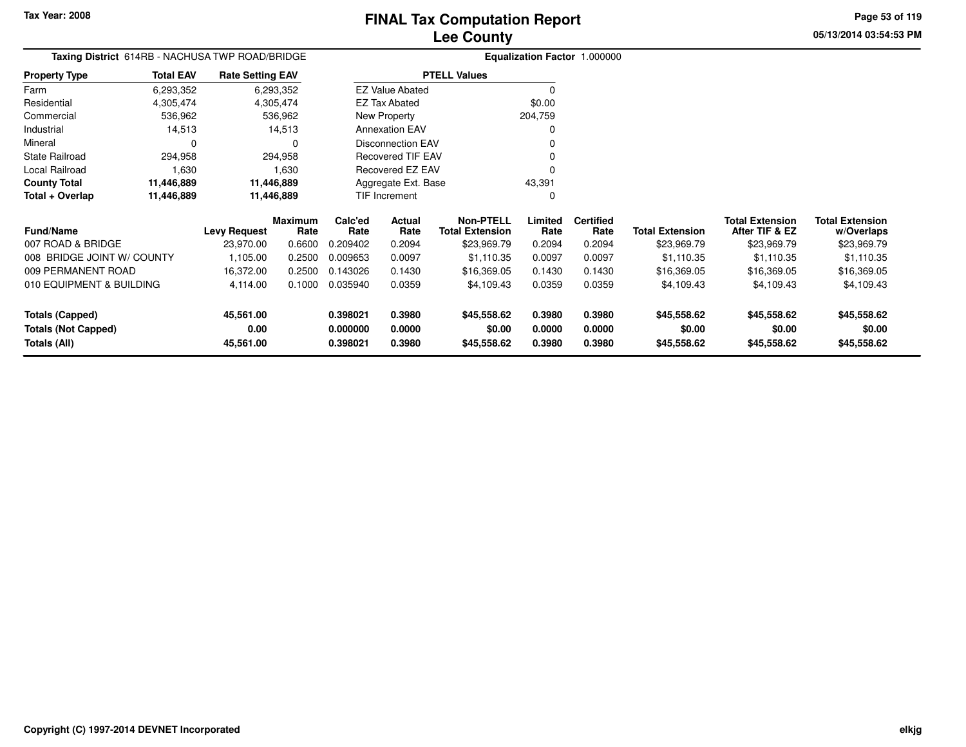Farm

#### **Lee CountyFINAL Tax Computation Report**

**05/13/2014 03:54:53 PMPage 53 of 119**

#### **Equalization Factor** 1.000000 **Taxing District** 614RB - NACHUSA TWP ROAD/BRIDGE**Property Type**4,305,474 4,305,474 536,962 Residential Commercial 536,962 536,96214,513 Industrial 14,513  $\mathbf 0$ Mineral 0 0294,958 State Railroad 294,958 1,630 Local Railroad 1,630 11,446,889 **County Total 11,446,889 11,446,889**11,446,889 **Total + Overlap 11,446,889 11,446,889** 6,293,3524,305,474 6,293,352**Total EAV Rate Setting EAV PTELL Values**  $\overline{0}$  \$0.00 204,759 $\pmb{0}$ Annexation EAV v o Disconnection EAV $\sim$  0 Recovered TIF EAV0 v Recovered EZ EAV <sup>0</sup> 43,391 $\mathbf 0$ New Property EZ Tax AbatedEZ Value AbatedAggregate Ext. BaseTIF Increment0

| <b>Fund/Name</b>                                              | <b>Levy Request</b>            | <b>Maximum</b><br>Rate | Calc'ed<br>Rate                  | <b>Actual</b><br>Rate      | Non-PTELL<br><b>Total Extension</b>  | Limited<br>Rate            | <b>Certified</b><br>Rate   | <b>Total Extension</b>               | <b>Total Extension</b><br>After TIF & EZ | <b>Total Extension</b><br>w/Overlaps |
|---------------------------------------------------------------|--------------------------------|------------------------|----------------------------------|----------------------------|--------------------------------------|----------------------------|----------------------------|--------------------------------------|------------------------------------------|--------------------------------------|
| 007 ROAD & BRIDGE                                             | 23.970.00                      | 0.6600                 | 0.209402                         | 0.2094                     | \$23,969.79                          | 0.2094                     | 0.2094                     | \$23,969.79                          | \$23,969.79                              | \$23,969.79                          |
| 008 BRIDGE JOINT W/ COUNTY                                    | 105.00                         | 0.2500                 | 0.009653                         | 0.0097                     | \$1,110.35                           | 0.0097                     | 0.0097                     | \$1,110.35                           | \$1,110.35                               | \$1,110.35                           |
| 009 PERMANENT ROAD                                            | 16.372.00                      | 0.2500                 | 0.143026                         | 0.1430                     | \$16,369.05                          | 0.1430                     | 0.1430                     | \$16,369.05                          | \$16,369.05                              | \$16,369.05                          |
| 010 EQUIPMENT & BUILDING                                      | 4.114.00                       | 0.1000                 | 0.035940                         | 0.0359                     | \$4,109.43                           | 0.0359                     | 0.0359                     | \$4,109.43                           | \$4,109.43                               | \$4,109.43                           |
| Totals (Capped)<br><b>Totals (Not Capped)</b><br>Totals (All) | 45,561.00<br>0.00<br>45,561.00 |                        | 0.398021<br>0.000000<br>0.398021 | 0.3980<br>0.0000<br>0.3980 | \$45,558.62<br>\$0.00<br>\$45,558.62 | 0.3980<br>0.0000<br>0.3980 | 0.3980<br>0.0000<br>0.3980 | \$45,558.62<br>\$0.00<br>\$45,558.62 | \$45,558.62<br>\$0.00<br>\$45,558.62     | \$45,558.62<br>\$0.00<br>\$45,558.62 |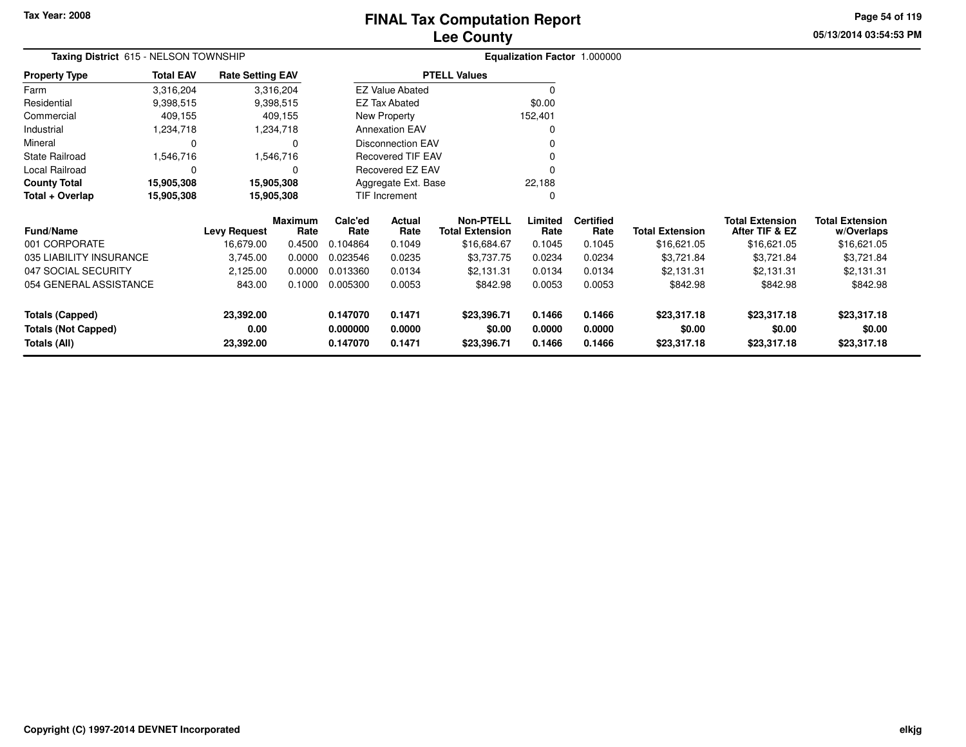**Totals (Not Capped)**

**Totals (All)**

## **Lee CountyFINAL Tax Computation Report**

**05/13/2014 03:54:53 PMPage 54 of 119**

**0.000000 0.0000 \$0.00 0.0000 0.0000 \$0.00 \$0.00 \$0.00**

**0.147070 0.1471 \$23,396.71 0.1466 0.1466 \$23,317.18 \$23,317.18 \$23,317.18**

|                         | Taxing District 615 - NELSON TOWNSHIP |                         |                 |                 |                          |                                            |                 | <b>Equalization Factor 1.000000</b> |                        |                                          |                                      |
|-------------------------|---------------------------------------|-------------------------|-----------------|-----------------|--------------------------|--------------------------------------------|-----------------|-------------------------------------|------------------------|------------------------------------------|--------------------------------------|
| <b>Property Type</b>    | <b>Total EAV</b>                      | <b>Rate Setting EAV</b> |                 |                 |                          | <b>PTELL Values</b>                        |                 |                                     |                        |                                          |                                      |
| Farm                    | 3,316,204                             |                         | 3,316,204       |                 | <b>EZ Value Abated</b>   |                                            |                 |                                     |                        |                                          |                                      |
| Residential             | 9,398,515                             |                         | 9,398,515       |                 | <b>EZ Tax Abated</b>     |                                            | \$0.00          |                                     |                        |                                          |                                      |
| Commercial              | 409,155                               |                         | 409,155         |                 | New Property             |                                            | 152,401         |                                     |                        |                                          |                                      |
| Industrial              | 1,234,718                             |                         | 1,234,718       |                 | <b>Annexation EAV</b>    |                                            | 0               |                                     |                        |                                          |                                      |
| Mineral                 |                                       |                         | 0               |                 | <b>Disconnection EAV</b> |                                            | 0               |                                     |                        |                                          |                                      |
| <b>State Railroad</b>   | 1,546,716                             |                         | 1,546,716       |                 | Recovered TIF EAV        |                                            | 0               |                                     |                        |                                          |                                      |
| Local Railroad          |                                       |                         |                 |                 | Recovered EZ EAV         |                                            | 0               |                                     |                        |                                          |                                      |
| <b>County Total</b>     | 15,905,308                            |                         | 15,905,308      |                 | Aggregate Ext. Base      |                                            | 22,188          |                                     |                        |                                          |                                      |
| Total + Overlap         | 15,905,308                            |                         | 15,905,308      | TIF Increment   |                          |                                            | 0               |                                     |                        |                                          |                                      |
| <b>Fund/Name</b>        | <b>Levy Request</b>                   |                         | Maximum<br>Rate | Calc'ed<br>Rate | Actual<br>Rate           | <b>Non-PTELL</b><br><b>Total Extension</b> | Limited<br>Rate | <b>Certified</b><br>Rate            | <b>Total Extension</b> | <b>Total Extension</b><br>After TIF & EZ | <b>Total Extension</b><br>w/Overlaps |
| 001 CORPORATE           |                                       | 16,679.00               | 0.4500          | 0.104864        | 0.1049                   | \$16,684.67                                | 0.1045          | 0.1045                              | \$16,621.05            | \$16,621.05                              | \$16,621.05                          |
| 035 LIABILITY INSURANCE |                                       | 3,745.00                | 0.0000          | 0.023546        | 0.0235                   | \$3,737.75                                 | 0.0234          | 0.0234                              | \$3,721.84             | \$3,721.84                               | \$3,721.84                           |
| 047 SOCIAL SECURITY     |                                       | 2,125.00                | 0.0000          | 0.013360        | 0.0134                   | \$2,131.31                                 | 0.0134          | 0.0134                              | \$2,131.31             | \$2,131.31                               | \$2,131.31                           |
| 054 GENERAL ASSISTANCE  |                                       | 843.00                  | 0.1000          | 0.005300        | 0.0053                   | \$842.98                                   | 0.0053          | 0.0053                              | \$842.98               | \$842.98                                 | \$842.98                             |
| <b>Totals (Capped)</b>  |                                       | 23,392.00               |                 | 0.147070        | 0.1471                   | \$23,396.71                                | 0.1466          | 0.1466                              | \$23,317.18            | \$23,317.18                              | \$23,317.18                          |

**0.00**

**23,392.00**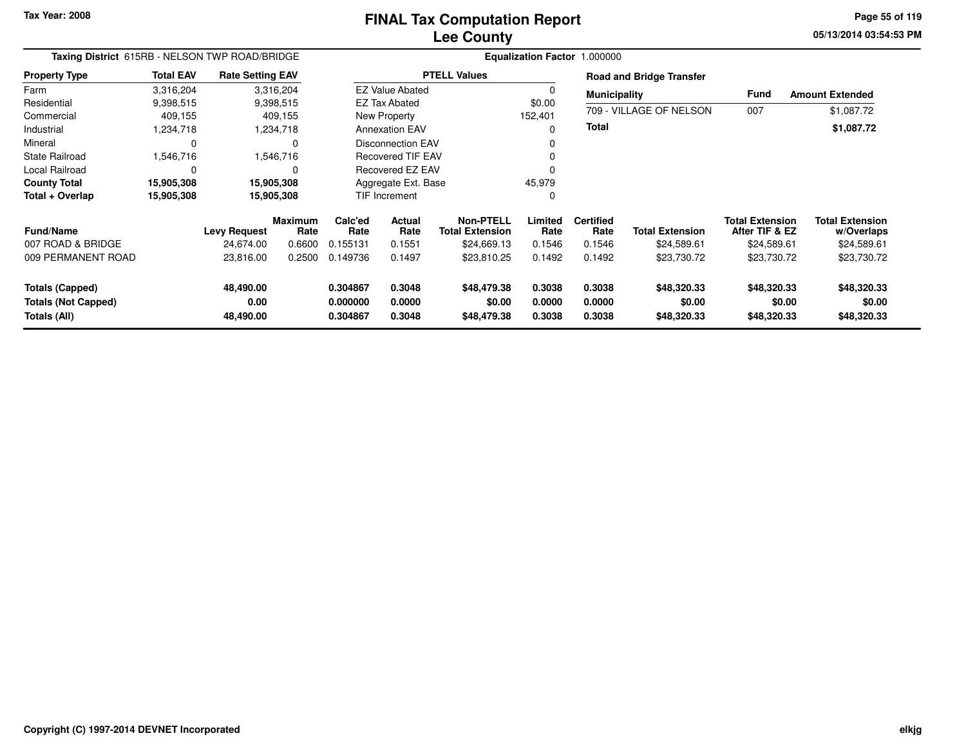#### **Lee CountyFINAL Tax Computation Report**

**05/13/2014 03:54:53 PM Page 55 of 119**

| Taxing District 615RB - NELSON TWP ROAD/BRIDGE                       |                  |                                |                        | Equalization Factor 1.000000                                   |                          |                                      |                            |                            |                                      |                                          |                                      |  |
|----------------------------------------------------------------------|------------------|--------------------------------|------------------------|----------------------------------------------------------------|--------------------------|--------------------------------------|----------------------------|----------------------------|--------------------------------------|------------------------------------------|--------------------------------------|--|
| <b>Property Type</b>                                                 | <b>Total EAV</b> | <b>Rate Setting EAV</b>        |                        |                                                                |                          | <b>PTELL Values</b>                  |                            |                            | <b>Road and Bridge Transfer</b>      |                                          |                                      |  |
| Farm                                                                 | 3,316,204        |                                | 3,316,204              |                                                                | <b>EZ Value Abated</b>   |                                      |                            | <b>Municipality</b>        |                                      | Fund                                     | <b>Amount Extended</b>               |  |
| Residential                                                          | 9,398,515        |                                | 9,398,515              |                                                                | <b>EZ Tax Abated</b>     |                                      | \$0.00                     |                            |                                      |                                          |                                      |  |
| Commercial                                                           | 409,155          |                                | 409,155                |                                                                | New Property             |                                      | 152,401                    |                            | 709 - VILLAGE OF NELSON              | 007                                      | \$1,087.72                           |  |
| Industrial                                                           | 1,234,718        |                                | 1,234,718              |                                                                | <b>Annexation EAV</b>    |                                      |                            | <b>Total</b>               |                                      |                                          | \$1,087.72                           |  |
| Mineral                                                              | $\mathbf 0$      |                                | 0                      |                                                                | Disconnection EAV        |                                      |                            |                            |                                      |                                          |                                      |  |
| <b>State Railroad</b>                                                | 1,546,716        |                                | 1,546,716              |                                                                | <b>Recovered TIF EAV</b> |                                      |                            |                            |                                      |                                          |                                      |  |
| <b>Local Railroad</b>                                                | $\Omega$         |                                | $\Omega$               |                                                                | Recovered EZ EAV         |                                      |                            |                            |                                      |                                          |                                      |  |
| <b>County Total</b>                                                  | 15,905,308       |                                | 15,905,308             |                                                                | Aggregate Ext. Base      |                                      | 45,979                     |                            |                                      |                                          |                                      |  |
| Total + Overlap                                                      | 15,905,308       |                                | 15,905,308             |                                                                | TIF Increment            |                                      | 0                          |                            |                                      |                                          |                                      |  |
| <b>Fund/Name</b>                                                     |                  | <b>Levy Request</b>            | <b>Maximum</b><br>Rate | Calc'ed<br>Rate                                                | Actual<br>Rate           | Non-PTELL<br><b>Total Extension</b>  | Limited<br>Rate            | <b>Certified</b><br>Rate   | <b>Total Extension</b>               | <b>Total Extension</b><br>After TIF & EZ | <b>Total Extension</b><br>w/Overlaps |  |
| 007 ROAD & BRIDGE                                                    |                  | 24,674.00                      | 0.6600                 | 0.155131                                                       | 0.1551                   | \$24,669.13                          | 0.1546                     | 0.1546                     | \$24,589.61                          | \$24,589.61                              | \$24,589.61                          |  |
| 009 PERMANENT ROAD                                                   |                  | 23,816.00                      | 0.2500                 | 0.149736                                                       | 0.1497                   | \$23,810.25                          | 0.1492                     | 0.1492                     | \$23,730.72                          | \$23,730.72                              | \$23,730.72                          |  |
| <b>Totals (Capped)</b><br><b>Totals (Not Capped)</b><br>Totals (All) |                  | 48,490.00<br>0.00<br>48,490.00 |                        | 0.3048<br>0.304867<br>0.0000<br>0.000000<br>0.3048<br>0.304867 |                          | \$48,479.38<br>\$0.00<br>\$48,479.38 | 0.3038<br>0.0000<br>0.3038 | 0.3038<br>0.0000<br>0.3038 | \$48,320.33<br>\$0.00<br>\$48,320.33 | \$48,320.33<br>\$0.00<br>\$48,320.33     | \$48,320.33<br>\$0.00<br>\$48,320.33 |  |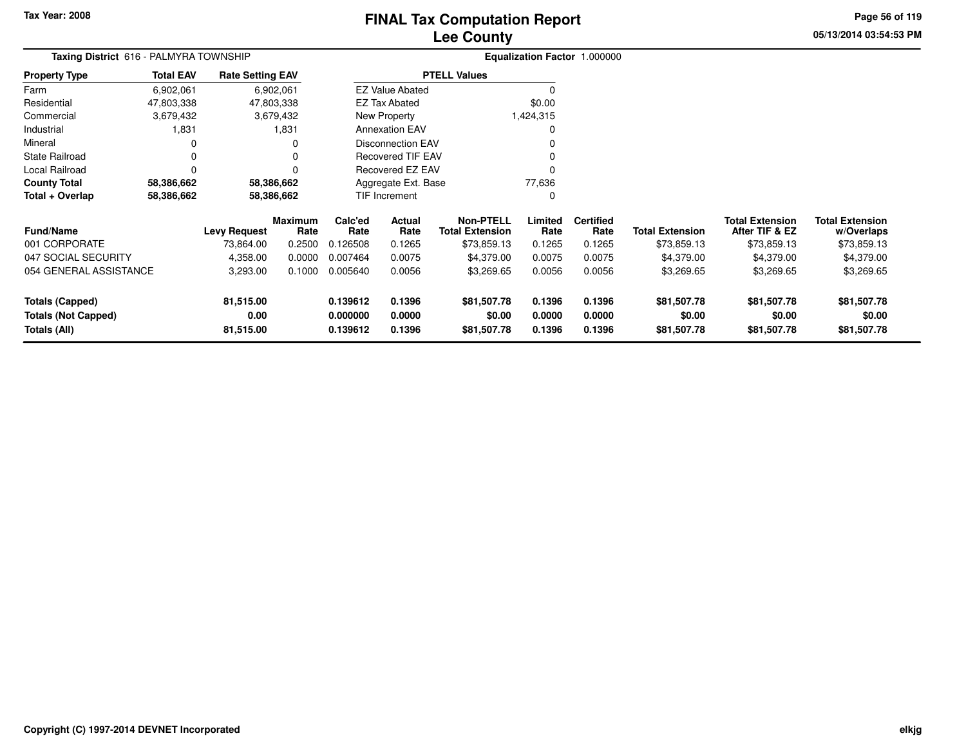## **Lee CountyFINAL Tax Computation Report**

**05/13/2014 03:54:53 PMPage 56 of 119**

| Taxing District 616 - PALMYRA TOWNSHIP |                  |                         |                        |                          | Equalization Factor 1.000000 |                                            |                 |                          |                        |                                          |                                      |
|----------------------------------------|------------------|-------------------------|------------------------|--------------------------|------------------------------|--------------------------------------------|-----------------|--------------------------|------------------------|------------------------------------------|--------------------------------------|
| <b>Property Type</b>                   | <b>Total EAV</b> | <b>Rate Setting EAV</b> |                        |                          |                              | <b>PTELL Values</b>                        |                 |                          |                        |                                          |                                      |
| Farm                                   | 6,902,061        |                         | 6,902,061              |                          | <b>EZ Value Abated</b>       |                                            | ∩               |                          |                        |                                          |                                      |
| Residential                            | 47,803,338       |                         | 47,803,338             |                          | <b>EZ Tax Abated</b>         |                                            | \$0.00          |                          |                        |                                          |                                      |
| Commercial                             | 3,679,432        |                         | 3,679,432              |                          | New Property                 |                                            | 1,424,315       |                          |                        |                                          |                                      |
| Industrial                             | 1,831            |                         | 1,831                  | <b>Annexation EAV</b>    |                              |                                            | $\Omega$        |                          |                        |                                          |                                      |
| Mineral                                | $\Omega$<br>0    |                         |                        |                          | <b>Disconnection EAV</b>     |                                            |                 |                          |                        |                                          |                                      |
| <b>State Railroad</b><br>0<br>$\Omega$ |                  |                         |                        | <b>Recovered TIF EAV</b> |                              | O                                          |                 |                          |                        |                                          |                                      |
| Local Railroad                         | 0                |                         | 0                      | <b>Recovered EZ EAV</b>  |                              |                                            | $\Omega$        |                          |                        |                                          |                                      |
| <b>County Total</b>                    | 58,386,662       |                         | 58,386,662             |                          | Aggregate Ext. Base          |                                            | 77,636          |                          |                        |                                          |                                      |
| Total + Overlap                        | 58,386,662       |                         | 58,386,662             |                          | TIF Increment                |                                            | $\Omega$        |                          |                        |                                          |                                      |
| <b>Fund/Name</b>                       |                  | <b>Levy Request</b>     | <b>Maximum</b><br>Rate | Calc'ed<br>Rate          | Actual<br>Rate               | <b>Non-PTELL</b><br><b>Total Extension</b> | Limited<br>Rate | <b>Certified</b><br>Rate | <b>Total Extension</b> | <b>Total Extension</b><br>After TIF & EZ | <b>Total Extension</b><br>w/Overlaps |
| 001 CORPORATE                          |                  | 73,864.00               | 0.2500                 | 0.126508                 | 0.1265                       | \$73,859.13                                | 0.1265          | 0.1265                   | \$73,859.13            | \$73,859.13                              | \$73,859.13                          |
| 047 SOCIAL SECURITY                    |                  | 4,358.00                | 0.0000                 | 0.007464                 | 0.0075                       | \$4,379.00                                 | 0.0075          | 0.0075                   | \$4,379.00             | \$4,379.00                               | \$4,379.00                           |
| 054 GENERAL ASSISTANCE                 |                  | 3,293.00                | 0.1000                 | 0.005640                 | 0.0056                       | \$3,269.65                                 | 0.0056          | 0.0056                   | \$3,269.65             | \$3,269.65                               | \$3,269.65                           |
| <b>Totals (Capped)</b>                 |                  | 81,515.00               |                        | 0.139612                 | 0.1396                       | \$81,507.78                                | 0.1396          | 0.1396                   | \$81,507.78            | \$81,507.78                              | \$81,507.78                          |
| <b>Totals (Not Capped)</b>             |                  | 0.00                    |                        | 0.000000                 | 0.0000                       | \$0.00                                     | 0.0000          | 0.0000                   | \$0.00                 | \$0.00                                   | \$0.00                               |
| Totals (All)                           |                  | 81,515.00               |                        | 0.139612                 | 0.1396                       | \$81,507.78                                | 0.1396          | 0.1396                   | \$81,507.78            | \$81,507.78                              | \$81,507.78                          |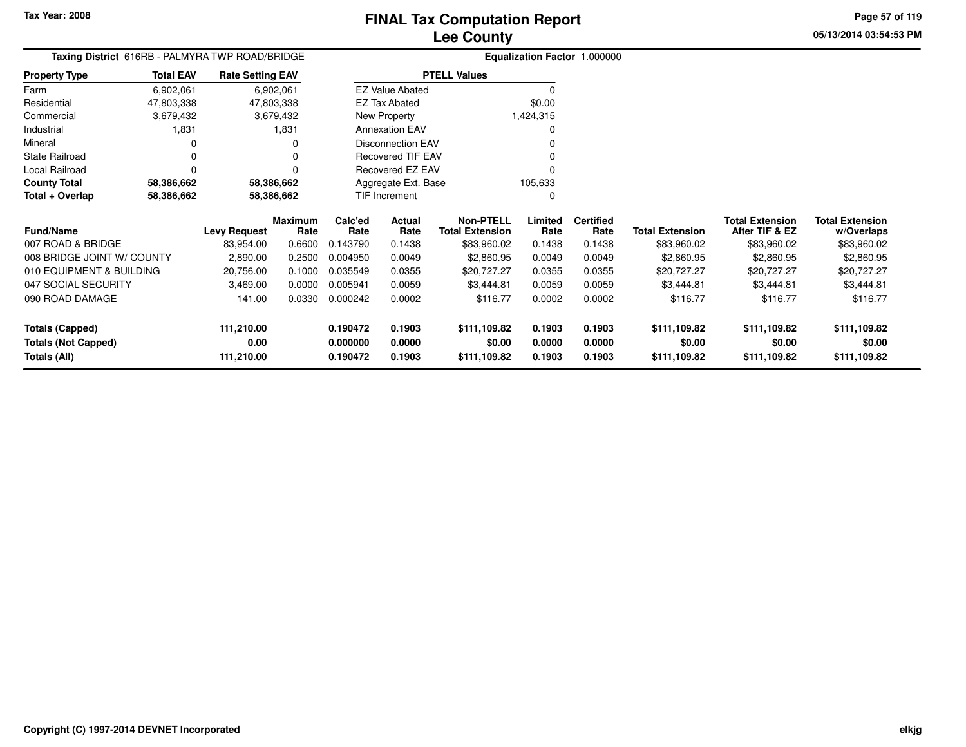010 EQUIPMENT & BUILDING

**111,210.00**

**111,210.00**

**0.00**

047 SOCIAL SECURITY

090 ROAD DAMAGE

**Totals (Not Capped)**

**Totals (Capped)**

**Totals (All)**

#### **Lee CountyFINAL Tax Computation Report**

20,756.00 0.1000 0.035549 0.0355 \$20,727.27 0.0355 0.0355 \$20,727.27 \$20,727.27 \$20,727.27

**0.190472 0.1903 \$111,109.82 0.1903 0.1903 \$111,109.82 \$111,109.82 \$111,109.82**

**0.000000 0.0000 \$0.00 0.0000 0.0000 \$0.00 \$0.00 \$0.00**

**0.190472 0.1903 \$111,109.82 0.1903 0.1903 \$111,109.82 \$111,109.82 \$111,109.82**

3,469.00 0.0000 0.005941 0.0059 \$3,444.81 0.0059 0.0059 \$3,444.81 \$3,444.81 \$3,444.81

141.00 0.0330 0.000242 0.0002 \$116.77 0.0002 0.0002 \$116.77 \$116.77 \$116.77

**05/13/2014 03:54:53 PMPage 57 of 119**

|                            |                                                 |                         |                 |                       |                          |  | <b>LCC OUTILA</b>                          |                 |                              |                        |                                          |                                      |
|----------------------------|-------------------------------------------------|-------------------------|-----------------|-----------------------|--------------------------|--|--------------------------------------------|-----------------|------------------------------|------------------------|------------------------------------------|--------------------------------------|
|                            | Taxing District 616RB - PALMYRA TWP ROAD/BRIDGE |                         |                 |                       |                          |  |                                            |                 | Equalization Factor 1.000000 |                        |                                          |                                      |
| <b>Property Type</b>       | <b>Total EAV</b>                                | <b>Rate Setting EAV</b> |                 |                       |                          |  | <b>PTELL Values</b>                        |                 |                              |                        |                                          |                                      |
| Farm                       | 6,902,061                                       |                         | 6,902,061       |                       | <b>EZ Value Abated</b>   |  |                                            |                 |                              |                        |                                          |                                      |
| Residential                | 47.803.338                                      |                         | 47,803,338      |                       | <b>EZ Tax Abated</b>     |  |                                            | \$0.00          |                              |                        |                                          |                                      |
| Commercial                 | 3,679,432                                       |                         | 3,679,432       |                       | New Property             |  |                                            | 1,424,315       |                              |                        |                                          |                                      |
| Industrial                 | 1,831                                           |                         | 1,831           | <b>Annexation EAV</b> |                          |  |                                            |                 |                              |                        |                                          |                                      |
| Mineral                    |                                                 |                         |                 |                       | <b>Disconnection EAV</b> |  |                                            |                 |                              |                        |                                          |                                      |
| State Railroad             |                                                 |                         |                 |                       | <b>Recovered TIF EAV</b> |  |                                            |                 |                              |                        |                                          |                                      |
| Local Railroad             |                                                 |                         |                 |                       | Recovered EZ EAV         |  |                                            |                 |                              |                        |                                          |                                      |
| <b>County Total</b>        | 58,386,662                                      |                         | 58,386,662      |                       | Aggregate Ext. Base      |  |                                            | 105,633         |                              |                        |                                          |                                      |
| Total + Overlap            | 58,386,662                                      |                         | 58,386,662      |                       | TIF Increment            |  |                                            |                 |                              |                        |                                          |                                      |
| <b>Fund/Name</b>           |                                                 | Levy Request            | Maximum<br>Rate | Calc'ed<br>Rate       | Actual<br>Rate           |  | <b>Non-PTELL</b><br><b>Total Extension</b> | Limited<br>Rate | <b>Certified</b><br>Rate     | <b>Total Extension</b> | <b>Total Extension</b><br>After TIF & EZ | <b>Total Extension</b><br>w/Overlaps |
| 007 ROAD & BRIDGE          |                                                 | 83,954.00               | 0.6600          | 0.143790              | 0.1438                   |  | \$83,960.02                                | 0.1438          | 0.1438                       | \$83,960.02            | \$83,960.02                              | \$83,960.02                          |
| 008 BRIDGE JOINT W/ COUNTY |                                                 | 2,890.00                | 0.2500          | 0.004950              | 0.0049                   |  | \$2,860.95                                 | 0.0049          | 0.0049                       | \$2,860.95             | \$2,860.95                               | \$2,860.95                           |
|                            |                                                 |                         |                 |                       |                          |  |                                            |                 |                              |                        |                                          |                                      |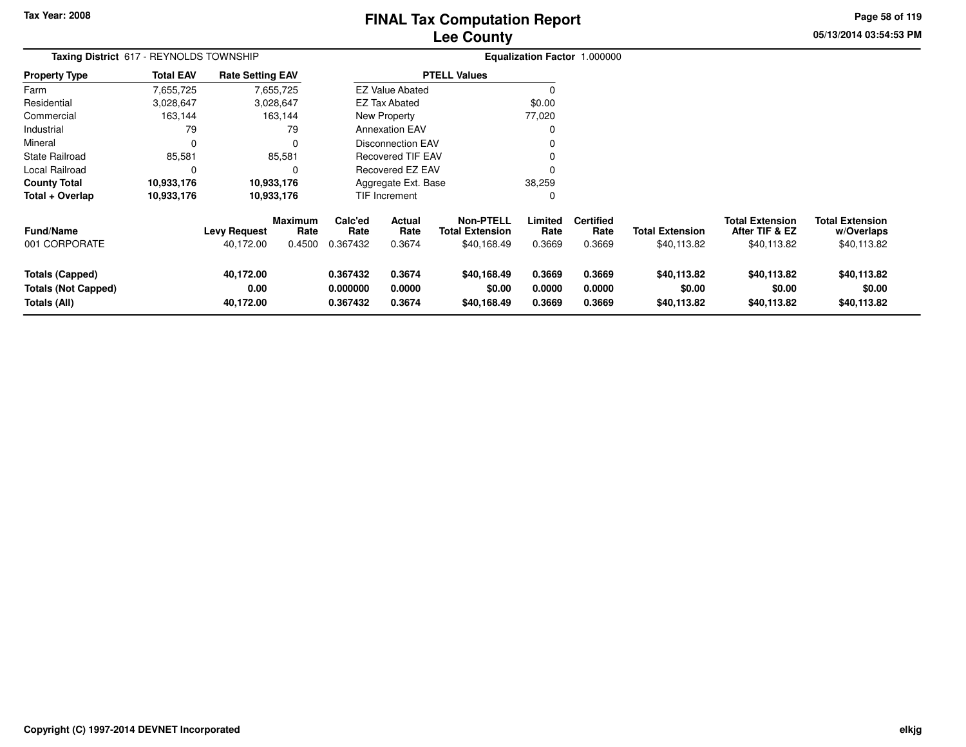# **Lee CountyFINAL Tax Computation Report**

**05/13/2014 03:54:53 PM Page 58 of 119**

|                            | Taxing District 617 - REYNOLDS TOWNSHIP |                         |                        |                 | <b>Equalization Factor 1.000000</b> |                                            |                 |                          |                        |                                          |                                      |
|----------------------------|-----------------------------------------|-------------------------|------------------------|-----------------|-------------------------------------|--------------------------------------------|-----------------|--------------------------|------------------------|------------------------------------------|--------------------------------------|
| <b>Property Type</b>       | <b>Total EAV</b>                        | <b>Rate Setting EAV</b> |                        |                 |                                     | <b>PTELL Values</b>                        |                 |                          |                        |                                          |                                      |
| Farm                       | 7,655,725                               |                         | 7,655,725              |                 | <b>EZ Value Abated</b>              |                                            |                 |                          |                        |                                          |                                      |
| Residential                | 3,028,647                               |                         | 3,028,647              |                 | <b>EZ Tax Abated</b>                |                                            | \$0.00          |                          |                        |                                          |                                      |
| Commercial                 | 163,144                                 |                         | 163,144                |                 | New Property                        |                                            | 77,020          |                          |                        |                                          |                                      |
| Industrial                 | 79                                      |                         | 79                     |                 | <b>Annexation EAV</b>               |                                            |                 |                          |                        |                                          |                                      |
| Mineral                    | $\mathbf 0$                             |                         | 0                      |                 | <b>Disconnection EAV</b>            |                                            |                 |                          |                        |                                          |                                      |
| <b>State Railroad</b>      | 85,581                                  |                         | 85,581                 |                 | <b>Recovered TIF EAV</b>            |                                            |                 |                          |                        |                                          |                                      |
| Local Railroad             | $\Omega$                                |                         | $\Omega$               |                 | Recovered EZ EAV                    |                                            |                 |                          |                        |                                          |                                      |
| <b>County Total</b>        | 10,933,176                              |                         | 10,933,176             |                 | Aggregate Ext. Base                 |                                            | 38,259          |                          |                        |                                          |                                      |
| Total + Overlap            | 10,933,176                              |                         | 10,933,176             |                 | TIF Increment                       |                                            | C               |                          |                        |                                          |                                      |
| <b>Fund/Name</b>           |                                         | <b>Levy Request</b>     | <b>Maximum</b><br>Rate | Calc'ed<br>Rate | Actual<br>Rate                      | <b>Non-PTELL</b><br><b>Total Extension</b> | Limited<br>Rate | <b>Certified</b><br>Rate | <b>Total Extension</b> | <b>Total Extension</b><br>After TIF & EZ | <b>Total Extension</b><br>w/Overlaps |
| 001 CORPORATE              |                                         | 40,172.00               | 0.4500                 | 0.367432        | 0.3674                              | \$40,168.49                                | 0.3669          | 0.3669                   | \$40,113.82            | \$40,113.82                              | \$40,113.82                          |
| <b>Totals (Capped)</b>     |                                         | 40,172.00               |                        | 0.367432        | 0.3674                              | \$40,168.49                                | 0.3669          | 0.3669                   | \$40,113.82            | \$40,113.82                              | \$40,113.82                          |
| <b>Totals (Not Capped)</b> |                                         | 0.00                    |                        | 0.000000        | 0.0000                              | \$0.00                                     | 0.0000          | 0.0000                   | \$0.00                 | \$0.00                                   | \$0.00                               |
| Totals (All)               |                                         | 40,172.00               |                        | 0.367432        | 0.3674                              | \$40,168.49                                | 0.3669          | 0.3669                   | \$40,113.82            | \$40,113.82                              | \$40,113.82                          |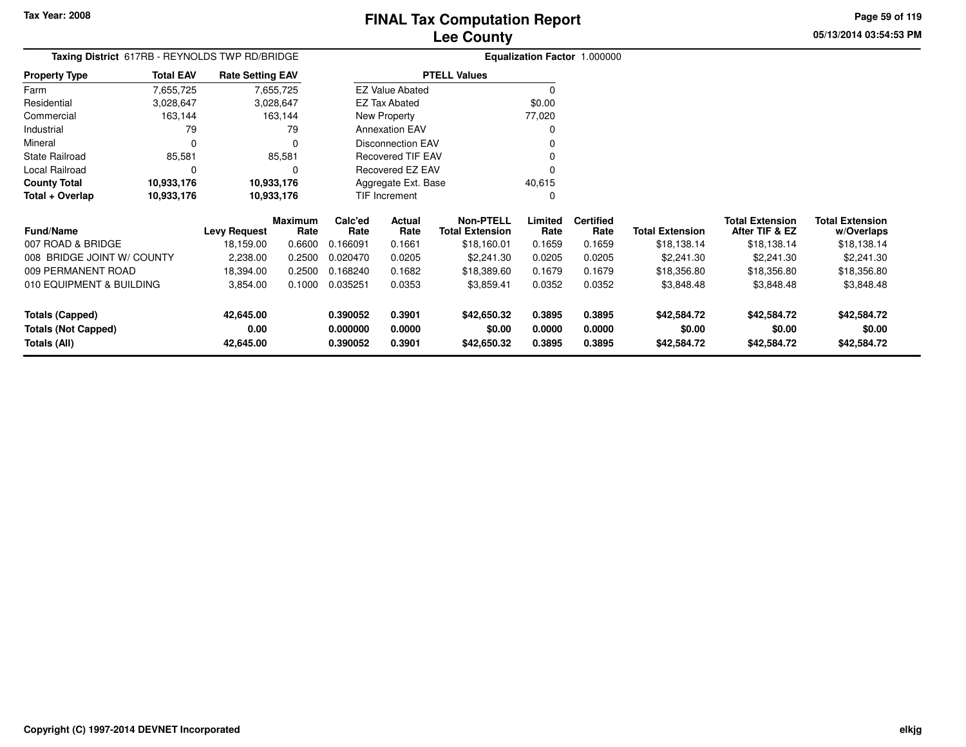**Totals (Capped)**

**Totals (All)**

**Totals (Not Capped)**

**42,645.00**

**42,645.00**

**0.00**

#### **Lee CountyFINAL Tax Computation Report**

3,854.00 0.1000 0.035251 0.0353 \$3,859.41 0.0352 0.0352 \$3,848.48 \$3,848.48 \$3,848.48

**0.390052 0.3901 \$42,650.32 0.3895 0.3895 \$42,584.72 \$42,584.72 \$42,584.72**

**0.000000 0.0000 \$0.00 0.0000 0.0000 \$0.00 \$0.00 \$0.00**

**0.390052 0.3901 \$42,650.32 0.3895 0.3895 \$42,584.72 \$42,584.72 \$42,584.72**

**05/13/2014 03:54:53 PMPage 59 of 119**

> **w/Overlaps** \$18,138.14

| Taxing District 617RB - REYNOLDS TWP RD/BRIDGE |                  |                         |                 |                 | Equalization Factor 1.000000 |                                            |                 |                          |                        |                                          |                                      |
|------------------------------------------------|------------------|-------------------------|-----------------|-----------------|------------------------------|--------------------------------------------|-----------------|--------------------------|------------------------|------------------------------------------|--------------------------------------|
| <b>Property Type</b>                           | <b>Total EAV</b> | <b>Rate Setting EAV</b> |                 |                 |                              | <b>PTELL Values</b>                        |                 |                          |                        |                                          |                                      |
| Farm                                           | 7,655,725        |                         | 7,655,725       |                 | <b>EZ Value Abated</b>       |                                            |                 |                          |                        |                                          |                                      |
| Residential                                    | 3,028,647        |                         | 3,028,647       |                 | \$0.00<br>EZ Tax Abated      |                                            |                 |                          |                        |                                          |                                      |
| Commercial                                     | 163,144          |                         | 163,144         |                 | New Property                 |                                            | 77,020          |                          |                        |                                          |                                      |
| Industrial                                     | 79               |                         | 79              |                 | <b>Annexation EAV</b>        |                                            |                 |                          |                        |                                          |                                      |
| Mineral                                        |                  |                         |                 |                 | <b>Disconnection EAV</b>     |                                            |                 |                          |                        |                                          |                                      |
| <b>State Railroad</b>                          | 85,581           |                         | 85,581          |                 | <b>Recovered TIF EAV</b>     |                                            |                 |                          |                        |                                          |                                      |
| Local Railroad                                 |                  |                         |                 |                 | Recovered EZ EAV             |                                            |                 |                          |                        |                                          |                                      |
| <b>County Total</b>                            | 10,933,176       |                         | 10,933,176      |                 | Aggregate Ext. Base          |                                            | 40,615          |                          |                        |                                          |                                      |
| Total + Overlap                                | 10,933,176       |                         | 10,933,176      |                 | TIF Increment                |                                            |                 |                          |                        |                                          |                                      |
| <b>Fund/Name</b>                               |                  | Levy Request            | Maximum<br>Rate | Calc'ed<br>Rate | Actual<br>Rate               | <b>Non-PTELL</b><br><b>Total Extension</b> | Limited<br>Rate | <b>Certified</b><br>Rate | <b>Total Extension</b> | <b>Total Extension</b><br>After TIF & EZ | <b>Total Extension</b><br>w/Overlaps |
| 007 ROAD & BRIDGE                              |                  | 18,159.00               | 0.6600          | 0.166091        | 0.1661                       | \$18,160.01                                | 0.1659          | 0.1659                   | \$18,138.14            | \$18,138.14                              | \$18,138.14                          |
| 008 BRIDGE JOINT W/ COUNTY                     |                  | 2,238.00                | 0.2500          | 0.020470        | 0.0205                       | \$2,241.30                                 | 0.0205          | 0.0205                   | \$2,241.30             | \$2,241.30                               | \$2,241.30                           |
| 009 PERMANENT ROAD                             |                  | 18,394.00               | 0.2500          | 0.168240        | 0.1682                       | \$18,389.60                                | 0.1679          | 0.1679                   | \$18,356.80            | \$18,356.80                              | \$18,356.80                          |
| 010 EQUIPMENT & BUILDING                       |                  | 3.854.00                | 0.1000          | 0.035251        | 0.0353                       | \$3.859.41                                 | 0.0352          | 0.0352                   | \$3.848.48             | \$3.848.48                               | \$3.848.48                           |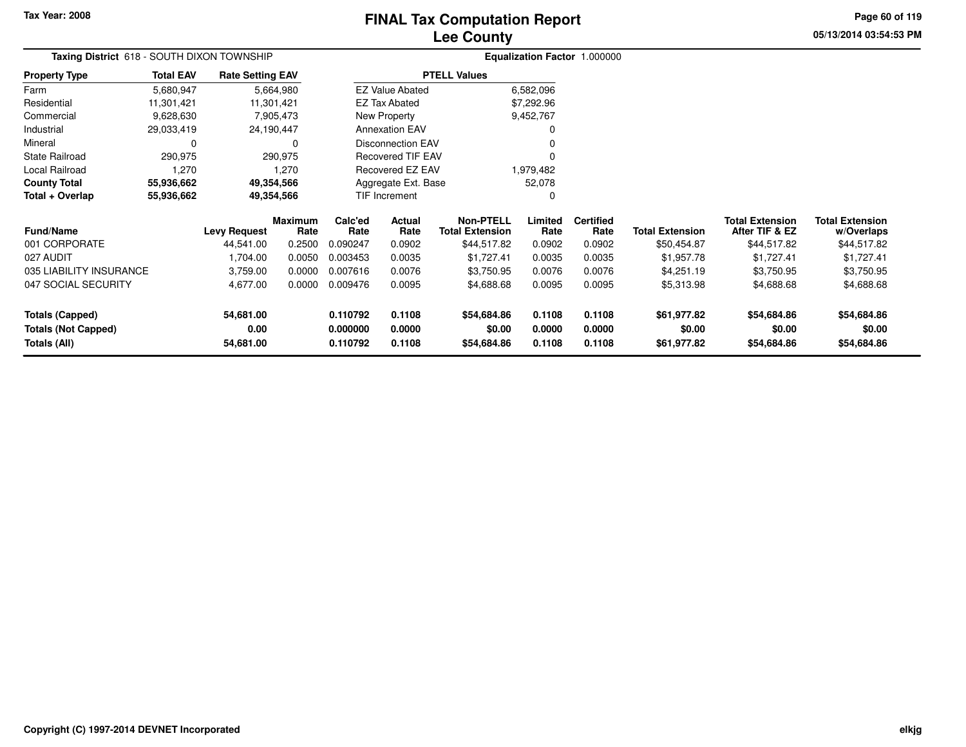## **Lee CountyFINAL Tax Computation Report**

**05/13/2014 03:54:53 PM Page 60 of 119**

| Taxing District 618 - SOUTH DIXON TOWNSHIP | Equalization Factor 1.000000                  |                          |                        |                                            |                  |                          |                        |                                          |                                      |  |
|--------------------------------------------|-----------------------------------------------|--------------------------|------------------------|--------------------------------------------|------------------|--------------------------|------------------------|------------------------------------------|--------------------------------------|--|
| <b>Property Type</b><br><b>Total EAV</b>   | <b>Rate Setting EAV</b>                       |                          |                        | <b>PTELL Values</b>                        |                  |                          |                        |                                          |                                      |  |
| Farm<br>5,680,947                          | 5,664,980                                     |                          | <b>EZ Value Abated</b> |                                            | 6,582,096        |                          |                        |                                          |                                      |  |
| Residential<br>11,301,421                  | 11,301,421                                    |                          | <b>EZ Tax Abated</b>   |                                            | \$7,292.96       |                          |                        |                                          |                                      |  |
| Commercial<br>9,628,630                    | 7,905,473                                     |                          | New Property           |                                            | 9,452,767        |                          |                        |                                          |                                      |  |
| Industrial<br>29,033,419                   | 24,190,447                                    |                          | <b>Annexation EAV</b>  |                                            |                  |                          |                        |                                          |                                      |  |
| Mineral<br>0                               |                                               | <b>Disconnection EAV</b> |                        |                                            |                  |                          |                        |                                          |                                      |  |
| <b>State Railroad</b><br>290,975           | 290,975                                       | Recovered TIF EAV        |                        |                                            |                  |                          |                        |                                          |                                      |  |
| Local Railroad<br>1,270                    | 1,270                                         | Recovered EZ EAV         |                        |                                            | 1,979,482        |                          |                        |                                          |                                      |  |
| <b>County Total</b><br>55,936,662          | 49,354,566                                    |                          | Aggregate Ext. Base    |                                            | 52,078           |                          |                        |                                          |                                      |  |
| Total + Overlap<br>55,936,662              | 49,354,566                                    |                          | TIF Increment          |                                            | $\Omega$         |                          |                        |                                          |                                      |  |
| <b>Fund/Name</b>                           | <b>Maximum</b><br><b>Levy Request</b><br>Rate | Calc'ed<br>Rate          | Actual<br>Rate         | <b>Non-PTELL</b><br><b>Total Extension</b> | Limited<br>Rate  | <b>Certified</b><br>Rate | <b>Total Extension</b> | <b>Total Extension</b><br>After TIF & EZ | <b>Total Extension</b><br>w/Overlaps |  |
| 001 CORPORATE                              | 44,541.00<br>0.2500                           | 0.090247                 | 0.0902                 | \$44,517.82                                | 0.0902           | 0.0902                   | \$50,454.87            | \$44,517.82                              | \$44,517.82                          |  |
| 027 AUDIT                                  | 1,704.00<br>0.0050                            | 0.003453                 | 0.0035                 | \$1,727.41                                 | 0.0035           | 0.0035                   | \$1,957.78             | \$1,727.41                               | \$1,727.41                           |  |
| 035 LIABILITY INSURANCE                    | 0.0000<br>3,759.00                            | 0.007616                 | 0.0076                 | \$3,750.95                                 | 0.0076           | 0.0076                   | \$4,251.19             | \$3,750.95                               | \$3,750.95                           |  |
| 047 SOCIAL SECURITY                        | 4,677.00<br>0.0000                            | 0.009476                 | 0.0095                 | \$4,688.68                                 | 0.0095           | 0.0095                   | \$5,313.98             | \$4,688.68                               | \$4,688.68                           |  |
| <b>Totals (Capped)</b><br>54,681.00        |                                               | 0.110792                 | 0.1108                 | \$54,684.86                                | 0.1108           | 0.1108                   | \$61,977.82            | \$54,684.86                              | \$54,684.86                          |  |
| <b>Totals (Not Capped)</b><br>Totals (All) | 0.00<br>54,681.00                             | 0.000000<br>0.110792     | 0.0000<br>0.1108       | \$0.00<br>\$54,684.86                      | 0.0000<br>0.1108 | 0.0000<br>0.1108         | \$0.00<br>\$61,977.82  | \$0.00<br>\$54,684.86                    | \$0.00<br>\$54,684.86                |  |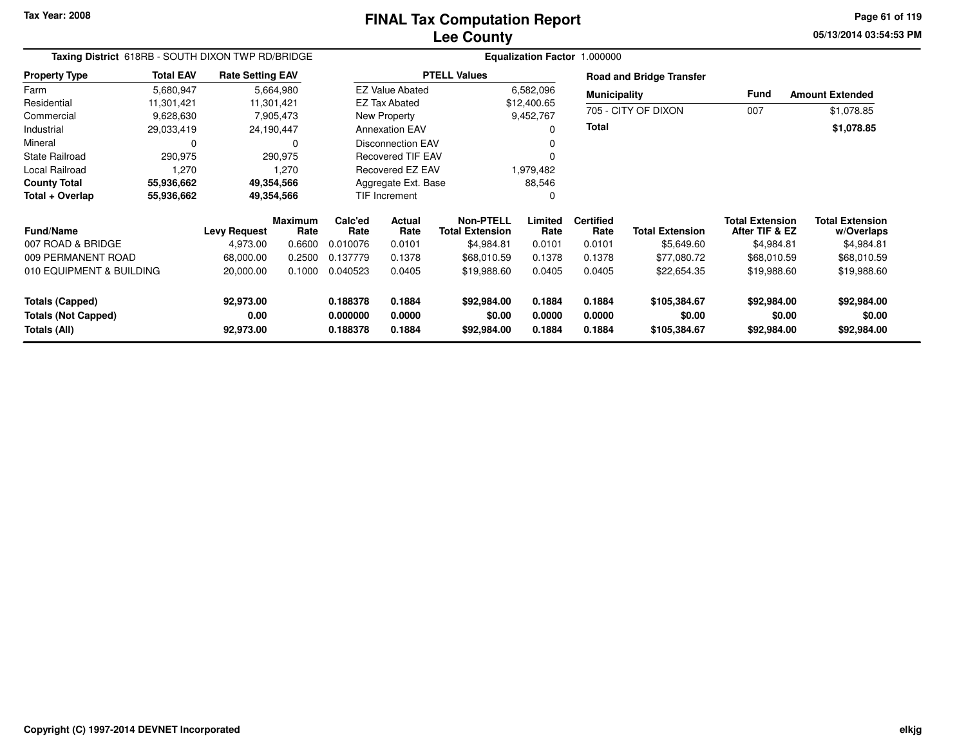**05/13/2014 03:54:53 PM Page 61 of 119**

| Taxing District 618RB - SOUTH DIXON TWP RD/BRIDGE |                  |                         |                        |                 |                          | Equalization Factor 1.000000               |                 |                          |                                 |                                          |                                      |
|---------------------------------------------------|------------------|-------------------------|------------------------|-----------------|--------------------------|--------------------------------------------|-----------------|--------------------------|---------------------------------|------------------------------------------|--------------------------------------|
| <b>Property Type</b>                              | <b>Total EAV</b> | <b>Rate Setting EAV</b> |                        |                 |                          | <b>PTELL Values</b>                        |                 |                          | <b>Road and Bridge Transfer</b> |                                          |                                      |
| Farm                                              | 5,680,947        |                         | 5,664,980              |                 | <b>EZ Value Abated</b>   |                                            | 6,582,096       | <b>Municipality</b>      |                                 | Fund                                     | <b>Amount Extended</b>               |
| Residential                                       | 11,301,421       | 11,301,421              |                        |                 | <b>EZ Tax Abated</b>     |                                            | \$12,400.65     |                          |                                 |                                          |                                      |
| Commercial                                        | 9,628,630        |                         | 7,905,473              |                 | New Property             |                                            | 9,452,767       |                          | 705 - CITY OF DIXON             | 007                                      | \$1,078.85                           |
| Industrial                                        | 29,033,419       | 24,190,447              |                        |                 | <b>Annexation EAV</b>    |                                            | 0               | <b>Total</b>             |                                 |                                          | \$1,078.85                           |
| Mineral                                           |                  |                         | 0                      |                 | <b>Disconnection EAV</b> |                                            |                 |                          |                                 |                                          |                                      |
| <b>State Railroad</b>                             | 290,975          |                         | 290,975                |                 | <b>Recovered TIF EAV</b> |                                            | 0               |                          |                                 |                                          |                                      |
| <b>Local Railroad</b>                             | 1,270            |                         | 1,270                  |                 | <b>Recovered EZ EAV</b>  |                                            | 1,979,482       |                          |                                 |                                          |                                      |
| <b>County Total</b>                               | 55,936,662       | 49,354,566              |                        |                 | Aggregate Ext. Base      |                                            | 88,546          |                          |                                 |                                          |                                      |
| Total + Overlap                                   | 55,936,662       |                         | 49,354,566             |                 | TIF Increment            |                                            | 0               |                          |                                 |                                          |                                      |
| <b>Fund/Name</b>                                  |                  | <b>Levy Request</b>     | <b>Maximum</b><br>Rate | Calc'ed<br>Rate | Actual<br>Rate           | <b>Non-PTELL</b><br><b>Total Extension</b> | Limited<br>Rate | <b>Certified</b><br>Rate | <b>Total Extension</b>          | <b>Total Extension</b><br>After TIF & EZ | <b>Total Extension</b><br>w/Overlaps |
| 007 ROAD & BRIDGE                                 |                  | 4,973.00                | 0.6600                 | 0.010076        | 0.0101                   | \$4,984.81                                 | 0.0101          | 0.0101                   | \$5,649.60                      | \$4,984.81                               | \$4,984.81                           |
| 009 PERMANENT ROAD                                |                  | 68,000.00               | 0.2500                 | 0.137779        | 0.1378                   | \$68,010.59                                | 0.1378          | 0.1378                   | \$77,080.72                     | \$68,010.59                              | \$68,010.59                          |
| 010 EQUIPMENT & BUILDING                          |                  | 20,000.00               | 0.1000                 | 0.040523        | 0.0405                   | \$19,988.60                                | 0.0405          | 0.0405                   | \$22,654.35                     | \$19,988.60                              | \$19,988.60                          |
| <b>Totals (Capped)</b>                            |                  | 92,973.00               |                        | 0.188378        | 0.1884                   | \$92,984.00                                | 0.1884          | 0.1884                   | \$105,384.67                    | \$92,984.00                              | \$92,984.00                          |
| <b>Totals (Not Capped)</b>                        |                  | 0.00                    |                        | 0.000000        | 0.0000                   | \$0.00                                     | 0.0000          | 0.0000                   | \$0.00                          | \$0.00                                   | \$0.00                               |
| Totals (All)                                      |                  | 92,973.00               |                        | 0.188378        | 0.1884                   | \$92,984.00                                | 0.1884          | 0.1884                   | \$105,384.67                    | \$92,984.00                              | \$92,984.00                          |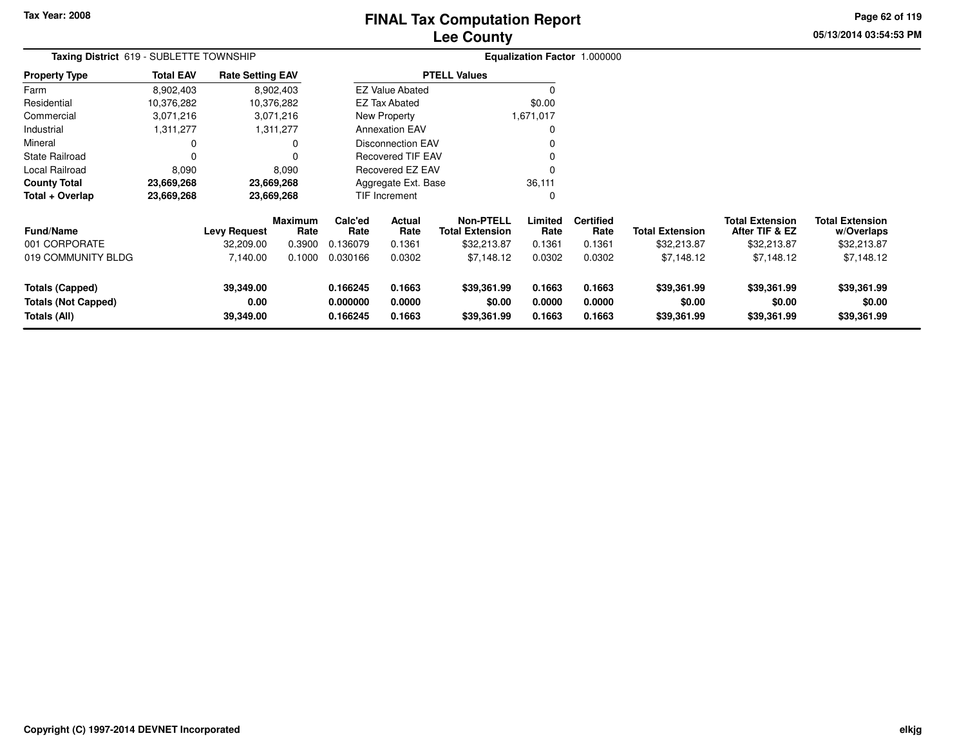## **Lee CountyFINAL Tax Computation Report**

**05/13/2014 03:54:53 PM Page 62 of 119**

| Taxing District 619 - SUBLETTE TOWNSHIP                              |                  |                                | Equalization Factor 1.000000 |                                  |                            |                                      |                            |                            |                                      |                                          |                                      |
|----------------------------------------------------------------------|------------------|--------------------------------|------------------------------|----------------------------------|----------------------------|--------------------------------------|----------------------------|----------------------------|--------------------------------------|------------------------------------------|--------------------------------------|
| <b>Property Type</b>                                                 | <b>Total EAV</b> | <b>Rate Setting EAV</b>        |                              |                                  |                            | <b>PTELL Values</b>                  |                            |                            |                                      |                                          |                                      |
| Farm                                                                 | 8,902,403        |                                | 8,902,403                    |                                  | <b>EZ Value Abated</b>     |                                      | 0                          |                            |                                      |                                          |                                      |
| Residential                                                          | 10,376,282       |                                | 10,376,282                   |                                  | EZ Tax Abated              |                                      | \$0.00                     |                            |                                      |                                          |                                      |
| Commercial                                                           | 3,071,216        |                                | 3,071,216                    |                                  | New Property               |                                      | 1,671,017                  |                            |                                      |                                          |                                      |
| Industrial                                                           | 1,311,277        |                                | 1,311,277                    |                                  | <b>Annexation EAV</b>      |                                      | 0                          |                            |                                      |                                          |                                      |
| Mineral                                                              | 0                |                                | 0                            |                                  | <b>Disconnection EAV</b>   |                                      | 0                          |                            |                                      |                                          |                                      |
| <b>State Railroad</b>                                                | $\Omega$         |                                | 0                            |                                  | <b>Recovered TIF EAV</b>   |                                      | 0                          |                            |                                      |                                          |                                      |
| Local Railroad                                                       | 8,090            |                                | 8,090                        |                                  | Recovered EZ EAV           |                                      | $\Omega$                   |                            |                                      |                                          |                                      |
| <b>County Total</b>                                                  | 23,669,268       |                                | 23,669,268                   |                                  | Aggregate Ext. Base        |                                      | 36,111                     |                            |                                      |                                          |                                      |
| Total + Overlap                                                      | 23,669,268       |                                | 23,669,268                   |                                  | <b>TIF Increment</b>       |                                      | $\mathbf 0$                |                            |                                      |                                          |                                      |
| <b>Fund/Name</b>                                                     |                  | <b>Levy Request</b>            | Maximum<br>Rate              | Calc'ed<br>Rate                  | Actual<br>Rate             | Non-PTELL<br><b>Total Extension</b>  | Limited<br>Rate            | <b>Certified</b><br>Rate   | Total Extension                      | <b>Total Extension</b><br>After TIF & EZ | <b>Total Extension</b><br>w/Overlaps |
| 001 CORPORATE                                                        |                  | 32,209.00                      | 0.3900                       | 0.136079                         | 0.1361                     | \$32,213.87                          | 0.1361                     | 0.1361                     | \$32,213.87                          | \$32,213.87                              | \$32,213.87                          |
| 019 COMMUNITY BLDG                                                   |                  | 7,140.00                       | 0.1000                       | 0.030166                         | 0.0302                     | \$7,148.12                           | 0.0302                     | 0.0302                     | \$7,148.12                           | \$7,148.12                               | \$7,148.12                           |
| <b>Totals (Capped)</b><br><b>Totals (Not Capped)</b><br>Totals (All) |                  | 39,349.00<br>0.00<br>39,349.00 |                              | 0.166245<br>0.000000<br>0.166245 | 0.1663<br>0.0000<br>0.1663 | \$39,361.99<br>\$0.00<br>\$39,361.99 | 0.1663<br>0.0000<br>0.1663 | 0.1663<br>0.0000<br>0.1663 | \$39,361.99<br>\$0.00<br>\$39,361.99 | \$39,361.99<br>\$0.00<br>\$39,361.99     | \$39,361.99<br>\$0.00<br>\$39,361.99 |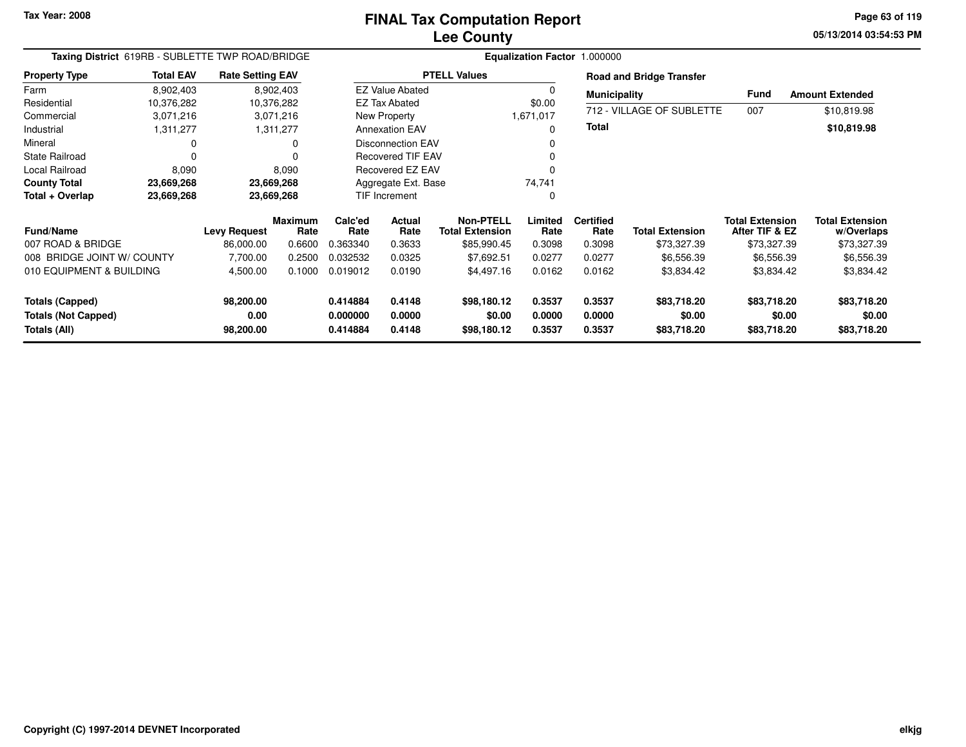**05/13/2014 03:54:53 PM Page 63 of 119**

|                            | Taxing District 619RB - SUBLETTE TWP ROAD/BRIDGE<br><b>Rate Setting EAV</b> |                     |                 |                 |                          |                                            |                 | Equalization Factor 1.000000 |                                 |                                          |                                      |
|----------------------------|-----------------------------------------------------------------------------|---------------------|-----------------|-----------------|--------------------------|--------------------------------------------|-----------------|------------------------------|---------------------------------|------------------------------------------|--------------------------------------|
| <b>Property Type</b>       | <b>Total EAV</b>                                                            |                     |                 |                 |                          | <b>PTELL Values</b>                        |                 |                              | <b>Road and Bridge Transfer</b> |                                          |                                      |
| Farm                       | 8,902,403                                                                   |                     | 8,902,403       |                 | <b>EZ Value Abated</b>   |                                            | 0               | <b>Municipality</b>          |                                 | <b>Fund</b>                              | <b>Amount Extended</b>               |
| Residential                | 10,376,282                                                                  |                     | 10,376,282      |                 | <b>EZ Tax Abated</b>     |                                            | \$0.00          |                              |                                 |                                          |                                      |
| Commercial                 | 3,071,216                                                                   |                     | 3,071,216       |                 | New Property             |                                            | 1,671,017       |                              | 712 - VILLAGE OF SUBLETTE       | 007                                      | \$10,819.98                          |
| Industrial                 | 1,311,277                                                                   |                     | 1,311,277       |                 | <b>Annexation EAV</b>    |                                            | $\Omega$        | Total                        |                                 |                                          | \$10,819.98                          |
| Mineral                    |                                                                             |                     | 0               |                 | <b>Disconnection EAV</b> |                                            | 0               |                              |                                 |                                          |                                      |
| <b>State Railroad</b>      |                                                                             |                     | $\Omega$        |                 | <b>Recovered TIF EAV</b> |                                            | 0               |                              |                                 |                                          |                                      |
| Local Railroad             | 8,090                                                                       |                     | 8,090           |                 | Recovered EZ EAV         |                                            | 0               |                              |                                 |                                          |                                      |
| <b>County Total</b>        | 23,669,268                                                                  |                     | 23,669,268      |                 | Aggregate Ext. Base      |                                            | 74,741          |                              |                                 |                                          |                                      |
| Total + Overlap            | 23,669,268                                                                  |                     | 23,669,268      |                 | TIF Increment            |                                            | 0               |                              |                                 |                                          |                                      |
| <b>Fund/Name</b>           |                                                                             | <b>Levy Request</b> | Maximum<br>Rate | Calc'ed<br>Rate | Actual<br>Rate           | <b>Non-PTELL</b><br><b>Total Extension</b> | Limited<br>Rate | <b>Certified</b><br>Rate     | <b>Total Extension</b>          | <b>Total Extension</b><br>After TIF & EZ | <b>Total Extension</b><br>w/Overlaps |
| 007 ROAD & BRIDGE          |                                                                             | 86,000.00           | 0.6600          | 0.363340        | 0.3633                   | \$85,990.45                                | 0.3098          | 0.3098                       | \$73,327.39                     | \$73,327.39                              | \$73,327.39                          |
| 008 BRIDGE JOINT W/ COUNTY |                                                                             | 7,700.00            | 0.2500          | 0.032532        | 0.0325                   | \$7.692.51                                 | 0.0277          | 0.0277                       | \$6,556.39                      | \$6,556.39                               | \$6,556.39                           |
| 010 EQUIPMENT & BUILDING   |                                                                             | 4,500.00            | 0.1000          | 0.019012        | 0.0190                   | \$4,497.16                                 | 0.0162          | 0.0162                       | \$3,834.42                      | \$3,834.42                               | \$3,834.42                           |
| <b>Totals (Capped)</b>     |                                                                             | 98,200.00           |                 | 0.414884        | 0.4148                   | \$98,180.12                                | 0.3537          | 0.3537                       | \$83,718.20                     | \$83,718.20                              | \$83,718.20                          |
| <b>Totals (Not Capped)</b> |                                                                             | 0.00                |                 | 0.000000        | 0.0000                   | \$0.00                                     | 0.0000          | 0.0000                       | \$0.00                          | \$0.00                                   | \$0.00                               |
| Totals (All)               |                                                                             | 98,200.00           |                 | 0.414884        | 0.4148                   | \$98,180.12                                | 0.3537          | 0.3537                       | \$83,718.20                     | \$83,718.20                              | \$83,718.20                          |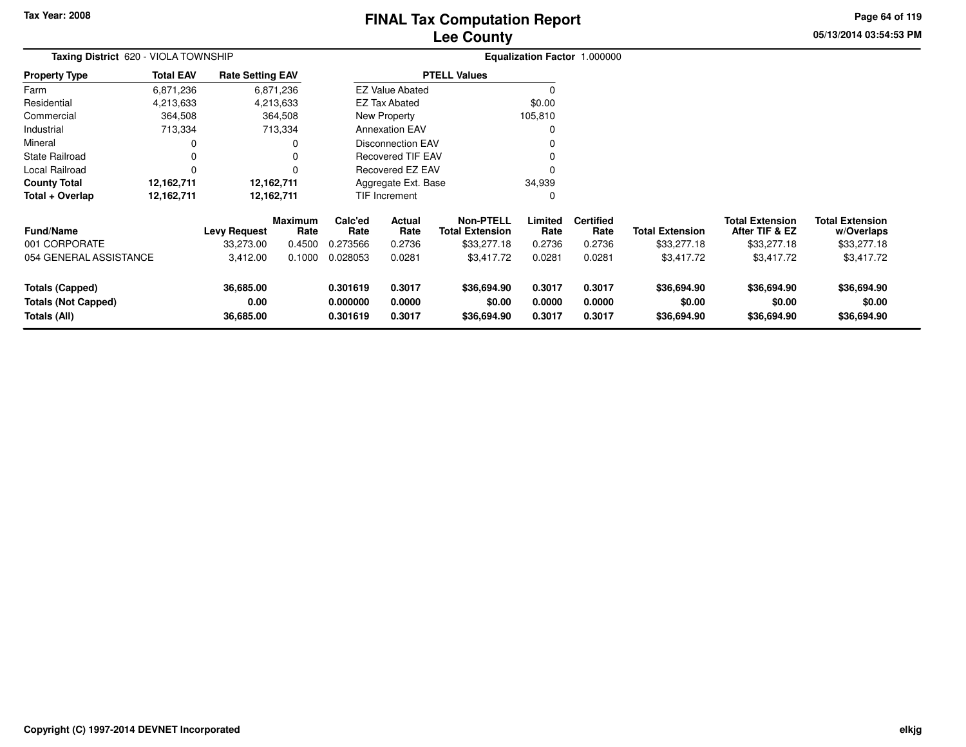## **Lee CountyFINAL Tax Computation Report**

**05/13/2014 03:54:53 PM Page 64 of 119**

| Taxing District 620 - VIOLA TOWNSHIP                                 |                  |                                |                        | Equalization Factor 1.000000     |                            |                                            |                            |                            |                                      |                                          |                                      |
|----------------------------------------------------------------------|------------------|--------------------------------|------------------------|----------------------------------|----------------------------|--------------------------------------------|----------------------------|----------------------------|--------------------------------------|------------------------------------------|--------------------------------------|
| Property Type                                                        | <b>Total EAV</b> | <b>Rate Setting EAV</b>        |                        |                                  |                            | <b>PTELL Values</b>                        |                            |                            |                                      |                                          |                                      |
| Farm                                                                 | 6,871,236        |                                | 6,871,236              |                                  | <b>EZ Value Abated</b>     |                                            |                            |                            |                                      |                                          |                                      |
| Residential                                                          | 4,213,633        |                                | 4,213,633              |                                  | EZ Tax Abated              |                                            | \$0.00                     |                            |                                      |                                          |                                      |
| Commercial                                                           | 364,508          |                                | 364,508                |                                  | New Property               |                                            | 105,810                    |                            |                                      |                                          |                                      |
| Industrial                                                           | 713,334          |                                | 713,334                |                                  | <b>Annexation EAV</b>      |                                            | 0                          |                            |                                      |                                          |                                      |
| Mineral                                                              |                  |                                | 0                      |                                  | <b>Disconnection EAV</b>   |                                            |                            |                            |                                      |                                          |                                      |
| State Railroad                                                       |                  |                                | 0                      |                                  | <b>Recovered TIF EAV</b>   |                                            |                            |                            |                                      |                                          |                                      |
| Local Railroad                                                       |                  |                                | O                      |                                  | Recovered EZ EAV           |                                            |                            |                            |                                      |                                          |                                      |
| County Total                                                         | 12,162,711       |                                | 12,162,711             |                                  | Aggregate Ext. Base        |                                            | 34,939                     |                            |                                      |                                          |                                      |
| Total + Overlap                                                      | 12,162,711       |                                | 12,162,711             |                                  | TIF Increment              |                                            | 0                          |                            |                                      |                                          |                                      |
| <b>Fund/Name</b>                                                     |                  | <b>Levy Request</b>            | <b>Maximum</b><br>Rate | Calc'ed<br>Rate                  | Actual<br>Rate             | <b>Non-PTELL</b><br><b>Total Extension</b> | Limited<br>Rate            | <b>Certified</b><br>Rate   | <b>Total Extension</b>               | <b>Total Extension</b><br>After TIF & EZ | <b>Total Extension</b><br>w/Overlaps |
| 001 CORPORATE                                                        |                  | 33,273.00                      | 0.4500                 | 0.273566                         | 0.2736                     | \$33,277.18                                | 0.2736                     | 0.2736                     | \$33,277.18                          | \$33,277.18                              | \$33,277.18                          |
| 054 GENERAL ASSISTANCE                                               |                  | 3,412.00                       | 0.1000                 | 0.028053                         | 0.0281                     | \$3,417.72                                 | 0.0281                     | 0.0281                     | \$3,417.72                           | \$3,417.72                               | \$3,417.72                           |
| <b>Totals (Capped)</b><br><b>Totals (Not Capped)</b><br>Totals (All) |                  | 36,685.00<br>0.00<br>36,685.00 |                        | 0.301619<br>0.000000<br>0.301619 | 0.3017<br>0.0000<br>0.3017 | \$36,694.90<br>\$0.00<br>\$36,694.90       | 0.3017<br>0.0000<br>0.3017 | 0.3017<br>0.0000<br>0.3017 | \$36,694.90<br>\$0.00<br>\$36,694.90 | \$36,694.90<br>\$0.00<br>\$36,694.90     | \$36,694.90<br>\$0.00<br>\$36,694.90 |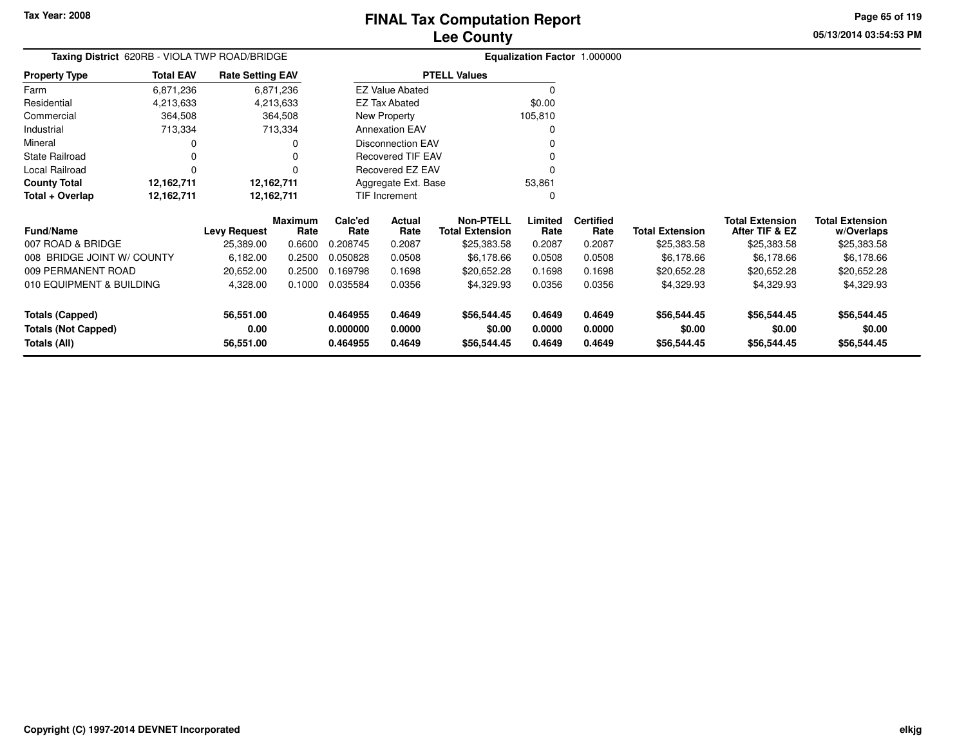**05/13/2014 03:54:53 PMPage 65 of 119**

|                  |                         |                                               | Equalization Factor 1.000000 |
|------------------|-------------------------|-----------------------------------------------|------------------------------|
| <b>Total EAV</b> | <b>Rate Setting EAV</b> |                                               |                              |
| 6,871,236        | 6,871,236               | <b>EZ Value Abated</b>                        |                              |
| 4,213,633        | 4,213,633               | <b>EZ Tax Abated</b>                          | \$0.00                       |
| 364,508          | 364,508                 | New Property                                  | 105.810                      |
| 713,334          | 713,334                 | <b>Annexation EAV</b>                         | 0                            |
| 0                | 0                       | Disconnection EAV                             | 0                            |
|                  | 0                       | <b>Recovered TIF EAV</b>                      | 0                            |
|                  | 0                       | Recovered EZ EAV                              |                              |
| 12,162,711       | 12,162,711              | Aggregate Ext. Base                           | 53,861                       |
| 12,162,711       | 12,162,711              | <b>TIF Increment</b>                          | 0                            |
|                  |                         | Taxing District 620RB - VIOLA TWP ROAD/BRIDGE | <b>PTELL Values</b>          |

| <b>Fund/Name</b>                                                     | <b>Levy Request</b>            | <b>Maximum</b><br>Rate | Calc'ed<br>Rate                  | Actual<br>Rate             | <b>Non-PTELL</b><br><b>Total Extension</b> | Limited<br>Rate            | <b>Certified</b><br>Rate   | <b>Total Extension</b>               | <b>Total Extension</b><br>After TIF & EZ | <b>Total Extension</b><br>w/Overlaps |
|----------------------------------------------------------------------|--------------------------------|------------------------|----------------------------------|----------------------------|--------------------------------------------|----------------------------|----------------------------|--------------------------------------|------------------------------------------|--------------------------------------|
| 007 ROAD & BRIDGE                                                    | 25,389.00                      | 0.6600                 | 0.208745                         | 0.2087                     | \$25,383.58                                | 0.2087                     | 0.2087                     | \$25,383.58                          | \$25,383.58                              | \$25,383.58                          |
| 008 BRIDGE JOINT W/ COUNTY                                           | 6.182.00                       | 0.2500                 | 0.050828                         | 0.0508                     | \$6,178.66                                 | 0.0508                     | 0.0508                     | \$6.178.66                           | \$6.178.66                               | \$6.178.66                           |
| 009 PERMANENT ROAD                                                   | 20.652.00                      | 0.2500                 | 0.169798                         | 0.1698                     | \$20.652.28                                | 0.1698                     | 0.1698                     | \$20,652.28                          | \$20.652.28                              | \$20,652.28                          |
| 010 EQUIPMENT & BUILDING                                             | 4,328.00                       | 0.1000                 | 0.035584                         | 0.0356                     | \$4,329.93                                 | 0.0356                     | 0.0356                     | \$4.329.93                           | \$4,329.93                               | \$4,329.93                           |
| <b>Totals (Capped)</b><br><b>Totals (Not Capped)</b><br>Totals (All) | 56.551.00<br>0.00<br>56,551.00 |                        | 0.464955<br>0.000000<br>0.464955 | 0.4649<br>0.0000<br>0.4649 | \$56,544.45<br>\$0.00<br>\$56,544.45       | 0.4649<br>0.0000<br>0.4649 | 0.4649<br>0.0000<br>0.4649 | \$56,544.45<br>\$0.00<br>\$56,544.45 | \$56,544.45<br>\$0.00<br>\$56,544.45     | \$56,544.45<br>\$0.00<br>\$56,544.45 |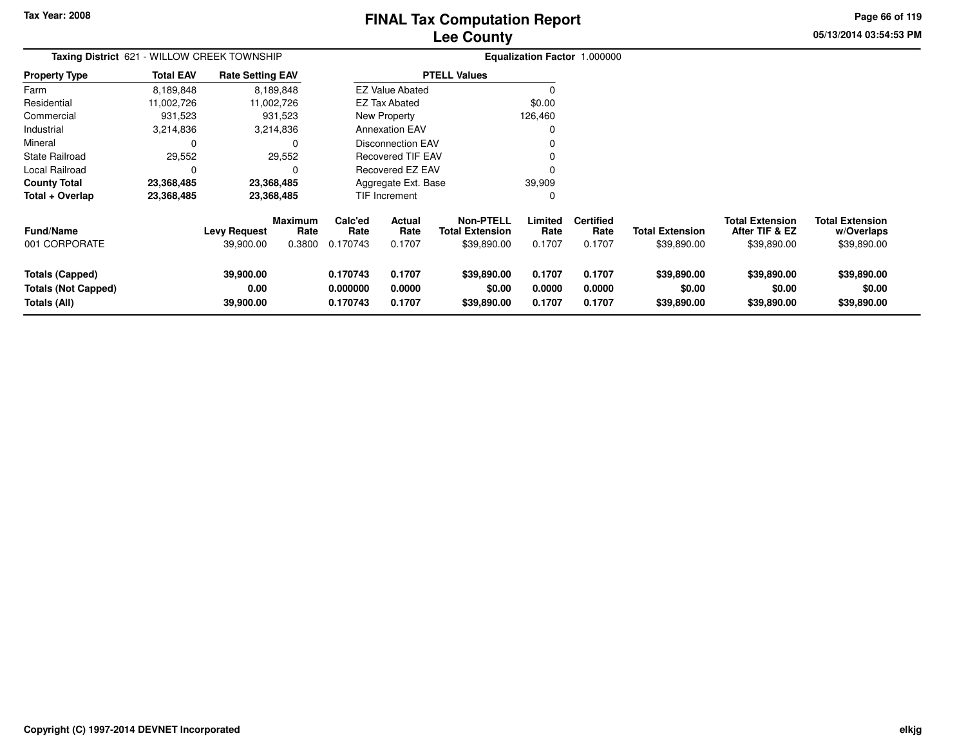# **Lee CountyFINAL Tax Computation Report**

**05/13/2014 03:54:53 PMPage 66 of 119**

| Taxing District 621 - WILLOW CREEK TOWNSHIP                          |                  |                                  |                                  | Equalization Factor 1.000000     |                            |                                                    |                            |                                    |                                       |                                                         |                                                     |
|----------------------------------------------------------------------|------------------|----------------------------------|----------------------------------|----------------------------------|----------------------------|----------------------------------------------------|----------------------------|------------------------------------|---------------------------------------|---------------------------------------------------------|-----------------------------------------------------|
| Property Type                                                        | <b>Total EAV</b> | <b>Rate Setting EAV</b>          |                                  |                                  |                            | <b>PTELL Values</b>                                |                            |                                    |                                       |                                                         |                                                     |
| Farm                                                                 | 8,189,848        |                                  | 8,189,848                        |                                  | <b>EZ Value Abated</b>     |                                                    |                            |                                    |                                       |                                                         |                                                     |
| Residential                                                          | 11,002,726       |                                  | 11,002,726                       |                                  | EZ Tax Abated              |                                                    | \$0.00                     |                                    |                                       |                                                         |                                                     |
| Commercial                                                           | 931,523          |                                  | 931,523                          |                                  | New Property               |                                                    | 126,460                    |                                    |                                       |                                                         |                                                     |
| Industrial                                                           | 3,214,836        |                                  | 3,214,836                        |                                  | <b>Annexation EAV</b>      |                                                    |                            |                                    |                                       |                                                         |                                                     |
| Mineral                                                              | 0                |                                  | 0                                |                                  | <b>Disconnection EAV</b>   |                                                    |                            |                                    |                                       |                                                         |                                                     |
| State Railroad                                                       | 29,552           |                                  | 29,552                           |                                  | <b>Recovered TIF EAV</b>   |                                                    |                            |                                    |                                       |                                                         |                                                     |
| Local Railroad                                                       | 0                |                                  | 0                                |                                  | <b>Recovered EZ EAV</b>    |                                                    |                            |                                    |                                       |                                                         |                                                     |
| County Total                                                         | 23,368,485       |                                  | 23,368,485                       |                                  | Aggregate Ext. Base        |                                                    | 39,909                     |                                    |                                       |                                                         |                                                     |
| Total + Overlap                                                      | 23,368,485       |                                  | 23,368,485                       |                                  | TIF Increment              |                                                    |                            |                                    |                                       |                                                         |                                                     |
| Fund/Name<br>001 CORPORATE                                           |                  | <b>Levy Request</b><br>39,900.00 | <b>Maximum</b><br>Rate<br>0.3800 | Calc'ed<br>Rate<br>0.170743      | Actual<br>Rate<br>0.1707   | <b>Non-PTELL</b><br>Total Extension<br>\$39,890.00 | Limited<br>Rate<br>0.1707  | <b>Certified</b><br>Rate<br>0.1707 | <b>Total Extension</b><br>\$39,890.00 | <b>Total Extension</b><br>After TIF & EZ<br>\$39,890.00 | <b>Total Extension</b><br>w/Overlaps<br>\$39,890.00 |
| <b>Totals (Capped)</b><br><b>Totals (Not Capped)</b><br>Totals (All) |                  | 39,900.00<br>0.00<br>39,900.00   |                                  | 0.170743<br>0.000000<br>0.170743 | 0.1707<br>0.0000<br>0.1707 | \$39,890.00<br>\$0.00<br>\$39,890.00               | 0.1707<br>0.0000<br>0.1707 | 0.1707<br>0.0000<br>0.1707         | \$39,890.00<br>\$0.00<br>\$39,890.00  | \$39,890.00<br>\$0.00<br>\$39,890.00                    | \$39,890.00<br>\$0.00<br>\$39,890.00                |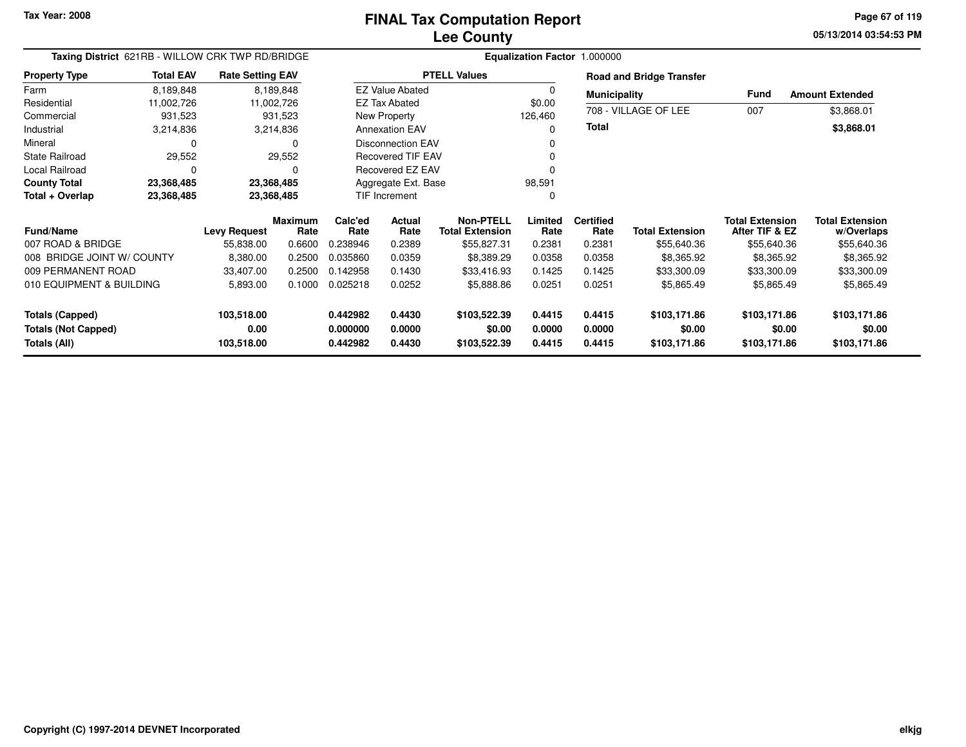**05/13/2014 03:54:53 PM Page 67 of 119**

| Taxing District 621RB - WILLOW CRK TWP RD/BRIDGE |                  |                         |                        |                 |                          | Equalization Factor 1.000000               |                 |                          |                                 |                                          |                                      |
|--------------------------------------------------|------------------|-------------------------|------------------------|-----------------|--------------------------|--------------------------------------------|-----------------|--------------------------|---------------------------------|------------------------------------------|--------------------------------------|
| <b>Property Type</b>                             | <b>Total EAV</b> | <b>Rate Setting EAV</b> |                        |                 |                          | <b>PTELL Values</b>                        |                 |                          | <b>Road and Bridge Transfer</b> |                                          |                                      |
| Farm                                             | 8,189,848        |                         | 8,189,848              |                 | <b>EZ Value Abated</b>   |                                            | 0               | <b>Municipality</b>      |                                 | Fund                                     | <b>Amount Extended</b>               |
| Residential                                      | 11,002,726       |                         | 11,002,726             |                 | <b>EZ Tax Abated</b>     |                                            | \$0.00          |                          |                                 |                                          |                                      |
| Commercial                                       | 931,523          |                         | 931,523                |                 | New Property             |                                            | 126,460         |                          | 708 - VILLAGE OF LEE            | 007                                      | \$3,868.01                           |
| Industrial                                       | 3,214,836        |                         | 3,214,836              |                 | <b>Annexation EAV</b>    |                                            | 0               | Total                    |                                 |                                          | \$3,868.01                           |
| Mineral                                          | $\Omega$         |                         | 0                      |                 | <b>Disconnection EAV</b> |                                            |                 |                          |                                 |                                          |                                      |
| <b>State Railroad</b>                            | 29,552           |                         | 29,552                 |                 | <b>Recovered TIF EAV</b> |                                            |                 |                          |                                 |                                          |                                      |
| Local Railroad                                   | $\Omega$         |                         | 0                      |                 | Recovered EZ EAV         |                                            | 0               |                          |                                 |                                          |                                      |
| <b>County Total</b>                              | 23,368,485       |                         | 23,368,485             |                 | Aggregate Ext. Base      |                                            | 98,591          |                          |                                 |                                          |                                      |
| Total + Overlap                                  | 23,368,485       |                         | 23,368,485             |                 | <b>TIF Increment</b>     |                                            | 0               |                          |                                 |                                          |                                      |
| <b>Fund/Name</b>                                 |                  | <b>Levy Request</b>     | <b>Maximum</b><br>Rate | Calc'ed<br>Rate | Actual<br>Rate           | <b>Non-PTELL</b><br><b>Total Extension</b> | Limited<br>Rate | <b>Certified</b><br>Rate | <b>Total Extension</b>          | <b>Total Extension</b><br>After TIF & EZ | <b>Total Extension</b><br>w/Overlaps |
| 007 ROAD & BRIDGE                                |                  | 55,838.00               | 0.6600                 | 0.238946        | 0.2389                   | \$55,827.31                                | 0.2381          | 0.2381                   | \$55,640.36                     | \$55,640.36                              | \$55,640.36                          |
| 008 BRIDGE JOINT W/ COUNTY                       |                  | 8,380.00                | 0.2500                 | 0.035860        | 0.0359                   | \$8,389.29                                 | 0.0358          | 0.0358                   | \$8,365.92                      | \$8,365.92                               | \$8,365.92                           |
| 009 PERMANENT ROAD                               |                  | 33,407.00               | 0.2500                 | 0.142958        | 0.1430                   | \$33,416.93                                | 0.1425          | 0.1425                   | \$33,300.09                     | \$33,300.09                              | \$33,300.09                          |
| 010 EQUIPMENT & BUILDING                         |                  | 5,893.00                | 0.1000                 | 0.025218        | 0.0252                   | \$5,888.86                                 | 0.0251          | 0.0251                   | \$5,865.49                      | \$5,865.49                               | \$5,865.49                           |
| Totals (Capped)                                  |                  | 103,518.00              |                        | 0.442982        | 0.4430                   | \$103,522.39                               | 0.4415          | 0.4415                   | \$103,171.86                    | \$103,171.86                             | \$103,171.86                         |
| <b>Totals (Not Capped)</b>                       |                  | 0.00                    |                        | 0.000000        | 0.0000                   | \$0.00                                     | 0.0000          | 0.0000                   | \$0.00                          | \$0.00                                   | \$0.00                               |
| Totals (All)                                     |                  | 103,518.00              |                        | 0.442982        | 0.4430                   | \$103,522.39                               | 0.4415          | 0.4415                   | \$103,171.86                    | \$103,171.86                             | \$103,171.86                         |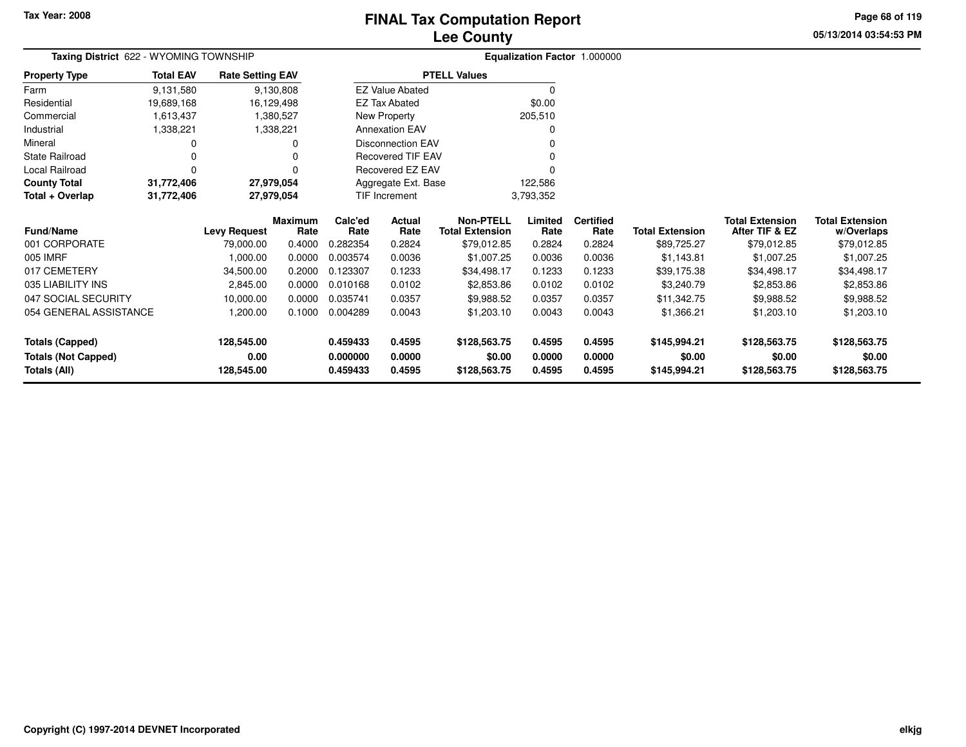### **Lee CountyFINAL Tax Computation Report**

**05/13/2014 03:54:53 PMPage 68 of 119**

| Taxing District 622 - WYOMING TOWNSHIP |                  |                         |                 |                 |                          |                                            |                 | Equalization Factor 1.000000 |                        |                                          |                                      |
|----------------------------------------|------------------|-------------------------|-----------------|-----------------|--------------------------|--------------------------------------------|-----------------|------------------------------|------------------------|------------------------------------------|--------------------------------------|
| <b>Property Type</b>                   | <b>Total EAV</b> | <b>Rate Setting EAV</b> |                 |                 |                          | <b>PTELL Values</b>                        |                 |                              |                        |                                          |                                      |
| Farm                                   | 9,131,580        |                         | 9,130,808       |                 | <b>EZ Value Abated</b>   |                                            | 0               |                              |                        |                                          |                                      |
| Residential                            | 19,689,168       |                         | 16,129,498      |                 | <b>EZ Tax Abated</b>     |                                            | \$0.00          |                              |                        |                                          |                                      |
| Commercial                             | 1,613,437        |                         | 1,380,527       |                 | New Property             |                                            | 205,510         |                              |                        |                                          |                                      |
| Industrial                             | 1,338,221        |                         | 1,338,221       |                 | <b>Annexation EAV</b>    |                                            | 0               |                              |                        |                                          |                                      |
| Mineral                                |                  |                         |                 |                 | <b>Disconnection EAV</b> |                                            |                 |                              |                        |                                          |                                      |
| <b>State Railroad</b>                  | 0                |                         |                 |                 | <b>Recovered TIF EAV</b> |                                            |                 |                              |                        |                                          |                                      |
| Local Railroad                         | $\Omega$         |                         |                 |                 | Recovered EZ EAV         |                                            |                 |                              |                        |                                          |                                      |
| <b>County Total</b>                    | 31,772,406       |                         | 27,979,054      |                 | Aggregate Ext. Base      |                                            | 122,586         |                              |                        |                                          |                                      |
| Total + Overlap                        | 31,772,406       |                         | 27,979,054      |                 | <b>TIF Increment</b>     |                                            | 3,793,352       |                              |                        |                                          |                                      |
| <b>Fund/Name</b>                       |                  | <b>Levy Request</b>     | Maximum<br>Rate | Calc'ed<br>Rate | <b>Actual</b><br>Rate    | <b>Non-PTELL</b><br><b>Total Extension</b> | Limited<br>Rate | <b>Certified</b><br>Rate     | <b>Total Extension</b> | <b>Total Extension</b><br>After TIF & EZ | <b>Total Extension</b><br>w/Overlaps |
| 001 CORPORATE                          |                  | 79,000.00               | 0.4000          | 0.282354        | 0.2824                   | \$79,012.85                                | 0.2824          | 0.2824                       | \$89,725.27            | \$79,012.85                              | \$79,012.85                          |
| 005 IMRF                               |                  | 1,000.00                | 0.0000          | 0.003574        | 0.0036                   | \$1,007.25                                 | 0.0036          | 0.0036                       | \$1,143.81             | \$1,007.25                               | \$1,007.25                           |
| 017 CEMETERY                           |                  | 34,500.00               | 0.2000          | 0.123307        | 0.1233                   | \$34,498.17                                | 0.1233          | 0.1233                       | \$39,175.38            | \$34,498.17                              | \$34,498.17                          |
| 035 LIABILITY INS                      |                  | 2,845.00                | 0.0000          | 0.010168        | 0.0102                   | \$2,853.86                                 | 0.0102          | 0.0102                       | \$3,240.79             | \$2,853.86                               | \$2,853.86                           |
| 047 SOCIAL SECURITY                    |                  | 10,000.00               | 0.0000          | 0.035741        | 0.0357                   | \$9,988.52                                 | 0.0357          | 0.0357                       | \$11,342.75            | \$9,988.52                               | \$9,988.52                           |
| 054 GENERAL ASSISTANCE                 |                  | 1,200.00                | 0.1000          | 0.004289        | 0.0043                   | \$1,203.10                                 | 0.0043          | 0.0043                       | \$1,366.21             | \$1,203.10                               | \$1,203.10                           |
| <b>Totals (Capped)</b>                 |                  | 128,545.00              |                 | 0.459433        | 0.4595                   | \$128,563.75                               | 0.4595          | 0.4595                       | \$145,994.21           | \$128,563.75                             | \$128,563.75                         |
| <b>Totals (Not Capped)</b>             |                  | 0.00                    |                 | 0.000000        | 0.0000                   | \$0.00                                     | 0.0000          | 0.0000                       | \$0.00                 | \$0.00                                   | \$0.00                               |
| Totals (All)                           |                  | 128,545.00              |                 | 0.459433        | 0.4595                   | \$128,563.75                               | 0.4595          | 0.4595                       | \$145,994.21           | \$128,563.75                             | \$128,563.75                         |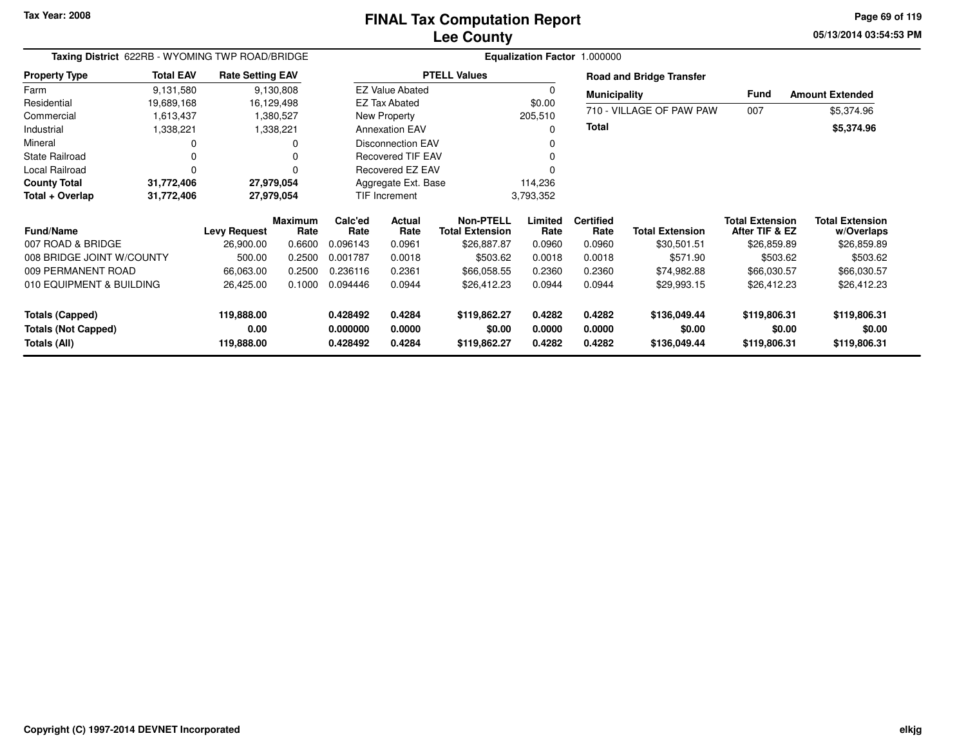**05/13/2014 03:54:53 PM Page 69 of 119**

| Taxing District 622RB - WYOMING TWP ROAD/BRIDGE                      |                  |                                  |                        |                                  |                            |                                            |                            | Equalization Factor 1.000000 |                                        |                                          |                                        |
|----------------------------------------------------------------------|------------------|----------------------------------|------------------------|----------------------------------|----------------------------|--------------------------------------------|----------------------------|------------------------------|----------------------------------------|------------------------------------------|----------------------------------------|
| <b>Property Type</b>                                                 | <b>Total EAV</b> | <b>Rate Setting EAV</b>          |                        |                                  |                            | <b>PTELL Values</b>                        |                            |                              | <b>Road and Bridge Transfer</b>        |                                          |                                        |
| Farm                                                                 | 9,131,580        |                                  | 9,130,808              |                                  | <b>EZ Value Abated</b>     |                                            | $\Omega$                   | <b>Municipality</b>          |                                        | Fund                                     | <b>Amount Extended</b>                 |
| Residential                                                          | 19,689,168       | 16,129,498                       |                        |                                  | EZ Tax Abated              |                                            | \$0.00                     |                              |                                        |                                          |                                        |
| Commercial                                                           | 1,613,437        |                                  | 1,380,527              |                                  | New Property               |                                            | 205,510                    |                              | 710 - VILLAGE OF PAW PAW               | 007                                      | \$5,374.96                             |
| Industrial                                                           | 1,338,221        |                                  | 1,338,221              |                                  | <b>Annexation EAV</b>      |                                            | 0                          | <b>Total</b>                 |                                        |                                          | \$5,374.96                             |
| Mineral                                                              | 0                |                                  |                        |                                  | <b>Disconnection EAV</b>   |                                            |                            |                              |                                        |                                          |                                        |
| <b>State Railroad</b>                                                | 0                |                                  |                        |                                  | <b>Recovered TIF EAV</b>   |                                            | O                          |                              |                                        |                                          |                                        |
| Local Railroad                                                       | 0                |                                  |                        |                                  | Recovered EZ EAV           |                                            |                            |                              |                                        |                                          |                                        |
| <b>County Total</b>                                                  | 31,772,406       | 27,979,054                       |                        |                                  | Aggregate Ext. Base        |                                            | 114,236                    |                              |                                        |                                          |                                        |
| Total + Overlap                                                      | 31,772,406       | 27,979,054                       |                        |                                  | TIF Increment              |                                            | 3,793,352                  |                              |                                        |                                          |                                        |
| <b>Fund/Name</b>                                                     |                  | <b>Levy Request</b>              | <b>Maximum</b><br>Rate | Calc'ed<br>Rate                  | <b>Actual</b><br>Rate      | <b>Non-PTELL</b><br><b>Total Extension</b> | Limited<br>Rate            | <b>Certified</b><br>Rate     | <b>Total Extension</b>                 | <b>Total Extension</b><br>After TIF & EZ | <b>Total Extension</b><br>w/Overlaps   |
| 007 ROAD & BRIDGE                                                    |                  | 26,900.00                        | 0.6600                 | 0.096143                         | 0.0961                     | \$26,887.87                                | 0.0960                     | 0.0960                       | \$30,501.51                            | \$26,859.89                              | \$26,859.89                            |
| 008 BRIDGE JOINT W/COUNTY                                            |                  | 500.00                           | 0.2500                 | 0.001787                         | 0.0018                     | \$503.62                                   | 0.0018                     | 0.0018                       | \$571.90                               | \$503.62                                 | \$503.62                               |
| 009 PERMANENT ROAD                                                   |                  | 66,063.00                        | 0.2500                 | 0.236116                         | 0.2361                     | \$66,058.55                                | 0.2360                     | 0.2360                       | \$74,982.88                            | \$66,030.57                              | \$66,030.57                            |
| 010 EQUIPMENT & BUILDING                                             |                  | 26,425.00                        | 0.1000                 | 0.094446                         | 0.0944                     | \$26,412.23                                | 0.0944                     | 0.0944                       | \$29,993.15                            | \$26,412.23                              | \$26,412.23                            |
| <b>Totals (Capped)</b><br><b>Totals (Not Capped)</b><br>Totals (All) |                  | 119,888.00<br>0.00<br>119,888.00 |                        | 0.428492<br>0.000000<br>0.428492 | 0.4284<br>0.0000<br>0.4284 | \$119,862.27<br>\$0.00<br>\$119,862.27     | 0.4282<br>0.0000<br>0.4282 | 0.4282<br>0.0000<br>0.4282   | \$136,049.44<br>\$0.00<br>\$136,049.44 | \$119,806.31<br>\$0.00<br>\$119,806.31   | \$119,806.31<br>\$0.00<br>\$119,806.31 |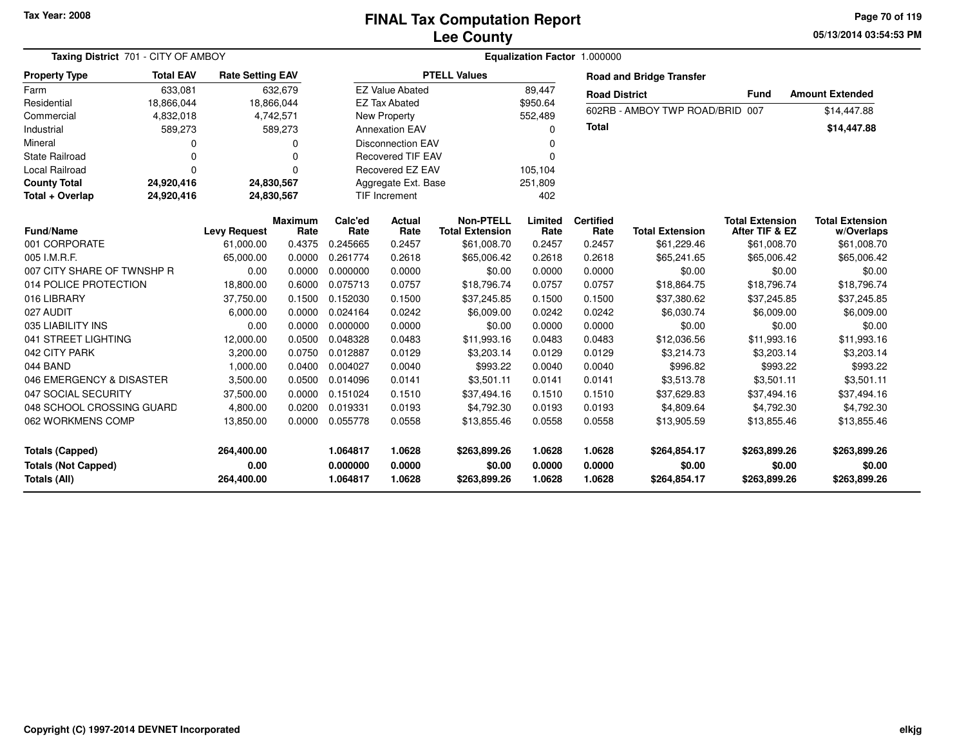#### **Lee CountyFINAL Tax Computation Report**

**05/13/2014 03:54:53 PM Page 70 of 119**

| Taxing District 701 - CITY OF AMBOY<br><b>Total EAV</b><br><b>Rate Setting EAV</b> |             |                                  |                 |                                  |                            |                                            | Equalization Factor 1.000000 |                            |                                        |                                          |                                        |
|------------------------------------------------------------------------------------|-------------|----------------------------------|-----------------|----------------------------------|----------------------------|--------------------------------------------|------------------------------|----------------------------|----------------------------------------|------------------------------------------|----------------------------------------|
| <b>Property Type</b>                                                               |             |                                  |                 |                                  |                            | <b>PTELL Values</b>                        |                              |                            | <b>Road and Bridge Transfer</b>        |                                          |                                        |
| Farm                                                                               | 633,081     |                                  | 632,679         |                                  | <b>EZ Value Abated</b>     |                                            | 89,447                       | <b>Road District</b>       |                                        | Fund                                     | <b>Amount Extended</b>                 |
| Residential                                                                        | 18,866,044  |                                  | 18,866,044      |                                  | <b>EZ Tax Abated</b>       |                                            | \$950.64                     |                            | 602RB - AMBOY TWP ROAD/BRID 007        |                                          |                                        |
| Commercial                                                                         | 4,832,018   |                                  | 4,742,571       |                                  | New Property               |                                            | 552,489                      |                            |                                        |                                          | \$14,447.88                            |
| Industrial                                                                         | 589,273     |                                  | 589,273         |                                  | <b>Annexation EAV</b>      |                                            | $\Omega$                     | <b>Total</b>               |                                        |                                          | \$14,447.88                            |
| Mineral                                                                            | $\Omega$    |                                  | $\Omega$        |                                  | <b>Disconnection EAV</b>   |                                            | $\Omega$                     |                            |                                        |                                          |                                        |
| <b>State Railroad</b>                                                              | $\mathbf 0$ |                                  | O               |                                  | <b>Recovered TIF EAV</b>   |                                            | $\Omega$                     |                            |                                        |                                          |                                        |
| Local Railroad                                                                     | $\Omega$    |                                  | $\Omega$        |                                  | <b>Recovered EZ EAV</b>    |                                            | 105,104                      |                            |                                        |                                          |                                        |
| <b>County Total</b>                                                                | 24,920,416  |                                  | 24,830,567      |                                  | Aggregate Ext. Base        |                                            | 251,809                      |                            |                                        |                                          |                                        |
| Total + Overlap                                                                    | 24,920,416  |                                  | 24,830,567      |                                  | <b>TIF Increment</b>       |                                            | 402                          |                            |                                        |                                          |                                        |
| <b>Fund/Name</b>                                                                   |             | <b>Levy Request</b>              | Maximum<br>Rate | Calc'ed<br>Rate                  | <b>Actual</b><br>Rate      | <b>Non-PTELL</b><br><b>Total Extension</b> | Limited<br>Rate              | <b>Certified</b><br>Rate   | <b>Total Extension</b>                 | <b>Total Extension</b><br>After TIF & EZ | <b>Total Extension</b><br>w/Overlaps   |
| 001 CORPORATE                                                                      |             | 61,000.00                        | 0.4375          | 0.245665                         | 0.2457                     | \$61,008.70                                | 0.2457                       | 0.2457                     | \$61,229.46                            | \$61,008.70                              | \$61,008.70                            |
| 005 I.M.R.F.                                                                       |             | 65,000.00                        | 0.0000          | 0.261774                         | 0.2618                     | \$65,006.42                                | 0.2618                       | 0.2618                     | \$65,241.65                            | \$65,006.42                              | \$65,006.42                            |
| 007 CITY SHARE OF TWNSHP R                                                         |             | 0.00                             | 0.0000          | 0.000000                         | 0.0000                     | \$0.00                                     | 0.0000                       | 0.0000                     | \$0.00                                 | \$0.00                                   | \$0.00                                 |
| 014 POLICE PROTECTION                                                              |             | 18,800.00                        | 0.6000          | 0.075713                         | 0.0757                     | \$18,796.74                                | 0.0757                       | 0.0757                     | \$18,864.75                            | \$18,796.74                              | \$18,796.74                            |
| 016 LIBRARY                                                                        |             | 37,750.00                        | 0.1500          | 0.152030                         | 0.1500                     | \$37,245.85                                | 0.1500                       | 0.1500                     | \$37,380.62                            | \$37,245.85                              | \$37,245.85                            |
| 027 AUDIT                                                                          |             | 6,000.00                         | 0.0000          | 0.024164                         | 0.0242                     | \$6,009.00                                 | 0.0242                       | 0.0242                     | \$6,030.74                             | \$6,009.00                               | \$6,009.00                             |
| 035 LIABILITY INS                                                                  |             | 0.00                             | 0.0000          | 0.000000                         | 0.0000                     | \$0.00                                     | 0.0000                       | 0.0000                     | \$0.00                                 | \$0.00                                   | \$0.00                                 |
| 041 STREET LIGHTING                                                                |             | 12,000.00                        | 0.0500          | 0.048328                         | 0.0483                     | \$11,993.16                                | 0.0483                       | 0.0483                     | \$12,036.56                            | \$11,993.16                              | \$11,993.16                            |
| 042 CITY PARK                                                                      |             | 3,200.00                         | 0.0750          | 0.012887                         | 0.0129                     | \$3,203.14                                 | 0.0129                       | 0.0129                     | \$3,214.73                             | \$3,203.14                               | \$3,203.14                             |
| 044 BAND                                                                           |             | 1,000.00                         | 0.0400          | 0.004027                         | 0.0040                     | \$993.22                                   | 0.0040                       | 0.0040                     | \$996.82                               | \$993.22                                 | \$993.22                               |
| 046 EMERGENCY & DISASTER                                                           |             | 3,500.00                         | 0.0500          | 0.014096                         | 0.0141                     | \$3.501.11                                 | 0.0141                       | 0.0141                     | \$3,513.78                             | \$3,501.11                               | \$3,501.11                             |
| 047 SOCIAL SECURITY                                                                |             | 37,500.00                        | 0.0000          | 0.151024                         | 0.1510                     | \$37,494.16                                | 0.1510                       | 0.1510                     | \$37,629.83                            | \$37,494.16                              | \$37,494.16                            |
| 048 SCHOOL CROSSING GUARD                                                          |             | 4,800.00                         | 0.0200          | 0.019331                         | 0.0193                     | \$4,792.30                                 | 0.0193                       | 0.0193                     | \$4,809.64                             | \$4,792.30                               | \$4,792.30                             |
| 062 WORKMENS COMP                                                                  |             | 13,850.00                        | 0.0000          | 0.055778                         | 0.0558                     | \$13,855.46                                | 0.0558                       | 0.0558                     | \$13,905.59                            | \$13,855.46                              | \$13,855.46                            |
| <b>Totals (Capped)</b><br><b>Totals (Not Capped)</b><br><b>Totals (All)</b>        |             | 264,400.00<br>0.00<br>264,400.00 |                 | 1.064817<br>0.000000<br>1.064817 | 1.0628<br>0.0000<br>1.0628 | \$263,899.26<br>\$0.00<br>\$263,899.26     | 1.0628<br>0.0000<br>1.0628   | 1.0628<br>0.0000<br>1.0628 | \$264,854.17<br>\$0.00<br>\$264,854.17 | \$263,899.26<br>\$0.00<br>\$263,899.26   | \$263,899.26<br>\$0.00<br>\$263.899.26 |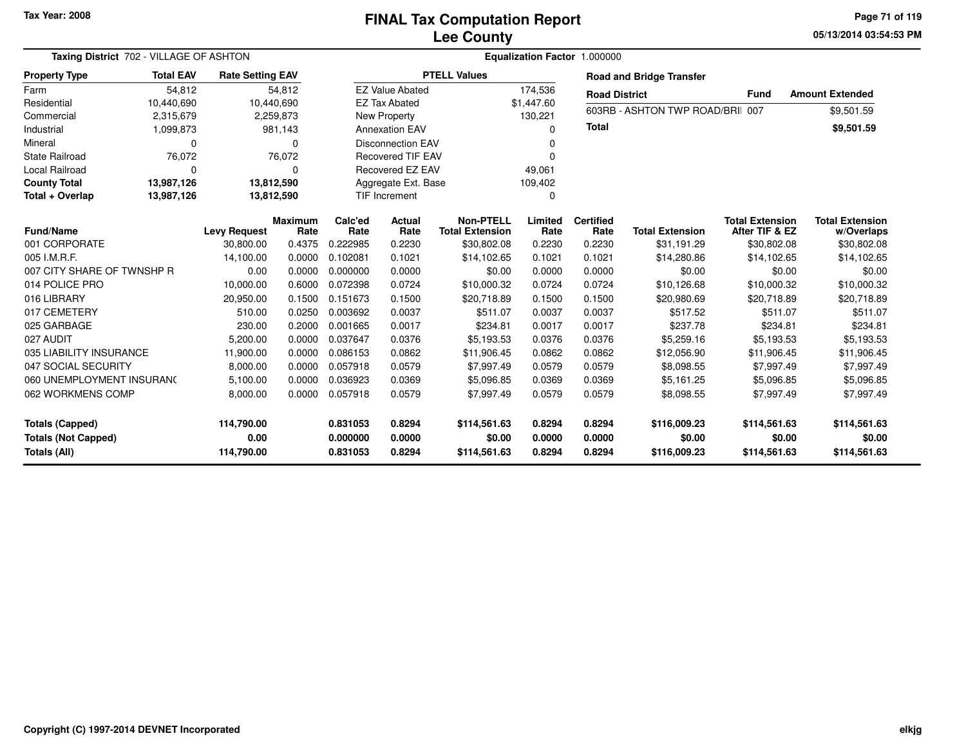**05/13/2014 03:54:53 PM Page 71 of 119**

| Taxing District 702 - VILLAGE OF ASHTON<br><b>Rate Setting EAV</b> |                  |                     |                        |                      |                          |                                            | Equalization Factor 1.000000 |                          |                                  |                                          |                                      |
|--------------------------------------------------------------------|------------------|---------------------|------------------------|----------------------|--------------------------|--------------------------------------------|------------------------------|--------------------------|----------------------------------|------------------------------------------|--------------------------------------|
| <b>Property Type</b>                                               | <b>Total EAV</b> |                     |                        |                      |                          | <b>PTELL Values</b>                        |                              |                          | <b>Road and Bridge Transfer</b>  |                                          |                                      |
| Farm                                                               | 54,812           |                     | 54,812                 |                      | <b>EZ Value Abated</b>   |                                            | 174,536                      | <b>Road District</b>     |                                  | <b>Fund</b>                              | <b>Amount Extended</b>               |
| Residential                                                        | 10,440,690       |                     | 10,440,690             |                      | <b>EZ Tax Abated</b>     |                                            | \$1,447.60                   |                          | 603RB - ASHTON TWP ROAD/BRII 007 |                                          | \$9,501.59                           |
| Commercial                                                         | 2,315,679        |                     | 2,259,873              |                      | New Property             |                                            | 130,221                      |                          |                                  |                                          |                                      |
| Industrial                                                         | 1,099,873        |                     | 981,143                |                      | <b>Annexation EAV</b>    |                                            | ŋ                            | <b>Total</b>             |                                  |                                          | \$9,501.59                           |
| Mineral                                                            | 0                |                     | 0                      |                      | <b>Disconnection EAV</b> |                                            |                              |                          |                                  |                                          |                                      |
| <b>State Railroad</b>                                              | 76,072           |                     | 76,072                 |                      | <b>Recovered TIF EAV</b> |                                            |                              |                          |                                  |                                          |                                      |
| Local Railroad                                                     | $\Omega$         |                     | $\Omega$               |                      | Recovered EZ EAV         |                                            | 49,061                       |                          |                                  |                                          |                                      |
| <b>County Total</b>                                                | 13,987,126       |                     | 13,812,590             |                      | Aggregate Ext. Base      |                                            | 109,402                      |                          |                                  |                                          |                                      |
| Total + Overlap                                                    | 13,987,126       |                     | 13,812,590             |                      | TIF Increment            |                                            | 0                            |                          |                                  |                                          |                                      |
| <b>Fund/Name</b>                                                   |                  | <b>Levy Request</b> | <b>Maximum</b><br>Rate | Calc'ed<br>Rate      | Actual<br>Rate           | <b>Non-PTELL</b><br><b>Total Extension</b> | Limited<br>Rate              | <b>Certified</b><br>Rate | <b>Total Extension</b>           | <b>Total Extension</b><br>After TIF & EZ | <b>Total Extension</b><br>w/Overlaps |
| 001 CORPORATE                                                      |                  | 30,800.00           | 0.4375                 | 0.222985             | 0.2230                   | \$30,802.08                                | 0.2230                       | 0.2230                   | \$31,191.29                      | \$30,802.08                              | \$30,802.08                          |
| 005 I.M.R.F.                                                       |                  | 14,100.00           | 0.0000                 | 0.102081             | 0.1021                   | \$14,102.65                                | 0.1021                       | 0.1021                   | \$14,280.86                      | \$14,102.65                              | \$14,102.65                          |
| 007 CITY SHARE OF TWNSHP R                                         |                  | 0.00                | 0.0000                 | 0.000000             | 0.0000                   | \$0.00                                     | 0.0000                       | 0.0000                   | \$0.00                           | \$0.00                                   | \$0.00                               |
| 014 POLICE PRO                                                     |                  | 10,000.00           | 0.6000                 | 0.072398             | 0.0724                   | \$10,000.32                                | 0.0724                       | 0.0724                   | \$10,126.68                      | \$10,000.32                              | \$10,000.32                          |
| 016 LIBRARY                                                        |                  | 20,950.00           | 0.1500                 | 0.151673             | 0.1500                   | \$20,718.89                                | 0.1500                       | 0.1500                   | \$20,980.69                      | \$20,718.89                              | \$20,718.89                          |
| 017 CEMETERY                                                       |                  | 510.00              | 0.0250                 | 0.003692             | 0.0037                   | \$511.07                                   | 0.0037                       | 0.0037                   | \$517.52                         | \$511.07                                 | \$511.07                             |
| 025 GARBAGE                                                        |                  | 230.00              | 0.2000                 | 0.001665             | 0.0017                   | \$234.81                                   | 0.0017                       | 0.0017                   | \$237.78                         | \$234.81                                 | \$234.81                             |
| 027 AUDIT                                                          |                  | 5,200.00            | 0.0000                 | 0.037647             | 0.0376                   | \$5,193.53                                 | 0.0376                       | 0.0376                   | \$5,259.16                       | \$5,193.53                               | \$5,193.53                           |
| 035 LIABILITY INSURANCE                                            |                  | 11,900.00           | 0.0000                 | 0.086153             | 0.0862                   | \$11,906.45                                | 0.0862                       | 0.0862                   | \$12,056.90                      | \$11,906.45                              | \$11,906.45                          |
| 047 SOCIAL SECURITY                                                |                  | 8,000.00            | 0.0000                 | 0.057918             | 0.0579                   | \$7,997.49                                 | 0.0579                       | 0.0579                   | \$8,098.55                       | \$7,997.49                               | \$7,997.49                           |
| 060 UNEMPLOYMENT INSURANO                                          |                  | 5,100.00            | 0.0000                 | 0.036923             | 0.0369                   | \$5,096.85                                 | 0.0369                       | 0.0369                   | \$5,161.25                       | \$5,096.85                               | \$5,096.85                           |
| 062 WORKMENS COMP                                                  |                  | 8,000.00            | 0.0000                 | 0.057918             | 0.0579                   | \$7,997.49                                 | 0.0579                       | 0.0579                   | \$8,098.55                       | \$7,997.49                               | \$7,997.49                           |
| <b>Totals (Capped)</b><br><b>Totals (Not Capped)</b>               |                  | 114,790.00<br>0.00  |                        | 0.831053<br>0.000000 | 0.8294<br>0.0000         | \$114,561.63<br>\$0.00                     | 0.8294<br>0.0000             | 0.8294<br>0.0000         | \$116,009.23<br>\$0.00           | \$114,561.63<br>\$0.00                   | \$114,561.63<br>\$0.00               |
| Totals (All)                                                       |                  | 114,790.00          |                        | 0.831053             | 0.8294                   | \$114,561.63                               | 0.8294                       | 0.8294                   | \$116,009.23                     | \$114,561.63                             | \$114,561.63                         |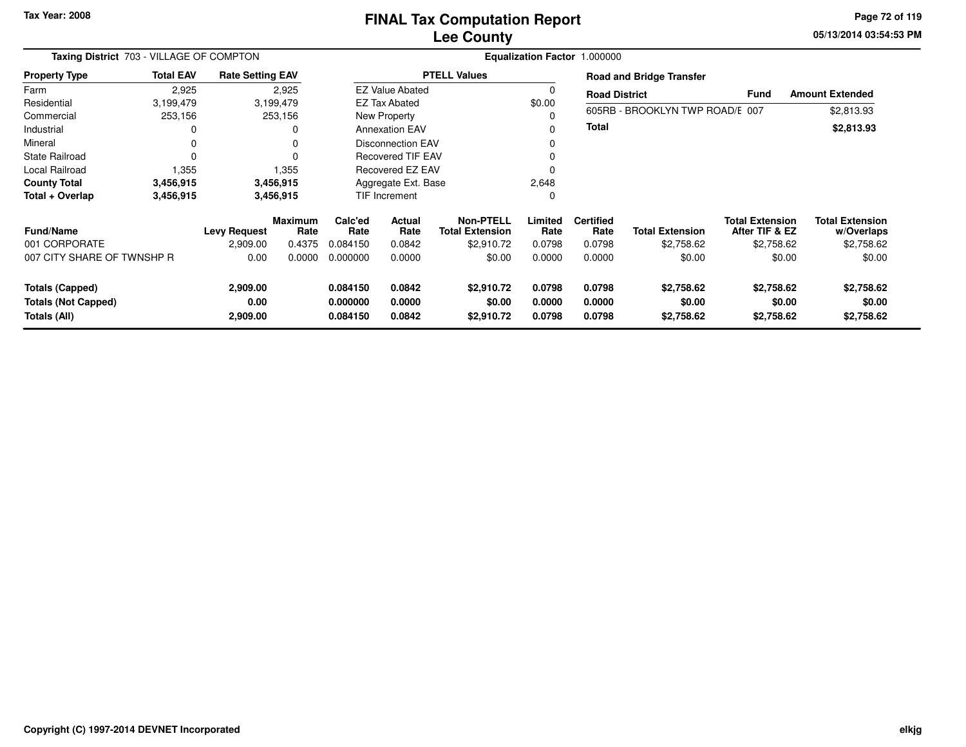#### **Lee CountyFINAL Tax Computation Report**

**05/13/2014 03:54:53 PM Page 72 of 119**

| Taxing District 703 - VILLAGE OF COMPTON             |                  |                         |                 | Equalization Factor 1.000000 |                        |                                            |                  |                          |                                                        |                                          |                                      |  |
|------------------------------------------------------|------------------|-------------------------|-----------------|------------------------------|------------------------|--------------------------------------------|------------------|--------------------------|--------------------------------------------------------|------------------------------------------|--------------------------------------|--|
| <b>Property Type</b>                                 | <b>Total EAV</b> | <b>Rate Setting EAV</b> |                 | <b>PTELL Values</b>          |                        |                                            |                  |                          | <b>Road and Bridge Transfer</b>                        |                                          |                                      |  |
| Farm                                                 | 2,925            |                         | 2,925           |                              | <b>EZ Value Abated</b> |                                            |                  |                          | <b>Amount Extended</b><br>Fund<br><b>Road District</b> |                                          |                                      |  |
| Residential                                          | 3,199,479        | 3,199,479               |                 | <b>EZ Tax Abated</b>         |                        |                                            | \$0.00           |                          |                                                        |                                          |                                      |  |
| Commercial                                           | 253,156          | 253,156                 |                 | New Property                 |                        |                                            |                  |                          | 605RB - BROOKLYN TWP ROAD/E 007<br>\$2,813.93          |                                          |                                      |  |
| Industrial                                           |                  | 0                       |                 | <b>Annexation EAV</b>        |                        |                                            |                  | <b>Total</b>             |                                                        |                                          | \$2,813.93                           |  |
| Mineral                                              | 0                | 0                       |                 | <b>Disconnection EAV</b>     |                        |                                            |                  |                          |                                                        |                                          |                                      |  |
| <b>State Railroad</b>                                | $\Omega$         | $\Omega$                |                 | <b>Recovered TIF EAV</b>     |                        |                                            | 0                |                          |                                                        |                                          |                                      |  |
| Local Railroad                                       | 1,355            | 1,355                   |                 | Recovered EZ EAV             |                        |                                            |                  |                          |                                                        |                                          |                                      |  |
| <b>County Total</b>                                  | 3,456,915        | 3,456,915               |                 | Aggregate Ext. Base          |                        |                                            | 2,648            |                          |                                                        |                                          |                                      |  |
| Total + Overlap                                      | 3,456,915        | 3,456,915               |                 | <b>TIF Increment</b>         |                        |                                            | $\Omega$         |                          |                                                        |                                          |                                      |  |
| <b>Fund/Name</b>                                     |                  | <b>Levy Request</b>     | Maximum<br>Rate | Calc'ed<br>Rate              | Actual<br>Rate         | <b>Non-PTELL</b><br><b>Total Extension</b> | Limited<br>Rate  | <b>Certified</b><br>Rate | <b>Total Extension</b>                                 | <b>Total Extension</b><br>After TIF & EZ | <b>Total Extension</b><br>w/Overlaps |  |
| 001 CORPORATE                                        |                  | 2,909.00                | 0.4375          | 0.084150                     | 0.0842                 | \$2,910.72                                 | 0.0798           | 0.0798                   | \$2,758.62                                             | \$2,758.62                               | \$2,758.62                           |  |
| 007 CITY SHARE OF TWNSHP R                           |                  | 0.00                    | 0.0000          | 0.000000                     | 0.0000                 | \$0.00                                     | 0.0000           | 0.0000                   | \$0.00                                                 | \$0.00                                   | \$0.00                               |  |
| <b>Totals (Capped)</b><br><b>Totals (Not Capped)</b> |                  | 2,909.00<br>0.00        |                 | 0.084150<br>0.000000         | 0.0842<br>0.0000       | \$2,910.72<br>\$0.00                       | 0.0798<br>0.0000 | 0.0798<br>0.0000         | \$2,758.62<br>\$0.00                                   | \$2,758.62<br>\$0.00                     | \$2,758.62<br>\$0.00                 |  |
| Totals (All)                                         |                  | 2,909.00                |                 | 0.084150                     | 0.0842                 | \$2,910.72                                 | 0.0798           | 0.0798                   | \$2,758.62                                             | \$2,758.62                               | \$2,758.62                           |  |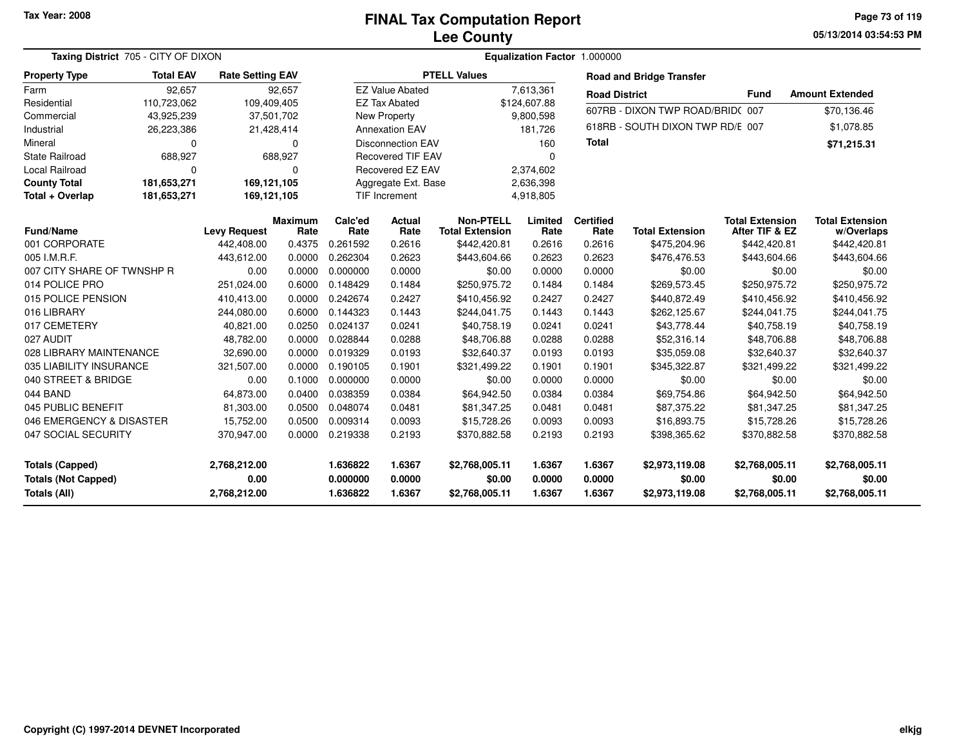**05/13/2014 03:54:53 PM Page 73 of 119**

| Taxing District 705 - CITY OF DIXON                                         |                  |                                      |                        |                                  | Equalization Factor 1.000000 |                                            |                            |                            |                                            |                                            |                                            |
|-----------------------------------------------------------------------------|------------------|--------------------------------------|------------------------|----------------------------------|------------------------------|--------------------------------------------|----------------------------|----------------------------|--------------------------------------------|--------------------------------------------|--------------------------------------------|
| <b>Property Type</b>                                                        | <b>Total EAV</b> | <b>Rate Setting EAV</b>              |                        |                                  |                              | <b>PTELL Values</b>                        |                            |                            | <b>Road and Bridge Transfer</b>            |                                            |                                            |
| Farm                                                                        | 92,657           |                                      | 92,657                 |                                  | <b>EZ Value Abated</b>       |                                            | 7,613,361                  | <b>Road District</b>       |                                            | <b>Fund</b>                                | <b>Amount Extended</b>                     |
| Residential                                                                 | 110,723,062      | 109,409,405                          |                        |                                  | <b>EZ Tax Abated</b>         |                                            | \$124,607.88               |                            |                                            |                                            |                                            |
| Commercial                                                                  | 43,925,239       |                                      | 37,501,702             |                                  | <b>New Property</b>          |                                            | 9,800,598                  |                            | 607RB - DIXON TWP ROAD/BRID(007            |                                            | \$70,136.46                                |
| Industrial                                                                  | 26,223,386       |                                      | 21,428,414             |                                  | <b>Annexation EAV</b>        |                                            | 181.726                    |                            | 618RB - SOUTH DIXON TWP RD/E 007           |                                            | \$1,078.85                                 |
| Mineral                                                                     | 0                |                                      | 0                      |                                  | <b>Disconnection EAV</b>     |                                            | 160                        | <b>Total</b>               |                                            |                                            | \$71,215.31                                |
| <b>State Railroad</b>                                                       | 688,927          |                                      | 688,927                |                                  | <b>Recovered TIF EAV</b>     |                                            | $\Omega$                   |                            |                                            |                                            |                                            |
| Local Railroad                                                              | $\Omega$         |                                      | $\mathbf 0$            |                                  | Recovered EZ EAV             |                                            | 2,374,602                  |                            |                                            |                                            |                                            |
| <b>County Total</b>                                                         | 181,653,271      | 169,121,105                          |                        |                                  | Aggregate Ext. Base          |                                            | 2,636,398                  |                            |                                            |                                            |                                            |
| Total + Overlap                                                             | 181,653,271      | 169,121,105                          |                        |                                  | TIF Increment                |                                            | 4,918,805                  |                            |                                            |                                            |                                            |
| <b>Fund/Name</b>                                                            |                  | <b>Levy Request</b>                  | <b>Maximum</b><br>Rate | Calc'ed<br>Rate                  | <b>Actual</b><br>Rate        | <b>Non-PTELL</b><br><b>Total Extension</b> | Limited<br>Rate            | <b>Certified</b><br>Rate   | <b>Total Extension</b>                     | <b>Total Extension</b><br>After TIF & EZ   | <b>Total Extension</b><br>w/Overlaps       |
| 001 CORPORATE                                                               |                  | 442,408.00                           | 0.4375                 | 0.261592                         | 0.2616                       | \$442,420.81                               | 0.2616                     | 0.2616                     | \$475,204.96                               | \$442,420.81                               | \$442,420.81                               |
| 005 I.M.R.F.                                                                |                  | 443,612.00                           | 0.0000                 | 0.262304                         | 0.2623                       | \$443,604.66                               | 0.2623                     | 0.2623                     | \$476,476.53                               | \$443,604.66                               | \$443,604.66                               |
| 007 CITY SHARE OF TWNSHP R                                                  |                  | 0.00                                 | 0.0000                 | 0.000000                         | 0.0000                       | \$0.00                                     | 0.0000                     | 0.0000                     | \$0.00                                     | \$0.00                                     | \$0.00                                     |
| 014 POLICE PRO                                                              |                  | 251,024.00                           | 0.6000                 | 0.148429                         | 0.1484                       | \$250,975.72                               | 0.1484                     | 0.1484                     | \$269,573.45                               | \$250,975.72                               | \$250,975.72                               |
| 015 POLICE PENSION                                                          |                  | 410,413.00                           | 0.0000                 | 0.242674                         | 0.2427                       | \$410,456.92                               | 0.2427                     | 0.2427                     | \$440,872.49                               | \$410,456.92                               | \$410,456.92                               |
| 016 LIBRARY                                                                 |                  | 244,080.00                           | 0.6000                 | 0.144323                         | 0.1443                       | \$244,041.75                               | 0.1443                     | 0.1443                     | \$262,125.67                               | \$244,041.75                               | \$244,041.75                               |
| 017 CEMETERY                                                                |                  | 40,821.00                            | 0.0250                 | 0.024137                         | 0.0241                       | \$40,758.19                                | 0.0241                     | 0.0241                     | \$43,778.44                                | \$40,758.19                                | \$40,758.19                                |
| 027 AUDIT                                                                   |                  | 48,782.00                            | 0.0000                 | 0.028844                         | 0.0288                       | \$48,706.88                                | 0.0288                     | 0.0288                     | \$52,316.14                                | \$48,706.88                                | \$48,706.88                                |
| 028 LIBRARY MAINTENANCE                                                     |                  | 32,690.00                            | 0.0000                 | 0.019329                         | 0.0193                       | \$32,640.37                                | 0.0193                     | 0.0193                     | \$35,059.08                                | \$32,640.37                                | \$32,640.37                                |
| 035 LIABILITY INSURANCE                                                     |                  | 321,507.00                           | 0.0000                 | 0.190105                         | 0.1901                       | \$321,499.22                               | 0.1901                     | 0.1901                     | \$345,322.87                               | \$321,499.22                               | \$321,499.22                               |
| 040 STREET & BRIDGE                                                         |                  | 0.00                                 | 0.1000                 | 0.000000                         | 0.0000                       | \$0.00                                     | 0.0000                     | 0.0000                     | \$0.00                                     | \$0.00                                     | \$0.00                                     |
| 044 BAND                                                                    |                  | 64,873.00                            | 0.0400                 | 0.038359                         | 0.0384                       | \$64,942.50                                | 0.0384                     | 0.0384                     | \$69,754.86                                | \$64,942.50                                | \$64,942.50                                |
| 045 PUBLIC BENEFIT                                                          |                  | 81,303.00                            | 0.0500                 | 0.048074                         | 0.0481                       | \$81,347.25                                | 0.0481                     | 0.0481                     | \$87,375.22                                | \$81,347.25                                | \$81,347.25                                |
| 046 EMERGENCY & DISASTER                                                    |                  | 15,752.00                            | 0.0500                 | 0.009314                         | 0.0093                       | \$15,728.26                                | 0.0093                     | 0.0093                     | \$16,893.75                                | \$15,728.26                                | \$15,728.26                                |
| 047 SOCIAL SECURITY                                                         |                  | 370,947.00                           | 0.0000                 | 0.219338                         | 0.2193                       | \$370,882.58                               | 0.2193                     | 0.2193                     | \$398,365.62                               | \$370,882.58                               | \$370,882.58                               |
| <b>Totals (Capped)</b><br><b>Totals (Not Capped)</b><br><b>Totals (All)</b> |                  | 2,768,212.00<br>0.00<br>2,768,212.00 |                        | 1.636822<br>0.000000<br>1.636822 | 1.6367<br>0.0000<br>1.6367   | \$2,768,005.11<br>\$0.00<br>\$2,768,005.11 | 1.6367<br>0.0000<br>1.6367 | 1.6367<br>0.0000<br>1.6367 | \$2,973,119.08<br>\$0.00<br>\$2,973,119.08 | \$2,768,005.11<br>\$0.00<br>\$2,768,005.11 | \$2,768,005.11<br>\$0.00<br>\$2,768,005.11 |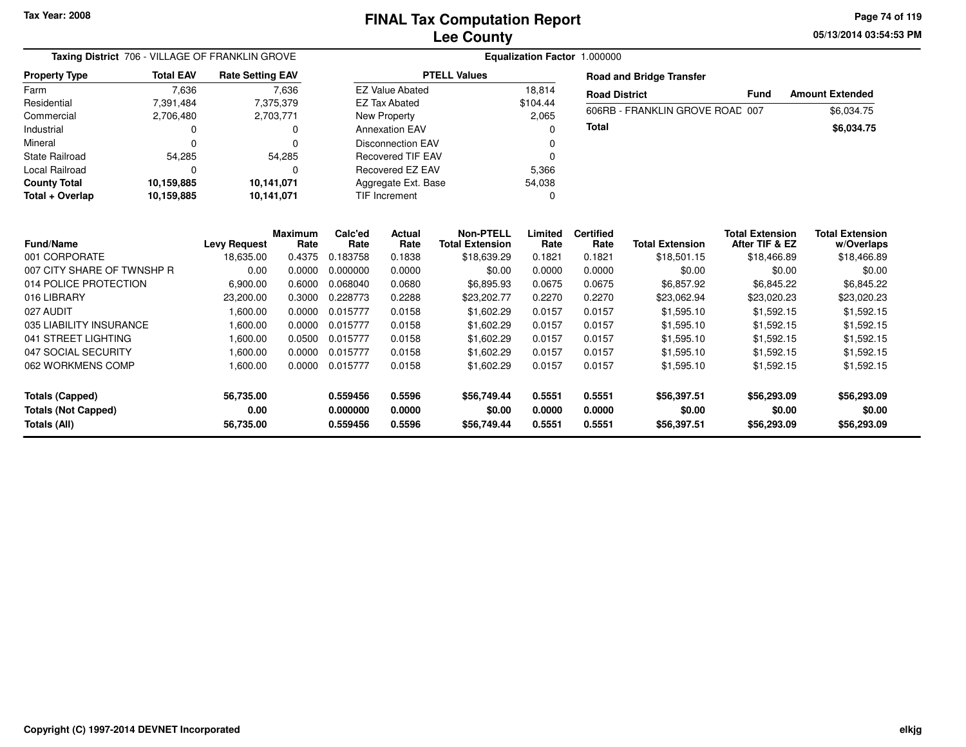**05/13/2014 03:54:53 PM Page 74 of 119**

| Taxing District 706 - VILLAGE OF FRANKLIN GROVE<br><b>Rate Setting EAV</b>                                                                                                                                         |                  |                                                                                                                   |                                                                                                           |                                                                                                                             |                                                                                                                 |                                                                                                                                                                        |                                                                                                           | Equalization Factor 1.000000                                                                                       |                                                                                                                                      |                                                                                                                                                                      |                                                                                                                                                    |  |
|--------------------------------------------------------------------------------------------------------------------------------------------------------------------------------------------------------------------|------------------|-------------------------------------------------------------------------------------------------------------------|-----------------------------------------------------------------------------------------------------------|-----------------------------------------------------------------------------------------------------------------------------|-----------------------------------------------------------------------------------------------------------------|------------------------------------------------------------------------------------------------------------------------------------------------------------------------|-----------------------------------------------------------------------------------------------------------|--------------------------------------------------------------------------------------------------------------------|--------------------------------------------------------------------------------------------------------------------------------------|----------------------------------------------------------------------------------------------------------------------------------------------------------------------|----------------------------------------------------------------------------------------------------------------------------------------------------|--|
| <b>Property Type</b>                                                                                                                                                                                               | <b>Total EAV</b> |                                                                                                                   |                                                                                                           |                                                                                                                             |                                                                                                                 | <b>PTELL Values</b>                                                                                                                                                    |                                                                                                           |                                                                                                                    | <b>Road and Bridge Transfer</b>                                                                                                      |                                                                                                                                                                      |                                                                                                                                                    |  |
| Farm                                                                                                                                                                                                               | 7,636            |                                                                                                                   | 7,636                                                                                                     |                                                                                                                             | <b>EZ Value Abated</b>                                                                                          |                                                                                                                                                                        | 18,814                                                                                                    | <b>Road District</b>                                                                                               |                                                                                                                                      | <b>Fund</b>                                                                                                                                                          | <b>Amount Extended</b>                                                                                                                             |  |
| Residential                                                                                                                                                                                                        | 7,391,484        |                                                                                                                   | 7,375,379                                                                                                 |                                                                                                                             | <b>EZ Tax Abated</b>                                                                                            |                                                                                                                                                                        | \$104.44                                                                                                  |                                                                                                                    |                                                                                                                                      |                                                                                                                                                                      |                                                                                                                                                    |  |
| Commercial                                                                                                                                                                                                         | 2,706,480        |                                                                                                                   | 2,703,771                                                                                                 |                                                                                                                             | <b>New Property</b>                                                                                             |                                                                                                                                                                        | 2,065                                                                                                     |                                                                                                                    | 606RB - FRANKLIN GROVE ROAD 007                                                                                                      |                                                                                                                                                                      | \$6,034.75                                                                                                                                         |  |
| Industrial                                                                                                                                                                                                         | 0                |                                                                                                                   | 0                                                                                                         |                                                                                                                             | <b>Annexation EAV</b>                                                                                           |                                                                                                                                                                        | ŋ                                                                                                         | <b>Total</b>                                                                                                       |                                                                                                                                      |                                                                                                                                                                      | \$6,034.75                                                                                                                                         |  |
| Mineral                                                                                                                                                                                                            | $\Omega$         |                                                                                                                   | 0                                                                                                         |                                                                                                                             | <b>Disconnection EAV</b>                                                                                        |                                                                                                                                                                        |                                                                                                           |                                                                                                                    |                                                                                                                                      |                                                                                                                                                                      |                                                                                                                                                    |  |
| <b>State Railroad</b>                                                                                                                                                                                              | 54,285           |                                                                                                                   | 54,285                                                                                                    |                                                                                                                             | <b>Recovered TIF EAV</b>                                                                                        |                                                                                                                                                                        | O                                                                                                         |                                                                                                                    |                                                                                                                                      |                                                                                                                                                                      |                                                                                                                                                    |  |
| <b>Local Railroad</b>                                                                                                                                                                                              |                  |                                                                                                                   | $\Omega$                                                                                                  |                                                                                                                             | Recovered EZ EAV                                                                                                |                                                                                                                                                                        | 5,366                                                                                                     |                                                                                                                    |                                                                                                                                      |                                                                                                                                                                      |                                                                                                                                                    |  |
| <b>County Total</b>                                                                                                                                                                                                | 10,159,885       | 10,141,071                                                                                                        |                                                                                                           |                                                                                                                             | Aggregate Ext. Base                                                                                             |                                                                                                                                                                        | 54,038                                                                                                    |                                                                                                                    |                                                                                                                                      |                                                                                                                                                                      |                                                                                                                                                    |  |
| Total + Overlap                                                                                                                                                                                                    | 10,159,885       | 10,141,071                                                                                                        |                                                                                                           |                                                                                                                             | <b>TIF Increment</b>                                                                                            |                                                                                                                                                                        | 0                                                                                                         |                                                                                                                    |                                                                                                                                      |                                                                                                                                                                      |                                                                                                                                                    |  |
| <b>Fund/Name</b><br>001 CORPORATE<br>007 CITY SHARE OF TWNSHP R<br>014 POLICE PROTECTION<br>016 LIBRARY<br>027 AUDIT<br>035 LIABILITY INSURANCE<br>041 STREET LIGHTING<br>047 SOCIAL SECURITY<br>062 WORKMENS COMP |                  | <b>Levy Request</b><br>18,635.00<br>0.00<br>6,900.00<br>23,200.00<br>1.600.00<br>1,600.00<br>1.600.00<br>1,600.00 | Maximum<br>Rate<br>0.4375<br>0.0000<br>0.6000<br>0.3000<br>0.0000<br>0.0000<br>0.0500<br>0.0000<br>0.0000 | Calc'ed<br>Rate<br>0.183758<br>0.000000<br>0.068040<br>0.228773<br>0.015777<br>0.015777<br>0.015777<br>0.015777<br>0.015777 | <b>Actual</b><br>Rate<br>0.1838<br>0.0000<br>0.0680<br>0.2288<br>0.0158<br>0.0158<br>0.0158<br>0.0158<br>0.0158 | <b>Non-PTELL</b><br><b>Total Extension</b><br>\$18,639.29<br>\$0.00<br>\$6,895.93<br>\$23,202.77<br>\$1,602.29<br>\$1,602.29<br>\$1,602.29<br>\$1,602.29<br>\$1,602.29 | Limited<br>Rate<br>0.1821<br>0.0000<br>0.0675<br>0.2270<br>0.0157<br>0.0157<br>0.0157<br>0.0157<br>0.0157 | <b>Certified</b><br>Rate<br>0.1821<br>0.0000<br>0.0675<br>0.2270<br>0.0157<br>0.0157<br>0.0157<br>0.0157<br>0.0157 | <b>Total Extension</b><br>\$18,501.15<br>\$0.00<br>\$6,857.92<br>\$23,062.94<br>\$1,595.10<br>\$1,595.10<br>\$1,595.10<br>\$1,595.10 | <b>Total Extension</b><br>After TIF & EZ<br>\$18,466.89<br>\$0.00<br>\$6,845.22<br>\$23,020.23<br>\$1,592.15<br>\$1,592.15<br>\$1,592.15<br>\$1,592.15<br>\$1,592.15 | <b>Total Extension</b><br>w/Overlaps<br>\$18,466.89<br>\$0.00<br>\$6,845.22<br>\$23,020.23<br>\$1,592.15<br>\$1,592.15<br>\$1,592.15<br>\$1,592.15 |  |
| <b>Totals (Capped)</b><br><b>Totals (Not Capped)</b><br>Totals (All)                                                                                                                                               |                  | 1,600.00<br>56,735.00<br>0.00<br>56,735.00                                                                        |                                                                                                           | 0.559456<br>0.000000<br>0.559456                                                                                            | 0.5596<br>0.0000<br>0.5596                                                                                      | \$56,749.44<br>\$0.00<br>\$56,749.44                                                                                                                                   | 0.5551<br>0.0000<br>0.5551                                                                                | 0.5551<br>0.0000<br>0.5551                                                                                         | \$1,595.10<br>\$56,397.51<br>\$0.00<br>\$56,397.51                                                                                   | \$56,293.09<br>\$0.00<br>\$56,293.09                                                                                                                                 | \$1,592.15<br>\$56,293.09<br>\$0.00<br>\$56,293.09                                                                                                 |  |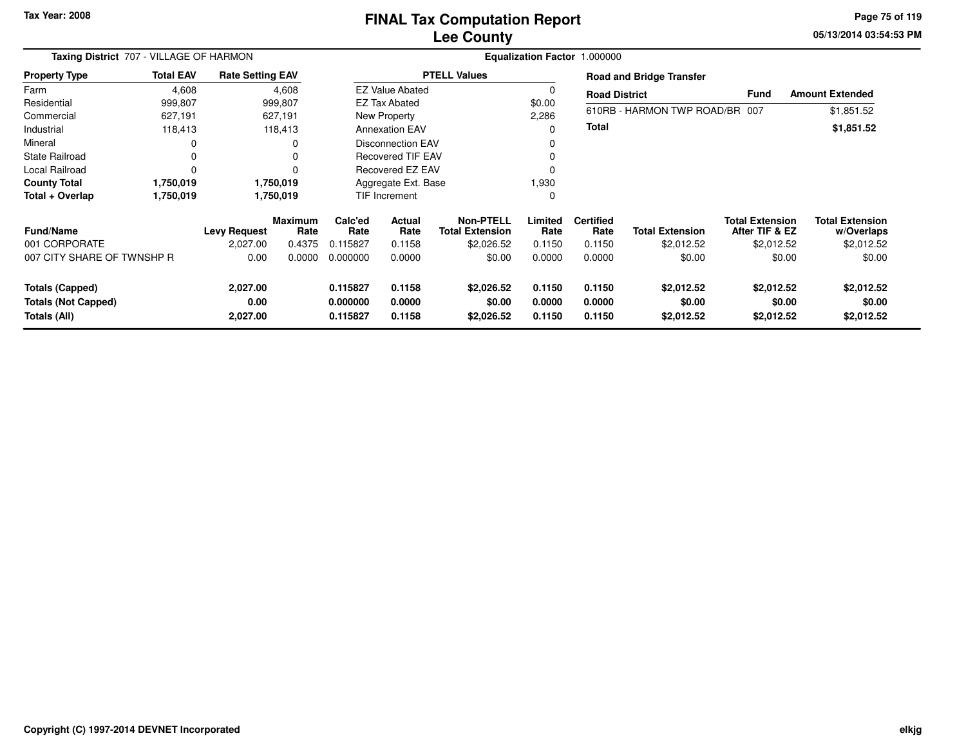# **Lee CountyFINAL Tax Computation Report**

**05/13/2014 03:54:53 PM Page 75 of 119**

| Taxing District 707 - VILLAGE OF HARMON |                  |                         |                        | Equalization Factor 1.000000 |                          |                                            |                 |                          |                                 |                                          |                                      |  |  |
|-----------------------------------------|------------------|-------------------------|------------------------|------------------------------|--------------------------|--------------------------------------------|-----------------|--------------------------|---------------------------------|------------------------------------------|--------------------------------------|--|--|
| <b>Property Type</b>                    | <b>Total EAV</b> | <b>Rate Setting EAV</b> |                        |                              |                          | <b>PTELL Values</b>                        |                 |                          | <b>Road and Bridge Transfer</b> |                                          |                                      |  |  |
| Farm                                    | 4,608            |                         | 4,608                  |                              | <b>EZ Value Abated</b>   |                                            |                 | <b>Road District</b>     |                                 | Fund                                     | <b>Amount Extended</b>               |  |  |
| Residential                             | 999,807          |                         | 999,807                |                              | <b>EZ Tax Abated</b>     |                                            | \$0.00          |                          |                                 |                                          |                                      |  |  |
| Commercial                              | 627,191          |                         | 627,191                |                              | New Property             |                                            | 2,286           |                          | 610RB - HARMON TWP ROAD/BR 007  |                                          | \$1,851.52                           |  |  |
| Industrial                              | 118,413          |                         | 118,413                |                              | <b>Annexation EAV</b>    |                                            | 0               | <b>Total</b>             |                                 |                                          | \$1,851.52                           |  |  |
| Mineral                                 |                  |                         | 0                      |                              | <b>Disconnection EAV</b> |                                            |                 |                          |                                 |                                          |                                      |  |  |
| <b>State Railroad</b>                   |                  |                         |                        |                              | <b>Recovered TIF EAV</b> |                                            | 0               |                          |                                 |                                          |                                      |  |  |
| Local Railroad                          |                  |                         | $\Omega$               |                              | Recovered EZ EAV         |                                            |                 |                          |                                 |                                          |                                      |  |  |
| <b>County Total</b>                     | 1,750,019        |                         | 1,750,019              | Aggregate Ext. Base          |                          |                                            | 1,930           |                          |                                 |                                          |                                      |  |  |
| Total + Overlap                         | 1,750,019        |                         | 1,750,019              |                              | <b>TIF Increment</b>     |                                            |                 |                          |                                 |                                          |                                      |  |  |
| <b>Fund/Name</b>                        |                  | <b>Levy Request</b>     | <b>Maximum</b><br>Rate | Calc'ed<br>Rate              | Actual<br>Rate           | <b>Non-PTELL</b><br><b>Total Extension</b> | Limited<br>Rate | <b>Certified</b><br>Rate | <b>Total Extension</b>          | <b>Total Extension</b><br>After TIF & EZ | <b>Total Extension</b><br>w/Overlaps |  |  |
| 001 CORPORATE                           |                  | 2,027.00                | 0.4375                 | 0.115827                     | 0.1158                   | \$2,026.52                                 | 0.1150          | 0.1150                   | \$2,012.52                      | \$2,012.52                               | \$2,012.52                           |  |  |
| 007 CITY SHARE OF TWNSHP R              |                  | 0.00                    | 0.0000                 | 0.000000                     | 0.0000                   | \$0.00                                     | 0.0000          | 0.0000                   | \$0.00                          | \$0.00                                   | \$0.00                               |  |  |
| <b>Totals (Capped)</b>                  |                  | 2,027.00                |                        | 0.115827                     | 0.1158                   | \$2,026.52                                 | 0.1150          | 0.1150                   | \$2,012.52                      | \$2,012.52                               | \$2,012.52                           |  |  |
| <b>Totals (Not Capped)</b>              |                  | 0.00                    |                        | 0.000000                     | 0.0000                   | \$0.00                                     | 0.0000          | 0.0000                   | \$0.00                          | \$0.00                                   | \$0.00                               |  |  |
| Totals (All)                            |                  | 2,027.00                |                        | 0.115827                     | 0.1158                   | \$2,026.52                                 | 0.1150          | 0.1150                   | \$2,012.52                      | \$2,012.52                               | \$2,012.52                           |  |  |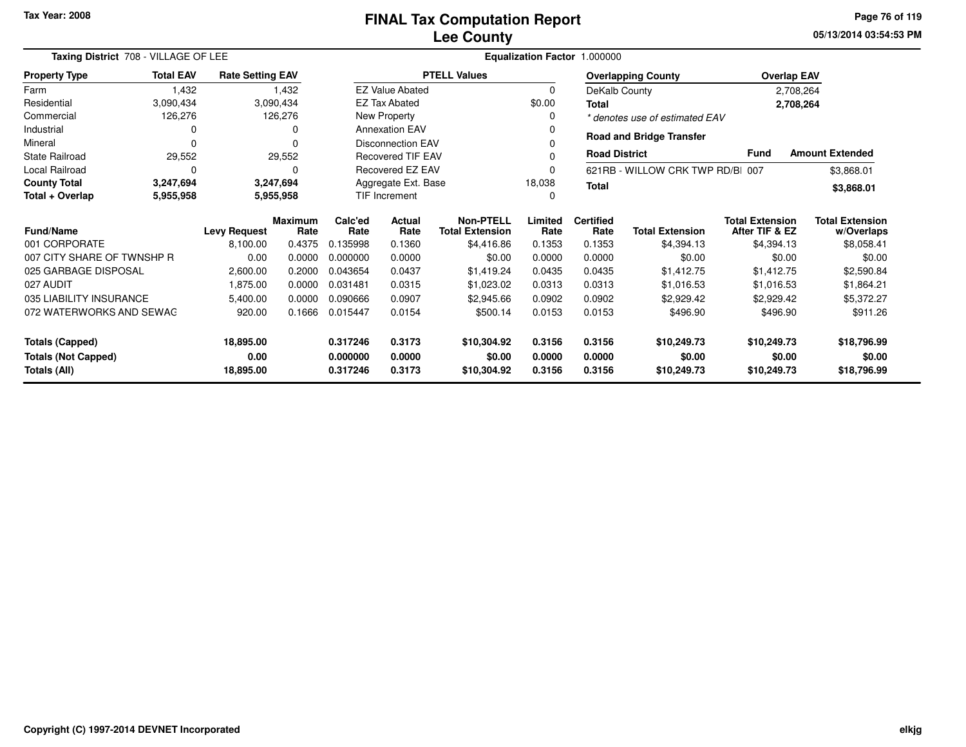**05/13/2014 03:54:53 PMPage 76 of 119**

| Taxing District 708 - VILLAGE OF LEE |                     |                         |                        | Equalization Factor 1.000000                  |                                  |                                            |                 |                          |                                 |                                          |                                      |
|--------------------------------------|---------------------|-------------------------|------------------------|-----------------------------------------------|----------------------------------|--------------------------------------------|-----------------|--------------------------|---------------------------------|------------------------------------------|--------------------------------------|
| <b>Property Type</b>                 | <b>Total EAV</b>    | <b>Rate Setting EAV</b> |                        |                                               |                                  | <b>PTELL Values</b>                        |                 |                          | <b>Overlapping County</b>       | <b>Overlap EAV</b>                       |                                      |
| Farm                                 | 1,432               |                         | 1,432                  |                                               | <b>EZ Value Abated</b>           |                                            | $\Omega$        | DeKalb County            |                                 |                                          | 2,708,264                            |
| Residential                          | 3,090,434           |                         | 3,090,434              |                                               | <b>EZ Tax Abated</b>             |                                            | \$0.00          | Total                    |                                 |                                          | 2,708,264                            |
| Commercial                           | 126,276             |                         | 126,276                |                                               | New Property                     |                                            | 0               |                          | * denotes use of estimated EAV  |                                          |                                      |
| Industrial                           | 0                   |                         | 0                      |                                               | <b>Annexation EAV</b>            |                                            | 0               |                          | <b>Road and Bridge Transfer</b> |                                          |                                      |
| Mineral                              | 0                   |                         |                        |                                               | <b>Disconnection EAV</b>         |                                            |                 |                          |                                 |                                          |                                      |
| <b>State Railroad</b>                | 29,552              |                         | 29,552                 |                                               | Recovered TIF EAV                |                                            |                 | <b>Road District</b>     |                                 | <b>Fund</b>                              | <b>Amount Extended</b>               |
| Local Railroad                       | $\Omega$            |                         | U                      |                                               | Recovered EZ EAV                 |                                            | 0               |                          | 621RB - WILLOW CRK TWP RD/BI    | 007                                      | \$3,868.01                           |
| <b>County Total</b>                  | 3,247,694           |                         | 3,247,694              | Aggregate Ext. Base<br>18,038<br><b>Total</b> |                                  |                                            |                 |                          |                                 | \$3,868.01                               |                                      |
| Total + Overlap                      | 5,955,958           |                         | 5,955,958              |                                               | <b>TIF Increment</b><br>$\Omega$ |                                            |                 |                          |                                 |                                          |                                      |
| <b>Fund/Name</b>                     | <b>Levy Request</b> |                         | <b>Maximum</b><br>Rate | Calc'ed<br>Rate                               | <b>Actual</b><br>Rate            | <b>Non-PTELL</b><br><b>Total Extension</b> | Limited<br>Rate | <b>Certified</b><br>Rate | <b>Total Extension</b>          | <b>Total Extension</b><br>After TIF & EZ | <b>Total Extension</b><br>w/Overlaps |
| 001 CORPORATE                        |                     | 8,100.00                | 0.4375                 | 0.135998                                      | 0.1360                           | \$4,416.86                                 | 0.1353          | 0.1353                   | \$4,394.13                      | \$4,394.13                               | \$8,058.41                           |
| 007 CITY SHARE OF TWNSHP R           |                     | 0.00                    | 0.0000                 | 0.000000                                      | 0.0000                           | \$0.00                                     | 0.0000          | 0.0000                   | \$0.00                          | \$0.00                                   | \$0.00                               |
| 025 GARBAGE DISPOSAL                 |                     | 2,600.00                | 0.2000                 | 0.043654                                      | 0.0437                           | \$1,419.24                                 | 0.0435          | 0.0435                   | \$1,412.75                      | \$1,412.75                               | \$2,590.84                           |
| 027 AUDIT                            |                     | 1,875.00                | 0.0000                 | 0.031481                                      | 0.0315                           | \$1,023.02                                 | 0.0313          | 0.0313                   | \$1,016.53                      | \$1,016.53                               | \$1,864.21                           |
| 035 LIABILITY INSURANCE              |                     | 5,400.00                | 0.0000                 | 0.090666                                      | 0.0907                           | \$2,945.66                                 | 0.0902          | 0.0902                   | \$2,929.42                      | \$2,929.42                               | \$5,372.27                           |
| 072 WATERWORKS AND SEWAG             |                     | 920.00                  | 0.1666                 | 0.015447                                      | 0.0154                           | \$500.14                                   | 0.0153          | 0.0153                   | \$496.90                        | \$496.90                                 | \$911.26                             |
| 18,895.00<br><b>Totals (Capped)</b>  |                     |                         |                        | 0.317246                                      | 0.3173                           | \$10,304.92                                | 0.3156          | 0.3156                   | \$10,249.73                     | \$10,249.73                              | \$18,796.99                          |
| 0.00<br><b>Totals (Not Capped)</b>   |                     |                         |                        | 0.000000                                      | 0.0000                           | \$0.00                                     | 0.0000          | 0.0000                   | \$0.00                          | \$0.00                                   | \$0.00                               |
| Totals (All)<br>18,895.00            |                     |                         |                        | 0.317246                                      | 0.3173                           | \$10,304.92                                | 0.3156          | 0.3156                   | \$10,249.73                     | \$10,249.73                              | \$18,796.99                          |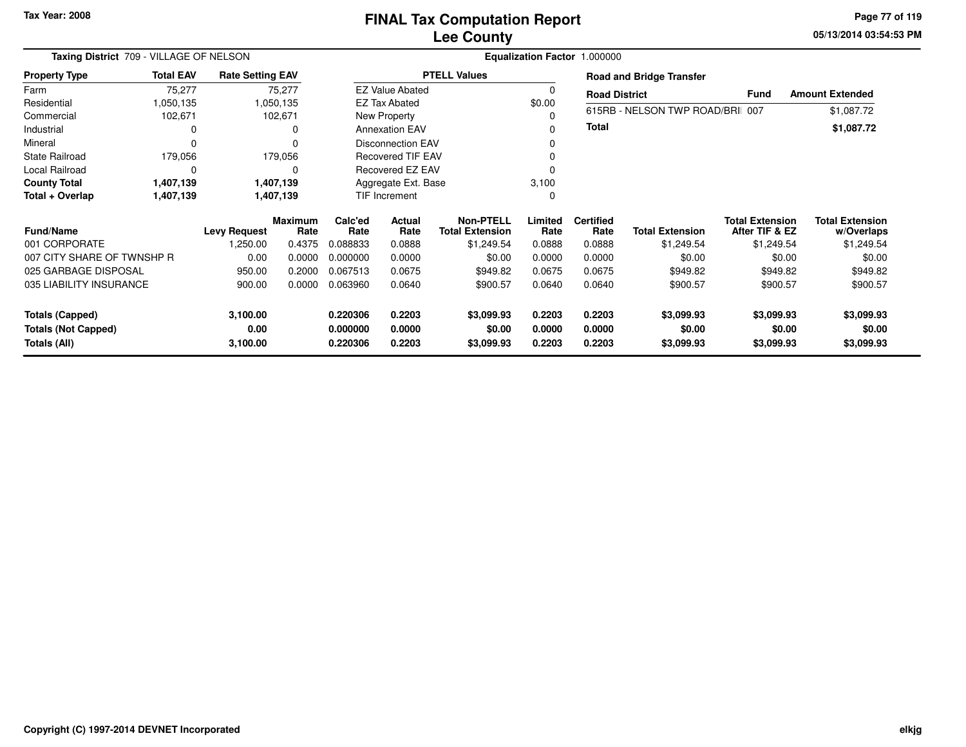**05/13/2014 03:54:53 PM Page 77 of 119**

| Taxing District 709 - VILLAGE OF NELSON    |                                                                 |                  |                        |                           |                          | Equalization Factor 1.000000               |                  |                          |                                 |                                          |                                      |
|--------------------------------------------|-----------------------------------------------------------------|------------------|------------------------|---------------------------|--------------------------|--------------------------------------------|------------------|--------------------------|---------------------------------|------------------------------------------|--------------------------------------|
| <b>Property Type</b>                       | <b>Total EAV</b><br><b>Rate Setting EAV</b><br>75,277<br>75,277 |                  |                        |                           |                          | <b>PTELL Values</b>                        |                  |                          | <b>Road and Bridge Transfer</b> |                                          |                                      |
| Farm                                       |                                                                 |                  |                        |                           | <b>EZ Value Abated</b>   |                                            |                  | <b>Road District</b>     |                                 | Fund                                     | <b>Amount Extended</b>               |
| Residential                                | 1,050,135                                                       |                  | 1,050,135              |                           | <b>EZ Tax Abated</b>     |                                            | \$0.00           |                          |                                 |                                          |                                      |
| Commercial                                 | 102,671                                                         |                  | 102,671                |                           | New Property             |                                            | 0                |                          | 615RB - NELSON TWP ROAD/BRI 007 |                                          | \$1,087.72                           |
| Industrial                                 | 0                                                               |                  | 0                      |                           | <b>Annexation EAV</b>    |                                            |                  | <b>Total</b>             |                                 |                                          | \$1,087.72                           |
| Mineral                                    | $\Omega$                                                        |                  |                        |                           | <b>Disconnection EAV</b> |                                            |                  |                          |                                 |                                          |                                      |
| <b>State Railroad</b>                      | 179,056                                                         |                  | 179,056                |                           | <b>Recovered TIF EAV</b> |                                            |                  |                          |                                 |                                          |                                      |
| Local Railroad                             | $\Omega$                                                        |                  |                        |                           | Recovered EZ EAV         |                                            |                  |                          |                                 |                                          |                                      |
| <b>County Total</b>                        | 1,407,139                                                       |                  | 1,407,139              |                           | Aggregate Ext. Base      |                                            | 3,100            |                          |                                 |                                          |                                      |
| Total + Overlap                            | 1,407,139                                                       |                  | 1,407,139              | TIF Increment<br>$\Omega$ |                          |                                            |                  |                          |                                 |                                          |                                      |
| <b>Fund/Name</b>                           | <b>Levy Request</b>                                             |                  | <b>Maximum</b><br>Rate | Calc'ed<br>Rate           | Actual<br>Rate           | <b>Non-PTELL</b><br><b>Total Extension</b> | Limited<br>Rate  | <b>Certified</b><br>Rate | <b>Total Extension</b>          | <b>Total Extension</b><br>After TIF & EZ | <b>Total Extension</b><br>w/Overlaps |
| 001 CORPORATE                              |                                                                 | 1,250.00         | 0.4375                 | 0.088833                  | 0.0888                   | \$1,249.54                                 | 0.0888           | 0.0888                   | \$1,249.54                      | \$1,249.54                               | \$1,249.54                           |
| 007 CITY SHARE OF TWNSHP R                 |                                                                 | 0.00             | 0.0000                 | 0.000000                  | 0.0000                   | \$0.00                                     | 0.0000           | 0.0000                   | \$0.00                          | \$0.00                                   | \$0.00                               |
| 025 GARBAGE DISPOSAL                       |                                                                 | 950.00           | 0.2000                 | 0.067513                  | 0.0675                   | \$949.82                                   | 0.0675           | 0.0675                   | \$949.82                        | \$949.82                                 | \$949.82                             |
| 035 LIABILITY INSURANCE                    |                                                                 | 900.00           | 0.0000                 | 0.063960                  | 0.0640                   | \$900.57                                   | 0.0640           | 0.0640                   | \$900.57                        | \$900.57                                 | \$900.57                             |
| <b>Totals (Capped)</b>                     |                                                                 | 3,100.00         |                        | 0.220306                  | 0.2203                   | \$3,099.93                                 | 0.2203           | 0.2203                   | \$3,099.93                      | \$3,099.93                               | \$3,099.93                           |
| <b>Totals (Not Capped)</b><br>Totals (All) |                                                                 | 0.00<br>3,100.00 |                        | 0.000000<br>0.220306      | 0.0000<br>0.2203         | \$0.00<br>\$3,099.93                       | 0.0000<br>0.2203 | 0.0000<br>0.2203         | \$0.00<br>\$3,099.93            | \$0.00<br>\$3,099.93                     | \$0.00<br>\$3,099.93                 |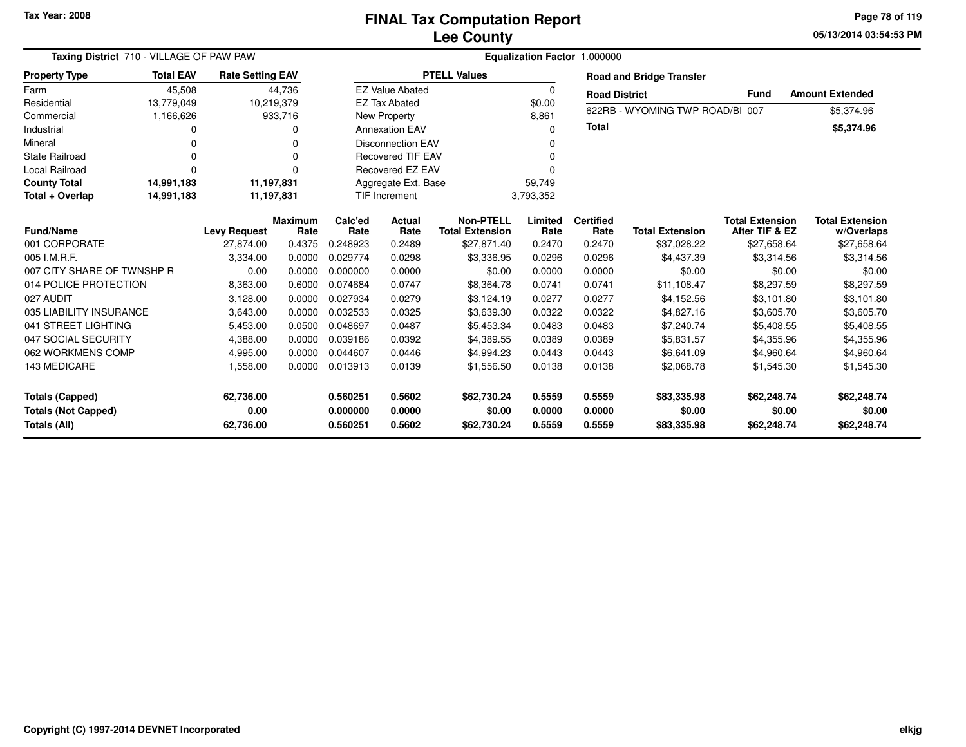**05/13/2014 03:54:53 PMPage 78 of 119**

| Taxing District 710 - VILLAGE OF PAW PAW                             |                          |                                |                        | Equalization Factor 1.000000     |                            |                                            |                            |                            |                                      |                                          |                                      |  |  |
|----------------------------------------------------------------------|--------------------------|--------------------------------|------------------------|----------------------------------|----------------------------|--------------------------------------------|----------------------------|----------------------------|--------------------------------------|------------------------------------------|--------------------------------------|--|--|
| <b>Property Type</b>                                                 | <b>Total EAV</b>         | <b>Rate Setting EAV</b>        |                        |                                  |                            | <b>PTELL Values</b>                        |                            |                            | <b>Road and Bridge Transfer</b>      |                                          |                                      |  |  |
| Farm                                                                 | 45,508                   |                                | 44,736                 |                                  | <b>EZ Value Abated</b>     |                                            | $\Omega$                   | <b>Road District</b>       |                                      | <b>Fund</b>                              | <b>Amount Extended</b>               |  |  |
| Residential                                                          | 13,779,049               | 10,219,379                     |                        |                                  | <b>EZ Tax Abated</b>       |                                            | \$0.00                     |                            |                                      |                                          |                                      |  |  |
| Commercial                                                           | 1,166,626                |                                | 933,716                |                                  | New Property               |                                            | 8,861                      |                            | 622RB - WYOMING TWP ROAD/BI 007      |                                          | \$5,374.96                           |  |  |
| Industrial                                                           | $\Omega$                 |                                | O                      |                                  | <b>Annexation EAV</b>      |                                            | $\Omega$                   | <b>Total</b>               |                                      |                                          | \$5,374.96                           |  |  |
| Mineral                                                              | $\Omega$                 |                                | $\Omega$               |                                  | <b>Disconnection EAV</b>   |                                            |                            |                            |                                      |                                          |                                      |  |  |
| <b>State Railroad</b>                                                | $\Omega$                 |                                | O                      |                                  | Recovered TIF EAV          |                                            | $\Omega$                   |                            |                                      |                                          |                                      |  |  |
| <b>Local Railroad</b>                                                | $\Omega$                 |                                | $\Omega$               |                                  | Recovered EZ EAV           |                                            |                            |                            |                                      |                                          |                                      |  |  |
| <b>County Total</b>                                                  | 14,991,183               | 11,197,831                     |                        |                                  | Aggregate Ext. Base        |                                            | 59,749                     |                            |                                      |                                          |                                      |  |  |
| Total + Overlap                                                      | 14,991,183<br>11,197,831 |                                |                        | TIF Increment                    |                            | 3,793,352                                  |                            |                            |                                      |                                          |                                      |  |  |
| <b>Fund/Name</b>                                                     |                          | <b>Levy Request</b>            | <b>Maximum</b><br>Rate | Calc'ed<br>Rate                  | Actual<br>Rate             | <b>Non-PTELL</b><br><b>Total Extension</b> | Limited<br>Rate            | <b>Certified</b><br>Rate   | <b>Total Extension</b>               | <b>Total Extension</b><br>After TIF & EZ | <b>Total Extension</b><br>w/Overlaps |  |  |
| 001 CORPORATE                                                        |                          | 27.874.00                      | 0.4375                 | 0.248923                         | 0.2489                     | \$27,871.40                                | 0.2470                     | 0.2470                     | \$37,028.22                          | \$27,658.64                              | \$27,658.64                          |  |  |
| 005 I.M.R.F.                                                         |                          | 3,334.00                       | 0.0000                 | 0.029774                         | 0.0298                     | \$3,336.95                                 | 0.0296                     | 0.0296                     | \$4,437.39                           | \$3,314.56                               | \$3,314.56                           |  |  |
| 007 CITY SHARE OF TWNSHP R                                           |                          | 0.00                           | 0.0000                 | 0.000000                         | 0.0000                     | \$0.00                                     | 0.0000                     | 0.0000                     | \$0.00                               | \$0.00                                   | \$0.00                               |  |  |
| 014 POLICE PROTECTION                                                |                          | 8,363.00                       | 0.6000                 | 0.074684                         | 0.0747                     | \$8,364.78                                 | 0.0741                     | 0.0741                     | \$11,108.47                          | \$8,297.59                               | \$8,297.59                           |  |  |
| 027 AUDIT                                                            |                          | 3,128.00                       | 0.0000                 | 0.027934                         | 0.0279                     | \$3,124.19                                 | 0.0277                     | 0.0277                     | \$4,152.56                           | \$3,101.80                               | \$3,101.80                           |  |  |
| 035 LIABILITY INSURANCE                                              |                          | 3,643.00                       | 0.0000                 | 0.032533                         | 0.0325                     | \$3,639.30                                 | 0.0322                     | 0.0322                     | \$4,827.16                           | \$3,605.70                               | \$3,605.70                           |  |  |
| 041 STREET LIGHTING                                                  |                          | 5,453.00                       | 0.0500                 | 0.048697                         | 0.0487                     | \$5,453.34                                 | 0.0483                     | 0.0483                     | \$7,240.74                           | \$5,408.55                               | \$5,408.55                           |  |  |
| 047 SOCIAL SECURITY                                                  |                          | 4,388.00                       | 0.0000                 | 0.039186                         | 0.0392                     | \$4,389.55                                 | 0.0389                     | 0.0389                     | \$5,831.57                           | \$4,355.96                               | \$4,355.96                           |  |  |
| 062 WORKMENS COMP                                                    |                          | 4,995.00                       | 0.0000                 | 0.044607                         | 0.0446                     | \$4,994.23                                 | 0.0443                     | 0.0443                     | \$6,641.09                           | \$4,960.64                               | \$4,960.64                           |  |  |
| 143 MEDICARE                                                         |                          | 1,558.00                       | 0.0000                 | 0.013913                         | 0.0139                     | \$1,556.50                                 | 0.0138                     | 0.0138                     | \$2,068.78                           | \$1,545.30                               | \$1,545.30                           |  |  |
| <b>Totals (Capped)</b><br><b>Totals (Not Capped)</b><br>Totals (All) |                          | 62,736.00<br>0.00<br>62,736.00 |                        | 0.560251<br>0.000000<br>0.560251 | 0.5602<br>0.0000<br>0.5602 | \$62,730.24<br>\$0.00<br>\$62,730.24       | 0.5559<br>0.0000<br>0.5559 | 0.5559<br>0.0000<br>0.5559 | \$83,335.98<br>\$0.00<br>\$83,335.98 | \$62,248.74<br>\$0.00<br>\$62,248.74     | \$62,248.74<br>\$0.00<br>\$62,248.74 |  |  |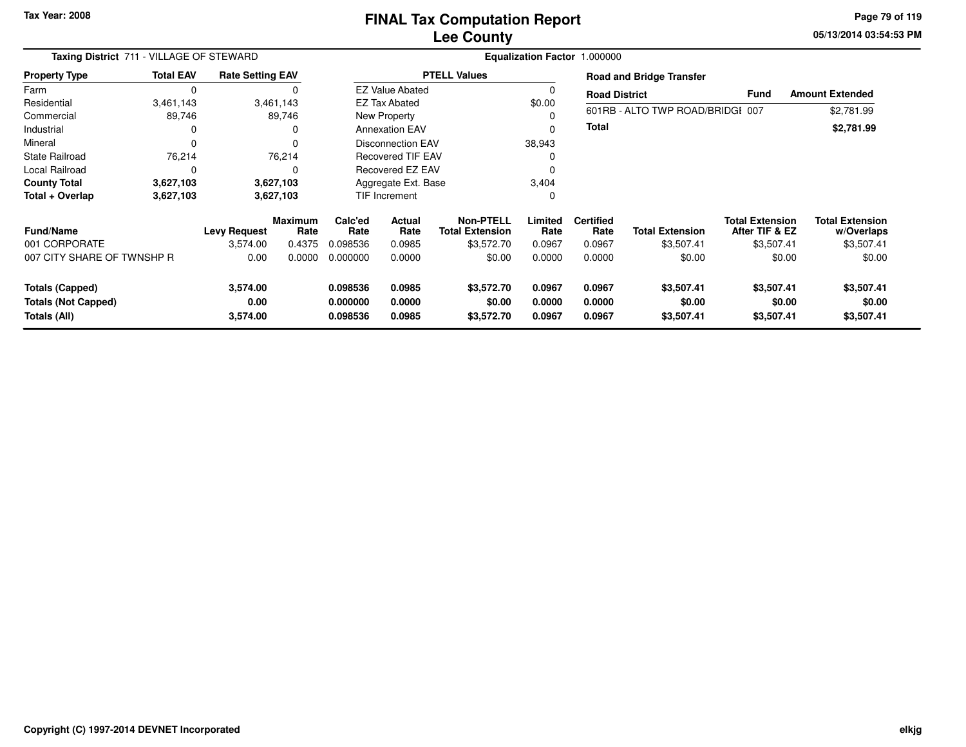**05/13/2014 03:54:53 PM Page 79 of 119**

| Taxing District 711 - VILLAGE OF STEWARD<br><b>Rate Setting EAV</b>  |                  |                              |                        |                                  |                            |                                            |                            | Equalization Factor 1.000000 |                                    |                                          |                                      |  |
|----------------------------------------------------------------------|------------------|------------------------------|------------------------|----------------------------------|----------------------------|--------------------------------------------|----------------------------|------------------------------|------------------------------------|------------------------------------------|--------------------------------------|--|
| <b>Property Type</b>                                                 | <b>Total EAV</b> |                              |                        |                                  |                            | <b>PTELL Values</b>                        |                            |                              | <b>Road and Bridge Transfer</b>    |                                          |                                      |  |
| Farm                                                                 | $\mathbf 0$      |                              |                        |                                  | <b>EZ Value Abated</b>     |                                            | 0                          | <b>Road District</b>         |                                    | <b>Fund</b>                              | <b>Amount Extended</b>               |  |
| Residential                                                          | 3,461,143        |                              | 3,461,143              |                                  | <b>EZ Tax Abated</b>       |                                            | \$0.00                     |                              |                                    |                                          |                                      |  |
| Commercial                                                           | 89,746           |                              | 89,746                 |                                  | New Property               |                                            | $\Omega$                   |                              | 601RB - ALTO TWP ROAD/BRIDGI 007   |                                          | \$2,781.99                           |  |
| Industrial                                                           | 0                |                              |                        |                                  | <b>Annexation EAV</b>      |                                            | $\mathbf 0$                | Total                        |                                    |                                          | \$2,781.99                           |  |
| Mineral                                                              | $\Omega$         |                              |                        |                                  | <b>Disconnection EAV</b>   |                                            | 38,943                     |                              |                                    |                                          |                                      |  |
| <b>State Railroad</b>                                                | 76,214           |                              | 76,214                 |                                  | <b>Recovered TIF EAV</b>   |                                            | 0                          |                              |                                    |                                          |                                      |  |
| <b>Local Railroad</b>                                                | 0                |                              |                        |                                  | Recovered EZ EAV           |                                            |                            |                              |                                    |                                          |                                      |  |
| <b>County Total</b>                                                  | 3,627,103        |                              | 3,627,103              |                                  | Aggregate Ext. Base        |                                            | 3,404                      |                              |                                    |                                          |                                      |  |
| Total + Overlap                                                      | 3,627,103        |                              | 3,627,103              |                                  | <b>TIF Increment</b>       |                                            | 0                          |                              |                                    |                                          |                                      |  |
| <b>Fund/Name</b>                                                     |                  | <b>Levy Request</b>          | <b>Maximum</b><br>Rate | Calc'ed<br>Rate                  | <b>Actual</b><br>Rate      | <b>Non-PTELL</b><br><b>Total Extension</b> | Limited<br>Rate            | <b>Certified</b><br>Rate     | <b>Total Extension</b>             | <b>Total Extension</b><br>After TIF & EZ | <b>Total Extension</b><br>w/Overlaps |  |
| 001 CORPORATE                                                        |                  | 3,574.00                     | 0.4375                 | 0.098536                         | 0.0985                     | \$3,572.70                                 | 0.0967                     | 0.0967                       | \$3,507.41                         | \$3,507.41                               | \$3,507.41                           |  |
| 007 CITY SHARE OF TWNSHP R                                           |                  | 0.00                         | 0.0000                 | 0.000000                         | 0.0000                     | \$0.00                                     | 0.0000                     | 0.0000                       | \$0.00                             | \$0.00                                   | \$0.00                               |  |
| <b>Totals (Capped)</b><br><b>Totals (Not Capped)</b><br>Totals (All) |                  | 3,574.00<br>0.00<br>3,574.00 |                        | 0.098536<br>0.000000<br>0.098536 | 0.0985<br>0.0000<br>0.0985 | \$3,572.70<br>\$0.00<br>\$3,572.70         | 0.0967<br>0.0000<br>0.0967 | 0.0967<br>0.0000<br>0.0967   | \$3,507.41<br>\$0.00<br>\$3,507.41 | \$3,507.41<br>\$0.00<br>\$3,507.41       | \$3,507.41<br>\$0.00<br>\$3,507.41   |  |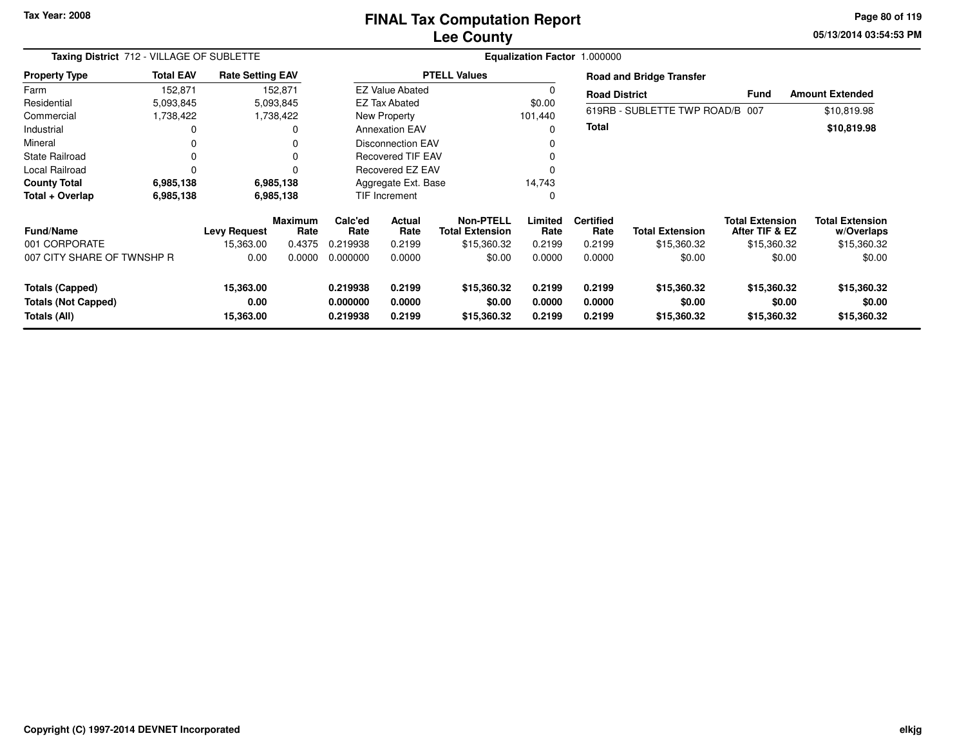## **Lee CountyFINAL Tax Computation Report**

**05/13/2014 03:54:53 PM Page 80 of 119**

|                                                                      | Taxing District 712 - VILLAGE OF SUBLETTE<br><b>Rate Setting EAV</b><br><b>Total EAV</b> |                                |                        |                                  |                            |                                            | Equalization Factor 1.000000 |                            |                                      |                                          |                                      |
|----------------------------------------------------------------------|------------------------------------------------------------------------------------------|--------------------------------|------------------------|----------------------------------|----------------------------|--------------------------------------------|------------------------------|----------------------------|--------------------------------------|------------------------------------------|--------------------------------------|
| <b>Property Type</b>                                                 |                                                                                          |                                |                        |                                  |                            | <b>PTELL Values</b>                        |                              |                            | <b>Road and Bridge Transfer</b>      |                                          |                                      |
| Farm                                                                 | 152,871                                                                                  |                                | 152,871                |                                  | <b>EZ Value Abated</b>     |                                            |                              | <b>Road District</b>       |                                      | <b>Fund</b>                              | <b>Amount Extended</b>               |
| Residential                                                          | 5,093,845                                                                                |                                | 5,093,845              |                                  | <b>EZ Tax Abated</b>       |                                            | \$0.00                       |                            |                                      |                                          |                                      |
| Commercial                                                           | 1,738,422                                                                                |                                | 1,738,422              |                                  | New Property               |                                            | 101,440                      |                            | 619RB - SUBLETTE TWP ROAD/B 007      |                                          | \$10,819.98                          |
| Industrial                                                           | 0                                                                                        |                                | 0                      |                                  | <b>Annexation EAV</b>      |                                            | $\Omega$                     | <b>Total</b>               |                                      |                                          | \$10,819.98                          |
| Mineral                                                              | 0                                                                                        |                                | 0                      | Disconnection EAV<br>$\Omega$    |                            |                                            |                              |                            |                                      |                                          |                                      |
| <b>State Railroad</b>                                                | 0                                                                                        |                                | 0                      |                                  | <b>Recovered TIF EAV</b>   |                                            |                              |                            |                                      |                                          |                                      |
| Local Railroad                                                       | $\Omega$                                                                                 |                                | 0                      |                                  | Recovered EZ EAV           |                                            | $\Omega$                     |                            |                                      |                                          |                                      |
| <b>County Total</b>                                                  | 6,985,138                                                                                |                                | 6,985,138              | Aggregate Ext. Base              |                            |                                            | 14,743                       |                            |                                      |                                          |                                      |
| Total + Overlap                                                      | 6,985,138                                                                                |                                | 6,985,138              | TIF Increment<br>0               |                            |                                            |                              |                            |                                      |                                          |                                      |
| <b>Fund/Name</b>                                                     |                                                                                          | <b>Levy Request</b>            | <b>Maximum</b><br>Rate | Calc'ed<br>Rate                  | Actual<br>Rate             | <b>Non-PTELL</b><br><b>Total Extension</b> | Limited<br>Rate              | <b>Certified</b><br>Rate   | <b>Total Extension</b>               | <b>Total Extension</b><br>After TIF & EZ | <b>Total Extension</b><br>w/Overlaps |
| 001 CORPORATE                                                        |                                                                                          | 15,363.00                      | 0.4375                 | 0.219938                         | 0.2199                     | \$15,360.32                                | 0.2199                       | 0.2199                     | \$15,360.32                          | \$15,360.32                              | \$15,360.32                          |
| 007 CITY SHARE OF TWNSHP R                                           |                                                                                          | 0.00                           | 0.0000                 | 0.000000                         | 0.0000                     | \$0.00                                     | 0.0000                       | 0.0000                     | \$0.00                               | \$0.00                                   | \$0.00                               |
| <b>Totals (Capped)</b><br><b>Totals (Not Capped)</b><br>Totals (All) |                                                                                          | 15,363.00<br>0.00<br>15,363.00 |                        | 0.219938<br>0.000000<br>0.219938 | 0.2199<br>0.0000<br>0.2199 | \$15,360.32<br>\$0.00<br>\$15,360.32       | 0.2199<br>0.0000<br>0.2199   | 0.2199<br>0.0000<br>0.2199 | \$15,360.32<br>\$0.00<br>\$15,360.32 | \$15,360.32<br>\$0.00<br>\$15,360.32     | \$15,360.32<br>\$0.00<br>\$15,360.32 |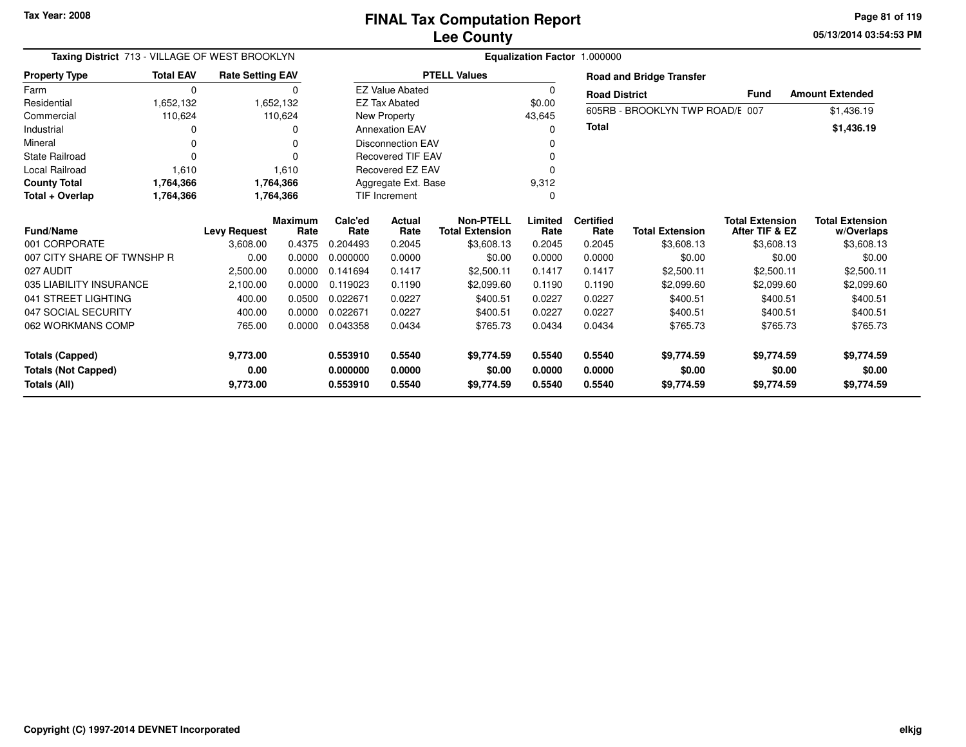**05/13/2014 03:54:53 PM Page 81 of 119**

| Taxing District 713 - VILLAGE OF WEST BROOKLYN<br><b>Total EAV</b><br><b>Property Type</b> |                                                       |                                 |                                                                                                                                   |                  |                                                                                                                    |                                                                                             |                          |                        |                                                   |                                                                                                                                                                                                           |
|--------------------------------------------------------------------------------------------|-------------------------------------------------------|---------------------------------|-----------------------------------------------------------------------------------------------------------------------------------|------------------|--------------------------------------------------------------------------------------------------------------------|---------------------------------------------------------------------------------------------|--------------------------|------------------------|---------------------------------------------------|-----------------------------------------------------------------------------------------------------------------------------------------------------------------------------------------------------------|
|                                                                                            |                                                       |                                 | <b>PTELL Values</b><br><b>Road and Bridge Transfer</b><br><b>EZ Value Abated</b><br>$\Omega$<br>0<br>Fund<br><b>Road District</b> |                  |                                                                                                                    |                                                                                             |                          |                        |                                                   |                                                                                                                                                                                                           |
| $\mathbf 0$                                                                                |                                                       |                                 |                                                                                                                                   |                  |                                                                                                                    |                                                                                             |                          |                        |                                                   | <b>Amount Extended</b>                                                                                                                                                                                    |
| 1,652,132                                                                                  |                                                       |                                 |                                                                                                                                   |                  |                                                                                                                    | \$0.00                                                                                      |                          |                        |                                                   | \$1,436.19                                                                                                                                                                                                |
| 110,624                                                                                    |                                                       |                                 |                                                                                                                                   |                  |                                                                                                                    | 43,645                                                                                      |                          |                        |                                                   |                                                                                                                                                                                                           |
| 0                                                                                          |                                                       | 0                               |                                                                                                                                   |                  |                                                                                                                    | $\Omega$                                                                                    |                          |                        |                                                   | \$1,436.19                                                                                                                                                                                                |
| O                                                                                          |                                                       | 0                               | <b>Disconnection EAV</b><br>0                                                                                                     |                  |                                                                                                                    |                                                                                             |                          |                        |                                                   |                                                                                                                                                                                                           |
| $\Omega$                                                                                   |                                                       |                                 |                                                                                                                                   |                  |                                                                                                                    | ŋ                                                                                           |                          |                        |                                                   |                                                                                                                                                                                                           |
| 1,610                                                                                      |                                                       | 1,610                           |                                                                                                                                   |                  |                                                                                                                    | 0                                                                                           |                          |                        |                                                   |                                                                                                                                                                                                           |
| 1,764,366                                                                                  |                                                       |                                 | 9,312<br>Aggregate Ext. Base                                                                                                      |                  |                                                                                                                    |                                                                                             |                          |                        |                                                   |                                                                                                                                                                                                           |
| 1,764,366                                                                                  |                                                       |                                 |                                                                                                                                   |                  |                                                                                                                    | 0                                                                                           |                          |                        |                                                   |                                                                                                                                                                                                           |
|                                                                                            |                                                       |                                 | Calc'ed<br>Rate                                                                                                                   | Actual<br>Rate   | <b>Non-PTELL</b>                                                                                                   | Limited                                                                                     | <b>Certified</b><br>Rate | <b>Total Extension</b> |                                                   | <b>Total Extension</b><br>w/Overlaps                                                                                                                                                                      |
|                                                                                            | 3,608.00                                              | 0.4375                          | 0.204493                                                                                                                          | 0.2045           | \$3,608.13                                                                                                         | 0.2045                                                                                      | 0.2045                   | \$3,608.13             |                                                   | \$3,608.13                                                                                                                                                                                                |
|                                                                                            | 0.00                                                  | 0.0000                          | 0.000000                                                                                                                          | 0.0000           | \$0.00                                                                                                             | 0.0000                                                                                      | 0.0000                   | \$0.00                 |                                                   | \$0.00                                                                                                                                                                                                    |
|                                                                                            | 2,500.00                                              | 0.0000                          | 0.141694                                                                                                                          | 0.1417           | \$2.500.11                                                                                                         | 0.1417                                                                                      | 0.1417                   | \$2,500.11             |                                                   | \$2,500.11                                                                                                                                                                                                |
|                                                                                            | 2,100.00                                              | 0.0000                          | 0.119023                                                                                                                          | 0.1190           | \$2,099.60                                                                                                         | 0.1190                                                                                      | 0.1190                   | \$2,099.60             |                                                   | \$2,099.60                                                                                                                                                                                                |
|                                                                                            | 400.00                                                | 0.0500                          | 0.022671                                                                                                                          | 0.0227           | \$400.51                                                                                                           | 0.0227                                                                                      | 0.0227                   | \$400.51               |                                                   | \$400.51                                                                                                                                                                                                  |
|                                                                                            | 400.00                                                | 0.0000                          | 0.022671                                                                                                                          | 0.0227           | \$400.51                                                                                                           | 0.0227                                                                                      | 0.0227                   | \$400.51               |                                                   | \$400.51                                                                                                                                                                                                  |
|                                                                                            | 765.00                                                | 0.0000                          | 0.043358                                                                                                                          | 0.0434           | \$765.73                                                                                                           | 0.0434                                                                                      | 0.0434                   | \$765.73               |                                                   | \$765.73                                                                                                                                                                                                  |
|                                                                                            | 9,773.00<br>0.00                                      |                                 | 0.553910<br>0.000000                                                                                                              | 0.5540<br>0.0000 | \$9,774.59<br>\$0.00                                                                                               | 0.5540<br>0.0000                                                                            | 0.5540<br>0.0000         | \$9,774.59<br>\$0.00   |                                                   | \$9,774.59<br>\$0.00<br>\$9,774.59                                                                                                                                                                        |
|                                                                                            | 007 CITY SHARE OF TWNSHP R<br>035 LIABILITY INSURANCE | <b>Levy Request</b><br>9,773.00 | <b>Rate Setting EAV</b><br>1,652,132<br>110,624<br>1,764,366<br>1,764,366<br><b>Maximum</b><br>Rate                               |                  | <b>EZ Tax Abated</b><br><b>New Property</b><br><b>Annexation EAV</b><br><b>TIF Increment</b><br>0.553910<br>0.5540 | <b>Recovered TIF EAV</b><br><b>Recovered EZ EAV</b><br><b>Total Extension</b><br>\$9,774.59 | Rate<br>0.5540           | <b>Total</b><br>0.5540 | <b>Equalization Factor 1.000000</b><br>\$9,774.59 | 605RB - BROOKLYN TWP ROAD/E 007<br><b>Total Extension</b><br>After TIF & EZ<br>\$3,608.13<br>\$0.00<br>\$2,500.11<br>\$2,099.60<br>\$400.51<br>\$400.51<br>\$765.73<br>\$9,774.59<br>\$0.00<br>\$9,774.59 |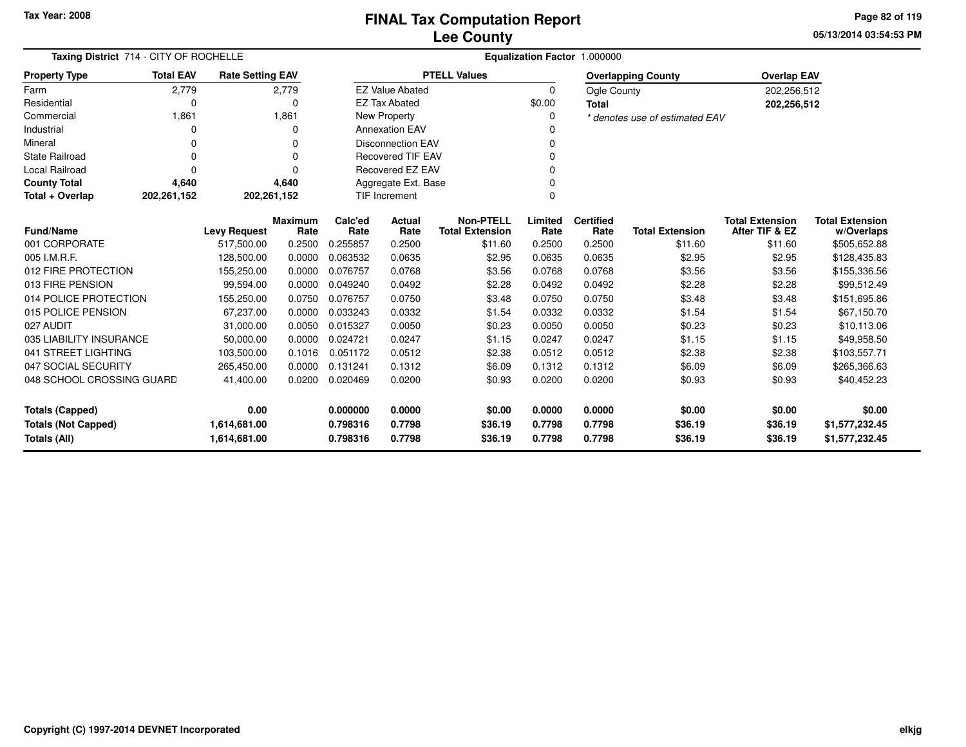**05/13/2014 03:54:53 PMPage 82 of 119**

| Taxing District 714 - CITY OF ROCHELLE | Equalization Factor 1.000000 |                         |                |                          |                                  |                        |          |                  |                                |                        |                        |
|----------------------------------------|------------------------------|-------------------------|----------------|--------------------------|----------------------------------|------------------------|----------|------------------|--------------------------------|------------------------|------------------------|
| <b>Property Type</b>                   | <b>Total EAV</b>             | <b>Rate Setting EAV</b> |                |                          |                                  | <b>PTELL Values</b>    |          |                  | <b>Overlapping County</b>      | <b>Overlap EAV</b>     |                        |
| Farm                                   | 2,779                        |                         | 2,779          |                          | <b>EZ Value Abated</b>           |                        | $\Omega$ | Ogle County      |                                | 202,256,512            |                        |
| Residential                            | $\Omega$                     |                         | 0              |                          | <b>EZ Tax Abated</b>             |                        | \$0.00   | Total            |                                | 202,256,512            |                        |
| Commercial                             | 1,861                        |                         | 1,861          |                          | New Property                     |                        | ŋ        |                  | * denotes use of estimated EAV |                        |                        |
| Industrial                             | 0                            |                         | 0              |                          | <b>Annexation EAV</b>            |                        |          |                  |                                |                        |                        |
| Mineral                                | $\Omega$                     |                         | $\Omega$       |                          | <b>Disconnection EAV</b>         |                        | ŋ        |                  |                                |                        |                        |
| <b>State Railroad</b>                  | $\Omega$                     |                         | $\Omega$       | <b>Recovered TIF EAV</b> |                                  |                        |          |                  |                                |                        |                        |
| Local Railroad                         | $\Omega$                     |                         | $\Omega$       |                          | Recovered EZ EAV<br>O            |                        |          |                  |                                |                        |                        |
| <b>County Total</b>                    | 4,640                        |                         | 4,640          |                          | Aggregate Ext. Base              |                        |          |                  |                                |                        |                        |
| Total + Overlap                        | 202,261,152                  | 202,261,152             |                |                          | <b>TIF Increment</b><br>$\Omega$ |                        |          |                  |                                |                        |                        |
|                                        |                              |                         | <b>Maximum</b> | Calc'ed                  | <b>Actual</b>                    | <b>Non-PTELL</b>       | Limited  | <b>Certified</b> |                                | <b>Total Extension</b> | <b>Total Extension</b> |
| <b>Fund/Name</b>                       |                              | <b>Levy Request</b>     | Rate           | Rate                     | Rate                             | <b>Total Extension</b> | Rate     | Rate             | <b>Total Extension</b>         | After TIF & EZ         | w/Overlaps             |
| 001 CORPORATE                          |                              | 517,500.00              | 0.2500         | 0.255857                 | 0.2500                           | \$11.60                | 0.2500   | 0.2500           | \$11.60                        | \$11.60                | \$505,652.88           |
| 005 I.M.R.F.                           |                              | 128,500.00              | 0.0000         | 0.063532                 | 0.0635                           | \$2.95                 | 0.0635   | 0.0635           | \$2.95                         | \$2.95                 | \$128,435.83           |
| 012 FIRE PROTECTION                    |                              | 155,250.00              | 0.0000         | 0.076757                 | 0.0768                           | \$3.56                 | 0.0768   | 0.0768           | \$3.56                         | \$3.56                 | \$155,336.56           |
| 013 FIRE PENSION                       |                              | 99,594.00               | 0.0000         | 0.049240                 | 0.0492                           | \$2.28                 | 0.0492   | 0.0492           | \$2.28                         | \$2.28                 | \$99,512.49            |
| 014 POLICE PROTECTION                  |                              | 155,250.00              | 0.0750         | 0.076757                 | 0.0750                           | \$3.48                 | 0.0750   | 0.0750           | \$3.48                         | \$3.48                 | \$151,695.86           |
| 015 POLICE PENSION                     |                              | 67,237.00               | 0.0000         | 0.033243                 | 0.0332                           | \$1.54                 | 0.0332   | 0.0332           | \$1.54                         | \$1.54                 | \$67,150.70            |
| 027 AUDIT                              |                              | 31,000.00               | 0.0050         | 0.015327                 | 0.0050                           | \$0.23                 | 0.0050   | 0.0050           | \$0.23                         | \$0.23                 | \$10,113.06            |
| 035 LIABILITY INSURANCE                |                              | 50,000.00               | 0.0000         | 0.024721                 | 0.0247                           | \$1.15                 | 0.0247   | 0.0247           | \$1.15                         | \$1.15                 | \$49,958.50            |
| 041 STREET LIGHTING                    |                              | 103,500.00              | 0.1016         | 0.051172                 | 0.0512                           | \$2.38                 | 0.0512   | 0.0512           | \$2.38                         | \$2.38                 | \$103,557.71           |
| 047 SOCIAL SECURITY                    |                              | 265,450.00              | 0.0000         | 0.131241                 | 0.1312                           | \$6.09                 | 0.1312   | 0.1312           | \$6.09                         | \$6.09                 | \$265,366.63           |
| 048 SCHOOL CROSSING GUARD              |                              | 41,400.00               | 0.0200         | 0.020469                 | 0.0200                           | \$0.93                 | 0.0200   | 0.0200           | \$0.93                         | \$0.93                 | \$40,452.23            |
| 0.00<br><b>Totals (Capped)</b>         |                              |                         |                | 0.000000                 | 0.0000                           | \$0.00                 | 0.0000   | 0.0000           | \$0.00                         | \$0.00                 | \$0.00                 |
| <b>Totals (Not Capped)</b>             |                              | 1,614,681.00            |                | 0.798316                 | 0.7798                           | \$36.19                | 0.7798   | 0.7798           | \$36.19                        | \$36.19                | \$1,577,232.45         |
| Totals (All)                           |                              | 1,614,681.00            |                | 0.798316                 | 0.7798                           | \$36.19                | 0.7798   | 0.7798           | \$36.19                        | \$36.19                | \$1,577,232.45         |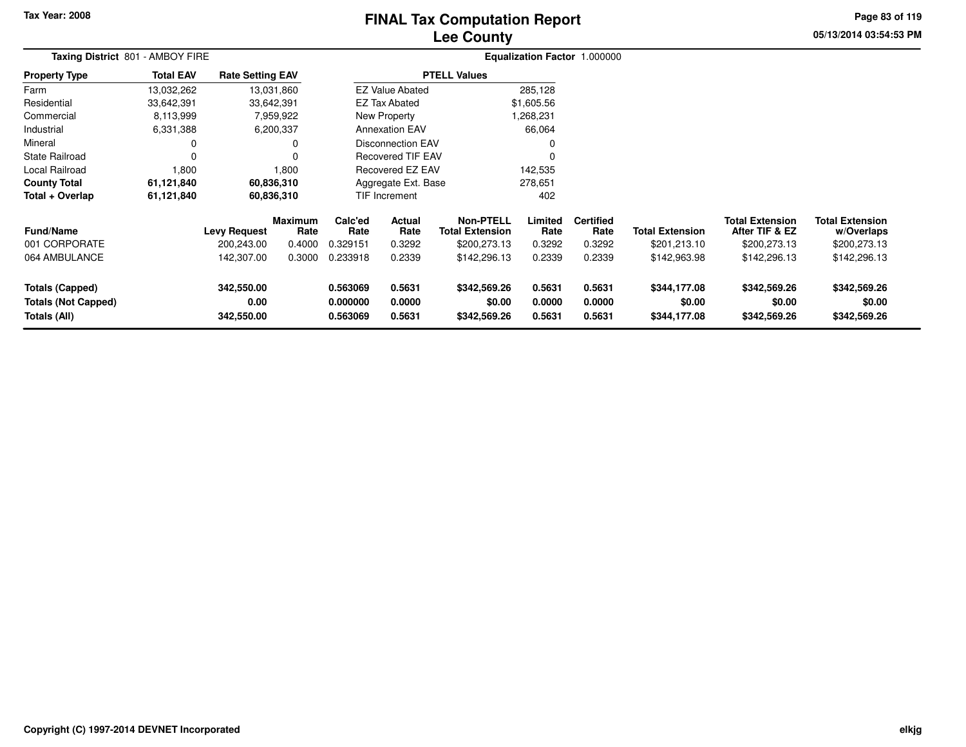# **Lee CountyFINAL Tax Computation Report**

**05/13/2014 03:54:53 PM Page 83 of 119**

| Taxing District 801 - AMBOY FIRE                                     |                  |                                  |                 | Equalization Factor 1.000000     |                            |                                            |                            |                            |                                        |                                          |                                        |  |
|----------------------------------------------------------------------|------------------|----------------------------------|-----------------|----------------------------------|----------------------------|--------------------------------------------|----------------------------|----------------------------|----------------------------------------|------------------------------------------|----------------------------------------|--|
| <b>Property Type</b>                                                 | <b>Total EAV</b> | <b>Rate Setting EAV</b>          |                 |                                  |                            | <b>PTELL Values</b>                        |                            |                            |                                        |                                          |                                        |  |
| Farm                                                                 | 13,032,262       |                                  | 13,031,860      |                                  | <b>EZ Value Abated</b>     |                                            | 285,128                    |                            |                                        |                                          |                                        |  |
| Residential                                                          | 33,642,391       | 33,642,391                       |                 |                                  | <b>EZ Tax Abated</b>       |                                            | \$1,605.56                 |                            |                                        |                                          |                                        |  |
| Commercial                                                           | 8,113,999        |                                  | 7,959,922       |                                  | New Property               |                                            | 1,268,231                  |                            |                                        |                                          |                                        |  |
| Industrial                                                           | 6,331,388        |                                  | 6,200,337       |                                  | <b>Annexation EAV</b>      |                                            | 66,064                     |                            |                                        |                                          |                                        |  |
| Mineral                                                              | 0                |                                  | 0               | Disconnection EAV<br>0           |                            |                                            |                            |                            |                                        |                                          |                                        |  |
| <b>State Railroad</b>                                                | 0                |                                  | $\Omega$        | 0<br><b>Recovered TIF EAV</b>    |                            |                                            |                            |                            |                                        |                                          |                                        |  |
| Local Railroad                                                       | 1,800            |                                  | 1,800           |                                  | Recovered EZ EAV           |                                            | 142,535                    |                            |                                        |                                          |                                        |  |
| <b>County Total</b>                                                  | 61,121,840       |                                  | 60,836,310      | Aggregate Ext. Base<br>278,651   |                            |                                            |                            |                            |                                        |                                          |                                        |  |
| Total + Overlap                                                      | 61,121,840       |                                  | 60,836,310      |                                  | <b>TIF Increment</b>       |                                            | 402                        |                            |                                        |                                          |                                        |  |
| <b>Fund/Name</b>                                                     |                  | <b>Levy Request</b>              | Maximum<br>Rate | Calc'ed<br>Rate                  | Actual<br>Rate             | <b>Non-PTELL</b><br><b>Total Extension</b> | Limited<br>Rate            | <b>Certified</b><br>Rate   | <b>Total Extension</b>                 | <b>Total Extension</b><br>After TIF & EZ | <b>Total Extension</b><br>w/Overlaps   |  |
| 001 CORPORATE                                                        |                  | 200,243.00                       | 0.4000          | 0.329151                         | 0.3292                     | \$200,273.13                               | 0.3292                     | 0.3292                     | \$201,213.10                           | \$200,273.13                             | \$200,273.13                           |  |
| 064 AMBULANCE                                                        |                  | 142,307.00                       | 0.3000          | 0.233918                         | 0.2339                     | \$142,296.13                               | 0.2339                     | 0.2339                     | \$142,963.98                           | \$142,296.13                             | \$142,296.13                           |  |
| <b>Totals (Capped)</b><br><b>Totals (Not Capped)</b><br>Totals (All) |                  | 342,550.00<br>0.00<br>342,550.00 |                 | 0.563069<br>0.000000<br>0.563069 | 0.5631<br>0.0000<br>0.5631 | \$342,569.26<br>\$0.00<br>\$342,569.26     | 0.5631<br>0.0000<br>0.5631 | 0.5631<br>0.0000<br>0.5631 | \$344,177.08<br>\$0.00<br>\$344,177.08 | \$342,569.26<br>\$0.00<br>\$342,569.26   | \$342,569.26<br>\$0.00<br>\$342,569.26 |  |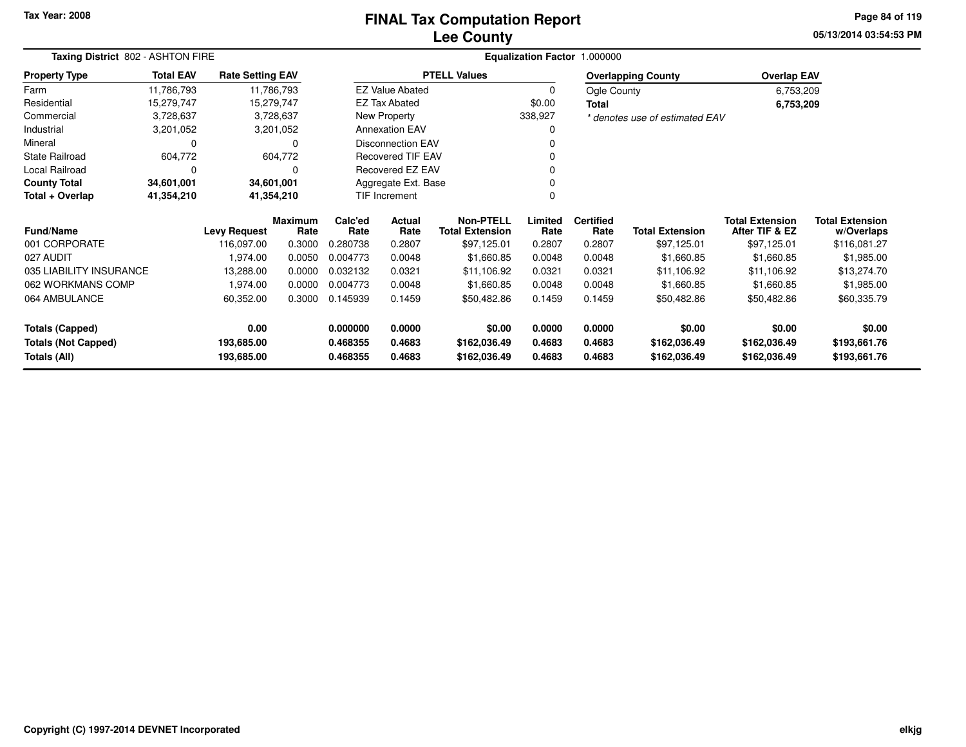## **Lee CountyFINAL Tax Computation Report**

**05/13/2014 03:54:53 PMPage 84 of 119**

| Taxing District 802 - ASHTON FIRE |                          |                         |                        |                 |                           |                                            |                 | Equalization Factor 1.000000 |                                |                                          |                                      |
|-----------------------------------|--------------------------|-------------------------|------------------------|-----------------|---------------------------|--------------------------------------------|-----------------|------------------------------|--------------------------------|------------------------------------------|--------------------------------------|
| <b>Property Type</b>              | <b>Total EAV</b>         | <b>Rate Setting EAV</b> |                        |                 |                           | <b>PTELL Values</b>                        |                 |                              | <b>Overlapping County</b>      | <b>Overlap EAV</b>                       |                                      |
| Farm                              | 11,786,793               |                         | 11,786,793             |                 | <b>EZ Value Abated</b>    |                                            | $\mathbf 0$     | Ogle County                  |                                | 6,753,209                                |                                      |
| Residential                       | 15,279,747               |                         | 15,279,747             |                 | <b>EZ Tax Abated</b>      |                                            | \$0.00          | Total                        |                                | 6,753,209                                |                                      |
| Commercial                        | 3,728,637                |                         | 3,728,637              |                 | New Property              |                                            | 338,927         |                              | * denotes use of estimated EAV |                                          |                                      |
| Industrial                        | 3,201,052                |                         | 3,201,052              |                 | <b>Annexation EAV</b>     |                                            | 0               |                              |                                |                                          |                                      |
| Mineral                           | $\Omega$                 |                         | $\Omega$               |                 | <b>Disconnection EAV</b>  |                                            |                 |                              |                                |                                          |                                      |
| <b>State Railroad</b>             | 604,772                  |                         | 604,772                |                 | <b>Recovered TIF EAV</b>  |                                            |                 |                              |                                |                                          |                                      |
| Local Railroad                    | $\Omega$                 |                         | O                      |                 | Recovered EZ EAV          |                                            | $\Omega$        |                              |                                |                                          |                                      |
| <b>County Total</b>               | 34,601,001<br>34,601,001 |                         |                        |                 | Aggregate Ext. Base       |                                            |                 |                              |                                |                                          |                                      |
| Total + Overlap                   | 41,354,210               |                         | 41,354,210             |                 | TIF Increment<br>$\Omega$ |                                            |                 |                              |                                |                                          |                                      |
| <b>Fund/Name</b>                  |                          | <b>Levy Request</b>     | <b>Maximum</b><br>Rate | Calc'ed<br>Rate | Actual<br>Rate            | <b>Non-PTELL</b><br><b>Total Extension</b> | Limited<br>Rate | <b>Certified</b><br>Rate     | <b>Total Extension</b>         | <b>Total Extension</b><br>After TIF & EZ | <b>Total Extension</b><br>w/Overlaps |
| 001 CORPORATE                     |                          | 116,097.00              | 0.3000                 | 0.280738        | 0.2807                    | \$97,125.01                                | 0.2807          | 0.2807                       | \$97,125.01                    | \$97,125.01                              | \$116,081.27                         |
| 027 AUDIT                         |                          | 1,974.00                | 0.0050                 | 0.004773        | 0.0048                    | \$1,660.85                                 | 0.0048          | 0.0048                       | \$1,660.85                     | \$1,660.85                               | \$1,985.00                           |
| 035 LIABILITY INSURANCE           |                          | 13,288.00               | 0.0000                 | 0.032132        | 0.0321                    | \$11,106.92                                | 0.0321          | 0.0321                       | \$11,106.92                    | \$11,106.92                              | \$13,274.70                          |
| 062 WORKMANS COMP                 |                          | 1,974.00                | 0.0000                 | 0.004773        | 0.0048                    | \$1,660.85                                 | 0.0048          | 0.0048                       | \$1,660.85                     | \$1,660.85                               | \$1,985.00                           |
| 064 AMBULANCE                     |                          | 60,352.00               | 0.3000                 | 0.145939        | 0.1459                    | \$50,482.86                                | 0.1459          | 0.1459                       | \$50,482.86                    | \$50,482.86                              | \$60,335.79                          |
| <b>Totals (Capped)</b>            |                          | 0.00                    |                        | 0.000000        | 0.0000                    | \$0.00                                     | 0.0000          | 0.0000                       | \$0.00                         | \$0.00                                   | \$0.00                               |
| <b>Totals (Not Capped)</b>        |                          | 193,685.00              |                        | 0.468355        | 0.4683                    | \$162,036.49                               | 0.4683          | 0.4683                       | \$162,036.49                   | \$162,036.49                             | \$193,661.76                         |
| Totals (All)                      |                          | 193,685.00              |                        | 0.468355        | 0.4683                    | \$162,036.49                               | 0.4683          | 0.4683                       | \$162,036.49                   | \$162,036.49                             | \$193,661.76                         |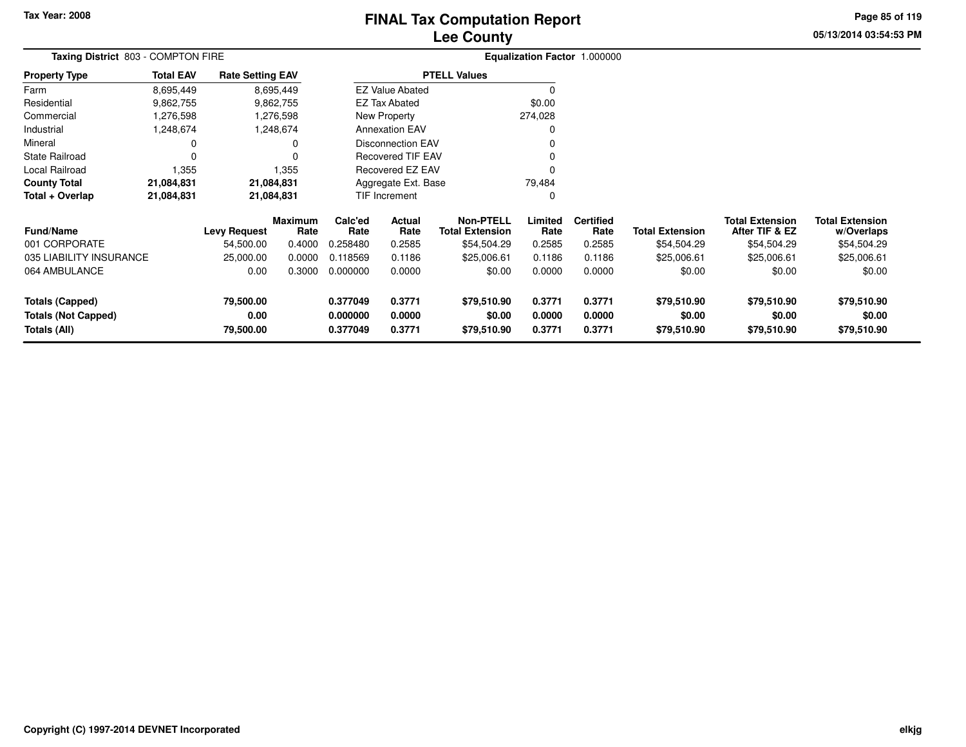# **Lee CountyFINAL Tax Computation Report**

**05/13/2014 03:54:53 PM Page 85 of 119**

|                                                      | Taxing District 803 - COMPTON FIRE |                         |                        |                      |                          |                                            |                  | Equalization Factor 1.000000 |                        |                                          |                                      |
|------------------------------------------------------|------------------------------------|-------------------------|------------------------|----------------------|--------------------------|--------------------------------------------|------------------|------------------------------|------------------------|------------------------------------------|--------------------------------------|
| <b>Property Type</b>                                 | <b>Total EAV</b>                   | <b>Rate Setting EAV</b> |                        |                      |                          | <b>PTELL Values</b>                        |                  |                              |                        |                                          |                                      |
| Farm                                                 | 8,695,449                          |                         | 8,695,449              |                      | <b>EZ Value Abated</b>   |                                            | 0                |                              |                        |                                          |                                      |
| Residential                                          | 9,862,755                          |                         | 9,862,755              |                      | EZ Tax Abated            |                                            | \$0.00           |                              |                        |                                          |                                      |
| Commercial                                           | 1,276,598                          |                         | 1,276,598              |                      | New Property             |                                            | 274,028          |                              |                        |                                          |                                      |
| Industrial                                           | 1,248,674                          |                         | 1,248,674              |                      | <b>Annexation EAV</b>    |                                            | 0                |                              |                        |                                          |                                      |
| Mineral                                              | 0                                  |                         | 0                      |                      | <b>Disconnection EAV</b> |                                            |                  |                              |                        |                                          |                                      |
| <b>State Railroad</b>                                | 0                                  |                         |                        |                      | <b>Recovered TIF EAV</b> |                                            | 0                |                              |                        |                                          |                                      |
| Local Railroad                                       | 1,355                              |                         | 1,355                  |                      | Recovered EZ EAV         |                                            |                  |                              |                        |                                          |                                      |
| <b>County Total</b>                                  | 21,084,831                         |                         | 21,084,831             |                      | Aggregate Ext. Base      |                                            | 79,484           |                              |                        |                                          |                                      |
| Total + Overlap                                      | 21,084,831                         |                         | 21,084,831             |                      | TIF Increment            |                                            | 0                |                              |                        |                                          |                                      |
| <b>Fund/Name</b>                                     |                                    | <b>Levy Request</b>     | <b>Maximum</b><br>Rate | Calc'ed<br>Rate      | Actual<br>Rate           | <b>Non-PTELL</b><br><b>Total Extension</b> | Limited<br>Rate  | <b>Certified</b><br>Rate     | <b>Total Extension</b> | <b>Total Extension</b><br>After TIF & EZ | <b>Total Extension</b><br>w/Overlaps |
| 001 CORPORATE                                        |                                    | 54,500.00               | 0.4000                 | 0.258480             | 0.2585                   | \$54,504.29                                | 0.2585           | 0.2585                       | \$54,504.29            | \$54,504.29                              | \$54,504.29                          |
| 035 LIABILITY INSURANCE                              |                                    | 25,000.00               | 0.0000                 | 0.118569             | 0.1186                   | \$25,006.61                                | 0.1186           | 0.1186                       | \$25,006.61            | \$25,006.61                              | \$25,006.61                          |
| 064 AMBULANCE                                        |                                    | 0.00                    | 0.3000                 | 0.000000             | 0.0000                   | \$0.00                                     | 0.0000           | 0.0000                       | \$0.00                 | \$0.00                                   | \$0.00                               |
| <b>Totals (Capped)</b><br><b>Totals (Not Capped)</b> |                                    | 79,500.00<br>0.00       |                        | 0.377049<br>0.000000 | 0.3771<br>0.0000         | \$79,510.90<br>\$0.00                      | 0.3771<br>0.0000 | 0.3771<br>0.0000             | \$79,510.90<br>\$0.00  | \$79,510.90<br>\$0.00                    | \$79,510.90<br>\$0.00                |
| Totals (All)                                         |                                    | 79,500.00               |                        | 0.377049             | 0.3771                   | \$79,510.90                                | 0.3771           | 0.3771                       | \$79,510.90            | \$79,510.90                              | \$79,510.90                          |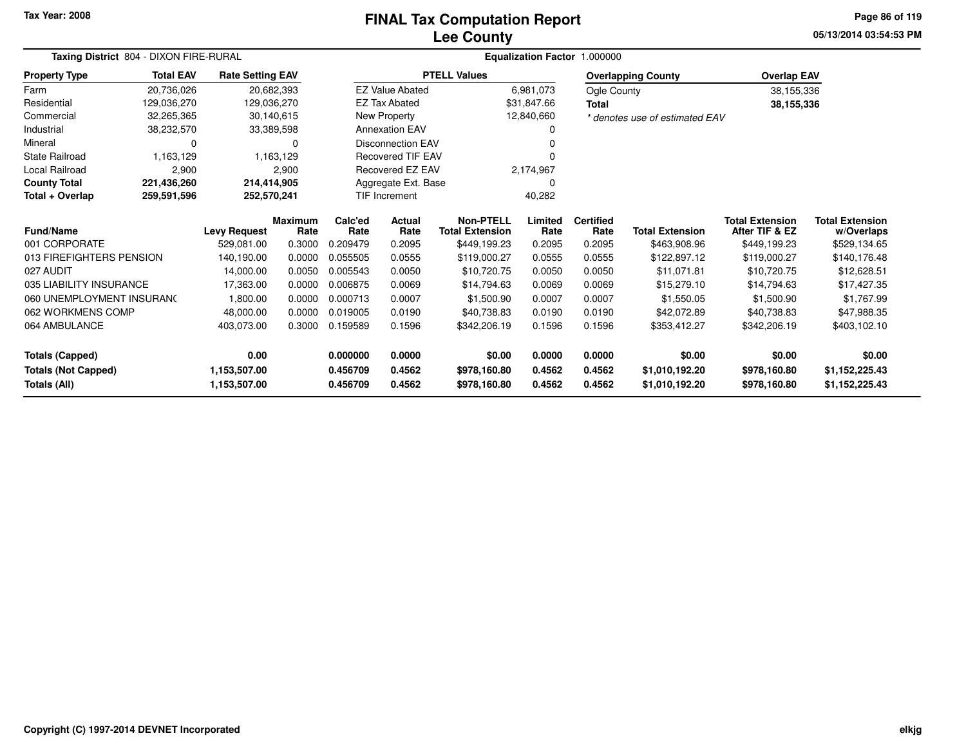## **Lee CountyFINAL Tax Computation Report**

**05/13/2014 03:54:53 PMPage 86 of 119**

|                            | Taxing District 804 - DIXON FIRE-RURAL |                         |                        |                      |                          |                                            | Equalization Factor 1.000000 |                          |                                |                                          |                                      |
|----------------------------|----------------------------------------|-------------------------|------------------------|----------------------|--------------------------|--------------------------------------------|------------------------------|--------------------------|--------------------------------|------------------------------------------|--------------------------------------|
| <b>Property Type</b>       | <b>Total EAV</b>                       | <b>Rate Setting EAV</b> |                        |                      |                          | <b>PTELL Values</b>                        |                              |                          | <b>Overlapping County</b>      | <b>Overlap EAV</b>                       |                                      |
| Farm                       | 20,736,026                             |                         | 20,682,393             |                      | <b>EZ Value Abated</b>   |                                            | 6,981,073                    | Ogle County              |                                | 38,155,336                               |                                      |
| Residential                | 129,036,270                            |                         | 129,036,270            |                      | <b>EZ Tax Abated</b>     |                                            | \$31,847.66                  | Total                    |                                | 38,155,336                               |                                      |
| Commercial                 | 32,265,365                             |                         | 30,140,615             |                      | New Property             |                                            | 12,840,660                   |                          | * denotes use of estimated EAV |                                          |                                      |
| Industrial                 | 38,232,570                             |                         | 33,389,598             |                      | <b>Annexation EAV</b>    |                                            | O                            |                          |                                |                                          |                                      |
| Mineral                    | 0                                      |                         | 0                      |                      | <b>Disconnection EAV</b> |                                            |                              |                          |                                |                                          |                                      |
| State Railroad             | 1,163,129                              |                         | 1,163,129              |                      | <b>Recovered TIF EAV</b> |                                            |                              |                          |                                |                                          |                                      |
| Local Railroad             | 2,900                                  |                         | 2,900                  |                      | Recovered EZ EAV         |                                            | 2,174,967                    |                          |                                |                                          |                                      |
| <b>County Total</b>        | 221,436,260                            | 214,414,905             |                        |                      | Aggregate Ext. Base      |                                            | 0                            |                          |                                |                                          |                                      |
| Total + Overlap            | 259,591,596                            | 252,570,241             |                        | <b>TIF Increment</b> |                          |                                            | 40,282                       |                          |                                |                                          |                                      |
| Fund/Name                  |                                        | <b>Levy Request</b>     | <b>Maximum</b><br>Rate | Calc'ed<br>Rate      | Actual<br>Rate           | <b>Non-PTELL</b><br><b>Total Extension</b> | Limited<br>Rate              | <b>Certified</b><br>Rate | <b>Total Extension</b>         | <b>Total Extension</b><br>After TIF & EZ | <b>Total Extension</b><br>w/Overlaps |
| 001 CORPORATE              |                                        | 529,081.00              | 0.3000                 | 0.209479             | 0.2095                   | \$449,199.23                               | 0.2095                       | 0.2095                   | \$463,908.96                   | \$449,199.23                             | \$529,134.65                         |
| 013 FIREFIGHTERS PENSION   |                                        | 140,190.00              | 0.0000                 | 0.055505             | 0.0555                   | \$119,000.27                               | 0.0555                       | 0.0555                   | \$122,897.12                   | \$119,000.27                             | \$140,176.48                         |
| 027 AUDIT                  |                                        | 14,000.00               | 0.0050                 | 0.005543             | 0.0050                   | \$10,720.75                                | 0.0050                       | 0.0050                   | \$11,071.81                    | \$10,720.75                              | \$12,628.51                          |
| 035 LIABILITY INSURANCE    |                                        | 17,363.00               | 0.0000                 | 0.006875             | 0.0069                   | \$14,794.63                                | 0.0069                       | 0.0069                   | \$15,279.10                    | \$14,794.63                              | \$17,427.35                          |
| 060 UNEMPLOYMENT INSURANC  |                                        | 1,800.00                | 0.0000                 | 0.000713             | 0.0007                   | \$1,500.90                                 | 0.0007                       | 0.0007                   | \$1,550.05                     | \$1,500.90                               | \$1,767.99                           |
| 062 WORKMENS COMP          |                                        | 48,000.00               | 0.0000                 | 0.019005             | 0.0190                   | \$40,738.83                                | 0.0190                       | 0.0190                   | \$42,072.89                    | \$40,738.83                              | \$47,988.35                          |
| 064 AMBULANCE              |                                        | 403,073.00              | 0.3000                 | 0.159589             | 0.1596                   |                                            | 0.1596                       | 0.1596                   | \$353,412.27                   | \$342,206.19                             | \$403,102.10                         |
| <b>Totals (Capped)</b>     |                                        | 0.00                    |                        | 0.000000             | 0.0000                   | \$0.00                                     | 0.0000                       | 0.0000                   | \$0.00                         | \$0.00                                   | \$0.00                               |
| <b>Totals (Not Capped)</b> |                                        | 1,153,507.00            |                        | 0.456709             | 0.4562                   | \$978,160.80                               | 0.4562                       | 0.4562                   | \$1,010,192.20                 | \$978,160.80                             | \$1,152,225.43                       |
| Totals (All)               |                                        | 1,153,507.00            |                        | 0.456709             | 0.4562                   | \$978,160.80                               | 0.4562                       | 0.4562                   | \$1,010,192.20                 | \$978,160.80                             | \$1,152,225.43                       |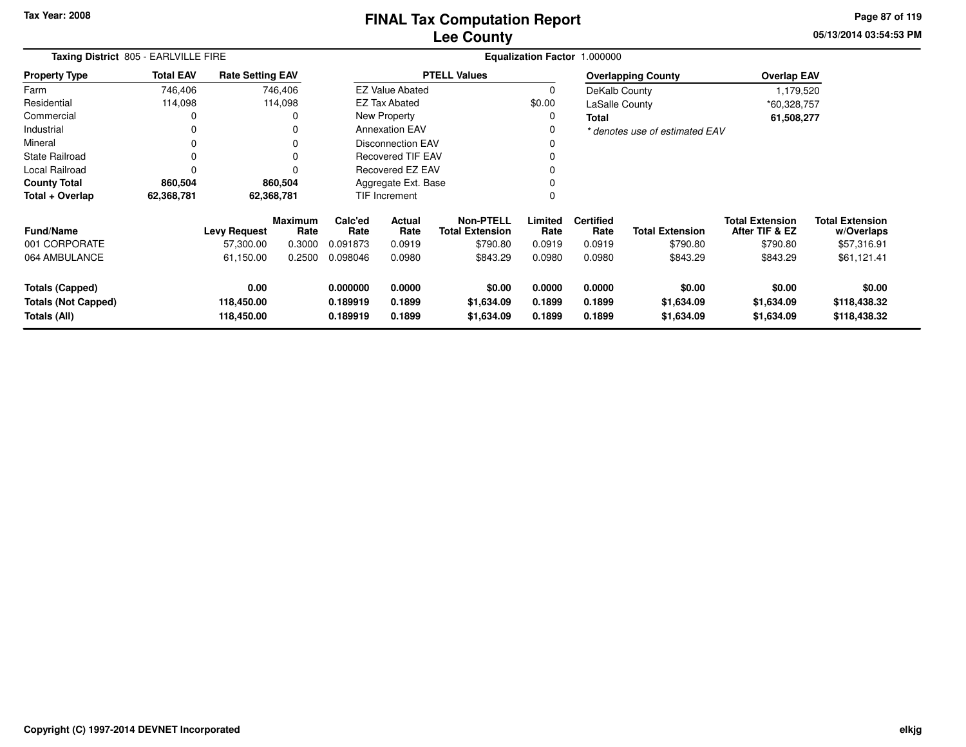**05/13/2014 03:54:53 PM Page 87 of 119**

|                                                                      | Taxing District 805 - EARLVILLE FIRE |                                  |                        |                                                                                                      |                                                                     |                     |                            | Equalization Factor 1.000000 |                                    |                                          |                                        |
|----------------------------------------------------------------------|--------------------------------------|----------------------------------|------------------------|------------------------------------------------------------------------------------------------------|---------------------------------------------------------------------|---------------------|----------------------------|------------------------------|------------------------------------|------------------------------------------|----------------------------------------|
| <b>Property Type</b>                                                 | <b>Total EAV</b>                     | <b>Rate Setting EAV</b>          |                        |                                                                                                      |                                                                     | <b>PTELL Values</b> |                            |                              | <b>Overlapping County</b>          | <b>Overlap EAV</b>                       |                                        |
| Farm                                                                 | 746,406                              |                                  | 746,406                |                                                                                                      | <b>EZ Value Abated</b>                                              |                     | 0                          | DeKalb County                |                                    | 1,179,520                                |                                        |
| Residential                                                          | 114,098                              |                                  | 114,098                |                                                                                                      | EZ Tax Abated                                                       |                     | \$0.00                     | LaSalle County               |                                    | *60,328,757                              |                                        |
| Commercial                                                           |                                      |                                  |                        |                                                                                                      | New Property                                                        |                     | 0                          | Total                        |                                    | 61,508,277                               |                                        |
| Industrial                                                           | 0                                    |                                  |                        |                                                                                                      | <b>Annexation EAV</b>                                               |                     | 0                          |                              | * denotes use of estimated EAV     |                                          |                                        |
| Mineral                                                              | 0                                    |                                  | 0                      |                                                                                                      | <b>Disconnection EAV</b>                                            |                     |                            |                              |                                    |                                          |                                        |
| <b>State Railroad</b>                                                | 0                                    |                                  |                        |                                                                                                      | <b>Recovered TIF EAV</b>                                            |                     |                            |                              |                                    |                                          |                                        |
| <b>Local Railroad</b>                                                | 0                                    |                                  |                        |                                                                                                      | <b>Recovered EZ EAV</b>                                             |                     | 0                          |                              |                                    |                                          |                                        |
| <b>County Total</b>                                                  | 860,504                              |                                  | 860,504                | Aggregate Ext. Base                                                                                  |                                                                     |                     | 0                          |                              |                                    |                                          |                                        |
| Total + Overlap                                                      | 62,368,781                           |                                  | 62,368,781             |                                                                                                      | <b>TIF Increment</b>                                                |                     | 0                          |                              |                                    |                                          |                                        |
| <b>Fund/Name</b>                                                     |                                      | <b>Levy Request</b>              | <b>Maximum</b><br>Rate | Calc'ed<br>Rate                                                                                      | <b>Non-PTELL</b><br><b>Actual</b><br>Rate<br><b>Total Extension</b> |                     | Limited<br>Rate            | <b>Certified</b><br>Rate     | <b>Total Extension</b>             | <b>Total Extension</b><br>After TIF & EZ | <b>Total Extension</b><br>w/Overlaps   |
| 001 CORPORATE                                                        |                                      | 57,300.00                        | 0.3000                 | 0.091873                                                                                             | 0.0919                                                              | \$790.80            | 0.0919                     | 0.0919                       | \$790.80                           | \$790.80                                 | \$57,316.91                            |
| 064 AMBULANCE                                                        |                                      | 61,150.00                        | 0.2500                 | 0.098046                                                                                             | 0.0980                                                              | \$843.29            | 0.0980                     | 0.0980                       | \$843.29                           | \$843.29                                 | \$61,121.41                            |
| <b>Totals (Capped)</b><br><b>Totals (Not Capped)</b><br>Totals (All) |                                      | 0.00<br>118,450.00<br>118,450.00 |                        | 0.000000<br>0.0000<br>\$0.00<br>0.189919<br>0.1899<br>\$1,634.09<br>0.1899<br>0.189919<br>\$1,634.09 |                                                                     |                     | 0.0000<br>0.1899<br>0.1899 | 0.0000<br>0.1899<br>0.1899   | \$0.00<br>\$1,634.09<br>\$1,634.09 | \$0.00<br>\$1,634.09<br>\$1,634.09       | \$0.00<br>\$118,438.32<br>\$118,438.32 |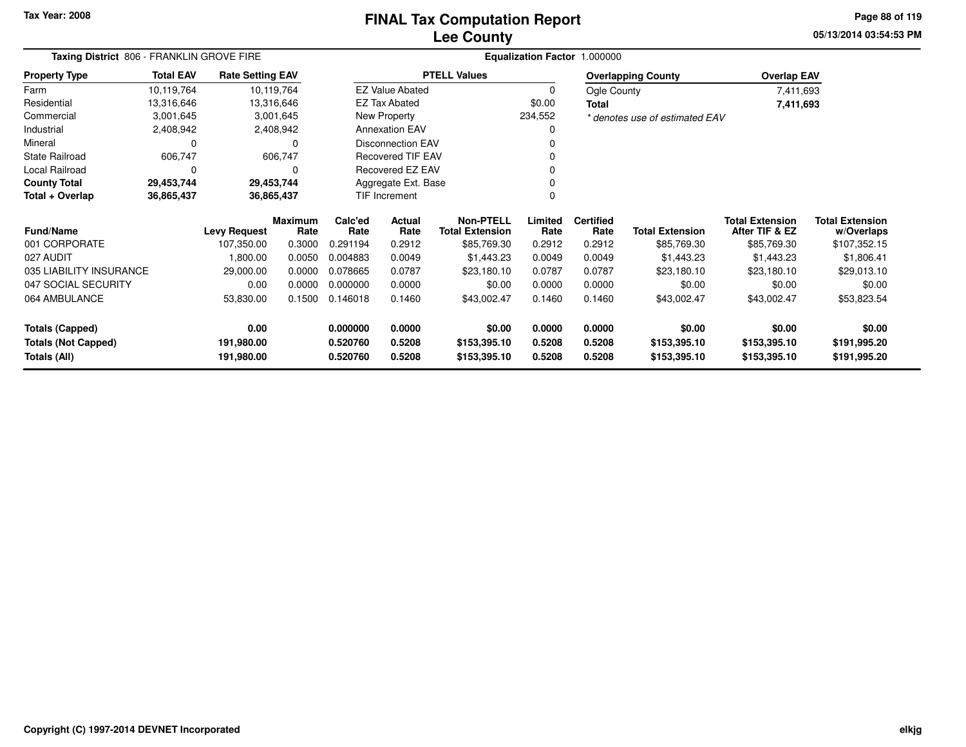# **Lee CountyFINAL Tax Computation Report**

**05/13/2014 03:54:53 PM Page 88 of 119**

| Taxing District 806 - FRANKLIN GROVE FIRE |                                        |                         |                        |                 | Equalization Factor 1.000000 |                                            |                 |                          |                                |                                          |                                      |
|-------------------------------------------|----------------------------------------|-------------------------|------------------------|-----------------|------------------------------|--------------------------------------------|-----------------|--------------------------|--------------------------------|------------------------------------------|--------------------------------------|
| <b>Property Type</b>                      | <b>Total EAV</b>                       | <b>Rate Setting EAV</b> |                        |                 |                              | <b>PTELL Values</b>                        |                 |                          | <b>Overlapping County</b>      | <b>Overlap EAV</b>                       |                                      |
| Farm                                      | 10,119,764                             |                         | 10,119,764             |                 | <b>EZ Value Abated</b>       |                                            | $\Omega$        | Ogle County              |                                | 7,411,693                                |                                      |
| Residential                               | 13,316,646                             |                         | 13,316,646             |                 | <b>EZ Tax Abated</b>         |                                            | \$0.00          | Total                    |                                | 7,411,693                                |                                      |
| Commercial                                | 3,001,645                              |                         | 3,001,645              |                 | New Property                 |                                            | 234,552         |                          | * denotes use of estimated EAV |                                          |                                      |
| Industrial                                | 2,408,942                              |                         | 2,408,942              |                 | <b>Annexation EAV</b>        |                                            | 0               |                          |                                |                                          |                                      |
| Mineral                                   | $\Omega$                               |                         | 0                      |                 | <b>Disconnection EAV</b>     |                                            |                 |                          |                                |                                          |                                      |
| <b>State Railroad</b>                     | 606,747                                |                         | 606,747                |                 | Recovered TIF EAV            |                                            | $\Omega$        |                          |                                |                                          |                                      |
| Local Railroad                            | $\mathbf 0$                            |                         | 0                      |                 | Recovered EZ EAV             |                                            | $\Omega$        |                          |                                |                                          |                                      |
| <b>County Total</b>                       | 29,453,744<br>29,453,744<br>36,865,437 |                         |                        |                 | Aggregate Ext. Base          |                                            |                 |                          |                                |                                          |                                      |
| Total + Overlap                           | 36,865,437                             |                         |                        |                 | TIF Increment                |                                            | $\Omega$        |                          |                                |                                          |                                      |
| <b>Fund/Name</b>                          |                                        | <b>Levy Request</b>     | <b>Maximum</b><br>Rate | Calc'ed<br>Rate | Actual<br>Rate               | <b>Non-PTELL</b><br><b>Total Extension</b> | Limited<br>Rate | <b>Certified</b><br>Rate | <b>Total Extension</b>         | <b>Total Extension</b><br>After TIF & EZ | <b>Total Extension</b><br>w/Overlaps |
| 001 CORPORATE                             |                                        | 107,350.00              | 0.3000                 | 0.291194        | 0.2912                       | \$85,769.30                                | 0.2912          | 0.2912                   | \$85,769.30                    | \$85,769.30                              | \$107,352.15                         |
| 027 AUDIT                                 |                                        | 1,800.00                | 0.0050                 | 0.004883        | 0.0049                       | \$1,443.23                                 | 0.0049          | 0.0049                   | \$1,443.23                     | \$1,443.23                               | \$1,806.41                           |
| 035 LIABILITY INSURANCE                   |                                        | 29,000.00               | 0.0000                 | 0.078665        | 0.0787                       | \$23,180.10                                | 0.0787          | 0.0787                   | \$23,180.10                    | \$23,180.10                              | \$29,013.10                          |
| 047 SOCIAL SECURITY                       |                                        | 0.00                    | 0.0000                 | 0.000000        | 0.0000                       | \$0.00                                     | 0.0000          | 0.0000                   | \$0.00                         | \$0.00                                   | \$0.00                               |
| 064 AMBULANCE                             |                                        | 53,830.00               | 0.1500                 | 0.146018        | 0.1460                       | \$43,002.47                                | 0.1460          | 0.1460                   | \$43,002.47                    | \$43,002.47                              | \$53,823.54                          |
| <b>Totals (Capped)</b>                    |                                        | 0.00                    |                        | 0.000000        | 0.0000                       | \$0.00                                     | 0.0000          | 0.0000                   | \$0.00                         | \$0.00                                   | \$0.00                               |
| <b>Totals (Not Capped)</b>                |                                        | 191,980.00              |                        | 0.520760        | 0.5208                       | \$153,395.10                               | 0.5208          | 0.5208                   | \$153,395.10                   | \$153,395.10                             | \$191,995.20                         |
| Totals (All)                              |                                        | 191,980.00              |                        | 0.520760        | 0.5208                       | \$153,395.10                               | 0.5208          | 0.5208                   | \$153,395.10                   | \$153,395.10                             | \$191,995.20                         |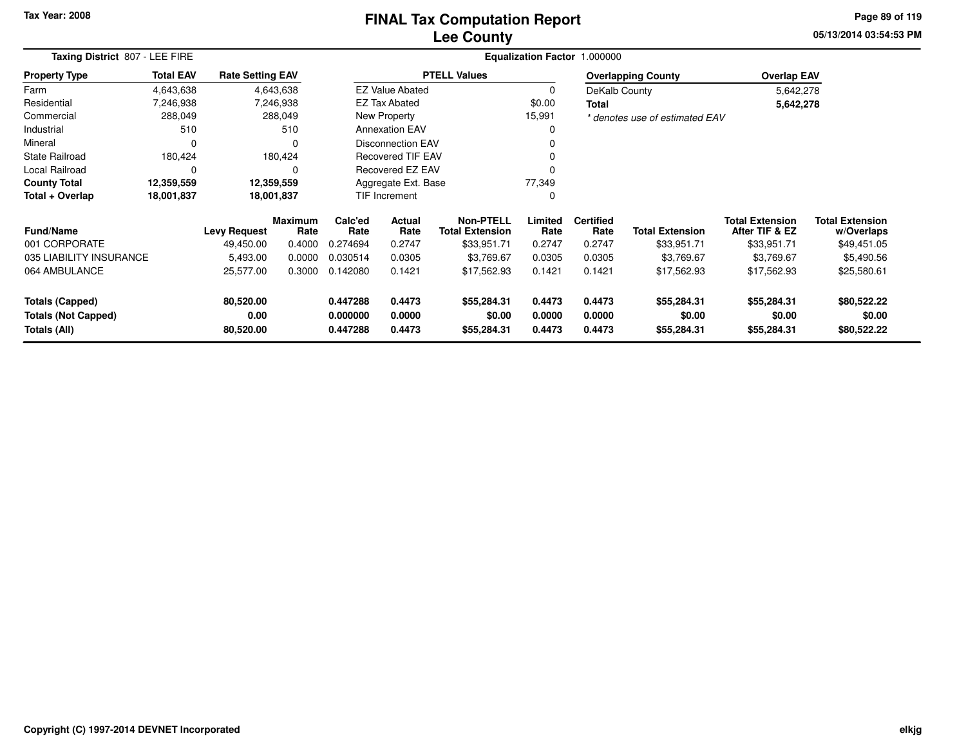## **Lee CountyFINAL Tax Computation Report**

**05/13/2014 03:54:53 PM Page 89 of 119**

|                                            | Taxing District 807 - LEE FIRE |                         |                        |                      |                          |                                            |                  | Equalization Factor 1.000000 |                                |                                          |                                      |
|--------------------------------------------|--------------------------------|-------------------------|------------------------|----------------------|--------------------------|--------------------------------------------|------------------|------------------------------|--------------------------------|------------------------------------------|--------------------------------------|
| <b>Property Type</b>                       | <b>Total EAV</b>               | <b>Rate Setting EAV</b> |                        |                      |                          | <b>PTELL Values</b>                        |                  |                              | <b>Overlapping County</b>      | <b>Overlap EAV</b>                       |                                      |
| Farm                                       | 4,643,638                      |                         | 4,643,638              |                      | <b>EZ Value Abated</b>   |                                            | $\Omega$         | DeKalb County                |                                | 5,642,278                                |                                      |
| Residential                                | 7,246,938                      |                         | 7,246,938              |                      | <b>EZ Tax Abated</b>     |                                            | \$0.00           | <b>Total</b>                 |                                | 5,642,278                                |                                      |
| Commercial                                 | 288,049                        |                         | 288,049                |                      | New Property             |                                            | 15,991           |                              | * denotes use of estimated EAV |                                          |                                      |
| Industrial                                 | 510                            |                         | 510                    |                      | <b>Annexation EAV</b>    |                                            | 0                |                              |                                |                                          |                                      |
| Mineral                                    | 0                              |                         | $\Omega$               |                      | <b>Disconnection EAV</b> |                                            |                  |                              |                                |                                          |                                      |
| <b>State Railroad</b>                      | 180,424                        |                         | 180,424                |                      | <b>Recovered TIF EAV</b> |                                            | 0                |                              |                                |                                          |                                      |
| Local Railroad                             | 0                              |                         | 0                      |                      | Recovered EZ EAV         |                                            | 0                |                              |                                |                                          |                                      |
| <b>County Total</b>                        | 12,359,559                     |                         | 12,359,559             |                      | Aggregate Ext. Base      |                                            | 77,349           |                              |                                |                                          |                                      |
| Total + Overlap                            | 18,001,837                     |                         | 18,001,837             |                      | TIF Increment            |                                            | 0                |                              |                                |                                          |                                      |
| <b>Fund/Name</b>                           |                                | <b>Levy Request</b>     | <b>Maximum</b><br>Rate | Calc'ed<br>Rate      | Actual<br>Rate           | <b>Non-PTELL</b><br><b>Total Extension</b> | Limited<br>Rate  | <b>Certified</b><br>Rate     | <b>Total Extension</b>         | <b>Total Extension</b><br>After TIF & EZ | <b>Total Extension</b><br>w/Overlaps |
| 001 CORPORATE                              |                                | 49,450.00               | 0.4000                 | 0.274694             | 0.2747                   | \$33,951.71                                | 0.2747           | 0.2747                       | \$33,951.71                    | \$33,951.71                              | \$49,451.05                          |
| 035 LIABILITY INSURANCE                    |                                | 5,493.00                | 0.0000                 | 0.030514             | 0.0305                   | \$3,769.67                                 | 0.0305           | 0.0305                       | \$3,769.67                     | \$3,769.67                               | \$5,490.56                           |
| 064 AMBULANCE                              |                                | 25,577.00               | 0.3000                 | 0.142080             | 0.1421                   | \$17,562.93                                | 0.1421           | 0.1421                       | \$17,562.93                    | \$17,562.93                              | \$25,580.61                          |
| <b>Totals (Capped)</b>                     |                                | 80,520.00               |                        | 0.447288             | 0.4473                   | \$55,284.31                                | 0.4473           | 0.4473                       | \$55,284.31                    | \$55,284.31                              | \$80,522.22                          |
| <b>Totals (Not Capped)</b><br>Totals (All) |                                | 0.00<br>80,520.00       |                        | 0.000000<br>0.447288 | 0.0000<br>0.4473         | \$0.00<br>\$55,284.31                      | 0.0000<br>0.4473 | 0.0000<br>0.4473             | \$0.00<br>\$55,284.31          | \$0.00<br>\$55,284.31                    | \$0.00<br>\$80,522.22                |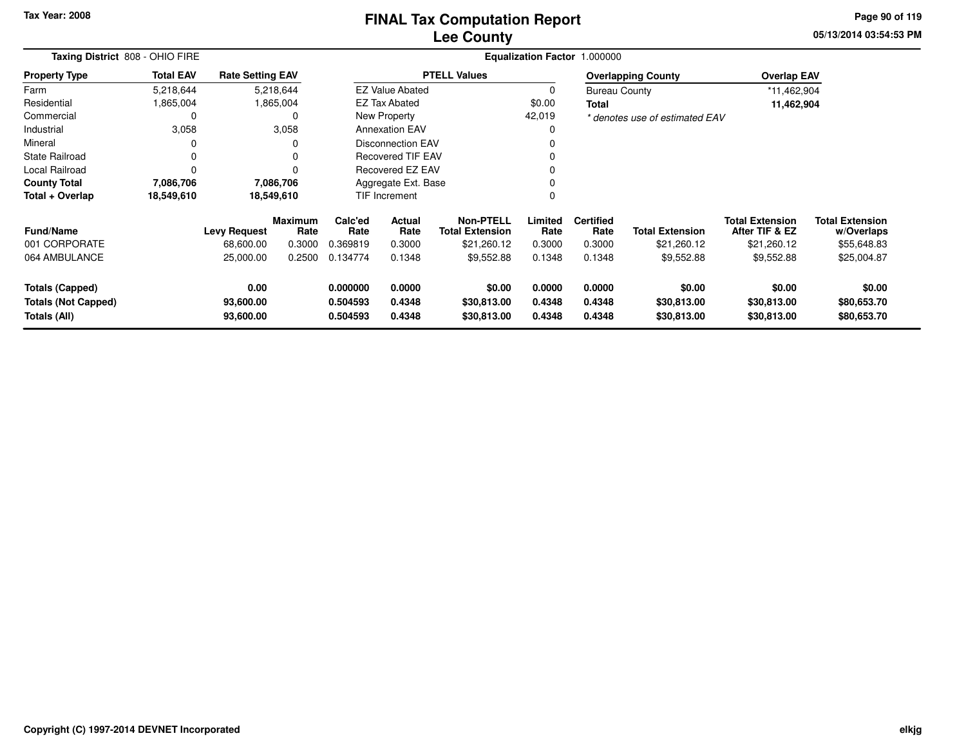## **Lee CountyFINAL Tax Computation Report**

**05/13/2014 03:54:53 PM Page 90 of 119**

| Taxing District 808 - OHIO FIRE                               |                  |                                |                        |                                  |                            |                                            |                            | Equalization Factor 1.000000 |                                      |                                          |                                      |  |
|---------------------------------------------------------------|------------------|--------------------------------|------------------------|----------------------------------|----------------------------|--------------------------------------------|----------------------------|------------------------------|--------------------------------------|------------------------------------------|--------------------------------------|--|
| <b>Property Type</b>                                          | <b>Total EAV</b> | <b>Rate Setting EAV</b>        |                        |                                  |                            | <b>PTELL Values</b>                        |                            |                              | <b>Overlapping County</b>            | <b>Overlap EAV</b>                       |                                      |  |
| Farm                                                          | 5,218,644        |                                | 5,218,644              |                                  | <b>EZ Value Abated</b>     |                                            | 0                          | <b>Bureau County</b>         |                                      | *11,462,904                              |                                      |  |
| Residential                                                   | 1,865,004        |                                | 1,865,004              |                                  | <b>EZ Tax Abated</b>       |                                            | \$0.00                     | Total                        |                                      | 11,462,904                               |                                      |  |
| Commercial                                                    |                  |                                | $\Omega$               |                                  | New Property               |                                            | 42,019                     |                              | * denotes use of estimated EAV       |                                          |                                      |  |
| Industrial                                                    | 3,058            |                                | 3,058                  |                                  | <b>Annexation EAV</b>      |                                            | 0                          |                              |                                      |                                          |                                      |  |
| Mineral                                                       |                  |                                |                        |                                  | <b>Disconnection EAV</b>   |                                            | $\Omega$                   |                              |                                      |                                          |                                      |  |
| <b>State Railroad</b>                                         | 0                |                                | $\Omega$               |                                  | <b>Recovered TIF EAV</b>   |                                            | $\Omega$                   |                              |                                      |                                          |                                      |  |
| Local Railroad                                                |                  |                                |                        |                                  | <b>Recovered EZ EAV</b>    |                                            | $\Omega$                   |                              |                                      |                                          |                                      |  |
| <b>County Total</b>                                           | 7,086,706        |                                | 7,086,706              |                                  | Aggregate Ext. Base        |                                            | 0                          |                              |                                      |                                          |                                      |  |
| Total + Overlap                                               | 18,549,610       | 18,549,610                     |                        |                                  | TIF Increment              |                                            | 0                          |                              |                                      |                                          |                                      |  |
| <b>Fund/Name</b>                                              |                  | <b>Levy Request</b>            | <b>Maximum</b><br>Rate | Calc'ed<br>Rate                  | <b>Actual</b><br>Rate      | <b>Non-PTELL</b><br><b>Total Extension</b> | Limited<br>Rate            | <b>Certified</b><br>Rate     | <b>Total Extension</b>               | <b>Total Extension</b><br>After TIF & EZ | <b>Total Extension</b><br>w/Overlaps |  |
| 001 CORPORATE                                                 |                  | 68,600.00                      | 0.3000                 | 0.369819                         | 0.3000                     | \$21,260.12                                | 0.3000                     | 0.3000                       | \$21,260.12                          | \$21,260.12                              | \$55,648.83                          |  |
| 064 AMBULANCE                                                 |                  | 25,000.00                      | 0.2500                 | 0.134774                         | 0.1348                     | \$9,552.88                                 | 0.1348                     | 0.1348                       | \$9,552.88                           | \$9,552.88                               | \$25,004.87                          |  |
| Totals (Capped)<br><b>Totals (Not Capped)</b><br>Totals (All) |                  | 0.00<br>93,600.00<br>93,600.00 |                        | 0.000000<br>0.504593<br>0.504593 | 0.0000<br>0.4348<br>0.4348 | \$0.00<br>\$30,813.00<br>\$30,813.00       | 0.0000<br>0.4348<br>0.4348 | 0.0000<br>0.4348<br>0.4348   | \$0.00<br>\$30,813.00<br>\$30,813.00 | \$0.00<br>\$30,813.00<br>\$30,813.00     | \$0.00<br>\$80,653.70<br>\$80,653.70 |  |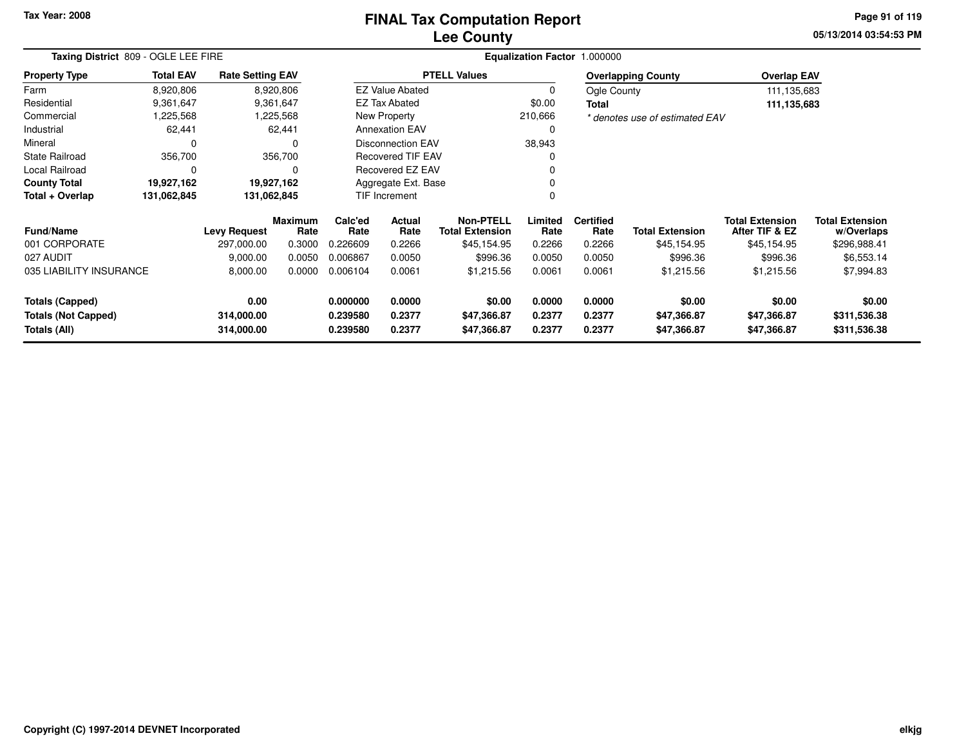# **Lee CountyFINAL Tax Computation Report**

**05/13/2014 03:54:53 PM Page 91 of 119**

| Taxing District 809 - OGLE LEE FIRE        |                  |                          |                        |                      |                                                              |                            |                  | Equalization Factor 1.000000 |                                |                                          |                                      |
|--------------------------------------------|------------------|--------------------------|------------------------|----------------------|--------------------------------------------------------------|----------------------------|------------------|------------------------------|--------------------------------|------------------------------------------|--------------------------------------|
| <b>Property Type</b>                       | <b>Total EAV</b> | <b>Rate Setting EAV</b>  |                        |                      |                                                              | <b>PTELL Values</b>        |                  |                              | <b>Overlapping County</b>      | <b>Overlap EAV</b>                       |                                      |
| Farm                                       | 8,920,806        |                          | 8,920,806              |                      | <b>EZ Value Abated</b>                                       |                            | $\Omega$         | Ogle County                  |                                | 111,135,683                              |                                      |
| Residential                                | 9,361,647        |                          | 9,361,647              |                      | <b>EZ Tax Abated</b>                                         |                            | \$0.00           | <b>Total</b>                 |                                | 111,135,683                              |                                      |
| Commercial                                 | 1,225,568        |                          | 1,225,568              |                      | New Property                                                 |                            | 210,666          |                              | * denotes use of estimated EAV |                                          |                                      |
| Industrial                                 | 62,441           |                          | 62,441                 |                      | <b>Annexation EAV</b>                                        |                            | 0                |                              |                                |                                          |                                      |
| Mineral                                    | 0                |                          |                        |                      | <b>Disconnection EAV</b>                                     |                            | 38,943           |                              |                                |                                          |                                      |
| <b>State Railroad</b>                      | 356,700          |                          | 356,700                |                      | <b>Recovered TIF EAV</b>                                     |                            |                  |                              |                                |                                          |                                      |
| Local Railroad                             | 0                |                          | $\Omega$               |                      | Recovered EZ EAV                                             |                            |                  |                              |                                |                                          |                                      |
| <b>County Total</b>                        | 19,927,162       |                          | 19,927,162             |                      | Aggregate Ext. Base                                          |                            |                  |                              |                                |                                          |                                      |
| Total + Overlap                            | 131,062,845      | 131,062,845              |                        |                      | TIF Increment                                                |                            | O                |                              |                                |                                          |                                      |
| <b>Fund/Name</b>                           |                  | <b>Levy Request</b>      | <b>Maximum</b><br>Rate | Calc'ed<br>Rate      | <b>Non-PTELL</b><br>Actual<br><b>Total Extension</b><br>Rate |                            | Limited<br>Rate  | <b>Certified</b><br>Rate     | <b>Total Extension</b>         | <b>Total Extension</b><br>After TIF & EZ | <b>Total Extension</b><br>w/Overlaps |
| 001 CORPORATE                              |                  | 297,000.00               | 0.3000                 | 0.226609             | 0.2266                                                       | \$45,154.95                | 0.2266           | 0.2266                       | \$45,154.95                    | \$45,154.95                              | \$296,988.41                         |
| 027 AUDIT                                  |                  | 9,000.00                 | 0.0050                 | 0.006867             | 0.0050                                                       | \$996.36                   | 0.0050           | 0.0050                       | \$996.36                       | \$996.36                                 | \$6,553.14                           |
| 035 LIABILITY INSURANCE                    |                  | 8,000.00                 | 0.0000                 | 0.006104             | 0.0061                                                       | \$1,215.56                 | 0.0061           | 0.0061                       | \$1,215.56                     | \$1,215.56                               | \$7,994.83                           |
| <b>Totals (Capped)</b>                     |                  | 0.00                     |                        | 0.000000<br>0.0000   |                                                              | \$0.00                     | 0.0000           | 0.0000                       | \$0.00                         | \$0.00                                   | \$0.00                               |
| <b>Totals (Not Capped)</b><br>Totals (All) |                  | 314,000.00<br>314,000.00 |                        | 0.239580<br>0.239580 | 0.2377<br>0.2377                                             | \$47,366.87<br>\$47,366.87 | 0.2377<br>0.2377 | 0.2377<br>0.2377             | \$47,366.87<br>\$47,366.87     | \$47,366.87<br>\$47,366.87               | \$311,536.38<br>\$311,536.38         |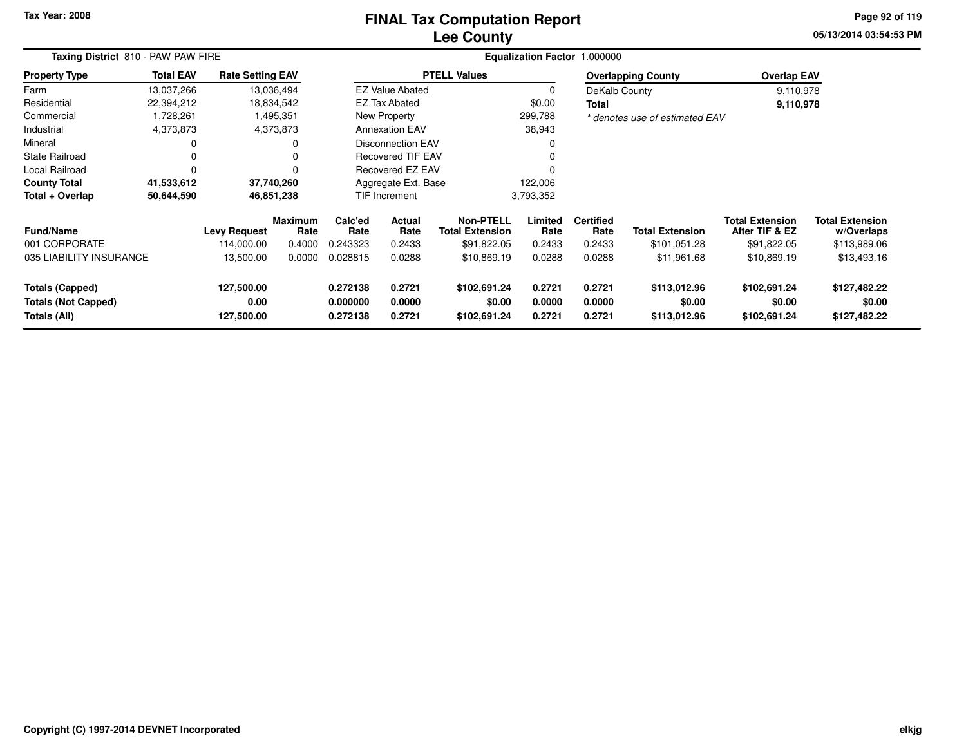# **Lee CountyFINAL Tax Computation Report**

**05/13/2014 03:54:53 PM Page 92 of 119**

|                                                                                                   | Taxing District 810 - PAW PAW FIRE |                         |                                  |                            |                                        |                                            |                            | Equalization Factor 1.000000           |                                        |                                          |                                      |
|---------------------------------------------------------------------------------------------------|------------------------------------|-------------------------|----------------------------------|----------------------------|----------------------------------------|--------------------------------------------|----------------------------|----------------------------------------|----------------------------------------|------------------------------------------|--------------------------------------|
| <b>Property Type</b>                                                                              | <b>Total EAV</b>                   | <b>Rate Setting EAV</b> |                                  |                            |                                        | <b>PTELL Values</b>                        |                            |                                        | <b>Overlapping County</b>              | <b>Overlap EAV</b>                       |                                      |
| Farm                                                                                              | 13,037,266                         |                         | 13,036,494                       |                            | <b>EZ Value Abated</b>                 |                                            |                            | DeKalb County                          |                                        | 9,110,978                                |                                      |
| Residential                                                                                       | 22,394,212                         |                         | 18,834,542                       |                            | <b>EZ Tax Abated</b>                   |                                            | \$0.00                     | Total                                  |                                        | 9,110,978                                |                                      |
| Commercial                                                                                        | 1,728,261                          |                         | 1,495,351                        |                            | New Property                           |                                            | 299,788                    |                                        | * denotes use of estimated EAV         |                                          |                                      |
| Industrial                                                                                        | 4,373,873                          |                         | 4,373,873                        |                            | <b>Annexation EAV</b>                  |                                            | 38,943                     |                                        |                                        |                                          |                                      |
| Mineral                                                                                           | 0                                  |                         |                                  |                            | <b>Disconnection EAV</b>               |                                            |                            |                                        |                                        |                                          |                                      |
| <b>State Railroad</b>                                                                             | 0                                  |                         |                                  |                            | <b>Recovered TIF EAV</b>               |                                            |                            |                                        |                                        |                                          |                                      |
| Local Railroad                                                                                    | 0                                  |                         |                                  |                            | Recovered EZ EAV                       |                                            |                            |                                        |                                        |                                          |                                      |
| <b>County Total</b>                                                                               | 41,533,612                         |                         | 37,740,260                       |                            | Aggregate Ext. Base                    |                                            | 122,006                    |                                        |                                        |                                          |                                      |
| Total + Overlap                                                                                   | 50,644,590                         |                         | 46,851,238                       |                            | <b>TIF Increment</b>                   |                                            | 3,793,352                  |                                        |                                        |                                          |                                      |
| <b>Fund/Name</b>                                                                                  |                                    | <b>Levy Request</b>     | <b>Maximum</b><br>Rate           | Calc'ed<br>Rate            | Actual<br>Rate                         | <b>Non-PTELL</b><br><b>Total Extension</b> | Limited<br>Rate            | <b>Certified</b><br>Rate               | <b>Total Extension</b>                 | <b>Total Extension</b><br>After TIF & EZ | <b>Total Extension</b><br>w/Overlaps |
| 001 CORPORATE                                                                                     |                                    | 114.000.00              | 0.4000                           | 0.243323                   | 0.2433                                 | \$91,822.05                                | 0.2433                     | 0.2433                                 | \$101,051.28                           | \$91,822.05                              | \$113,989.06                         |
| 035 LIABILITY INSURANCE                                                                           |                                    | 13,500.00               | 0.0000                           | 0.028815                   | 0.0288                                 | \$10,869.19                                | 0.0288                     | 0.0288                                 | \$11,961.68                            | \$10,869.19                              | \$13,493.16                          |
| Totals (Capped)<br>127,500.00<br><b>Totals (Not Capped)</b><br>0.00<br>Totals (All)<br>127,500.00 |                                    |                         | 0.272138<br>0.000000<br>0.272138 | 0.2721<br>0.0000<br>0.2721 | \$102,691.24<br>\$0.00<br>\$102,691.24 | 0.2721<br>0.0000<br>0.2721                 | 0.2721<br>0.0000<br>0.2721 | \$113,012.96<br>\$0.00<br>\$113,012.96 | \$102,691.24<br>\$0.00<br>\$102,691.24 | \$127,482.22<br>\$0.00<br>\$127,482.22   |                                      |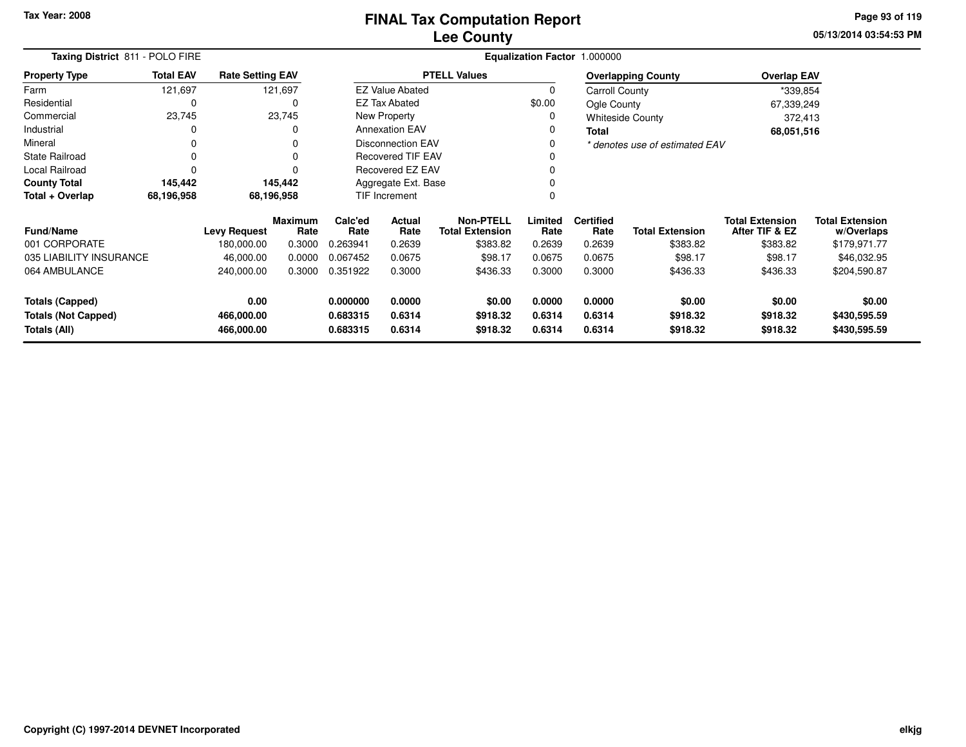**05/13/2014 03:54:53 PM Page 93 of 119**

|                                            | Taxing District 811 - POLO FIRE |                          |                        |                      |                          |                                            |                  | Equalization Factor 1.000000 |                                |                                          |                                      |
|--------------------------------------------|---------------------------------|--------------------------|------------------------|----------------------|--------------------------|--------------------------------------------|------------------|------------------------------|--------------------------------|------------------------------------------|--------------------------------------|
| <b>Property Type</b>                       | <b>Total EAV</b>                | <b>Rate Setting EAV</b>  |                        |                      |                          | <b>PTELL Values</b>                        |                  |                              | <b>Overlapping County</b>      | <b>Overlap EAV</b>                       |                                      |
| Farm                                       | 121,697                         |                          | 121,697                |                      | <b>EZ Value Abated</b>   |                                            | $\Omega$         | Carroll County               |                                | *339,854                                 |                                      |
| Residential                                | 0                               |                          | 0                      |                      | <b>EZ Tax Abated</b>     |                                            | \$0.00           | Ogle County                  |                                | 67,339,249                               |                                      |
| Commercial                                 | 23,745                          |                          | 23,745                 |                      | New Property             |                                            | 0                |                              | <b>Whiteside County</b>        | 372,413                                  |                                      |
| Industrial                                 | 0                               |                          |                        |                      | <b>Annexation EAV</b>    |                                            | 0                | <b>Total</b>                 |                                | 68,051,516                               |                                      |
| Mineral                                    | 0                               |                          |                        |                      | <b>Disconnection EAV</b> |                                            | 0                |                              | * denotes use of estimated EAV |                                          |                                      |
| <b>State Railroad</b>                      | 0                               |                          |                        |                      | Recovered TIF EAV        |                                            |                  |                              |                                |                                          |                                      |
| Local Railroad                             | 0                               |                          |                        |                      | <b>Recovered EZ EAV</b>  |                                            |                  |                              |                                |                                          |                                      |
| <b>County Total</b>                        | 145,442                         |                          | 145,442                |                      | Aggregate Ext. Base      |                                            |                  |                              |                                |                                          |                                      |
| Total + Overlap                            | 68,196,958                      |                          | 68,196,958             |                      | <b>TIF Increment</b>     |                                            |                  |                              |                                |                                          |                                      |
| <b>Fund/Name</b>                           |                                 | <b>Levy Request</b>      | <b>Maximum</b><br>Rate | Calc'ed<br>Rate      | Actual<br>Rate           | <b>Non-PTELL</b><br><b>Total Extension</b> | Limited<br>Rate  | <b>Certified</b><br>Rate     | <b>Total Extension</b>         | <b>Total Extension</b><br>After TIF & EZ | <b>Total Extension</b><br>w/Overlaps |
| 001 CORPORATE                              |                                 | 180,000.00               | 0.3000                 | 0.263941             | 0.2639                   | \$383.82                                   | 0.2639           | 0.2639                       | \$383.82                       | \$383.82                                 | \$179,971.77                         |
| 035 LIABILITY INSURANCE                    |                                 | 46,000.00                | 0.0000                 | 0.067452             | 0.0675                   | \$98.17                                    | 0.0675           | 0.0675                       | \$98.17                        | \$98.17                                  | \$46,032.95                          |
| 064 AMBULANCE                              |                                 | 240,000.00<br>0.3000     |                        | 0.351922             | 0.3000                   | \$436.33                                   | 0.3000           | 0.3000                       | \$436.33                       | \$436.33                                 | \$204,590.87                         |
| <b>Totals (Capped)</b>                     |                                 | 0.00                     |                        | 0.000000             | 0.0000                   | \$0.00                                     | 0.0000           | 0.0000                       | \$0.00                         | \$0.00                                   | \$0.00                               |
| <b>Totals (Not Capped)</b><br>Totals (All) |                                 | 466,000.00<br>466,000.00 |                        | 0.683315<br>0.683315 | 0.6314<br>0.6314         | \$918.32<br>\$918.32                       | 0.6314<br>0.6314 | 0.6314<br>0.6314             | \$918.32<br>\$918.32           | \$918.32<br>\$918.32                     | \$430,595.59<br>\$430,595.59         |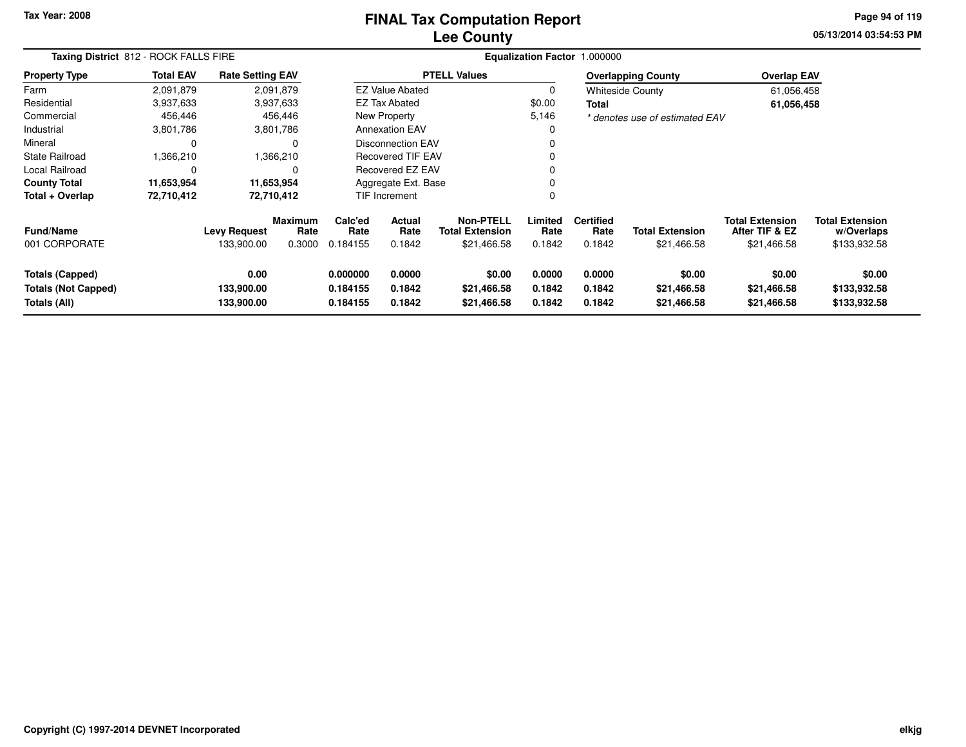## **Lee CountyFINAL Tax Computation Report**

**05/13/2014 03:54:53 PM Page 94 of 119**

|                                                                      | Taxing District 812 - ROCK FALLS FIRE |                                   |                                  |                                  |                                                    |                     |                            | Equalization Factor 1.000000       |                                       |                                                         |                                                      |  |
|----------------------------------------------------------------------|---------------------------------------|-----------------------------------|----------------------------------|----------------------------------|----------------------------------------------------|---------------------|----------------------------|------------------------------------|---------------------------------------|---------------------------------------------------------|------------------------------------------------------|--|
| <b>Property Type</b>                                                 | <b>Total EAV</b>                      | <b>Rate Setting EAV</b>           |                                  |                                  |                                                    | <b>PTELL Values</b> |                            |                                    | <b>Overlapping County</b>             | <b>Overlap EAV</b>                                      |                                                      |  |
| Farm                                                                 | 2,091,879                             |                                   | 2,091,879                        |                                  | <b>EZ Value Abated</b>                             |                     | 0                          |                                    | <b>Whiteside County</b>               | 61,056,458                                              |                                                      |  |
| Residential                                                          | 3,937,633                             |                                   | 3,937,633                        |                                  | <b>EZ Tax Abated</b>                               |                     | \$0.00                     | Total                              |                                       | 61,056,458                                              |                                                      |  |
| Commercial                                                           | 456,446                               |                                   | 456,446                          |                                  | New Property                                       |                     | 5,146                      |                                    | * denotes use of estimated EAV        |                                                         |                                                      |  |
| Industrial                                                           | 3,801,786                             |                                   | 3,801,786                        |                                  | <b>Annexation EAV</b>                              |                     | 0                          |                                    |                                       |                                                         |                                                      |  |
| Mineral                                                              |                                       |                                   |                                  |                                  | Disconnection EAV                                  |                     | $\Omega$                   |                                    |                                       |                                                         |                                                      |  |
| State Railroad                                                       | 1,366,210                             |                                   | 1,366,210                        |                                  | <b>Recovered TIF EAV</b>                           |                     | 0                          |                                    |                                       |                                                         |                                                      |  |
| Local Railroad                                                       |                                       |                                   |                                  |                                  | Recovered EZ EAV                                   |                     | 0                          |                                    |                                       |                                                         |                                                      |  |
| <b>County Total</b>                                                  | 11,653,954                            |                                   | 11,653,954                       |                                  | Aggregate Ext. Base                                |                     | 0                          |                                    |                                       |                                                         |                                                      |  |
| Total + Overlap                                                      | 72,710,412                            |                                   | 72,710,412                       |                                  | <b>TIF Increment</b>                               |                     | 0                          |                                    |                                       |                                                         |                                                      |  |
| <b>Fund/Name</b><br>001 CORPORATE                                    |                                       | <b>Levy Request</b><br>133,900.00 | <b>Maximum</b><br>Rate<br>0.3000 | Calc'ed<br>Rate<br>0.184155      | Actual<br>Rate<br><b>Total Extension</b><br>0.1842 |                     | Limited<br>Rate<br>0.1842  | <b>Certified</b><br>Rate<br>0.1842 | <b>Total Extension</b><br>\$21,466.58 | <b>Total Extension</b><br>After TIF & EZ<br>\$21,466.58 | <b>Total Extension</b><br>w/Overlaps<br>\$133,932.58 |  |
| <b>Totals (Capped)</b><br><b>Totals (Not Capped)</b><br>Totals (All) |                                       | 0.00<br>133,900.00<br>133,900.00  |                                  | 0.000000<br>0.184155<br>0.184155 | 0.0000<br>0.1842<br>0.1842                         |                     | 0.0000<br>0.1842<br>0.1842 | 0.0000<br>0.1842<br>0.1842         | \$0.00<br>\$21,466.58<br>\$21,466.58  | \$0.00<br>\$21,466.58<br>\$21,466.58                    | \$0.00<br>\$133,932.58<br>\$133,932.58               |  |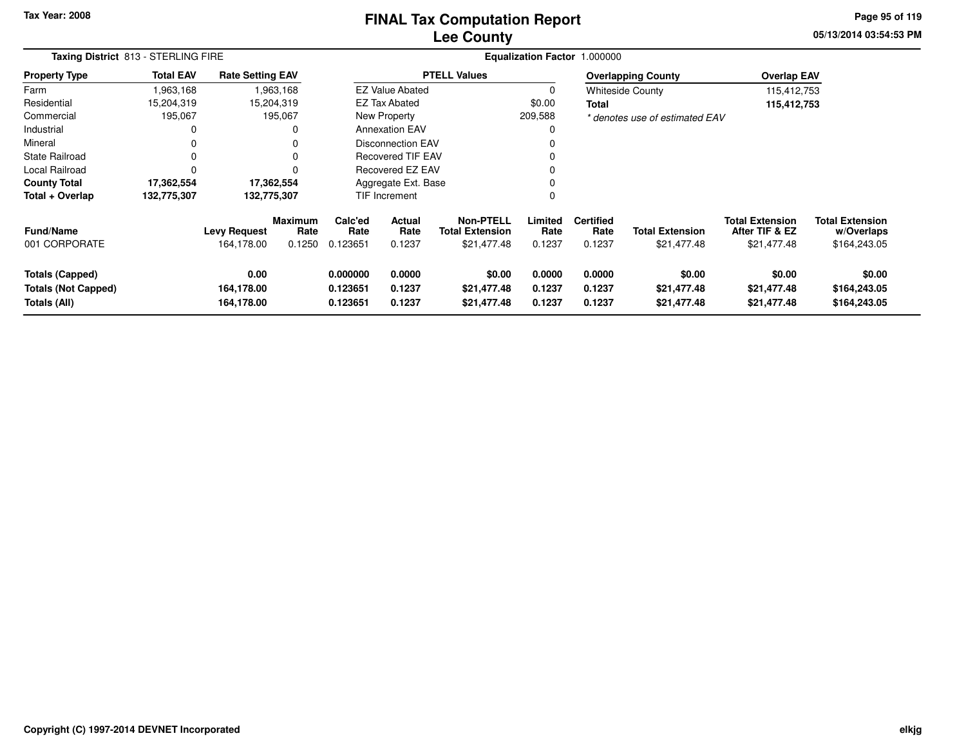## **Lee CountyFINAL Tax Computation Report**

**05/13/2014 03:54:53 PM Page 95 of 119**

| Taxing District 813 - STERLING FIRE                                  |                  |                                   |                                  |                                                                |                                                    |                                      |                            | Equalization Factor 1.000000       |                                       |                                                         |                                                      |
|----------------------------------------------------------------------|------------------|-----------------------------------|----------------------------------|----------------------------------------------------------------|----------------------------------------------------|--------------------------------------|----------------------------|------------------------------------|---------------------------------------|---------------------------------------------------------|------------------------------------------------------|
| <b>Property Type</b>                                                 | <b>Total EAV</b> | <b>Rate Setting EAV</b>           |                                  |                                                                |                                                    | <b>PTELL Values</b>                  |                            |                                    | <b>Overlapping County</b>             | <b>Overlap EAV</b>                                      |                                                      |
| Farm                                                                 | 1,963,168        |                                   | 1,963,168                        |                                                                | <b>EZ Value Abated</b>                             |                                      | 0                          |                                    | <b>Whiteside County</b>               | 115,412,753                                             |                                                      |
| Residential                                                          | 15,204,319       |                                   | 15,204,319                       |                                                                | EZ Tax Abated                                      |                                      | \$0.00                     | <b>Total</b>                       |                                       | 115,412,753                                             |                                                      |
| Commercial                                                           | 195,067          |                                   | 195,067                          |                                                                | New Property                                       |                                      | 209,588                    |                                    | * denotes use of estimated EAV        |                                                         |                                                      |
| Industrial                                                           | 0                |                                   | 0                                |                                                                | <b>Annexation EAV</b>                              |                                      |                            |                                    |                                       |                                                         |                                                      |
| Mineral                                                              |                  |                                   |                                  |                                                                | <b>Disconnection EAV</b>                           |                                      |                            |                                    |                                       |                                                         |                                                      |
| <b>State Railroad</b>                                                | 0                |                                   | 0                                |                                                                | <b>Recovered TIF EAV</b>                           |                                      |                            |                                    |                                       |                                                         |                                                      |
| Local Railroad                                                       | $\Omega$         |                                   | O                                |                                                                | Recovered EZ EAV                                   |                                      |                            |                                    |                                       |                                                         |                                                      |
| <b>County Total</b>                                                  | 17,362,554       |                                   | 17,362,554                       |                                                                | Aggregate Ext. Base                                |                                      |                            |                                    |                                       |                                                         |                                                      |
| Total + Overlap                                                      | 132,775,307      | 132,775,307                       |                                  |                                                                | TIF Increment                                      |                                      | $\Omega$                   |                                    |                                       |                                                         |                                                      |
| <b>Fund/Name</b><br>001 CORPORATE                                    |                  | <b>Levy Request</b><br>164,178.00 | <b>Maximum</b><br>Rate<br>0.1250 | Calc'ed<br>Rate<br>0.123651                                    | Actual<br>Rate<br><b>Total Extension</b><br>0.1237 |                                      | Limited<br>Rate<br>0.1237  | <b>Certified</b><br>Rate<br>0.1237 | <b>Total Extension</b><br>\$21,477.48 | <b>Total Extension</b><br>After TIF & EZ<br>\$21,477.48 | <b>Total Extension</b><br>w/Overlaps<br>\$164,243.05 |
| <b>Totals (Capped)</b><br><b>Totals (Not Capped)</b><br>Totals (All) |                  | 0.00<br>164,178.00<br>164,178.00  |                                  | 0.0000<br>0.000000<br>0.123651<br>0.1237<br>0.1237<br>0.123651 |                                                    | \$0.00<br>\$21,477.48<br>\$21,477.48 | 0.0000<br>0.1237<br>0.1237 | 0.0000<br>0.1237<br>0.1237         | \$0.00<br>\$21,477.48<br>\$21,477.48  | \$0.00<br>\$21,477.48<br>\$21,477.48                    | \$0.00<br>\$164,243.05<br>\$164,243.05               |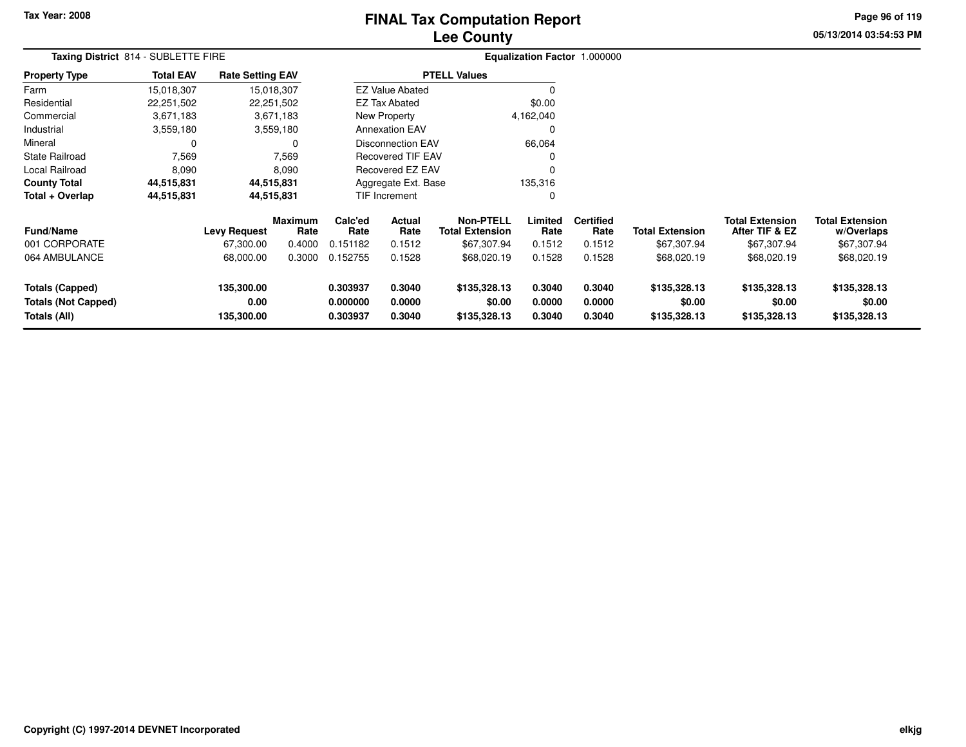# **Lee CountyFINAL Tax Computation Report**

**05/13/2014 03:54:53 PM Page 96 of 119**

| Taxing District 814 - SUBLETTE FIRE                                  |                  |                                  |                 |                                                                |                          |                                            |                            | Equalization Factor 1.000000 |                                        |                                          |                                        |  |
|----------------------------------------------------------------------|------------------|----------------------------------|-----------------|----------------------------------------------------------------|--------------------------|--------------------------------------------|----------------------------|------------------------------|----------------------------------------|------------------------------------------|----------------------------------------|--|
| <b>Property Type</b>                                                 | <b>Total EAV</b> | <b>Rate Setting EAV</b>          |                 |                                                                |                          | <b>PTELL Values</b>                        |                            |                              |                                        |                                          |                                        |  |
| Farm                                                                 | 15,018,307       | 15,018,307                       |                 |                                                                | <b>EZ Value Abated</b>   |                                            | 0                          |                              |                                        |                                          |                                        |  |
| Residential                                                          | 22,251,502       |                                  | 22,251,502      |                                                                | <b>EZ Tax Abated</b>     |                                            | \$0.00                     |                              |                                        |                                          |                                        |  |
| Commercial                                                           | 3,671,183        |                                  | 3,671,183       |                                                                | New Property             |                                            | 4,162,040                  |                              |                                        |                                          |                                        |  |
| Industrial                                                           | 3,559,180        |                                  | 3,559,180       |                                                                | <b>Annexation EAV</b>    |                                            | 0                          |                              |                                        |                                          |                                        |  |
| Mineral                                                              | 0                |                                  | 0               |                                                                | <b>Disconnection EAV</b> |                                            | 66,064                     |                              |                                        |                                          |                                        |  |
| <b>State Railroad</b>                                                | 7,569            |                                  | 7,569           |                                                                | <b>Recovered TIF EAV</b> |                                            | 0                          |                              |                                        |                                          |                                        |  |
| Local Railroad                                                       | 8,090            |                                  | 8,090           |                                                                | <b>Recovered EZ EAV</b>  |                                            | $\mathbf 0$                |                              |                                        |                                          |                                        |  |
| <b>County Total</b>                                                  | 44,515,831       | 44,515,831                       |                 |                                                                | Aggregate Ext. Base      |                                            | 135,316                    |                              |                                        |                                          |                                        |  |
| Total + Overlap                                                      | 44,515,831       | 44,515,831                       |                 |                                                                | TIF Increment            |                                            | $\mathbf 0$                |                              |                                        |                                          |                                        |  |
| <b>Fund/Name</b>                                                     |                  | <b>Levy Request</b>              | Maximum<br>Rate | Calc'ed<br><b>Actual</b><br>Rate<br>Rate                       |                          | <b>Non-PTELL</b><br><b>Total Extension</b> | Limited<br>Rate            | <b>Certified</b><br>Rate     | <b>Total Extension</b>                 | <b>Total Extension</b><br>After TIF & EZ | <b>Total Extension</b><br>w/Overlaps   |  |
| 001 CORPORATE                                                        |                  | 67,300.00                        | 0.4000          | 0.151182                                                       | 0.1512                   | \$67,307.94                                | 0.1512                     | 0.1512                       | \$67,307.94                            | \$67,307.94                              | \$67,307.94                            |  |
| 064 AMBULANCE                                                        |                  | 68,000.00                        | 0.3000          | 0.152755                                                       | 0.1528                   | \$68,020.19                                | 0.1528                     | 0.1528                       | \$68,020.19                            | \$68,020.19                              | \$68,020.19                            |  |
| <b>Totals (Capped)</b><br><b>Totals (Not Capped)</b><br>Totals (All) |                  | 135,300.00<br>0.00<br>135,300.00 |                 | 0.303937<br>0.3040<br>0.000000<br>0.0000<br>0.303937<br>0.3040 |                          | \$135,328.13<br>\$0.00<br>\$135,328.13     | 0.3040<br>0.0000<br>0.3040 | 0.3040<br>0.0000<br>0.3040   | \$135,328.13<br>\$0.00<br>\$135,328.13 | \$135,328.13<br>\$0.00<br>\$135,328.13   | \$135,328.13<br>\$0.00<br>\$135,328.13 |  |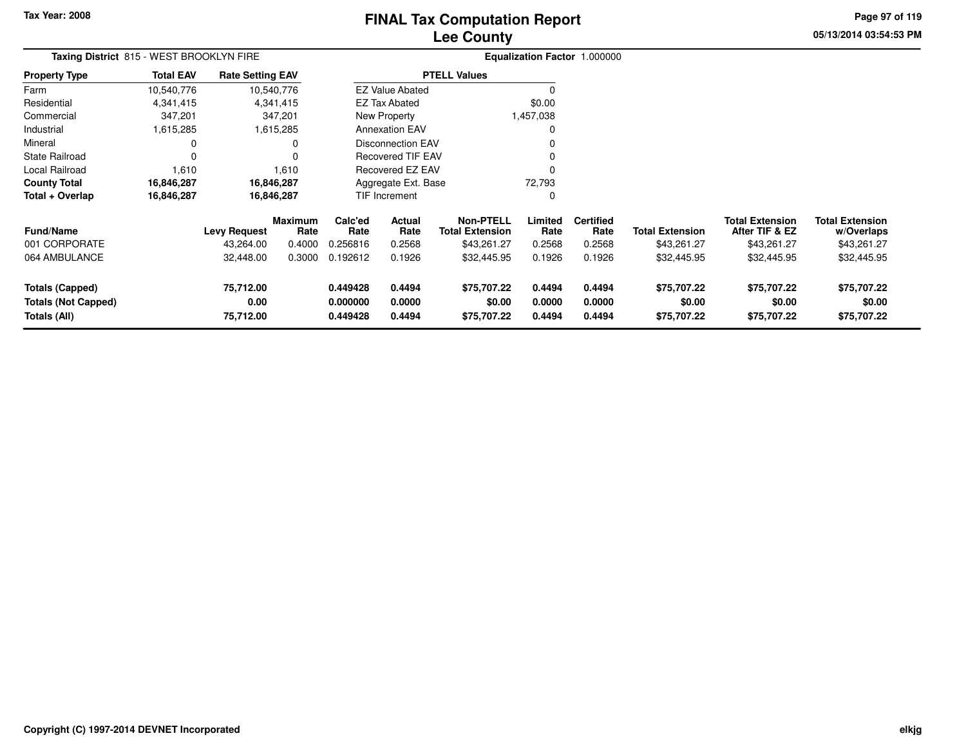# **Lee CountyFINAL Tax Computation Report**

**05/13/2014 03:54:53 PM Page 97 of 119**

| Taxing District 815 - WEST BROOKLYN FIRE                             |                  |                                |                 |                                  |                            |                                            |                            | Equalization Factor 1.000000 |                                      |                                          |                                      |
|----------------------------------------------------------------------|------------------|--------------------------------|-----------------|----------------------------------|----------------------------|--------------------------------------------|----------------------------|------------------------------|--------------------------------------|------------------------------------------|--------------------------------------|
| <b>Property Type</b>                                                 | <b>Total EAV</b> | <b>Rate Setting EAV</b>        |                 |                                  |                            | <b>PTELL Values</b>                        |                            |                              |                                      |                                          |                                      |
| Farm                                                                 | 10,540,776       | 10,540,776                     |                 |                                  | <b>EZ Value Abated</b>     |                                            |                            |                              |                                      |                                          |                                      |
| Residential                                                          | 4,341,415        | 4,341,415                      |                 |                                  | <b>EZ Tax Abated</b>       |                                            | \$0.00                     |                              |                                      |                                          |                                      |
| Commercial                                                           | 347,201          | 347,201                        |                 |                                  | New Property               |                                            | 1,457,038                  |                              |                                      |                                          |                                      |
| Industrial                                                           | 1,615,285        | 1,615,285                      |                 |                                  | <b>Annexation EAV</b>      |                                            |                            |                              |                                      |                                          |                                      |
| Mineral                                                              | 0                |                                | 0               |                                  | <b>Disconnection EAV</b>   |                                            |                            |                              |                                      |                                          |                                      |
| <b>State Railroad</b>                                                | $\Omega$         |                                | $\Omega$        |                                  | <b>Recovered TIF EAV</b>   |                                            |                            |                              |                                      |                                          |                                      |
| Local Railroad                                                       | 1,610            |                                | 1,610           |                                  | Recovered EZ EAV           |                                            | $\Omega$                   |                              |                                      |                                          |                                      |
| <b>County Total</b>                                                  | 16,846,287       | 16,846,287                     |                 |                                  | Aggregate Ext. Base        |                                            | 72,793                     |                              |                                      |                                          |                                      |
| Total + Overlap                                                      | 16,846,287       | 16,846,287                     |                 |                                  | <b>TIF Increment</b>       |                                            | 0                          |                              |                                      |                                          |                                      |
| <b>Fund/Name</b>                                                     |                  | <b>Levy Request</b>            | Maximum<br>Rate | Calc'ed<br>Rate                  | <b>Actual</b><br>Rate      | <b>Non-PTELL</b><br><b>Total Extension</b> | Limited<br>Rate            | <b>Certified</b><br>Rate     | <b>Total Extension</b>               | <b>Total Extension</b><br>After TIF & EZ | <b>Total Extension</b><br>w/Overlaps |
| 001 CORPORATE                                                        |                  | 43,264.00                      | 0.4000          | 0.256816                         | 0.2568                     | \$43,261.27                                | 0.2568                     | 0.2568                       | \$43,261.27                          | \$43,261.27                              | \$43,261.27                          |
| 064 AMBULANCE                                                        |                  | 32,448.00                      | 0.3000          | 0.192612                         | 0.1926                     | \$32,445.95                                | 0.1926                     | 0.1926                       | \$32,445.95                          | \$32,445.95                              | \$32,445.95                          |
| <b>Totals (Capped)</b><br><b>Totals (Not Capped)</b><br>Totals (All) |                  | 75,712.00<br>0.00<br>75,712.00 |                 | 0.449428<br>0.000000<br>0.449428 | 0.4494<br>0.0000<br>0.4494 | \$75,707.22<br>\$0.00<br>\$75,707.22       | 0.4494<br>0.0000<br>0.4494 | 0.4494<br>0.0000<br>0.4494   | \$75,707.22<br>\$0.00<br>\$75,707.22 | \$75,707.22<br>\$0.00<br>\$75,707.22     | \$75,707.22<br>\$0.00<br>\$75,707.22 |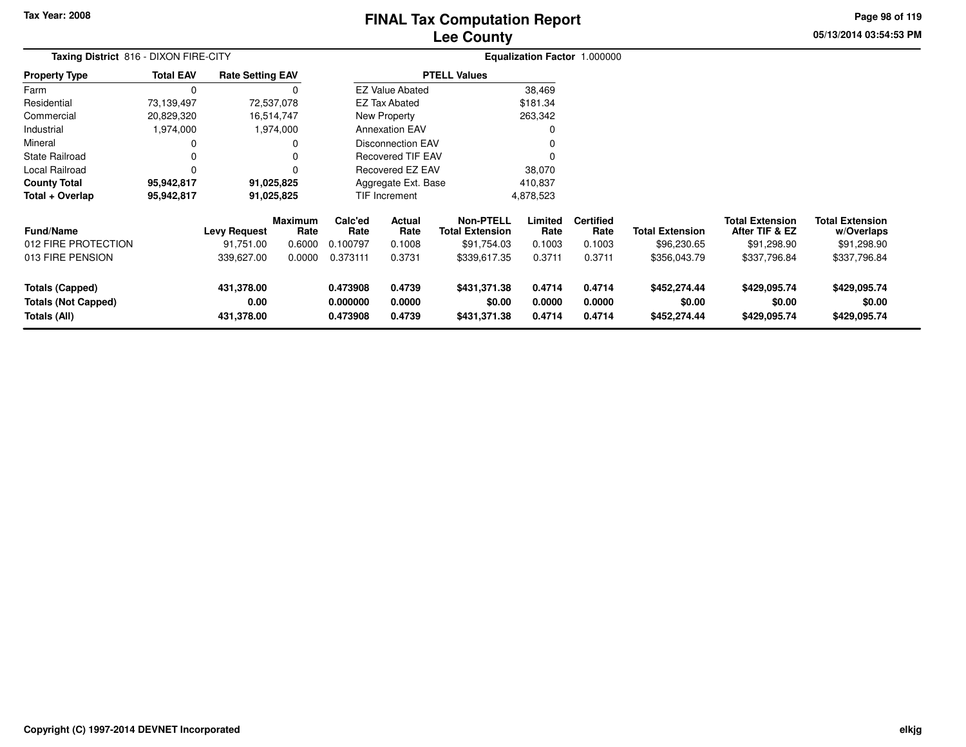**Totals (Capped)**

**Totals (All)**

**Totals (Not Capped)**

## **Lee CountyFINAL Tax Computation Report**

**05/13/2014 03:54:53 PMPage 98 of 119**

| Taxing District 816 - DIXON FIRE-CITY                       |                  |                                                |                                            |                                         |                                    |                                                                           |                                     | Equalization Factor 1.000000                 |                                                       |                                                                         |                                                              |
|-------------------------------------------------------------|------------------|------------------------------------------------|--------------------------------------------|-----------------------------------------|------------------------------------|---------------------------------------------------------------------------|-------------------------------------|----------------------------------------------|-------------------------------------------------------|-------------------------------------------------------------------------|--------------------------------------------------------------|
| <b>Property Type</b>                                        | <b>Total EAV</b> | <b>Rate Setting EAV</b>                        |                                            |                                         |                                    | <b>PTELL Values</b>                                                       |                                     |                                              |                                                       |                                                                         |                                                              |
| Farm                                                        | 0                |                                                |                                            |                                         | <b>EZ Value Abated</b>             |                                                                           | 38,469                              |                                              |                                                       |                                                                         |                                                              |
| Residential                                                 | 73,139,497       |                                                | 72,537,078                                 |                                         | <b>EZ Tax Abated</b>               |                                                                           | \$181.34                            |                                              |                                                       |                                                                         |                                                              |
| Commercial                                                  | 20,829,320       |                                                | 16,514,747                                 |                                         | New Property                       |                                                                           | 263,342                             |                                              |                                                       |                                                                         |                                                              |
| Industrial                                                  | 1,974,000        |                                                | 1,974,000                                  |                                         | <b>Annexation EAV</b>              |                                                                           |                                     |                                              |                                                       |                                                                         |                                                              |
| Mineral                                                     |                  |                                                |                                            |                                         | <b>Disconnection EAV</b>           |                                                                           |                                     |                                              |                                                       |                                                                         |                                                              |
| State Railroad                                              |                  |                                                |                                            |                                         | <b>Recovered TIF EAV</b>           |                                                                           |                                     |                                              |                                                       |                                                                         |                                                              |
| Local Railroad                                              |                  |                                                |                                            |                                         | Recovered EZ EAV                   |                                                                           | 38,070                              |                                              |                                                       |                                                                         |                                                              |
| <b>County Total</b>                                         | 95,942,817       |                                                | 91,025,825                                 |                                         | Aggregate Ext. Base                |                                                                           | 410,837                             |                                              |                                                       |                                                                         |                                                              |
| Total + Overlap                                             | 95,942,817       |                                                | 91,025,825                                 |                                         | TIF Increment                      |                                                                           | 4,878,523                           |                                              |                                                       |                                                                         |                                                              |
| <b>Fund/Name</b><br>012 FIRE PROTECTION<br>013 FIRE PENSION |                  | <b>Levy Request</b><br>91,751.00<br>339,627.00 | <b>Maximum</b><br>Rate<br>0.6000<br>0.0000 | Calc'ed<br>Rate<br>0.100797<br>0.373111 | Actual<br>Rate<br>0.1008<br>0.3731 | <b>Non-PTELL</b><br><b>Total Extension</b><br>\$91,754.03<br>\$339,617.35 | Limited<br>Rate<br>0.1003<br>0.3711 | <b>Certified</b><br>Rate<br>0.1003<br>0.3711 | <b>Total Extension</b><br>\$96,230.65<br>\$356,043.79 | <b>Total Extension</b><br>After TIF & EZ<br>\$91,298.90<br>\$337,796.84 | Total Extension<br>w/Overlaps<br>\$91,298.90<br>\$337,796.84 |

**0.473908 0.4739 \$431,371.38 0.4714 0.4714 \$452,274.44 \$429,095.74 \$429,095.74**

**0.000000 0.0000 \$0.00 0.0000 0.0000 \$0.00 \$0.00 \$0.00**

**0.473908 0.4739 \$431,371.38 0.4714 0.4714 \$452,274.44 \$429,095.74 \$429,095.74**

**431,378.00**

**431,378.00**

**0.00**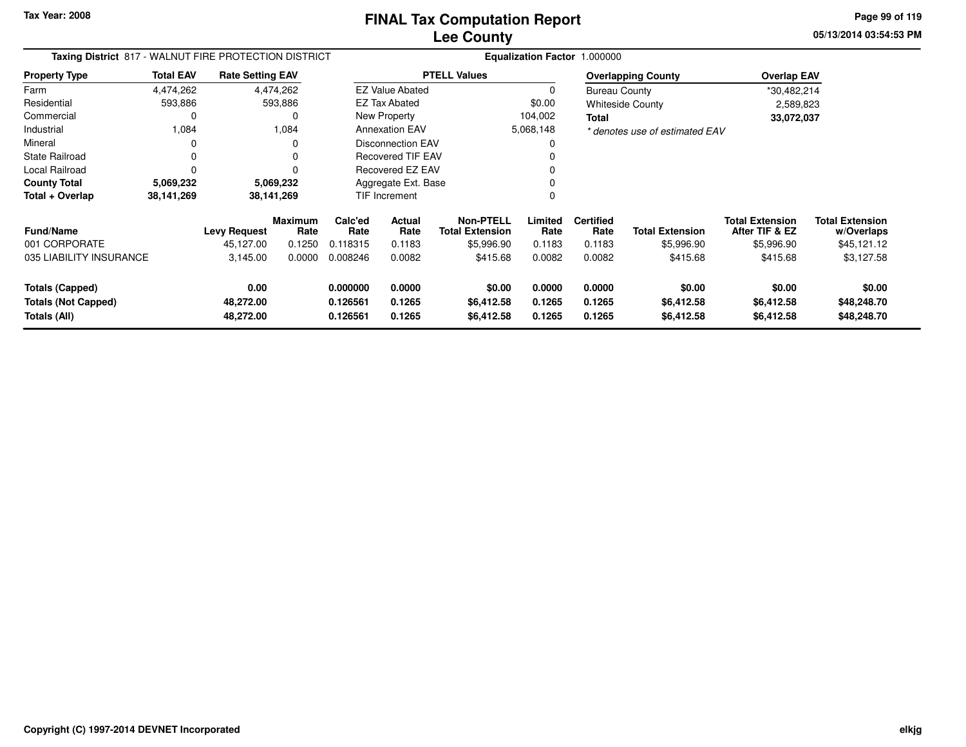**05/13/2014 03:54:53 PM Page 99 of 119**

| Taxing District 817 - WALNUT FIRE PROTECTION DISTRICT         |                        |                                |                        |                                  |                            |                                            | Equalization Factor 1.000000 |                            |                                    |                                          |                                      |
|---------------------------------------------------------------|------------------------|--------------------------------|------------------------|----------------------------------|----------------------------|--------------------------------------------|------------------------------|----------------------------|------------------------------------|------------------------------------------|--------------------------------------|
| <b>Property Type</b>                                          | <b>Total EAV</b>       | <b>Rate Setting EAV</b>        |                        |                                  |                            | <b>PTELL Values</b>                        |                              |                            | <b>Overlapping County</b>          | <b>Overlap EAV</b>                       |                                      |
| Farm                                                          | 4,474,262              |                                | 4,474,262              |                                  | <b>EZ Value Abated</b>     |                                            | $\Omega$                     | <b>Bureau County</b>       |                                    | *30,482,214                              |                                      |
| Residential                                                   | 593,886                |                                | 593,886                |                                  | <b>EZ Tax Abated</b>       |                                            | \$0.00                       |                            | <b>Whiteside County</b>            | 2,589,823                                |                                      |
| Commercial                                                    |                        |                                |                        |                                  | New Property               |                                            | 104,002                      | Total                      |                                    | 33,072,037                               |                                      |
| Industrial                                                    | 1,084                  |                                | 1,084                  |                                  | <b>Annexation EAV</b>      |                                            | 5,068,148                    |                            | * denotes use of estimated EAV     |                                          |                                      |
| Mineral                                                       |                        |                                |                        |                                  | <b>Disconnection EAV</b>   |                                            |                              |                            |                                    |                                          |                                      |
| State Railroad                                                |                        |                                |                        |                                  | Recovered TIF EAV          |                                            |                              |                            |                                    |                                          |                                      |
| Local Railroad                                                |                        |                                |                        |                                  | Recovered EZ EAV           |                                            |                              |                            |                                    |                                          |                                      |
| <b>County Total</b>                                           | 5,069,232<br>5,069,232 |                                |                        | Aggregate Ext. Base              |                            |                                            |                              |                            |                                    |                                          |                                      |
| Total + Overlap                                               | 38,141,269             |                                | 38,141,269             |                                  | TIF Increment              |                                            | 0                            |                            |                                    |                                          |                                      |
| <b>Fund/Name</b>                                              |                        | <b>Levy Request</b>            | <b>Maximum</b><br>Rate | Calc'ed<br>Rate                  | <b>Actual</b><br>Rate      | <b>Non-PTELL</b><br><b>Total Extension</b> | Limited<br>Rate              | <b>Certified</b><br>Rate   | <b>Total Extension</b>             | <b>Total Extension</b><br>After TIF & EZ | <b>Total Extension</b><br>w/Overlaps |
| 001 CORPORATE                                                 |                        | 45,127.00                      | 0.1250                 | 0.118315                         | 0.1183                     | \$5,996.90                                 | 0.1183                       | 0.1183                     | \$5,996.90                         | \$5,996.90                               | \$45,121.12                          |
| 035 LIABILITY INSURANCE                                       |                        | 3,145.00                       | 0.0000                 | 0.008246                         | 0.0082                     | \$415.68                                   | 0.0082                       | 0.0082                     | \$415.68                           | \$415.68                                 | \$3,127.58                           |
| Totals (Capped)<br><b>Totals (Not Capped)</b><br>Totals (All) |                        | 0.00<br>48,272.00<br>48,272.00 |                        | 0.000000<br>0.126561<br>0.126561 | 0.0000<br>0.1265<br>0.1265 | \$0.00<br>\$6,412.58<br>\$6,412.58         | 0.0000<br>0.1265<br>0.1265   | 0.0000<br>0.1265<br>0.1265 | \$0.00<br>\$6,412.58<br>\$6,412.58 | \$0.00<br>\$6,412.58<br>\$6,412.58       | \$0.00<br>\$48,248.70<br>\$48,248.70 |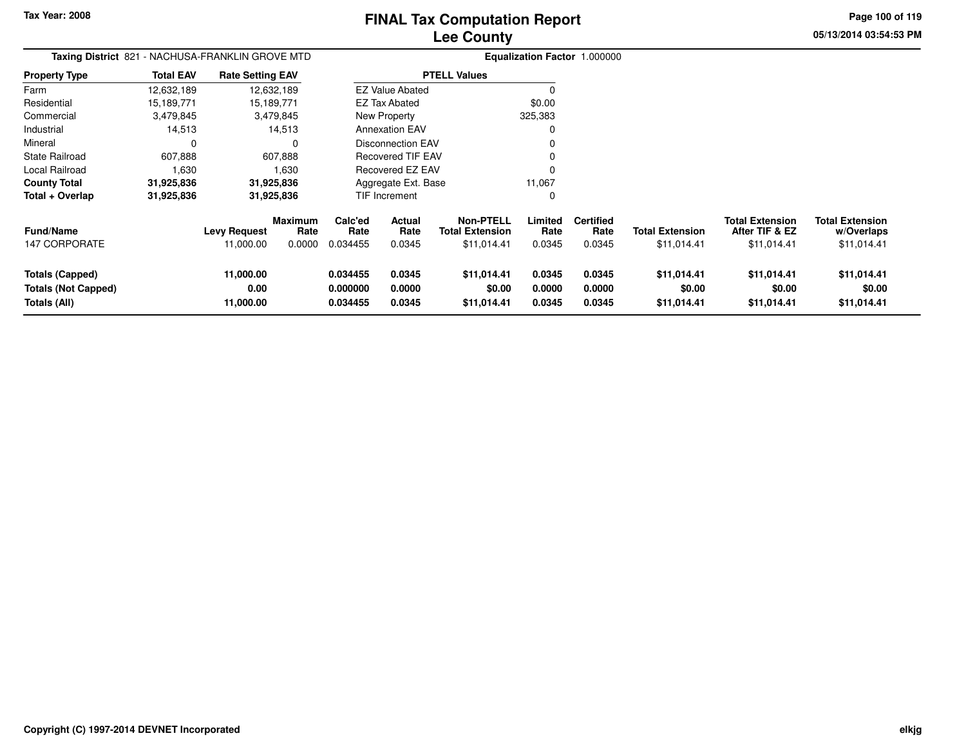**Page 100 of 119**

**05/13/2014 03:54:53 PM**

| <b>Taxing District</b> 821 - NACHUSA-FRANKLIN GROVE MTD<br>Property Type |                                             |                        |                                                                                                       |                |                                                                         |                                                                                                                                     |                          |                        |                                               |                                      |
|--------------------------------------------------------------------------|---------------------------------------------|------------------------|-------------------------------------------------------------------------------------------------------|----------------|-------------------------------------------------------------------------|-------------------------------------------------------------------------------------------------------------------------------------|--------------------------|------------------------|-----------------------------------------------|--------------------------------------|
| <b>Total EAV</b>                                                         |                                             |                        |                                                                                                       |                |                                                                         |                                                                                                                                     |                          |                        |                                               |                                      |
| 12,632,189                                                               |                                             |                        |                                                                                                       |                |                                                                         |                                                                                                                                     |                          |                        |                                               |                                      |
| 15,189,771                                                               |                                             |                        |                                                                                                       |                |                                                                         | \$0.00                                                                                                                              |                          |                        |                                               |                                      |
| 3,479,845                                                                |                                             |                        |                                                                                                       |                |                                                                         | 325,383                                                                                                                             |                          |                        |                                               |                                      |
| 14,513                                                                   |                                             |                        |                                                                                                       |                |                                                                         |                                                                                                                                     |                          |                        |                                               |                                      |
| 0                                                                        |                                             | 0                      |                                                                                                       |                |                                                                         |                                                                                                                                     |                          |                        |                                               |                                      |
| 607,888                                                                  |                                             |                        |                                                                                                       |                |                                                                         |                                                                                                                                     |                          |                        |                                               |                                      |
| 1,630                                                                    |                                             | 1,630                  |                                                                                                       |                |                                                                         |                                                                                                                                     |                          |                        |                                               |                                      |
| 31,925,836                                                               | 31,925,836<br>Aggregate Ext. Base<br>11,067 |                        |                                                                                                       |                |                                                                         |                                                                                                                                     |                          |                        |                                               |                                      |
| 31,925,836                                                               | 31,925,836                                  |                        | TIF Increment                                                                                         |                |                                                                         | 0                                                                                                                                   |                          |                        |                                               |                                      |
|                                                                          |                                             | <b>Maximum</b><br>Rate | Calc'ed<br>Rate                                                                                       | Actual<br>Rate | <b>Non-PTELL</b><br><b>Total Extension</b>                              | Limited<br>Rate                                                                                                                     | <b>Certified</b><br>Rate | <b>Total Extension</b> | <b>Total Extension</b><br>After TIF & EZ      | <b>Total Extension</b><br>w/Overlaps |
|                                                                          | 11,000.00                                   | 0.0000                 | 0.034455                                                                                              | 0.0345         | \$11,014.41                                                             | 0.0345                                                                                                                              | 0.0345                   | \$11,014.41            | \$11,014.41                                   | \$11,014.41                          |
|                                                                          | 11,000.00                                   |                        | 0.034455                                                                                              | 0.0345         | \$11,014.41                                                             | 0.0345                                                                                                                              | 0.0345                   | \$11,014.41            | \$11,014.41                                   | \$11,014.41                          |
|                                                                          |                                             |                        |                                                                                                       |                |                                                                         |                                                                                                                                     |                          |                        |                                               | \$0.00                               |
|                                                                          | 11,000.00                                   |                        | 0.034455                                                                                              | 0.0345         | \$11,014.41                                                             | 0.0345                                                                                                                              | 0.0345                   | \$11,014.41            | \$11,014.41                                   | \$11,014.41                          |
|                                                                          |                                             | 0.00                   | <b>Rate Setting EAV</b><br>12,632,189<br>15,189,771<br>3,479,845<br>14,513<br>607,888<br>Levy Request | 0.000000       | <b>EZ Tax Abated</b><br>New Property<br><b>Annexation EAV</b><br>0.0000 | <b>PTELL Values</b><br><b>EZ Value Abated</b><br><b>Disconnection EAV</b><br><b>Recovered TIF EAV</b><br>Recovered EZ EAV<br>\$0.00 | 0.0000                   | 0.0000                 | <b>Equalization Factor 1.000000</b><br>\$0.00 | \$0.00                               |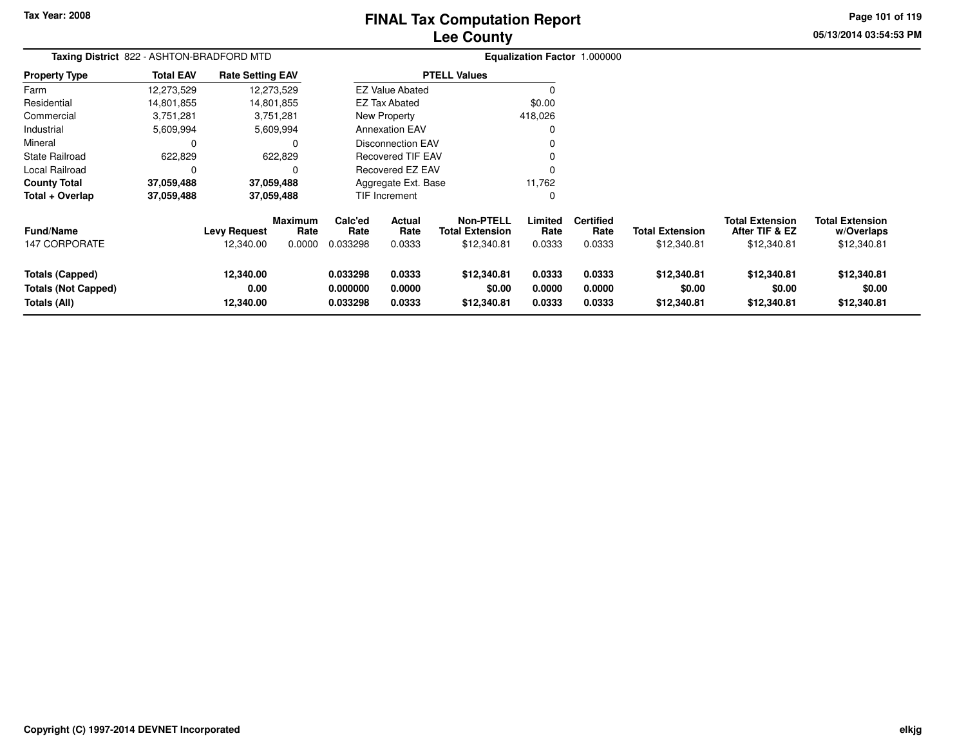# **Lee CountyFINAL Tax Computation Report**

**05/13/2014 03:54:53 PMPage 101 of 119**

| Taxing District 822 - ASHTON-BRADFORD MTD                            |                  |                                  |                                  |                                  |                            |                                                           |                            | Equalization Factor 1.000000       |                                       |                                                         |                                                     |
|----------------------------------------------------------------------|------------------|----------------------------------|----------------------------------|----------------------------------|----------------------------|-----------------------------------------------------------|----------------------------|------------------------------------|---------------------------------------|---------------------------------------------------------|-----------------------------------------------------|
| <b>Property Type</b>                                                 | <b>Total EAV</b> | <b>Rate Setting EAV</b>          |                                  |                                  |                            | <b>PTELL Values</b>                                       |                            |                                    |                                       |                                                         |                                                     |
| Farm                                                                 | 12,273,529       |                                  | 12,273,529                       |                                  | <b>EZ Value Abated</b>     |                                                           | 0                          |                                    |                                       |                                                         |                                                     |
| Residential                                                          | 14,801,855       |                                  | 14,801,855                       |                                  | <b>EZ Tax Abated</b>       |                                                           | \$0.00                     |                                    |                                       |                                                         |                                                     |
| Commercial                                                           | 3,751,281        |                                  | 3,751,281                        |                                  | New Property               |                                                           | 418,026                    |                                    |                                       |                                                         |                                                     |
| Industrial                                                           | 5,609,994        |                                  | 5,609,994                        |                                  | <b>Annexation EAV</b>      |                                                           | 0                          |                                    |                                       |                                                         |                                                     |
| Mineral                                                              | C                |                                  | $\Omega$                         |                                  | <b>Disconnection EAV</b>   |                                                           |                            |                                    |                                       |                                                         |                                                     |
| State Railroad                                                       | 622,829          |                                  | 622,829                          |                                  | <b>Recovered TIF EAV</b>   |                                                           |                            |                                    |                                       |                                                         |                                                     |
| Local Railroad                                                       | 0                |                                  | O                                |                                  | Recovered EZ EAV           |                                                           |                            |                                    |                                       |                                                         |                                                     |
| <b>County Total</b>                                                  | 37,059,488       |                                  | 37,059,488                       |                                  | Aggregate Ext. Base        |                                                           | 11,762                     |                                    |                                       |                                                         |                                                     |
| Total + Overlap                                                      | 37,059,488       |                                  | 37,059,488                       |                                  | <b>TIF Increment</b>       |                                                           | 0                          |                                    |                                       |                                                         |                                                     |
| <b>Fund/Name</b><br><b>147 CORPORATE</b>                             |                  | <b>Levy Request</b><br>12,340.00 | <b>Maximum</b><br>Rate<br>0.0000 | Calc'ed<br>Rate<br>0.033298      | Actual<br>Rate<br>0.0333   | <b>Non-PTELL</b><br><b>Total Extension</b><br>\$12,340.81 | Limited<br>Rate<br>0.0333  | <b>Certified</b><br>Rate<br>0.0333 | <b>Total Extension</b><br>\$12,340.81 | <b>Total Extension</b><br>After TIF & EZ<br>\$12,340.81 | <b>Total Extension</b><br>w/Overlaps<br>\$12,340.81 |
| <b>Totals (Capped)</b><br><b>Totals (Not Capped)</b><br>Totals (All) |                  | 12,340.00<br>0.00<br>12,340.00   |                                  | 0.033298<br>0.000000<br>0.033298 | 0.0333<br>0.0000<br>0.0333 | \$12,340.81<br>\$0.00<br>\$12,340.81                      | 0.0333<br>0.0000<br>0.0333 | 0.0333<br>0.0000<br>0.0333         | \$12,340.81<br>\$0.00<br>\$12,340.81  | \$12,340.81<br>\$0.00<br>\$12,340.81                    | \$12,340.81<br>\$0.00<br>\$12,340.81                |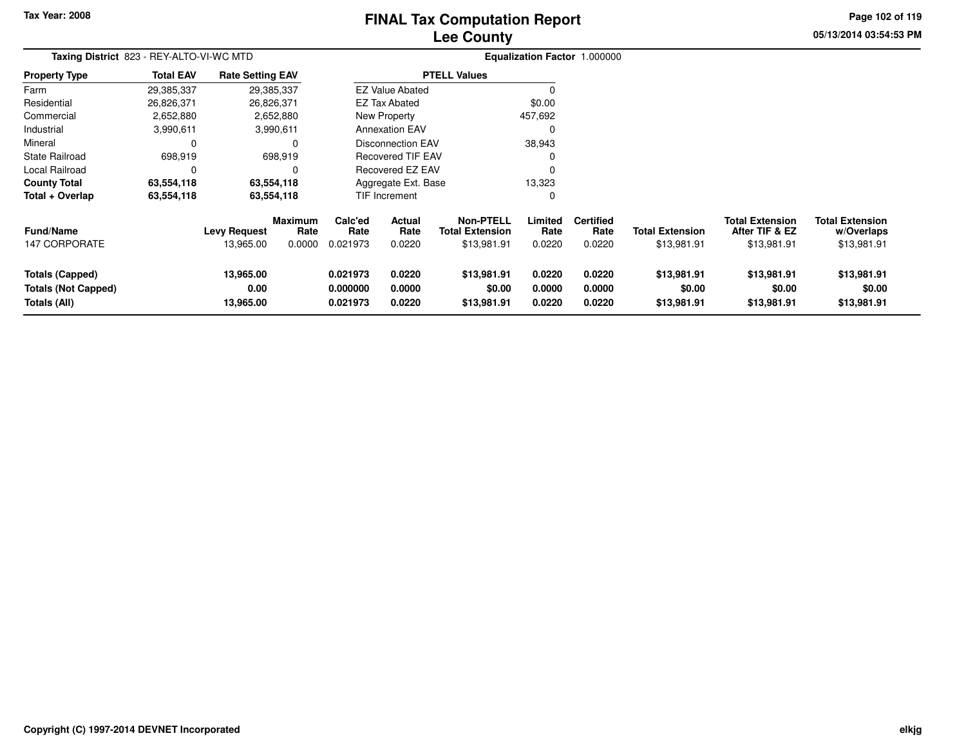# **Lee CountyFINAL Tax Computation Report**

**05/13/2014 03:54:53 PM Page 102 of 119**

|                                                                      | Taxing District 823 - REY-ALTO-VI-WC MTD |                                |                 |                                  |                            |                                            | Equalization Factor 1.000000 |                            |                                      |                                          |                                      |  |
|----------------------------------------------------------------------|------------------------------------------|--------------------------------|-----------------|----------------------------------|----------------------------|--------------------------------------------|------------------------------|----------------------------|--------------------------------------|------------------------------------------|--------------------------------------|--|
| <b>Property Type</b>                                                 | <b>Total EAV</b>                         | <b>Rate Setting EAV</b>        |                 |                                  |                            | <b>PTELL Values</b>                        |                              |                            |                                      |                                          |                                      |  |
| Farm                                                                 | 29,385,337                               |                                | 29,385,337      |                                  | <b>EZ Value Abated</b>     |                                            | 0                            |                            |                                      |                                          |                                      |  |
| Residential                                                          | 26,826,371                               |                                | 26,826,371      |                                  | <b>EZ Tax Abated</b>       |                                            | \$0.00                       |                            |                                      |                                          |                                      |  |
| Commercial                                                           | 2,652,880                                |                                | 2,652,880       |                                  | New Property               |                                            | 457,692                      |                            |                                      |                                          |                                      |  |
| Industrial                                                           | 3,990,611                                |                                | 3,990,611       |                                  | <b>Annexation EAV</b>      |                                            | 0                            |                            |                                      |                                          |                                      |  |
| Mineral                                                              | 0                                        |                                | 0               |                                  | <b>Disconnection EAV</b>   |                                            | 38,943                       |                            |                                      |                                          |                                      |  |
| <b>State Railroad</b>                                                | 698,919                                  |                                | 698,919         |                                  | <b>Recovered TIF EAV</b>   |                                            | $\Omega$                     |                            |                                      |                                          |                                      |  |
| Local Railroad                                                       | 0                                        |                                | 0               |                                  | Recovered EZ EAV           |                                            | $\Omega$                     |                            |                                      |                                          |                                      |  |
| <b>County Total</b>                                                  | 63,554,118                               |                                | 63,554,118      |                                  | Aggregate Ext. Base        |                                            | 13,323                       |                            |                                      |                                          |                                      |  |
| Total + Overlap                                                      | 63,554,118                               |                                | 63,554,118      |                                  | <b>TIF Increment</b>       |                                            | 0                            |                            |                                      |                                          |                                      |  |
| <b>Fund/Name</b>                                                     |                                          | <b>Levy Request</b>            | Maximum<br>Rate | Calc'ed<br>Rate                  | Actual<br>Rate             | <b>Non-PTELL</b><br><b>Total Extension</b> | Limited<br>Rate              | <b>Certified</b><br>Rate   | <b>Total Extension</b>               | <b>Total Extension</b><br>After TIF & EZ | <b>Total Extension</b><br>w/Overlaps |  |
| <b>147 CORPORATE</b>                                                 |                                          | 13,965.00                      | 0.0000          | 0.021973                         | 0.0220                     | \$13,981.91                                | 0.0220                       | 0.0220                     | \$13,981.91                          | \$13,981.91                              | \$13,981.91                          |  |
| <b>Totals (Capped)</b><br><b>Totals (Not Capped)</b><br>Totals (All) |                                          | 13,965.00<br>0.00<br>13,965.00 |                 | 0.021973<br>0.000000<br>0.021973 | 0.0220<br>0.0000<br>0.0220 | \$13,981.91<br>\$0.00<br>\$13,981.91       | 0.0220<br>0.0000<br>0.0220   | 0.0220<br>0.0000<br>0.0220 | \$13,981.91<br>\$0.00<br>\$13,981.91 | \$13,981.91<br>\$0.00<br>\$13,981.91     | \$13,981.91<br>\$0.00<br>\$13,981.91 |  |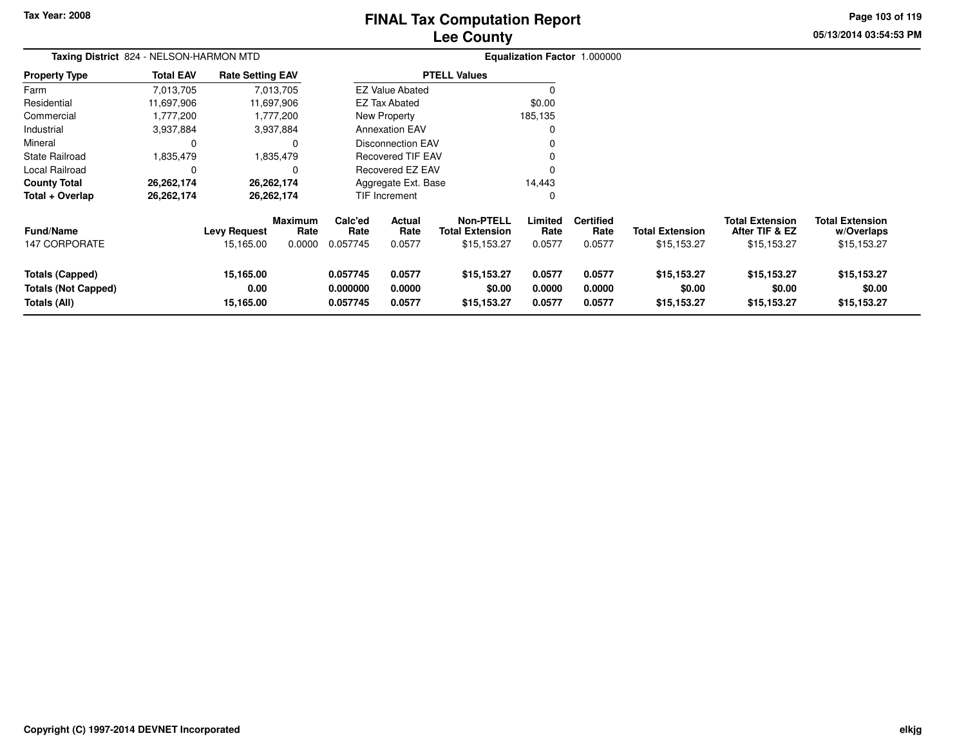# **Lee CountyFINAL Tax Computation Report**

**05/13/2014 03:54:53 PMPage 103 of 119**

| Taxing District 824 - NELSON-HARMON MTD                              |                  |                                |                                  |                                  |                            | Equalization Factor 1.000000                              |                            |                                    |                                       |                                                         |                                                     |
|----------------------------------------------------------------------|------------------|--------------------------------|----------------------------------|----------------------------------|----------------------------|-----------------------------------------------------------|----------------------------|------------------------------------|---------------------------------------|---------------------------------------------------------|-----------------------------------------------------|
| <b>Property Type</b>                                                 | <b>Total EAV</b> | <b>Rate Setting EAV</b>        |                                  |                                  |                            | <b>PTELL Values</b>                                       |                            |                                    |                                       |                                                         |                                                     |
| Farm                                                                 | 7,013,705        |                                | 7,013,705                        |                                  | <b>EZ Value Abated</b>     |                                                           |                            |                                    |                                       |                                                         |                                                     |
| Residential                                                          | 11,697,906       |                                | 11,697,906                       |                                  | <b>EZ Tax Abated</b>       |                                                           | \$0.00                     |                                    |                                       |                                                         |                                                     |
| Commercial                                                           | 1,777,200        |                                | 1,777,200                        |                                  | New Property               |                                                           | 185,135                    |                                    |                                       |                                                         |                                                     |
| Industrial                                                           | 3,937,884        |                                | 3,937,884                        |                                  | <b>Annexation EAV</b>      |                                                           | $\Omega$                   |                                    |                                       |                                                         |                                                     |
| Mineral                                                              | 0                |                                | 0                                |                                  | <b>Disconnection EAV</b>   |                                                           |                            |                                    |                                       |                                                         |                                                     |
| <b>State Railroad</b>                                                | 1,835,479        |                                | 1,835,479                        |                                  | <b>Recovered TIF EAV</b>   |                                                           |                            |                                    |                                       |                                                         |                                                     |
| Local Railroad                                                       | 0                |                                | 0                                |                                  | Recovered EZ EAV           |                                                           | 0                          |                                    |                                       |                                                         |                                                     |
| <b>County Total</b>                                                  | 26,262,174       |                                | 26, 262, 174                     |                                  | Aggregate Ext. Base        |                                                           | 14,443                     |                                    |                                       |                                                         |                                                     |
| Total + Overlap                                                      | 26,262,174       |                                | 26,262,174                       |                                  | TIF Increment              |                                                           | 0                          |                                    |                                       |                                                         |                                                     |
| <b>Fund/Name</b><br><b>147 CORPORATE</b>                             |                  | Levy Request<br>15,165.00      | <b>Maximum</b><br>Rate<br>0.0000 | Calc'ed<br>Rate<br>0.057745      | Actual<br>Rate<br>0.0577   | <b>Non-PTELL</b><br><b>Total Extension</b><br>\$15,153.27 | Limited<br>Rate<br>0.0577  | <b>Certified</b><br>Rate<br>0.0577 | <b>Total Extension</b><br>\$15,153.27 | <b>Total Extension</b><br>After TIF & EZ<br>\$15,153.27 | <b>Total Extension</b><br>w/Overlaps<br>\$15,153.27 |
| <b>Totals (Capped)</b><br><b>Totals (Not Capped)</b><br>Totals (All) |                  | 15,165.00<br>0.00<br>15,165.00 |                                  | 0.057745<br>0.000000<br>0.057745 | 0.0577<br>0.0000<br>0.0577 | \$15,153.27<br>\$0.00<br>\$15,153.27                      | 0.0577<br>0.0000<br>0.0577 | 0.0577<br>0.0000<br>0.0577         | \$15,153.27<br>\$0.00<br>\$15,153.27  | \$15,153.27<br>\$0.00<br>\$15,153.27                    | \$15,153.27<br>\$0.00<br>\$15,153.27                |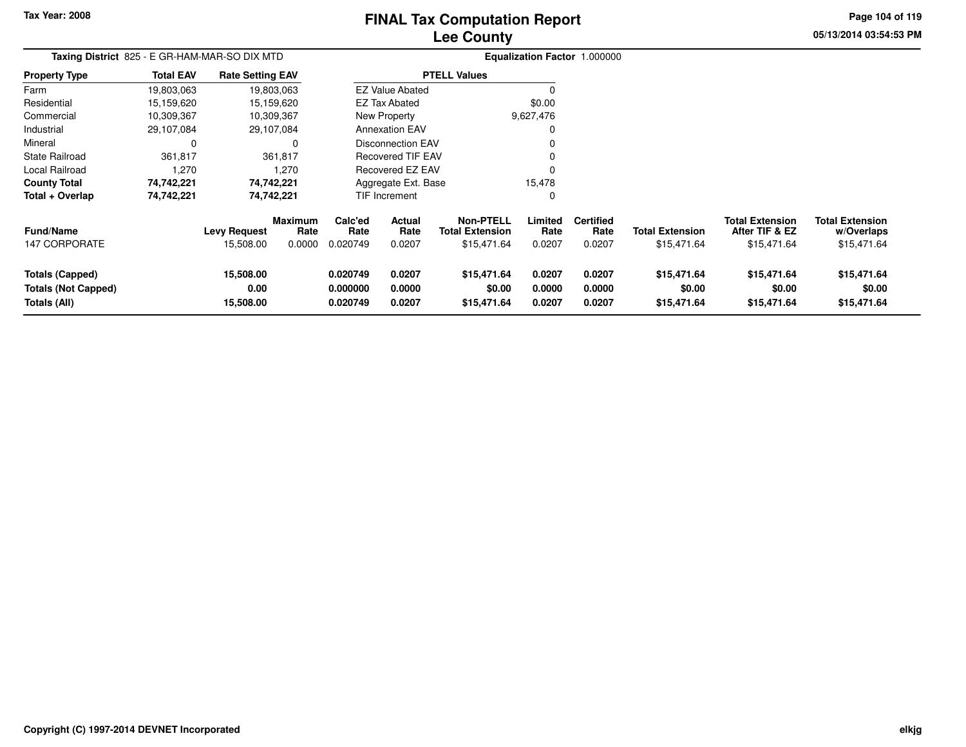# **Lee CountyFINAL Tax Computation Report**

**05/13/2014 03:54:53 PM**

**Page 104 of 119**

| Taxing District 825 - E GR-HAM-MAR-SO DIX MTD                        |                  |                                |                        |                                  |                            |                                            |                            | Equalization Factor 1.000000 |                                      |                                          |                                      |
|----------------------------------------------------------------------|------------------|--------------------------------|------------------------|----------------------------------|----------------------------|--------------------------------------------|----------------------------|------------------------------|--------------------------------------|------------------------------------------|--------------------------------------|
| <b>Property Type</b>                                                 | <b>Total EAV</b> | <b>Rate Setting EAV</b>        |                        |                                  |                            | <b>PTELL Values</b>                        |                            |                              |                                      |                                          |                                      |
| Farm                                                                 | 19,803,063       |                                | 19,803,063             |                                  | <b>EZ Value Abated</b>     |                                            |                            |                              |                                      |                                          |                                      |
| Residential                                                          | 15,159,620       |                                | 15,159,620             |                                  | <b>EZ Tax Abated</b>       |                                            | \$0.00                     |                              |                                      |                                          |                                      |
| Commercial                                                           | 10,309,367       |                                | 10,309,367             |                                  | New Property               |                                            | 9,627,476                  |                              |                                      |                                          |                                      |
| Industrial                                                           | 29,107,084       |                                | 29,107,084             |                                  | <b>Annexation EAV</b>      |                                            |                            |                              |                                      |                                          |                                      |
| Mineral                                                              | 0                |                                | 0                      |                                  | <b>Disconnection EAV</b>   |                                            |                            |                              |                                      |                                          |                                      |
| <b>State Railroad</b>                                                | 361,817          |                                | 361,817                |                                  | <b>Recovered TIF EAV</b>   |                                            |                            |                              |                                      |                                          |                                      |
| Local Railroad                                                       | 1,270            |                                | 1,270                  |                                  | Recovered EZ EAV           |                                            |                            |                              |                                      |                                          |                                      |
| <b>County Total</b>                                                  | 74,742,221       |                                | 74,742,221             |                                  | Aggregate Ext. Base        |                                            | 15,478                     |                              |                                      |                                          |                                      |
| Total + Overlap                                                      | 74,742,221       |                                | 74,742,221             |                                  | TIF Increment              |                                            | 0                          |                              |                                      |                                          |                                      |
| <b>Fund/Name</b>                                                     |                  | <b>Levy Request</b>            | <b>Maximum</b><br>Rate | Calc'ed<br>Rate                  | Actual<br>Rate             | <b>Non-PTELL</b><br><b>Total Extension</b> | Limited<br>Rate            | <b>Certified</b><br>Rate     | <b>Total Extension</b>               | <b>Total Extension</b><br>After TIF & EZ | <b>Total Extension</b><br>w/Overlaps |
| <b>147 CORPORATE</b>                                                 |                  | 15,508.00                      | 0.0000                 | 0.020749                         | 0.0207                     | \$15,471.64                                | 0.0207                     | 0.0207                       | \$15,471.64                          | \$15,471.64                              | \$15,471.64                          |
| <b>Totals (Capped)</b><br><b>Totals (Not Capped)</b><br>Totals (All) |                  | 15,508.00<br>0.00<br>15,508.00 |                        | 0.020749<br>0.000000<br>0.020749 | 0.0207<br>0.0000<br>0.0207 | \$15,471.64<br>\$0.00<br>\$15,471.64       | 0.0207<br>0.0000<br>0.0207 | 0.0207<br>0.0000<br>0.0207   | \$15,471.64<br>\$0.00<br>\$15,471.64 | \$15,471.64<br>\$0.00<br>\$15,471.64     | \$15,471.64<br>\$0.00<br>\$15,471.64 |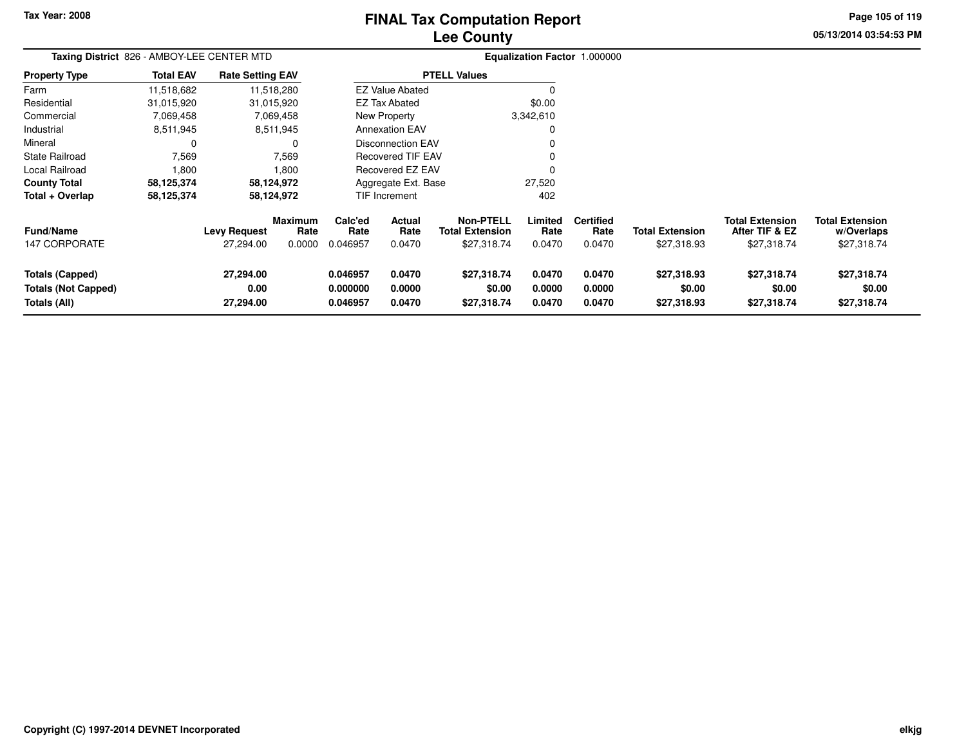# **Lee CountyFINAL Tax Computation Report**

**05/13/2014 03:54:53 PM**

**Page 105 of 119**

| Taxing District 826 - AMBOY-LEE CENTER MTD                           |                  |                                |                        |                                  |                            | Equalization Factor 1.000000               |                            |                            |                                      |                                          |                                      |
|----------------------------------------------------------------------|------------------|--------------------------------|------------------------|----------------------------------|----------------------------|--------------------------------------------|----------------------------|----------------------------|--------------------------------------|------------------------------------------|--------------------------------------|
| <b>Property Type</b>                                                 | <b>Total EAV</b> | <b>Rate Setting EAV</b>        |                        |                                  |                            | <b>PTELL Values</b>                        |                            |                            |                                      |                                          |                                      |
| Farm                                                                 | 11,518,682       |                                | 11,518,280             |                                  | <b>EZ Value Abated</b>     |                                            | C                          |                            |                                      |                                          |                                      |
| Residential                                                          | 31,015,920       |                                | 31,015,920             |                                  | <b>EZ Tax Abated</b>       |                                            | \$0.00                     |                            |                                      |                                          |                                      |
| Commercial                                                           | 7,069,458        |                                | 7,069,458              |                                  | New Property               |                                            | 3,342,610                  |                            |                                      |                                          |                                      |
| Industrial                                                           | 8,511,945        |                                | 8,511,945              |                                  | <b>Annexation EAV</b>      |                                            | 0                          |                            |                                      |                                          |                                      |
| Mineral                                                              |                  |                                |                        |                                  | <b>Disconnection EAV</b>   |                                            | $\Omega$                   |                            |                                      |                                          |                                      |
| <b>State Railroad</b>                                                | 7,569            |                                | 7,569                  |                                  | <b>Recovered TIF EAV</b>   |                                            | $\Omega$                   |                            |                                      |                                          |                                      |
| Local Railroad                                                       | 1,800            |                                | 1,800                  |                                  | Recovered EZ EAV           |                                            | $\Omega$                   |                            |                                      |                                          |                                      |
| <b>County Total</b>                                                  | 58,125,374       |                                | 58,124,972             |                                  | Aggregate Ext. Base        |                                            | 27,520                     |                            |                                      |                                          |                                      |
| Total + Overlap                                                      | 58,125,374       |                                | 58,124,972             |                                  | <b>TIF Increment</b>       |                                            | 402                        |                            |                                      |                                          |                                      |
| <b>Fund/Name</b>                                                     |                  | <b>Levy Request</b>            | <b>Maximum</b><br>Rate | Calc'ed<br>Rate                  | Actual<br>Rate             | <b>Non-PTELL</b><br><b>Total Extension</b> | Limited<br>Rate            | <b>Certified</b><br>Rate   | <b>Total Extension</b>               | <b>Total Extension</b><br>After TIF & EZ | <b>Total Extension</b><br>w/Overlaps |
| <b>147 CORPORATE</b>                                                 |                  | 27,294.00                      | 0.0000                 | 0.046957                         | 0.0470                     | \$27,318.74                                | 0.0470                     | 0.0470                     | \$27,318.93                          | \$27,318.74                              | \$27,318.74                          |
| <b>Totals (Capped)</b><br><b>Totals (Not Capped)</b><br>Totals (All) |                  | 27,294.00<br>0.00<br>27,294.00 |                        | 0.046957<br>0.000000<br>0.046957 | 0.0470<br>0.0000<br>0.0470 | \$27,318.74<br>\$0.00<br>\$27,318.74       | 0.0470<br>0.0000<br>0.0470 | 0.0470<br>0.0000<br>0.0470 | \$27,318.93<br>\$0.00<br>\$27,318.93 | \$27,318.74<br>\$0.00<br>\$27,318.74     | \$27,318.74<br>\$0.00<br>\$27,318.74 |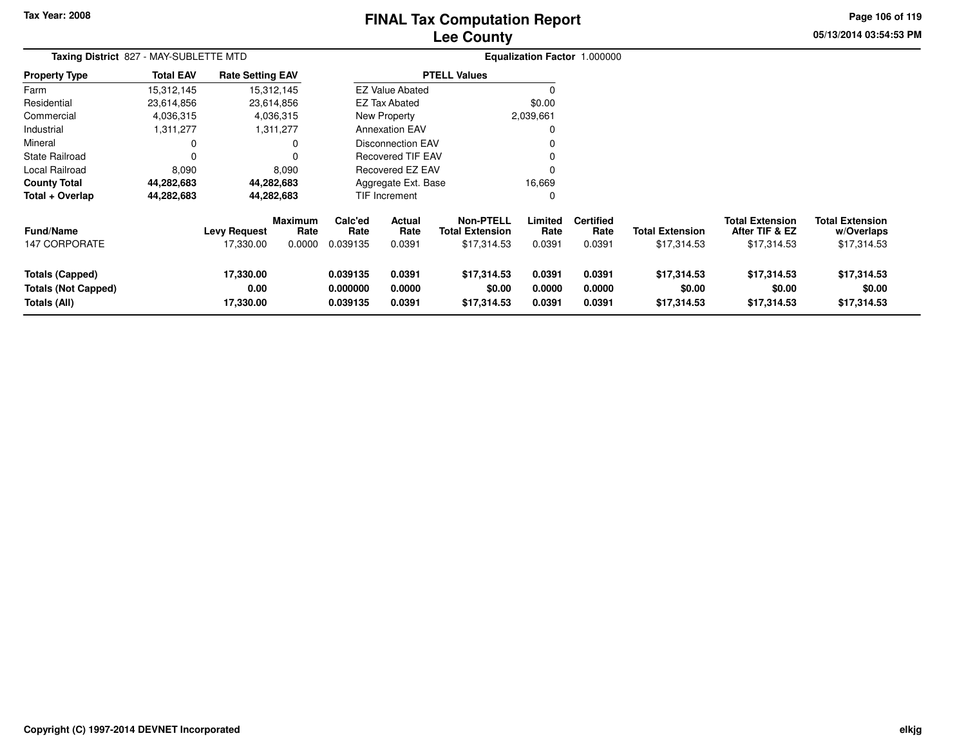# **Lee CountyFINAL Tax Computation Report**

**05/13/2014 03:54:53 PM**

**Page 106 of 119**

|                            | Taxing District 827 - MAY-SUBLETTE MTD |                         |                        |                 |                          |                                            | Equalization Factor 1.000000 |                          |                        |                                          |                                      |  |
|----------------------------|----------------------------------------|-------------------------|------------------------|-----------------|--------------------------|--------------------------------------------|------------------------------|--------------------------|------------------------|------------------------------------------|--------------------------------------|--|
| <b>Property Type</b>       | <b>Total EAV</b>                       | <b>Rate Setting EAV</b> |                        |                 |                          | <b>PTELL Values</b>                        |                              |                          |                        |                                          |                                      |  |
| Farm                       | 15,312,145                             |                         | 15,312,145             |                 | <b>EZ Value Abated</b>   |                                            |                              |                          |                        |                                          |                                      |  |
| Residential                | 23,614,856                             |                         | 23,614,856             |                 | <b>EZ Tax Abated</b>     |                                            | \$0.00                       |                          |                        |                                          |                                      |  |
| Commercial                 | 4,036,315                              |                         | 4,036,315              |                 | <b>New Property</b>      |                                            | 2,039,661                    |                          |                        |                                          |                                      |  |
| Industrial                 | 1,311,277                              |                         | 1,311,277              |                 | <b>Annexation EAV</b>    |                                            |                              |                          |                        |                                          |                                      |  |
| Mineral                    | 0                                      |                         | 0                      |                 | <b>Disconnection EAV</b> |                                            |                              |                          |                        |                                          |                                      |  |
| State Railroad             | $\Omega$                               |                         | $\mathbf 0$            |                 | Recovered TIF EAV        |                                            |                              |                          |                        |                                          |                                      |  |
| Local Railroad             | 8,090                                  |                         | 8,090                  |                 | <b>Recovered EZ EAV</b>  |                                            | $\Omega$                     |                          |                        |                                          |                                      |  |
| <b>County Total</b>        | 44,282,683                             |                         | 44,282,683             |                 | Aggregate Ext. Base      |                                            | 16,669                       |                          |                        |                                          |                                      |  |
| Total + Overlap            | 44,282,683                             |                         | 44,282,683             |                 | <b>TIF Increment</b>     |                                            | 0                            |                          |                        |                                          |                                      |  |
| <b>Fund/Name</b>           |                                        | <b>Levy Request</b>     | <b>Maximum</b><br>Rate | Calc'ed<br>Rate | Actual<br>Rate           | <b>Non-PTELL</b><br><b>Total Extension</b> | Limited<br>Rate              | <b>Certified</b><br>Rate | <b>Total Extension</b> | <b>Total Extension</b><br>After TIF & EZ | <b>Total Extension</b><br>w/Overlaps |  |
| <b>147 CORPORATE</b>       |                                        | 17,330.00               | 0.0000                 | 0.039135        | 0.0391                   | \$17,314.53                                | 0.0391                       | 0.0391                   | \$17,314.53            | \$17,314.53                              | \$17,314.53                          |  |
| <b>Totals (Capped)</b>     |                                        | 17,330.00               |                        | 0.039135        | 0.0391                   | \$17,314.53                                | 0.0391                       | 0.0391                   | \$17,314.53            | \$17,314.53                              | \$17,314.53                          |  |
| <b>Totals (Not Capped)</b> |                                        | 0.00                    |                        | 0.000000        | 0.0000                   | \$0.00                                     | 0.0000                       | 0.0000                   | \$0.00                 | \$0.00                                   | \$0.00                               |  |
| Totals (All)               |                                        | 17,330.00               |                        | 0.039135        | 0.0391                   | \$17,314.53                                | 0.0391                       | 0.0391                   | \$17,314.53            | \$17,314.53                              | \$17,314.53                          |  |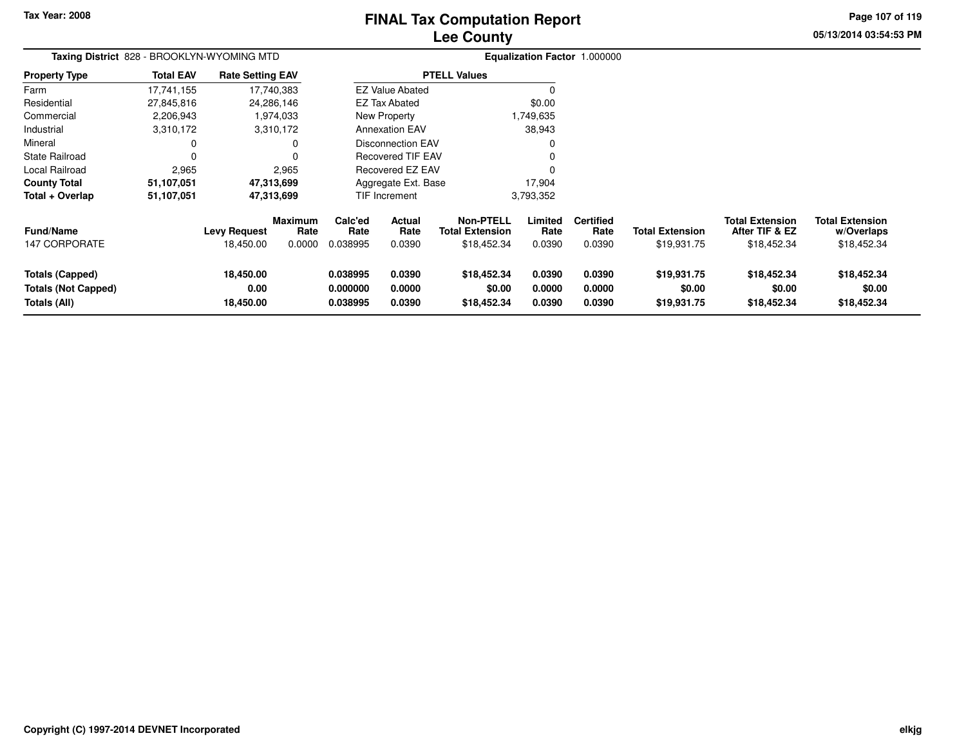**Totals (All)**

**18,450.00**

# **Lee CountyFINAL Tax Computation Report**

**0.038995 0.0390 \$18,452.34 0.0390 0.0390 \$19,931.75 \$18,452.34 \$18,452.34**

**05/13/2014 03:54:53 PMPage 107 of 119**

| Taxing District 828 - BROOKLYN-WYOMING MTD |                  |                         |                        |                 |                          |                                            |                 | Equalization Factor 1.000000 |                        |                                          |                                      |
|--------------------------------------------|------------------|-------------------------|------------------------|-----------------|--------------------------|--------------------------------------------|-----------------|------------------------------|------------------------|------------------------------------------|--------------------------------------|
| <b>Property Type</b>                       | <b>Total EAV</b> | <b>Rate Setting EAV</b> |                        |                 |                          | <b>PTELL Values</b>                        |                 |                              |                        |                                          |                                      |
| Farm                                       | 17,741,155       | 17,740,383              |                        |                 | <b>EZ Value Abated</b>   |                                            | $\Omega$        |                              |                        |                                          |                                      |
| Residential                                | 27,845,816       | 24,286,146              |                        |                 | EZ Tax Abated            |                                            | \$0.00          |                              |                        |                                          |                                      |
| Commercial                                 | 2,206,943        |                         | 1,974,033              |                 | New Property             |                                            | 1,749,635       |                              |                        |                                          |                                      |
| Industrial                                 | 3,310,172        |                         | 3,310,172              |                 | <b>Annexation EAV</b>    |                                            | 38,943          |                              |                        |                                          |                                      |
| Mineral                                    | 0                |                         | 0                      |                 | <b>Disconnection EAV</b> |                                            | $\Omega$        |                              |                        |                                          |                                      |
| <b>State Railroad</b>                      | $\Omega$         |                         | 0                      |                 | <b>Recovered TIF EAV</b> |                                            | $\Omega$        |                              |                        |                                          |                                      |
| Local Railroad                             | 2,965            |                         | 2,965                  |                 | Recovered EZ EAV         |                                            | $\Omega$        |                              |                        |                                          |                                      |
| <b>County Total</b>                        | 51,107,051       | 47,313,699              |                        |                 | Aggregate Ext. Base      |                                            | 17,904          |                              |                        |                                          |                                      |
| Total + Overlap                            | 51,107,051       | 47,313,699              |                        |                 | TIF Increment            |                                            | 3,793,352       |                              |                        |                                          |                                      |
| <b>Fund/Name</b>                           |                  | <b>Levy Request</b>     | <b>Maximum</b><br>Rate | Calc'ed<br>Rate | <b>Actual</b><br>Rate    | <b>Non-PTELL</b><br><b>Total Extension</b> | Limited<br>Rate | <b>Certified</b><br>Rate     | <b>Total Extension</b> | <b>Total Extension</b><br>After TIF & EZ | <b>Total Extension</b><br>w/Overlaps |
| <b>147 CORPORATE</b>                       |                  | 18,450.00               | 0.0000                 | 0.038995        | 0.0390                   | \$18,452.34                                | 0.0390          | 0.0390                       | \$19,931.75            | \$18,452.34                              | \$18,452.34                          |
| Totals (Capped)                            |                  | 18,450.00               |                        | 0.038995        | 0.0390                   | \$18,452.34                                | 0.0390          | 0.0390                       | \$19,931.75            | \$18,452.34                              | \$18,452.34                          |
| <b>Totals (Not Capped)</b>                 |                  | 0.00                    |                        | 0.000000        | 0.0000                   | \$0.00                                     | 0.0000          | 0.0000                       | \$0.00                 | \$0.00                                   | \$0.00                               |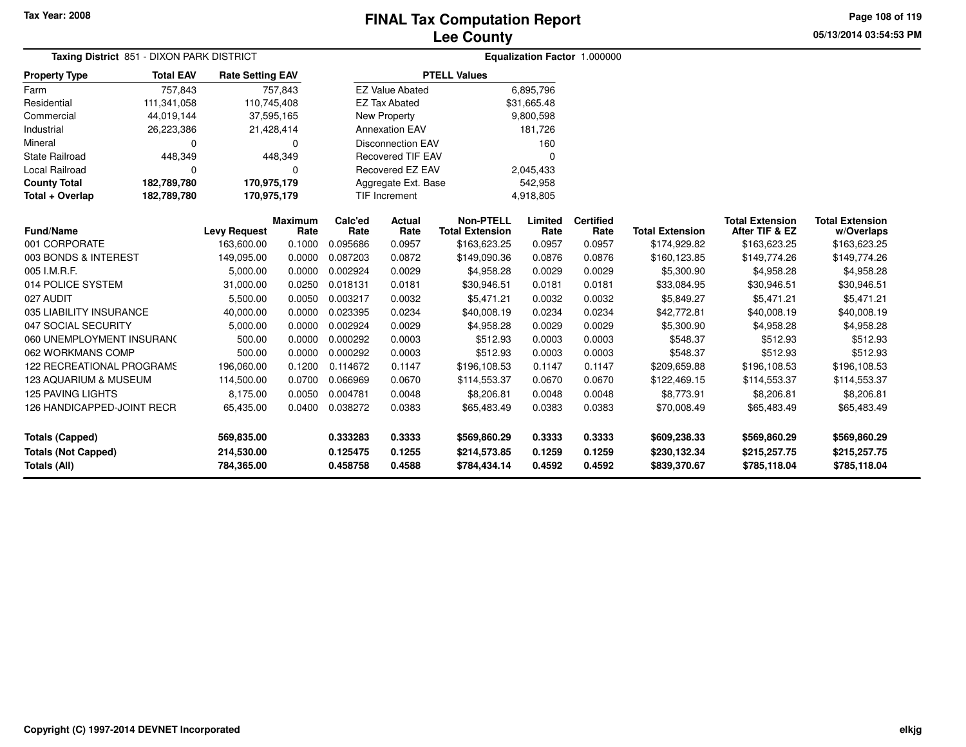**Page 108 of 119**

**05/13/2014 03:54:53 PM**

| Taxing District 851 - DIXON PARK DISTRICT |                  |                         |                        |                 |                          |                                            |                 | <b>Equalization Factor 1.000000</b> |                        |                                          |                                      |
|-------------------------------------------|------------------|-------------------------|------------------------|-----------------|--------------------------|--------------------------------------------|-----------------|-------------------------------------|------------------------|------------------------------------------|--------------------------------------|
| <b>Property Type</b>                      | <b>Total EAV</b> | <b>Rate Setting EAV</b> |                        |                 |                          | <b>PTELL Values</b>                        |                 |                                     |                        |                                          |                                      |
| Farm                                      | 757,843          |                         | 757,843                |                 | <b>EZ Value Abated</b>   |                                            | 6,895,796       |                                     |                        |                                          |                                      |
| Residential                               | 111,341,058      | 110,745,408             |                        |                 | <b>EZ Tax Abated</b>     |                                            | \$31,665.48     |                                     |                        |                                          |                                      |
| Commercial                                | 44,019,144       | 37,595,165              |                        |                 | New Property             |                                            | 9,800,598       |                                     |                        |                                          |                                      |
| Industrial                                | 26,223,386       | 21,428,414              |                        |                 | <b>Annexation EAV</b>    |                                            | 181,726         |                                     |                        |                                          |                                      |
| Mineral                                   | $\Omega$         |                         | $\Omega$               |                 | <b>Disconnection EAV</b> |                                            | 160             |                                     |                        |                                          |                                      |
| <b>State Railroad</b>                     | 448,349          |                         | 448,349                |                 | <b>Recovered TIF EAV</b> |                                            | $\Omega$        |                                     |                        |                                          |                                      |
| Local Railroad                            | $\Omega$         |                         | $\Omega$               |                 | Recovered EZ EAV         |                                            | 2,045,433       |                                     |                        |                                          |                                      |
| <b>County Total</b>                       | 182,789,780      | 170,975,179             |                        |                 | Aggregate Ext. Base      |                                            | 542,958         |                                     |                        |                                          |                                      |
| Total + Overlap                           | 182,789,780      | 170,975,179             |                        |                 | <b>TIF Increment</b>     |                                            | 4,918,805       |                                     |                        |                                          |                                      |
| <b>Fund/Name</b>                          |                  | <b>Levy Request</b>     | <b>Maximum</b><br>Rate | Calc'ed<br>Rate | Actual<br>Rate           | <b>Non-PTELL</b><br><b>Total Extension</b> | Limited<br>Rate | <b>Certified</b><br>Rate            | <b>Total Extension</b> | <b>Total Extension</b><br>After TIF & EZ | <b>Total Extension</b><br>w/Overlaps |
| 001 CORPORATE                             |                  | 163,600.00              | 0.1000                 | 0.095686        | 0.0957                   | \$163,623.25                               | 0.0957          | 0.0957                              | \$174,929.82           | \$163,623.25                             | \$163,623.25                         |
| 003 BONDS & INTEREST                      |                  | 149,095.00              | 0.0000                 | 0.087203        | 0.0872                   | \$149,090.36                               | 0.0876          | 0.0876                              | \$160,123.85           | \$149,774.26                             | \$149,774.26                         |
| 005 I.M.R.F.                              |                  | 5,000.00                | 0.0000                 | 0.002924        | 0.0029                   | \$4,958.28                                 | 0.0029          | 0.0029                              | \$5,300.90             | \$4,958.28                               | \$4,958.28                           |
| 014 POLICE SYSTEM                         |                  | 31,000.00               | 0.0250                 | 0.018131        | 0.0181                   | \$30,946.51                                | 0.0181          | 0.0181                              | \$33,084.95            | \$30,946.51                              | \$30,946.51                          |
| 027 AUDIT                                 |                  | 5,500.00                | 0.0050                 | 0.003217        | 0.0032                   | \$5,471.21                                 | 0.0032          | 0.0032                              | \$5,849.27             | \$5,471.21                               | \$5,471.21                           |
| 035 LIABILITY INSURANCE                   |                  | 40,000.00               | 0.0000                 | 0.023395        | 0.0234                   | \$40,008.19                                | 0.0234          | 0.0234                              | \$42,772.81            | \$40,008.19                              | \$40,008.19                          |
| 047 SOCIAL SECURITY                       |                  | 5,000.00                | 0.0000                 | 0.002924        | 0.0029                   | \$4,958.28                                 | 0.0029          | 0.0029                              | \$5,300.90             | \$4,958.28                               | \$4,958.28                           |
| 060 UNEMPLOYMENT INSURANC                 |                  | 500.00                  | 0.0000                 | 0.000292        | 0.0003                   | \$512.93                                   | 0.0003          | 0.0003                              | \$548.37               | \$512.93                                 | \$512.93                             |
| 062 WORKMANS COMP                         |                  | 500.00                  | 0.0000                 | 0.000292        | 0.0003                   | \$512.93                                   | 0.0003          | 0.0003                              | \$548.37               | \$512.93                                 | \$512.93                             |
| <b>122 RECREATIONAL PROGRAMS</b>          |                  | 196,060.00              | 0.1200                 | 0.114672        | 0.1147                   | \$196,108.53                               | 0.1147          | 0.1147                              | \$209,659.88           | \$196,108.53                             | \$196,108.53                         |
| 123 AQUARIUM & MUSEUM                     |                  | 114,500.00              | 0.0700                 | 0.066969        | 0.0670                   | \$114,553.37                               | 0.0670          | 0.0670                              | \$122,469.15           | \$114,553.37                             | \$114,553.37                         |
| <b>125 PAVING LIGHTS</b>                  |                  | 8,175.00                | 0.0050                 | 0.004781        | 0.0048                   | \$8,206.81                                 | 0.0048          | 0.0048                              | \$8,773.91             | \$8,206.81                               | \$8,206.81                           |
| 126 HANDICAPPED-JOINT RECR                |                  | 65,435.00               | 0.0400                 | 0.038272        | 0.0383                   | \$65,483.49                                | 0.0383          | 0.0383                              | \$70,008.49            | \$65,483.49                              | \$65,483.49                          |
| <b>Totals (Capped)</b>                    |                  | 569,835.00              |                        | 0.333283        | 0.3333                   | \$569,860.29                               | 0.3333          | 0.3333                              | \$609,238.33           | \$569,860.29                             | \$569,860.29                         |
| <b>Totals (Not Capped)</b>                |                  | 214,530.00              |                        | 0.125475        | 0.1255                   | \$214,573.85                               | 0.1259          | 0.1259                              | \$230,132.34           | \$215,257.75                             | \$215,257.75                         |
| Totals (All)                              |                  | 784,365.00              |                        | 0.458758        | 0.4588                   | \$784,434.14                               | 0.4592          | 0.4592                              | \$839,370.67           | \$785,118.04                             | \$785,118.04                         |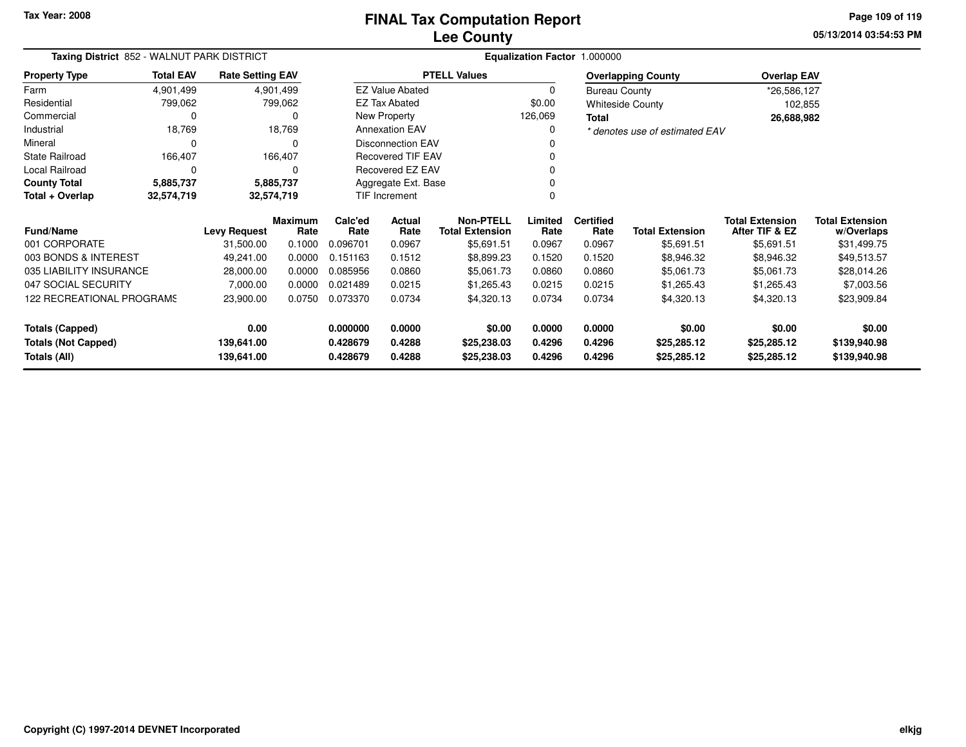**05/13/2014 03:54:53 PMPage 109 of 119**

|                                  | Taxing District 852 - WALNUT PARK DISTRICT<br><b>Total EAV</b><br><b>Rate Setting EAV</b> |                     |                        |                 | Equalization Factor 1.000000 |                                            |                 |                          |                                |                                          |                                      |
|----------------------------------|-------------------------------------------------------------------------------------------|---------------------|------------------------|-----------------|------------------------------|--------------------------------------------|-----------------|--------------------------|--------------------------------|------------------------------------------|--------------------------------------|
| <b>Property Type</b>             |                                                                                           |                     |                        |                 |                              | <b>PTELL Values</b>                        |                 |                          | <b>Overlapping County</b>      | <b>Overlap EAV</b>                       |                                      |
| Farm                             | 4,901,499                                                                                 |                     | 4,901,499              |                 | <b>EZ Value Abated</b>       |                                            | $\mathbf 0$     | <b>Bureau County</b>     |                                | *26,586,127                              |                                      |
| Residential                      | 799,062                                                                                   |                     | 799,062                |                 | EZ Tax Abated                |                                            | \$0.00          |                          | <b>Whiteside County</b>        | 102,855                                  |                                      |
| Commercial                       |                                                                                           |                     | 0                      |                 | <b>New Property</b>          |                                            | 126,069         | Total                    |                                | 26,688,982                               |                                      |
| Industrial                       | 18,769                                                                                    |                     | 18,769                 |                 | <b>Annexation EAV</b>        |                                            | $\Omega$        |                          | * denotes use of estimated EAV |                                          |                                      |
| Mineral                          |                                                                                           |                     |                        |                 | <b>Disconnection EAV</b>     |                                            |                 |                          |                                |                                          |                                      |
| <b>State Railroad</b>            | 166,407                                                                                   |                     | 166,407                |                 | <b>Recovered TIF EAV</b>     |                                            |                 |                          |                                |                                          |                                      |
| Local Railroad                   | $\Omega$                                                                                  |                     | $\Omega$               |                 | Recovered EZ EAV             |                                            |                 |                          |                                |                                          |                                      |
| <b>County Total</b>              | 5,885,737                                                                                 |                     | 5,885,737              |                 | Aggregate Ext. Base          |                                            |                 |                          |                                |                                          |                                      |
| Total + Overlap                  | 32,574,719                                                                                |                     | 32,574,719             |                 | <b>TIF Increment</b>         |                                            | 0               |                          |                                |                                          |                                      |
| <b>Fund/Name</b>                 |                                                                                           | <b>Levy Request</b> | <b>Maximum</b><br>Rate | Calc'ed<br>Rate | Actual<br>Rate               | <b>Non-PTELL</b><br><b>Total Extension</b> | Limited<br>Rate | <b>Certified</b><br>Rate | <b>Total Extension</b>         | <b>Total Extension</b><br>After TIF & EZ | <b>Total Extension</b><br>w/Overlaps |
| 001 CORPORATE                    |                                                                                           | 31,500.00           | 0.1000                 | 0.096701        | 0.0967                       | \$5,691.51                                 | 0.0967          | 0.0967                   | \$5,691.51                     | \$5,691.51                               | \$31,499.75                          |
| 003 BONDS & INTEREST             |                                                                                           | 49,241.00           | 0.0000                 | 0.151163        | 0.1512                       | \$8,899.23                                 | 0.1520          | 0.1520                   | \$8,946.32                     | \$8,946.32                               | \$49,513.57                          |
| 035 LIABILITY INSURANCE          |                                                                                           | 28,000.00           | 0.0000                 | 0.085956        | 0.0860                       | \$5,061.73                                 | 0.0860          | 0.0860                   | \$5,061.73                     | \$5,061.73                               | \$28,014.26                          |
| 047 SOCIAL SECURITY              |                                                                                           | 7,000.00            | 0.0000                 | 0.021489        | 0.0215                       | \$1,265.43                                 | 0.0215          | 0.0215                   | \$1,265.43                     | \$1,265.43                               | \$7,003.56                           |
| <b>122 RECREATIONAL PROGRAMS</b> |                                                                                           | 23,900.00           | 0.0750                 | 0.073370        | 0.0734                       | \$4,320.13                                 | 0.0734          | 0.0734                   | \$4,320.13                     | \$4,320.13                               | \$23,909.84                          |
| <b>Totals (Capped)</b>           |                                                                                           | 0.00                |                        | 0.000000        | 0.0000                       | \$0.00                                     | 0.0000          | 0.0000                   | \$0.00                         | \$0.00                                   | \$0.00                               |
| <b>Totals (Not Capped)</b>       |                                                                                           | 139,641.00          |                        | 0.428679        | 0.4288                       | \$25,238.03                                | 0.4296          | 0.4296                   | \$25,285.12                    | \$25,285.12                              | \$139,940.98                         |
| <b>Totals (All)</b>              |                                                                                           | 139,641.00          |                        | 0.428679        | 0.4288<br>\$25,238.03        |                                            | 0.4296          | 0.4296                   | \$25,285.12                    | \$25,285.12                              | \$139,940.98                         |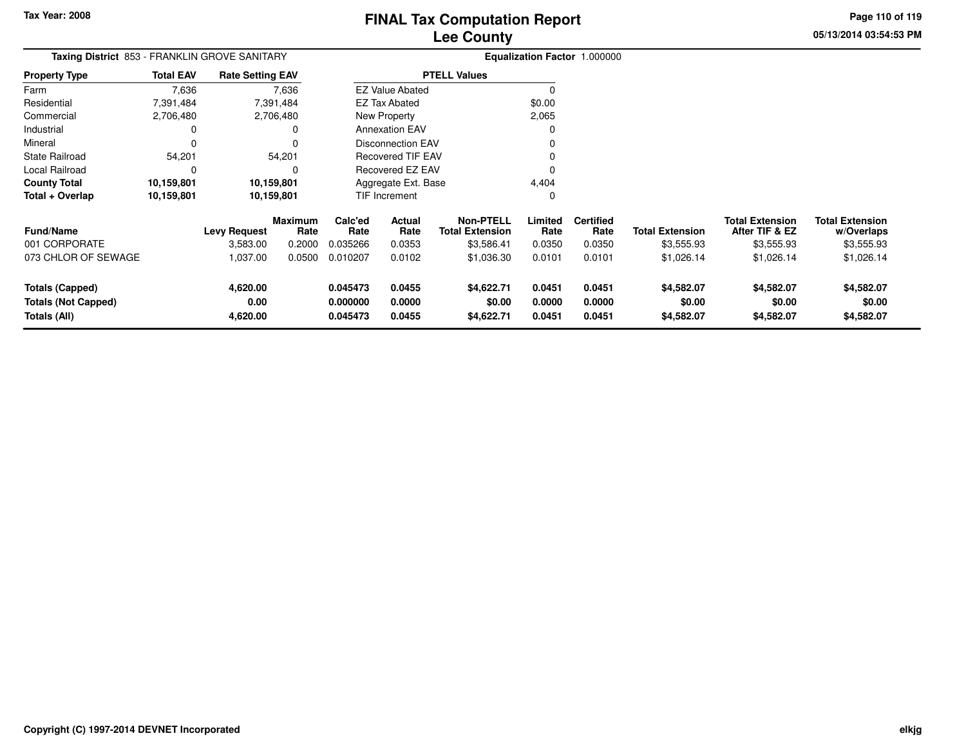**05/13/2014 03:54:53 PMPage 110 of 119**

| <b>Total EAV</b> |                         |                                 | Equalization Factor 1.000000                                                     |                  |                                                                                                             |                                   |                          |                        |                                          |                                      |
|------------------|-------------------------|---------------------------------|----------------------------------------------------------------------------------|------------------|-------------------------------------------------------------------------------------------------------------|-----------------------------------|--------------------------|------------------------|------------------------------------------|--------------------------------------|
|                  | <b>Rate Setting EAV</b> |                                 |                                                                                  |                  | <b>PTELL Values</b>                                                                                         |                                   |                          |                        |                                          |                                      |
| 7,636            |                         |                                 |                                                                                  |                  |                                                                                                             | 0                                 |                          |                        |                                          |                                      |
| 7,391,484        |                         |                                 |                                                                                  |                  |                                                                                                             | \$0.00                            |                          |                        |                                          |                                      |
| 2,706,480        |                         |                                 |                                                                                  |                  |                                                                                                             | 2,065                             |                          |                        |                                          |                                      |
| 0                |                         |                                 |                                                                                  |                  |                                                                                                             |                                   |                          |                        |                                          |                                      |
| 0                |                         |                                 | Disconnection EAV<br><b>Recovered TIF EAV</b>                                    |                  |                                                                                                             |                                   |                          |                        |                                          |                                      |
| 54,201           |                         |                                 |                                                                                  | Recovered EZ EAV |                                                                                                             |                                   |                          |                        |                                          |                                      |
| 0                |                         |                                 |                                                                                  |                  |                                                                                                             |                                   |                          |                        |                                          |                                      |
| 10,159,801       |                         |                                 |                                                                                  |                  |                                                                                                             | 4,404                             |                          |                        |                                          |                                      |
| 10,159,801       |                         |                                 |                                                                                  |                  |                                                                                                             | 0                                 |                          |                        |                                          |                                      |
|                  |                         | Rate                            | Calc'ed<br>Rate                                                                  | Actual<br>Rate   | <b>Non-PTELL</b><br><b>Total Extension</b>                                                                  | Limited<br>Rate                   | <b>Certified</b><br>Rate | <b>Total Extension</b> | <b>Total Extension</b><br>After TIF & EZ | <b>Total Extension</b><br>w/Overlaps |
|                  | 3,583.00                | 0.2000                          | 0.035266                                                                         | 0.0353           | \$3,586.41                                                                                                  | 0.0350                            | 0.0350                   | \$3,555.93             | \$3,555.93                               | \$3,555.93                           |
|                  | 1,037.00                | 0.0500                          | 0.010207                                                                         | 0.0102           | \$1,036.30                                                                                                  | 0.0101                            | 0.0101                   | \$1,026.14             | \$1,026.14                               | \$1,026.14                           |
|                  | 4,620.00<br>0.00        |                                 | 0.045473<br>0.000000                                                             | 0.0455<br>0.0000 | \$4,622.71<br>\$0.00                                                                                        | 0.0451<br>0.0000                  | 0.0451<br>0.0000         | \$4,582.07<br>\$0.00   | \$4,582.07<br>\$0.00                     | \$4,582.07<br>\$0.00<br>\$4,582.07   |
|                  |                         | <b>Levy Request</b><br>4,620.00 | 7,636<br>7,391,484<br>2,706,480<br>54,201<br>10,159,801<br>10,159,801<br>Maximum | 0.045473         | <b>EZ Value Abated</b><br>EZ Tax Abated<br>New Property<br><b>Annexation EAV</b><br>TIF Increment<br>0.0455 | Aggregate Ext. Base<br>\$4,622.71 | 0.0451                   | 0.0451                 | \$4,582.07                               | \$4,582.07                           |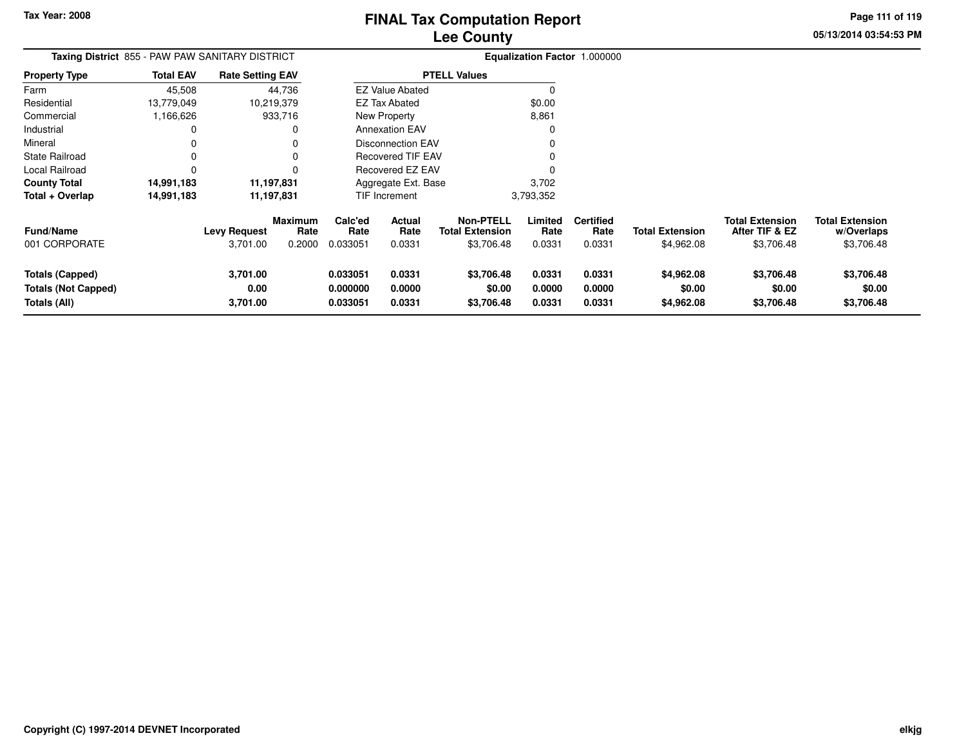# **Lee CountyFINAL Tax Computation Report**

**05/13/2014 03:54:53 PMPage 111 of 119**

|                                   |                  | Taxing District 855 - PAW PAW SANITARY DISTRICT              |                             |                          |                                                   |                           | Equalization Factor 1.000000       |                                      |                                                        |                                                    |
|-----------------------------------|------------------|--------------------------------------------------------------|-----------------------------|--------------------------|---------------------------------------------------|---------------------------|------------------------------------|--------------------------------------|--------------------------------------------------------|----------------------------------------------------|
| <b>Property Type</b>              | <b>Total EAV</b> | <b>Rate Setting EAV</b>                                      |                             |                          | <b>PTELL Values</b>                               |                           |                                    |                                      |                                                        |                                                    |
| Farm                              | 45,508           | 44.736                                                       |                             | <b>EZ Value Abated</b>   |                                                   |                           |                                    |                                      |                                                        |                                                    |
| Residential                       | 13.779.049       | 10.219.379                                                   |                             | EZ Tax Abated            |                                                   | \$0.00                    |                                    |                                      |                                                        |                                                    |
| Commercial                        | 1,166,626        | 933,716                                                      |                             | New Property             |                                                   | 8,861                     |                                    |                                      |                                                        |                                                    |
| Industrial                        |                  | 0                                                            |                             | <b>Annexation EAV</b>    |                                                   |                           |                                    |                                      |                                                        |                                                    |
| Mineral                           |                  |                                                              |                             | Disconnection EAV        |                                                   |                           |                                    |                                      |                                                        |                                                    |
| <b>State Railroad</b>             |                  |                                                              |                             | <b>Recovered TIF EAV</b> |                                                   |                           |                                    |                                      |                                                        |                                                    |
| Local Railroad                    |                  |                                                              |                             | Recovered EZ EAV         |                                                   |                           |                                    |                                      |                                                        |                                                    |
| <b>County Total</b>               | 14,991,183       | 11,197,831                                                   |                             | Aggregate Ext. Base      |                                                   | 3,702                     |                                    |                                      |                                                        |                                                    |
| Total + Overlap                   | 14,991,183       | 11,197,831                                                   |                             | TIF Increment            |                                                   | 3,793,352                 |                                    |                                      |                                                        |                                                    |
| <b>Fund/Name</b><br>001 CORPORATE |                  | Maximum<br>Rate<br><b>Levy Request</b><br>3,701.00<br>0.2000 | Calc'ed<br>Rate<br>0.033051 | Actual<br>Rate<br>0.0331 | Non-PTELL<br><b>Total Extension</b><br>\$3,706.48 | Limited<br>Rate<br>0.0331 | <b>Certified</b><br>Rate<br>0.0331 | <b>Total Extension</b><br>\$4,962.08 | <b>Total Extension</b><br>After TIF & EZ<br>\$3,706.48 | <b>Total Extension</b><br>w/Overlaps<br>\$3,706.48 |

|                            |          |          |        |            |        |        | $v \cdot v$ | $\vee\cdots\vee\vee\cdots\vee$ | <b>POIL OUILD</b> |
|----------------------------|----------|----------|--------|------------|--------|--------|-------------|--------------------------------|-------------------|
| <b>Totals (Capped)</b>     | 3,701.00 | 0.033051 | 0.0331 | \$3,706.48 | 0.0331 | 0.0331 | \$4,962.08  | \$3,706.48                     | \$3,706.48        |
| <b>Totals (Not Capped)</b> | 0.00     | 0.000000 | 0.0000 | \$0.00     | 0.0000 | 0.0000 | \$0.00      | \$0.00                         | \$0.00            |
| Totals (All)               | 3,701.00 | 0.033051 | 0.0331 | \$3,706.48 | 0.0331 | 0.0331 | \$4,962.08  | \$3,706.48                     | \$3,706.48        |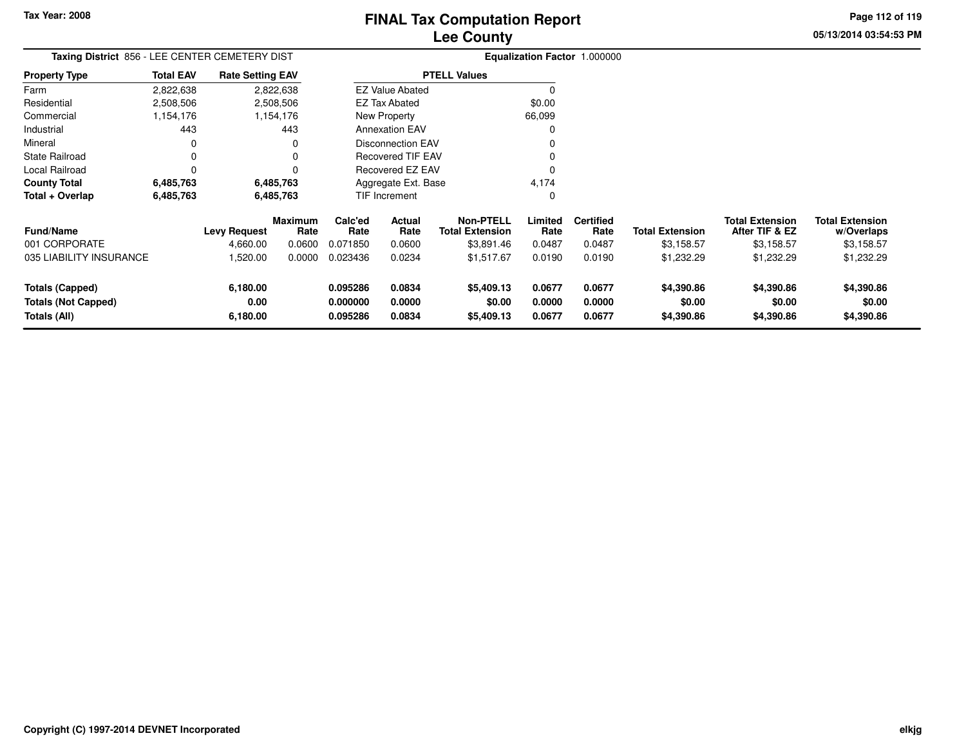**05/13/2014 03:54:53 PMPage 112 of 119**

| <b>Total EAV</b>        |                     |          |                                                                                                                                                       |                |                                                                                                 |                                                                                                                                                                |                          |                        |                                            |                                      |
|-------------------------|---------------------|----------|-------------------------------------------------------------------------------------------------------------------------------------------------------|----------------|-------------------------------------------------------------------------------------------------|----------------------------------------------------------------------------------------------------------------------------------------------------------------|--------------------------|------------------------|--------------------------------------------|--------------------------------------|
| 2,822,638               |                     |          |                                                                                                                                                       |                |                                                                                                 | 0                                                                                                                                                              |                          |                        |                                            |                                      |
| 2,508,506               |                     |          |                                                                                                                                                       |                |                                                                                                 | \$0.00                                                                                                                                                         |                          |                        |                                            |                                      |
| 1,154,176               |                     |          |                                                                                                                                                       |                |                                                                                                 | 66,099                                                                                                                                                         |                          |                        |                                            |                                      |
| 443                     |                     | 443      |                                                                                                                                                       |                |                                                                                                 | <sup>0</sup>                                                                                                                                                   |                          |                        |                                            |                                      |
|                         |                     |          |                                                                                                                                                       |                |                                                                                                 |                                                                                                                                                                |                          |                        |                                            |                                      |
|                         |                     |          |                                                                                                                                                       |                |                                                                                                 |                                                                                                                                                                |                          |                        |                                            |                                      |
|                         |                     |          |                                                                                                                                                       |                |                                                                                                 |                                                                                                                                                                |                          |                        |                                            |                                      |
| 6,485,763               |                     |          |                                                                                                                                                       |                |                                                                                                 | 4,174                                                                                                                                                          |                          |                        |                                            |                                      |
| 6,485,763               |                     |          |                                                                                                                                                       |                |                                                                                                 | 0                                                                                                                                                              |                          |                        |                                            |                                      |
|                         | <b>Levy Request</b> | Rate     | Calc'ed<br>Rate                                                                                                                                       | Actual<br>Rate | <b>Non-PTELL</b><br><b>Total Extension</b>                                                      | Limited<br>Rate                                                                                                                                                | <b>Certified</b><br>Rate | <b>Total Extension</b> | <b>Total Extension</b><br>After TIF & EZ   | <b>Total Extension</b><br>w/Overlaps |
|                         | 4,660.00            | 0.0600   | 0.071850                                                                                                                                              | 0.0600         | \$3,891.46                                                                                      | 0.0487                                                                                                                                                         | 0.0487                   | \$3,158.57             | \$3,158.57                                 | \$3,158.57                           |
| 035 LIABILITY INSURANCE | 1,520.00            | 0.0000   | 0.023436                                                                                                                                              | 0.0234         | \$1,517.67                                                                                      | 0.0190                                                                                                                                                         | 0.0190                   | \$1,232.29             | \$1,232.29                                 | \$1,232.29                           |
|                         | 6,180.00            |          | 0.095286                                                                                                                                              | 0.0834         | \$5,409.13                                                                                      | 0.0677                                                                                                                                                         | 0.0677                   | \$4,390.86             | \$4,390.86                                 | \$4,390.86                           |
|                         | 0.00                |          | 0.000000                                                                                                                                              | 0.0000         | \$0.00                                                                                          | 0.0000                                                                                                                                                         | 0.0000                   | \$0.00                 | \$0.00                                     | \$0.00<br>\$4,390.86                 |
|                         |                     | 6,180.00 | Taxing District 856 - LEE CENTER CEMETERY DIST<br><b>Rate Setting EAV</b><br>2,822,638<br>2,508,506<br>1,154,176<br>6,485,763<br>6,485,763<br>Maximum | 0.095286       | <b>EZ Tax Abated</b><br><b>New Property</b><br><b>Annexation EAV</b><br>TIF Increment<br>0.0834 | <b>PTELL Values</b><br><b>EZ Value Abated</b><br><b>Disconnection EAV</b><br><b>Recovered TIF EAV</b><br>Recovered EZ EAV<br>Aggregate Ext. Base<br>\$5,409.13 | 0.0677                   | 0.0677                 | Equalization Factor 1.000000<br>\$4,390.86 | \$4,390.86                           |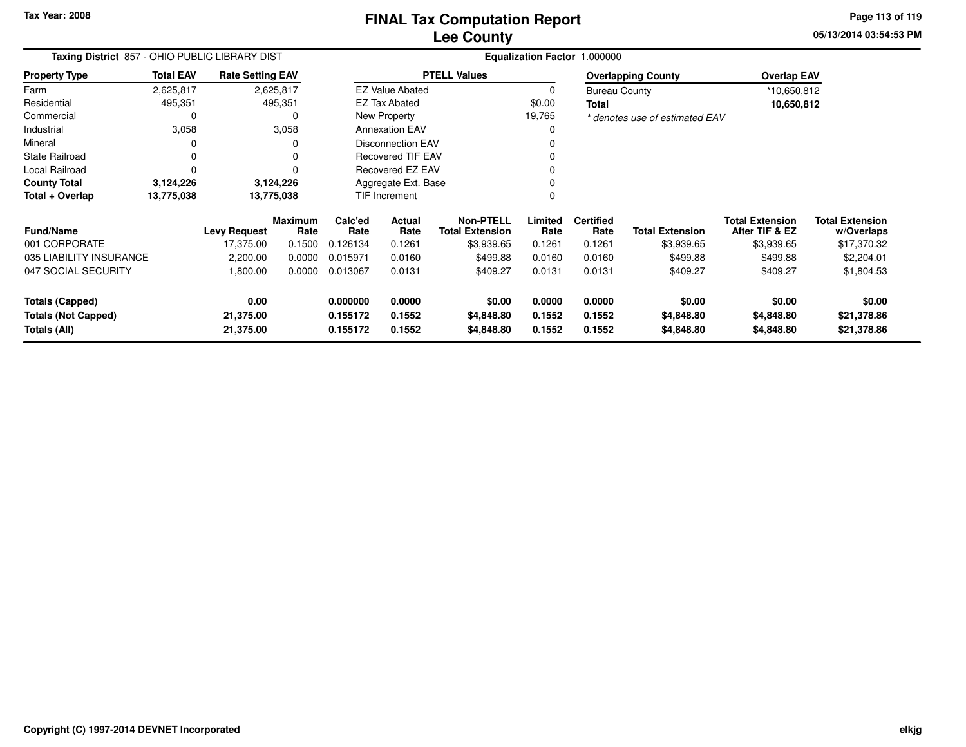**Tax Year: 2008**

# **Lee CountyFINAL Tax Computation Report**

**05/13/2014 03:54:53 PM Page 113 of 119**

| Taxing District 857 - OHIO PUBLIC LIBRARY DIST |                  |                         |                 |                                                      |                        |                                            |                  | Equalization Factor 1.000000 |                                |                                          |                                      |
|------------------------------------------------|------------------|-------------------------|-----------------|------------------------------------------------------|------------------------|--------------------------------------------|------------------|------------------------------|--------------------------------|------------------------------------------|--------------------------------------|
| <b>Property Type</b>                           | <b>Total EAV</b> | <b>Rate Setting EAV</b> |                 |                                                      |                        | <b>PTELL Values</b>                        |                  |                              | <b>Overlapping County</b>      | <b>Overlap EAV</b>                       |                                      |
| Farm                                           | 2,625,817        |                         | 2,625,817       |                                                      | <b>EZ Value Abated</b> |                                            | 0                | <b>Bureau County</b>         |                                | *10,650,812                              |                                      |
| Residential                                    | 495,351          |                         | 495,351         |                                                      | <b>EZ Tax Abated</b>   |                                            | \$0.00           | <b>Total</b>                 |                                | 10,650,812                               |                                      |
| Commercial                                     |                  |                         | 0               |                                                      | New Property           |                                            | 19,765           |                              | * denotes use of estimated EAV |                                          |                                      |
| Industrial                                     | 3,058            |                         | 3,058           |                                                      | <b>Annexation EAV</b>  |                                            | 0                |                              |                                |                                          |                                      |
| Mineral                                        |                  |                         |                 | <b>Disconnection EAV</b><br><b>Recovered TIF EAV</b> |                        |                                            |                  |                              |                                |                                          |                                      |
| <b>State Railroad</b>                          |                  |                         |                 |                                                      |                        |                                            |                  |                              |                                |                                          |                                      |
| Local Railroad                                 |                  |                         |                 | Recovered EZ EAV                                     |                        |                                            |                  |                              |                                |                                          |                                      |
| <b>County Total</b>                            | 3,124,226        |                         | 3,124,226       | Aggregate Ext. Base                                  |                        |                                            |                  |                              |                                |                                          |                                      |
| Total + Overlap                                | 13,775,038       |                         | 13,775,038      |                                                      | <b>TIF Increment</b>   |                                            | 0                |                              |                                |                                          |                                      |
| <b>Fund/Name</b>                               |                  | <b>Levy Request</b>     | Maximum<br>Rate | Calc'ed<br>Rate                                      | <b>Actual</b><br>Rate  | <b>Non-PTELL</b><br><b>Total Extension</b> | Limited<br>Rate  | <b>Certified</b><br>Rate     | <b>Total Extension</b>         | <b>Total Extension</b><br>After TIF & EZ | <b>Total Extension</b><br>w/Overlaps |
| 001 CORPORATE                                  |                  | 17,375.00               | 0.1500          | 0.126134                                             | 0.1261                 | \$3,939.65                                 | 0.1261           | 0.1261                       | \$3,939.65                     | \$3,939.65                               | \$17,370.32                          |
| 035 LIABILITY INSURANCE                        |                  | 2,200.00                | 0.0000          | 0.015971                                             | 0.0160                 | \$499.88                                   | 0.0160           | 0.0160                       | \$499.88                       | \$499.88                                 | \$2,204.01                           |
| 047 SOCIAL SECURITY                            |                  | 1,800.00                | 0.0000          | 0.013067                                             | 0.0131                 | \$409.27                                   | 0.0131           | 0.0131                       | \$409.27                       | \$409.27                                 | \$1,804.53                           |
| <b>Totals (Capped)</b>                         |                  | 0.00                    |                 | 0.000000                                             | 0.0000                 | \$0.00                                     | 0.0000           | 0.0000                       | \$0.00                         | \$0.00                                   | \$0.00                               |
| <b>Totals (Not Capped)</b><br>Totals (All)     |                  | 21,375.00<br>21,375.00  |                 | 0.155172<br>0.155172                                 | 0.1552<br>0.1552       | \$4,848.80<br>\$4,848.80                   | 0.1552<br>0.1552 | 0.1552<br>0.1552             | \$4,848.80<br>\$4,848.80       | \$4,848.80<br>\$4,848.80                 | \$21,378.86<br>\$21,378.86           |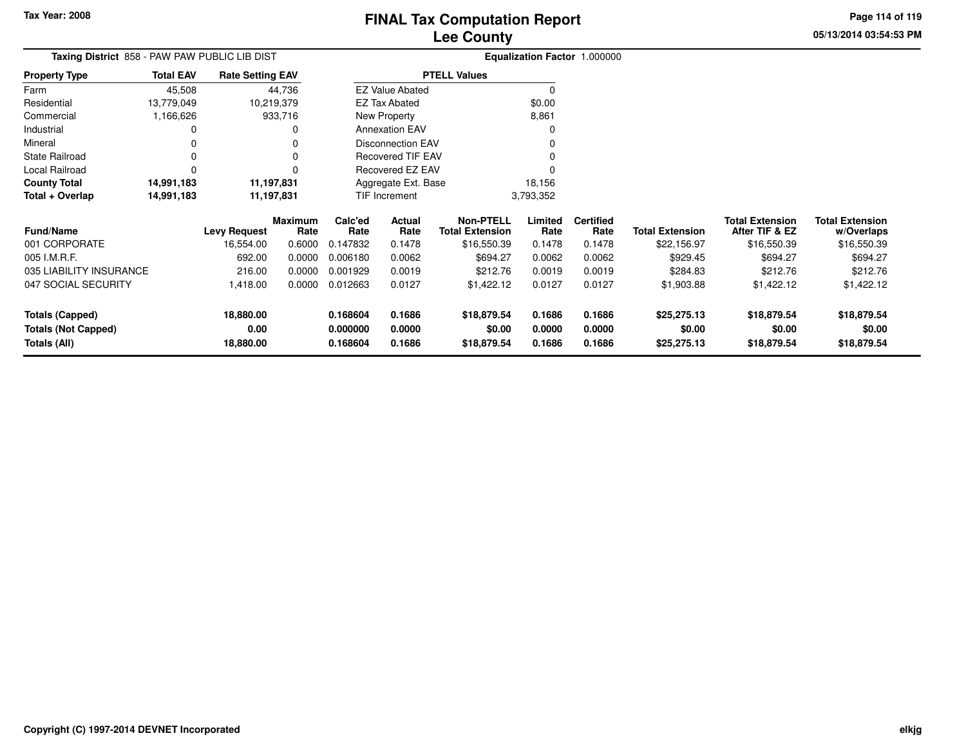**Totals (All)**

## **Lee CountyFINAL Tax Computation Report**

**0.168604 0.1686 \$18,879.54 0.1686 0.1686 \$25,275.13 \$18,879.54 \$18,879.54**

**05/13/2014 03:54:53 PMPage 114 of 119**

|                            | Taxing District 858 - PAW PAW PUBLIC LIB DIST |                         |                        | Equalization Factor 1.000000 |                        |                                            |                 |                          |                        |                                          |                                      |
|----------------------------|-----------------------------------------------|-------------------------|------------------------|------------------------------|------------------------|--------------------------------------------|-----------------|--------------------------|------------------------|------------------------------------------|--------------------------------------|
| <b>Property Type</b>       | <b>Total EAV</b>                              | <b>Rate Setting EAV</b> |                        |                              |                        | <b>PTELL Values</b>                        |                 |                          |                        |                                          |                                      |
| Farm                       | 45,508                                        |                         | 44,736                 |                              | <b>EZ Value Abated</b> |                                            |                 |                          |                        |                                          |                                      |
| Residential                | 13,779,049                                    |                         | 10,219,379             |                              | <b>EZ Tax Abated</b>   |                                            | \$0.00          |                          |                        |                                          |                                      |
| Commercial                 | 1,166,626                                     |                         | 933,716                |                              | New Property           |                                            | 8,861           |                          |                        |                                          |                                      |
| Industrial                 |                                               |                         | <sup>0</sup>           |                              | <b>Annexation EAV</b>  |                                            |                 |                          |                        |                                          |                                      |
| Mineral                    |                                               |                         |                        |                              | Disconnection EAV      |                                            |                 |                          |                        |                                          |                                      |
| <b>State Railroad</b>      |                                               |                         | $\Omega$               |                              | Recovered TIF EAV      |                                            |                 |                          |                        |                                          |                                      |
| Local Railroad             |                                               |                         | $\Omega$               |                              | Recovered EZ EAV       |                                            |                 |                          |                        |                                          |                                      |
| <b>County Total</b>        | 14,991,183                                    |                         | 11,197,831             |                              | Aggregate Ext. Base    |                                            | 18,156          |                          |                        |                                          |                                      |
| Total + Overlap            | 14,991,183                                    |                         | 11,197,831             |                              | TIF Increment          |                                            | 3,793,352       |                          |                        |                                          |                                      |
| <b>Fund/Name</b>           |                                               | <b>Levy Request</b>     | <b>Maximum</b><br>Rate | Calc'ed<br>Rate              | Actual<br>Rate         | <b>Non-PTELL</b><br><b>Total Extension</b> | Limited<br>Rate | <b>Certified</b><br>Rate | <b>Total Extension</b> | <b>Total Extension</b><br>After TIF & EZ | <b>Total Extension</b><br>w/Overlaps |
| 001 CORPORATE              |                                               | 16,554.00               | 0.6000                 | 0.147832                     | 0.1478                 | \$16,550.39                                | 0.1478          | 0.1478                   | \$22,156.97            | \$16,550.39                              | \$16,550.39                          |
| 005 I.M.R.F.               |                                               | 692.00                  | 0.0000                 | 0.006180                     | 0.0062                 | \$694.27                                   | 0.0062          | 0.0062                   | \$929.45               | \$694.27                                 | \$694.27                             |
| 035 LIABILITY INSURANCE    |                                               | 216.00                  | 0.0000                 | 0.001929                     | 0.0019                 | \$212.76                                   | 0.0019          | 0.0019                   | \$284.83               | \$212.76                                 | \$212.76                             |
| 047 SOCIAL SECURITY        |                                               | 1,418.00                | 0.0000                 | 0.012663                     | 0.0127                 | \$1,422.12                                 | 0.0127          | 0.0127                   | \$1,903.88             | \$1,422.12                               | \$1,422.12                           |
| <b>Totals (Capped)</b>     |                                               | 18,880.00               |                        | 0.168604                     | 0.1686                 | \$18,879.54                                | 0.1686          | 0.1686                   | \$25,275.13            | \$18,879.54                              | \$18,879.54                          |
| <b>Totals (Not Capped)</b> |                                               | 0.00                    |                        | 0.000000                     | 0.0000                 | \$0.00                                     | 0.0000          | 0.0000                   | \$0.00                 | \$0.00                                   | \$0.00                               |

**18,880.00**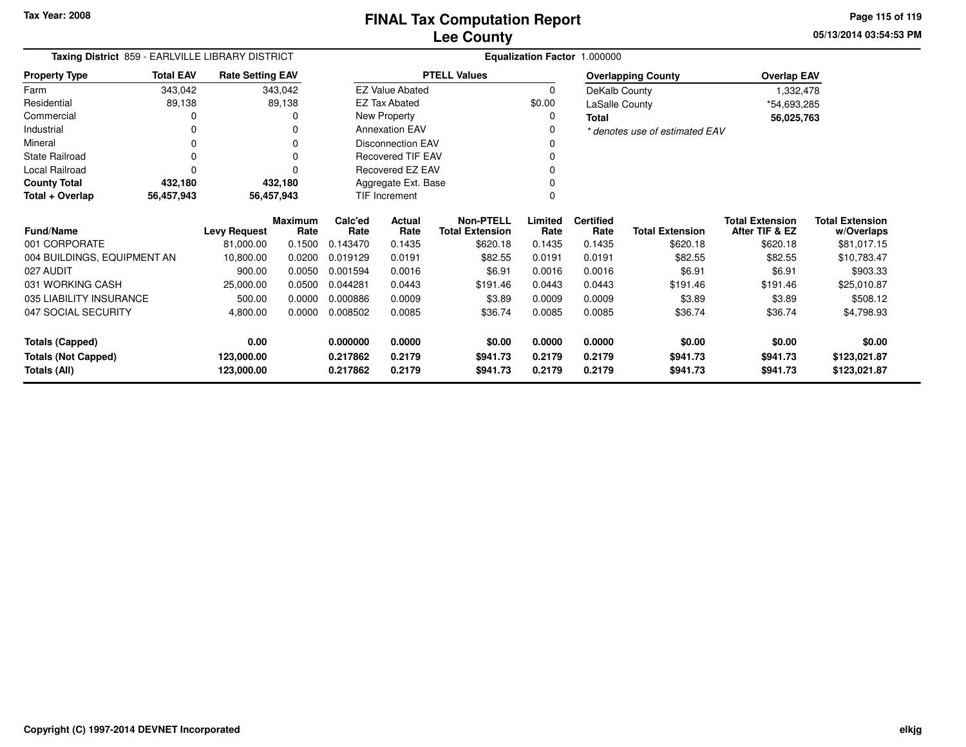**05/13/2014 03:54:53 PMPage 115 of 119**

| Taxing District 859 - EARLVILLE LIBRARY DISTRICT |                  |                         |                        |                 |                          |                                            |                 | Equalization Factor 1.000000 |                                |                                          |                                      |
|--------------------------------------------------|------------------|-------------------------|------------------------|-----------------|--------------------------|--------------------------------------------|-----------------|------------------------------|--------------------------------|------------------------------------------|--------------------------------------|
| <b>Property Type</b>                             | <b>Total EAV</b> | <b>Rate Setting EAV</b> |                        |                 |                          | <b>PTELL Values</b>                        |                 |                              | <b>Overlapping County</b>      | <b>Overlap EAV</b>                       |                                      |
| Farm                                             | 343,042          |                         | 343,042                |                 | <b>EZ Value Abated</b>   |                                            | 0               | DeKalb County                |                                | 1,332,478                                |                                      |
| Residential                                      | 89,138           |                         | 89,138                 |                 | <b>EZ Tax Abated</b>     |                                            | \$0.00          | LaSalle County               |                                | *54,693,285                              |                                      |
| Commercial                                       |                  |                         |                        |                 | New Property             |                                            | 0               | <b>Total</b>                 |                                | 56,025,763                               |                                      |
| Industrial                                       |                  |                         |                        |                 | <b>Annexation EAV</b>    |                                            | 0               |                              | * denotes use of estimated EAV |                                          |                                      |
| Mineral                                          |                  |                         |                        |                 | <b>Disconnection EAV</b> |                                            |                 |                              |                                |                                          |                                      |
| <b>State Railroad</b>                            |                  |                         |                        |                 | <b>Recovered TIF EAV</b> |                                            |                 |                              |                                |                                          |                                      |
| Local Railroad                                   |                  |                         |                        |                 | Recovered EZ EAV         |                                            |                 |                              |                                |                                          |                                      |
| <b>County Total</b>                              | 432,180          |                         | 432,180                |                 | Aggregate Ext. Base      |                                            |                 |                              |                                |                                          |                                      |
| Total + Overlap                                  | 56,457,943       |                         | 56,457,943             |                 | TIF Increment            |                                            |                 |                              |                                |                                          |                                      |
| <b>Fund/Name</b>                                 |                  | <b>Levy Request</b>     | <b>Maximum</b><br>Rate | Calc'ed<br>Rate | <b>Actual</b><br>Rate    | <b>Non-PTELL</b><br><b>Total Extension</b> | Limited<br>Rate | <b>Certified</b><br>Rate     | <b>Total Extension</b>         | <b>Total Extension</b><br>After TIF & EZ | <b>Total Extension</b><br>w/Overlaps |
| 001 CORPORATE                                    |                  | 81,000.00               | 0.1500                 | 0.143470        | 0.1435                   | \$620.18                                   | 0.1435          | 0.1435                       | \$620.18                       | \$620.18                                 | \$81,017.15                          |
| 004 BUILDINGS, EQUIPMENT AN                      |                  | 10,800.00               | 0.0200                 | 0.019129        | 0.0191                   | \$82.55                                    | 0.0191          | 0.0191                       | \$82.55                        | \$82.55                                  | \$10,783.47                          |
| 027 AUDIT                                        |                  | 900.00                  | 0.0050                 | 0.001594        | 0.0016                   | \$6.91                                     | 0.0016          | 0.0016                       | \$6.91                         | \$6.91                                   | \$903.33                             |
| 031 WORKING CASH                                 |                  | 25,000.00               | 0.0500                 | 0.044281        | 0.0443                   | \$191.46                                   | 0.0443          | 0.0443                       | \$191.46                       | \$191.46                                 | \$25,010.87                          |
| 035 LIABILITY INSURANCE                          |                  | 500.00                  | 0.0000                 | 0.000886        | 0.0009                   | \$3.89                                     | 0.0009          | 0.0009                       | \$3.89                         | \$3.89                                   | \$508.12                             |
| 047 SOCIAL SECURITY                              |                  | 4,800.00                | 0.0000                 | 0.008502        | 0.0085                   | \$36.74                                    | 0.0085          | 0.0085                       | \$36.74                        | \$36.74                                  | \$4,798.93                           |
| <b>Totals (Capped)</b>                           |                  | 0.00                    |                        | 0.000000        | 0.0000                   | \$0.00                                     | 0.0000          | 0.0000                       | \$0.00                         | \$0.00                                   | \$0.00                               |
| <b>Totals (Not Capped)</b>                       |                  | 123,000.00              |                        | 0.217862        | 0.2179                   | \$941.73                                   | 0.2179          | 0.2179                       | \$941.73                       | \$941.73                                 | \$123,021.87                         |
| Totals (All)                                     |                  | 123,000.00              |                        | 0.217862        | 0.2179                   | \$941.73                                   | 0.2179          | 0.2179                       | \$941.73                       | \$941.73                                 | \$123,021.87                         |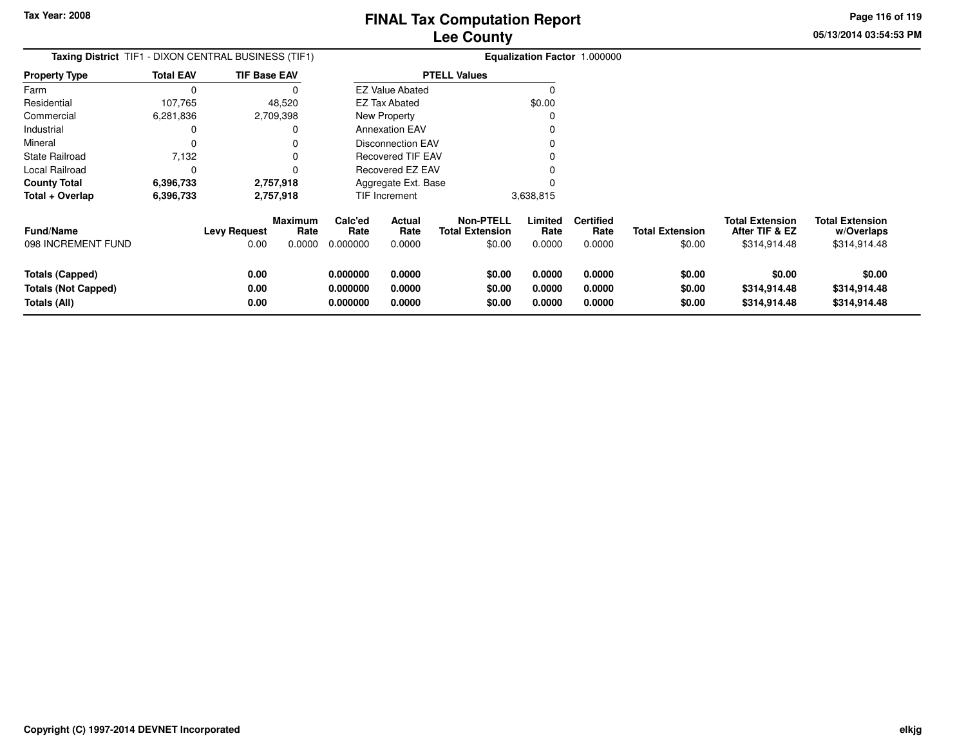**05/13/2014 03:54:53 PMPage 116 of 119**

| <b>Taxing District</b> TIF1 - DIXON CENTRAL BUSINESS (TIF1)          |                  |                      |                                  | Equalization Factor 1.000000     |                            |                                                      |                            |                                    |                                  |                                                          |                                                      |
|----------------------------------------------------------------------|------------------|----------------------|----------------------------------|----------------------------------|----------------------------|------------------------------------------------------|----------------------------|------------------------------------|----------------------------------|----------------------------------------------------------|------------------------------------------------------|
| <b>Property Type</b>                                                 | <b>Total EAV</b> | TIF Base EAV         |                                  |                                  |                            | <b>PTELL Values</b>                                  |                            |                                    |                                  |                                                          |                                                      |
| Farm                                                                 | $\Omega$         |                      |                                  |                                  | <b>EZ Value Abated</b>     |                                                      |                            |                                    |                                  |                                                          |                                                      |
| Residential                                                          | 107,765          |                      | 48,520                           |                                  | <b>EZ Tax Abated</b>       |                                                      | \$0.00                     |                                    |                                  |                                                          |                                                      |
| Commercial                                                           | 6,281,836        |                      | 2,709,398                        |                                  | New Property               |                                                      |                            |                                    |                                  |                                                          |                                                      |
| Industrial                                                           |                  |                      |                                  |                                  | <b>Annexation EAV</b>      |                                                      |                            |                                    |                                  |                                                          |                                                      |
| Mineral                                                              |                  |                      |                                  |                                  | <b>Disconnection EAV</b>   |                                                      |                            |                                    |                                  |                                                          |                                                      |
| State Railroad                                                       | 7,132            |                      |                                  |                                  | <b>Recovered TIF EAV</b>   |                                                      |                            |                                    |                                  |                                                          |                                                      |
| Local Railroad                                                       | 0                |                      |                                  |                                  | Recovered EZ EAV           |                                                      |                            |                                    |                                  |                                                          |                                                      |
| <b>County Total</b>                                                  | 6,396,733        |                      | 2,757,918                        |                                  | Aggregate Ext. Base        |                                                      |                            |                                    |                                  |                                                          |                                                      |
| Total + Overlap                                                      | 6,396,733        |                      | 2,757,918                        |                                  | <b>TIF Increment</b>       |                                                      | 3,638,815                  |                                    |                                  |                                                          |                                                      |
| Fund/Name<br>098 INCREMENT FUND                                      |                  | Levy Request<br>0.00 | <b>Maximum</b><br>Rate<br>0.0000 | Calc'ed<br>Rate<br>0.000000      | Actual<br>Rate<br>0.0000   | <b>Non-PTELL</b><br><b>Total Extension</b><br>\$0.00 | Limited<br>Rate<br>0.0000  | <b>Certified</b><br>Rate<br>0.0000 | <b>Total Extension</b><br>\$0.00 | <b>Total Extension</b><br>After TIF & EZ<br>\$314,914.48 | <b>Total Extension</b><br>w/Overlaps<br>\$314,914.48 |
| <b>Totals (Capped)</b><br><b>Totals (Not Capped)</b><br>Totals (All) |                  | 0.00<br>0.00<br>0.00 |                                  | 0.000000<br>0.000000<br>0.000000 | 0.0000<br>0.0000<br>0.0000 | \$0.00<br>\$0.00<br>\$0.00                           | 0.0000<br>0.0000<br>0.0000 | 0.0000<br>0.0000<br>0.0000         | \$0.00<br>\$0.00<br>\$0.00       | \$0.00<br>\$314,914.48<br>\$314,914.48                   | \$0.00<br>\$314,914.48<br>\$314,914.48               |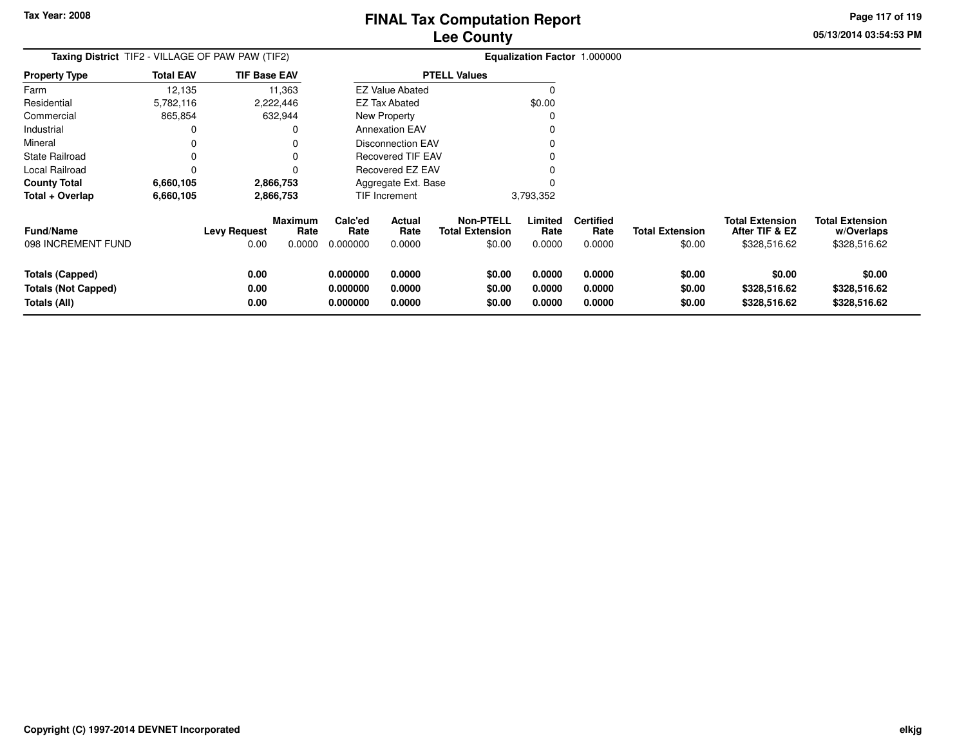**05/13/2014 03:54:53 PMPage 117 of 119**

| <b>Taxing District</b> TIF2 - VILLAGE OF PAW PAW (TIF2)              |                  |                             |                                  | Equalization Factor 1.000000     |                            |                                                      |                            |                                    |                                  |                                                          |                                                      |
|----------------------------------------------------------------------|------------------|-----------------------------|----------------------------------|----------------------------------|----------------------------|------------------------------------------------------|----------------------------|------------------------------------|----------------------------------|----------------------------------------------------------|------------------------------------------------------|
| <b>Property Type</b>                                                 | <b>Total EAV</b> | TIF Base EAV                |                                  |                                  |                            | <b>PTELL Values</b>                                  |                            |                                    |                                  |                                                          |                                                      |
| Farm                                                                 | 12,135           |                             | 11,363                           |                                  | <b>EZ Value Abated</b>     |                                                      |                            |                                    |                                  |                                                          |                                                      |
| Residential                                                          | 5,782,116        |                             | 2,222,446                        |                                  | <b>EZ Tax Abated</b>       |                                                      | \$0.00                     |                                    |                                  |                                                          |                                                      |
| Commercial                                                           | 865,854          |                             | 632,944                          |                                  | New Property               |                                                      |                            |                                    |                                  |                                                          |                                                      |
| Industrial                                                           | 0                |                             |                                  |                                  | <b>Annexation EAV</b>      |                                                      |                            |                                    |                                  |                                                          |                                                      |
| Mineral                                                              |                  |                             |                                  |                                  | <b>Disconnection EAV</b>   |                                                      |                            |                                    |                                  |                                                          |                                                      |
| State Railroad                                                       |                  |                             |                                  |                                  | Recovered TIF EAV          |                                                      |                            |                                    |                                  |                                                          |                                                      |
| Local Railroad                                                       | $\Omega$         |                             |                                  |                                  | Recovered EZ EAV           |                                                      |                            |                                    |                                  |                                                          |                                                      |
| <b>County Total</b>                                                  | 6,660,105        |                             | 2,866,753                        |                                  | Aggregate Ext. Base        |                                                      |                            |                                    |                                  |                                                          |                                                      |
| Total + Overlap                                                      | 6,660,105        |                             | 2,866,753                        |                                  | TIF Increment              |                                                      | 3,793,352                  |                                    |                                  |                                                          |                                                      |
| <b>Fund/Name</b><br>098 INCREMENT FUND                               |                  | <b>Levy Request</b><br>0.00 | <b>Maximum</b><br>Rate<br>0.0000 | Calc'ed<br>Rate<br>0.000000      | Actual<br>Rate<br>0.0000   | <b>Non-PTELL</b><br><b>Total Extension</b><br>\$0.00 | Limited<br>Rate<br>0.0000  | <b>Certified</b><br>Rate<br>0.0000 | <b>Total Extension</b><br>\$0.00 | <b>Total Extension</b><br>After TIF & EZ<br>\$328,516.62 | <b>Total Extension</b><br>w/Overlaps<br>\$328,516.62 |
| <b>Totals (Capped)</b><br><b>Totals (Not Capped)</b><br>Totals (All) |                  | 0.00<br>0.00<br>0.00        |                                  | 0.000000<br>0.000000<br>0.000000 | 0.0000<br>0.0000<br>0.0000 | \$0.00<br>\$0.00<br>\$0.00                           | 0.0000<br>0.0000<br>0.0000 | 0.0000<br>0.0000<br>0.0000         | \$0.00<br>\$0.00<br>\$0.00       | \$0.00<br>\$328,516.62<br>\$328,516.62                   | \$0.00<br>\$328,516.62<br>\$328,516.62               |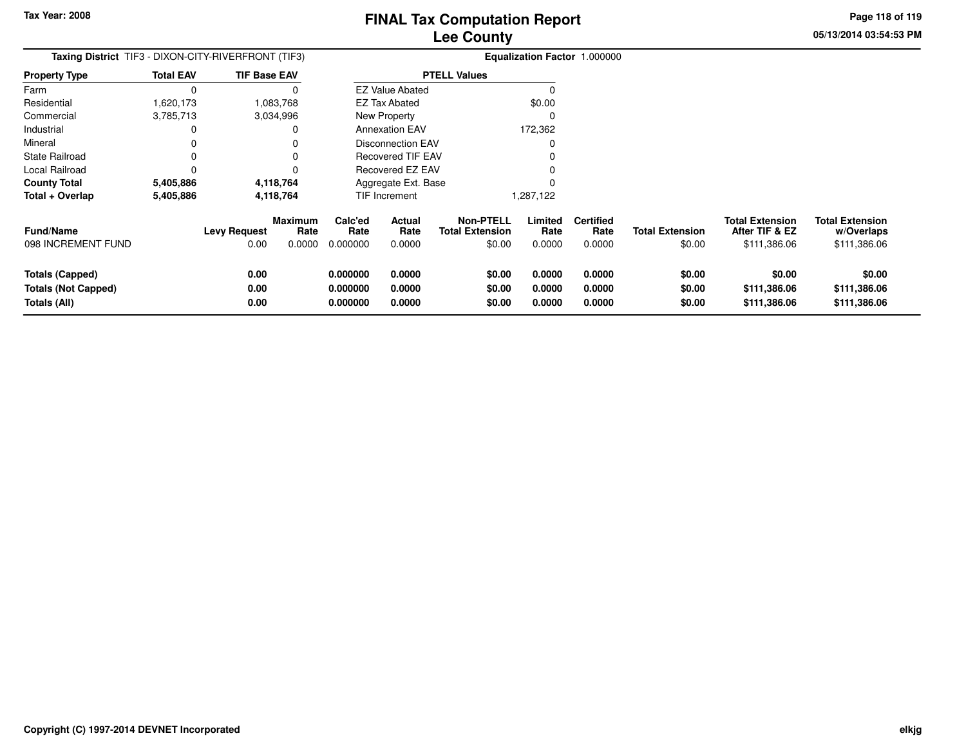**05/13/2014 03:54:53 PMPage 118 of 119**

| <b>Taxing District</b> TIF3 - DIXON-CITY-RIVERFRONT (TIF3)           |                  |                      |                        | Equalization Factor 1.000000     |                            |                                            |                            |                            |                            |                                          |                                        |
|----------------------------------------------------------------------|------------------|----------------------|------------------------|----------------------------------|----------------------------|--------------------------------------------|----------------------------|----------------------------|----------------------------|------------------------------------------|----------------------------------------|
| <b>Property Type</b>                                                 | <b>Total EAV</b> | <b>TIF Base EAV</b>  |                        |                                  |                            | <b>PTELL Values</b>                        |                            |                            |                            |                                          |                                        |
| Farm                                                                 |                  |                      | 0                      |                                  | <b>EZ Value Abated</b>     |                                            | 0                          |                            |                            |                                          |                                        |
| Residential                                                          | 1,620,173        |                      | 1,083,768              |                                  | EZ Tax Abated              |                                            | \$0.00                     |                            |                            |                                          |                                        |
| Commercial                                                           | 3,785,713        |                      | 3,034,996              |                                  | New Property               |                                            | 0                          |                            |                            |                                          |                                        |
| Industrial                                                           |                  |                      | 0                      |                                  | <b>Annexation EAV</b>      |                                            | 172,362                    |                            |                            |                                          |                                        |
| Mineral                                                              |                  |                      | 0                      |                                  | <b>Disconnection EAV</b>   |                                            | 0                          |                            |                            |                                          |                                        |
| <b>State Railroad</b>                                                |                  |                      | 0                      |                                  | <b>Recovered TIF EAV</b>   |                                            | 0                          |                            |                            |                                          |                                        |
| Local Railroad                                                       |                  |                      | 0                      |                                  | Recovered EZ EAV           |                                            |                            |                            |                            |                                          |                                        |
| <b>County Total</b>                                                  | 5,405,886        |                      | 4,118,764              |                                  | Aggregate Ext. Base        |                                            |                            |                            |                            |                                          |                                        |
| Total + Overlap                                                      | 5,405,886        |                      | 4,118,764              |                                  | <b>TIF Increment</b>       |                                            | 1,287,122                  |                            |                            |                                          |                                        |
| <b>Fund/Name</b>                                                     |                  | <b>Levy Request</b>  | <b>Maximum</b><br>Rate | Calc'ed<br>Rate                  | <b>Actual</b><br>Rate      | <b>Non-PTELL</b><br><b>Total Extension</b> | Limited<br>Rate            | <b>Certified</b><br>Rate   | <b>Total Extension</b>     | <b>Total Extension</b><br>After TIF & EZ | <b>Total Extension</b><br>w/Overlaps   |
| 098 INCREMENT FUND                                                   |                  | 0.00                 | 0.0000                 | 0.000000                         | 0.0000                     | \$0.00                                     | 0.0000                     | 0.0000                     | \$0.00                     | \$111,386.06                             | \$111,386.06                           |
| <b>Totals (Capped)</b><br><b>Totals (Not Capped)</b><br>Totals (All) |                  | 0.00<br>0.00<br>0.00 |                        | 0.000000<br>0.000000<br>0.000000 | 0.0000<br>0.0000<br>0.0000 | \$0.00<br>\$0.00<br>\$0.00                 | 0.0000<br>0.0000<br>0.0000 | 0.0000<br>0.0000<br>0.0000 | \$0.00<br>\$0.00<br>\$0.00 | \$0.00<br>\$111,386.06<br>\$111,386.06   | \$0.00<br>\$111,386.06<br>\$111,386.06 |